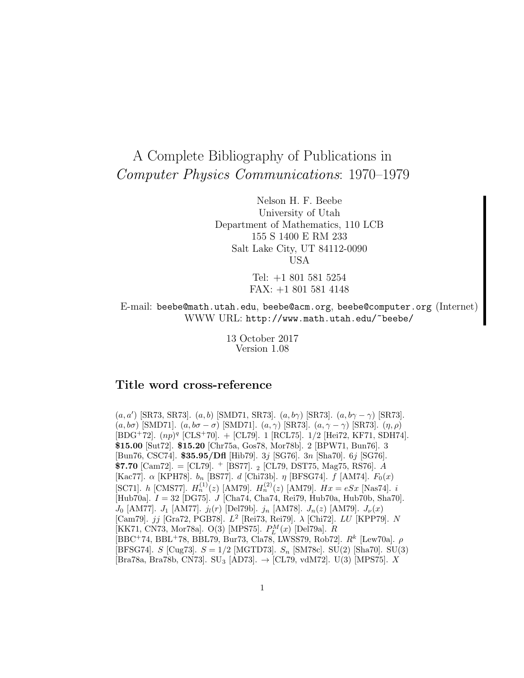# A Complete Bibliography of Publications in Computer Physics Communications: 1970–1979

Nelson H. F. Beebe University of Utah Department of Mathematics, 110 LCB 155 S 1400 E RM 233 Salt Lake City, UT 84112-0090 USA

> Tel: +1 801 581 5254 FAX: +1 801 581 4148

E-mail: beebe@math.utah.edu, beebe@acm.org, beebe@computer.org (Internet) WWW URL: http://www.math.utah.edu/~beebe/

> 13 October 2017 Version 1.08

# **Title word cross-reference**

 $(a, a')$  [SR73, SR73].  $(a, b)$  [SMD71, SR73].  $(a, b\gamma)$  [SR73].  $(a, b\gamma - \gamma)$  [SR73].  $(a, b\sigma)$  [SMD71].  $(a, b\sigma - \sigma)$  [SMD71].  $(a, \gamma)$  [SR73].  $(a, \gamma - \gamma)$  [SR73].  $(\eta, \rho)$  $[BDG<sup>+</sup>72]$ .  $(np)<sup>q</sup>$   $[CLS<sup>+</sup>70]$ .  $+$   $[CL79]$ . 1  $[RCL75]$ . 1/2  $[Hei72, KF71, SDH74]$ . **\$15.00** [Sut72]. **\$15.20** [Chr75a, Gos78, Mor78b]. 2 [BPW71, Bun76]. 3 [Bun76, CSC74]. **\$35.95/Dfl** [Hib79]. 3j [SG76]. 3n [Sha70]. 6j [SG76]. **\$7.70** [Cam72]. = [CL79].  $+$  [BS77]. 2 [CL79, DST75, Mag75, RS76]. A [Kac77].  $\alpha$  [KPH78].  $b_n$  [BS77]. d [Chi73b].  $\eta$  [BFSG74]. f [AM74].  $F_0(x)$ [SC71]. *h* [CMS77].  $H_n^{(1)}(z)$  [AM79].  $H_n^{(2)}(z)$  [AM79].  $Hx = eSx$  [Nas74]. *i* [Hub70a]. I = 32 [DG75]. J [Cha74, Cha74, Rei79, Hub70a, Hub70b, Sha70].  $J_0$  [AM77].  $J_1$  [AM77].  $j_l(r)$  [Del79b].  $j_n$  [AM78].  $J_n(z)$  [AM79].  $J_\nu(x)$ [Cam79].  $jj$  [Gra72, PGB78].  $L^2$  [Rei73, Rei79].  $\lambda$  [Chi72].  $LU$  [KPP79].  $N$ [KK71, CN73, Mor<br/>78a]. O(3) [MPS75]. $\mathcal{P}_L^M(x)$  [Del<br/>79a]. $R$  $[BBC+74, BBL+78, BBL79, Bur73, Cla78, LWSS79, Rob72]. R<sup>k</sup> [Lew70a].$   $\rho$ [BFSG74].  $S$  [Cug73].  $S = 1/2$  [MGTD73].  $S_n$  [SM78c]. SU(2) [Sha70]. SU(3)  $[Bar38a, Bra78b, CN73]$ . SU<sub>3</sub>  $[AD73]$ .  $\rightarrow$   $[CL79, vdM72]$ . U(3)  $[MPS75]$ . X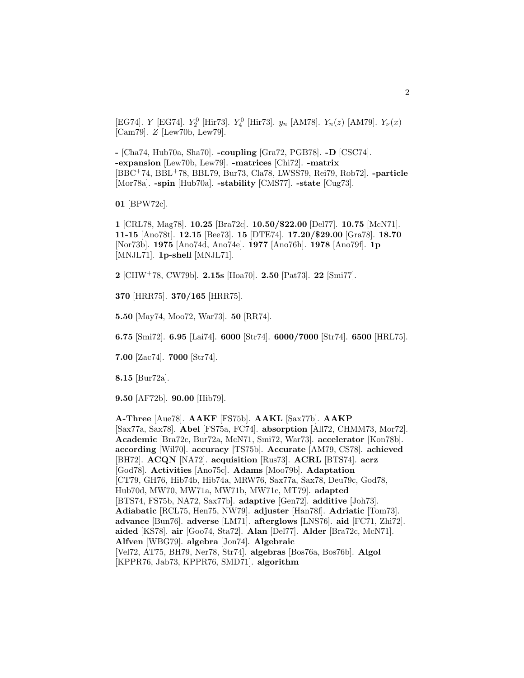[EG74]. Y [EG74].  $Y_2^0$  [Hir73].  $Y_4^0$  [Hir73].  $y_n$  [AM78].  $Y_n(z)$  [AM79].  $Y_{\nu}(x)$ [Cam79]. Z [Lew70b, Lew79].

**-** [Cha74, Hub70a, Sha70]. **-coupling** [Gra72, PGB78]. **-D** [CSC74]. **-expansion** [Lew70b, Lew79]. **-matrices** [Chi72]. **-matrix** [BBC<sup>+</sup>74, BBL<sup>+</sup>78, BBL79, Bur73, Cla78, LWSS79, Rei79, Rob72]. **-particle** [Mor78a]. **-spin** [Hub70a]. **-stability** [CMS77]. **-state** [Cug73].

**01** [BPW72c].

**1** [CRL78, Mag78]. **10.25** [Bra72c]. **10.50/\$22.00** [Del77]. **10.75** [McN71]. **11-15** [Ano78t]. **12.15** [Bee73]. **15** [DTE74]. **17.20/\$29.00** [Gra78]. **18.70** [Nor73b]. **1975** [Ano74d, Ano74e]. **1977** [Ano76h]. **1978** [Ano79f]. **1p** [MNJL71]. **1p-shell** [MNJL71].

**2** [CHW<sup>+</sup>78, CW79b]. **2.15s** [Hoa70]. **2.50** [Pat73]. **22** [Smi77].

**370** [HRR75]. **370/165** [HRR75].

**5.50** [May74, Moo72, War73]. **50** [RR74].

**6.75** [Smi72]. **6.95** [Lai74]. **6000** [Str74]. **6000/7000** [Str74]. **6500** [HRL75].

**7.00** [Zac74]. **7000** [Str74].

**8.15** [Bur72a].

**9.50** [AF72b]. **90.00** [Hib79].

**A-Three** [Aue78]. **AAKF** [FS75b]. **AAKL** [Sax77b]. **AAKP** [Sax77a, Sax78]. **Abel** [FS75a, FC74]. **absorption** [All72, CHMM73, Mor72]. **Academic** [Bra72c, Bur72a, McN71, Smi72, War73]. **accelerator** [Kon78b]. **according** [Wil70]. **accuracy** [TS75b]. **Accurate** [AM79, CS78]. **achieved** [BH72]. **ACQN** [NA72]. **acquisition** [Rus73]. **ACRL** [BTS74]. **acrz** [God78]. **Activities** [Ano75c]. **Adams** [Moo79b]. **Adaptation** [CT79, GH76, Hib74b, Hib74a, MRW76, Sax77a, Sax78, Deu79c, God78, Hub70d, MW70, MW71a, MW71b, MW71c, MT79]. **adapted** [BTS74, FS75b, NA72, Sax77b]. **adaptive** [Gen72]. **additive** [Joh73]. **Adiabatic** [RCL75, Hen75, NW79]. **adjuster** [Han78f]. **Adriatic** [Tom73]. **advance** [Bun76]. **adverse** [LM71]. **afterglows** [LNS76]. **aid** [FC71, Zhi72]. **aided** [KS78]. **air** [Goo74, Sta72]. **Alan** [Del77]. **Alder** [Bra72c, McN71]. **Alfven** [WBG79]. **algebra** [Jon74]. **Algebraic** [Vel72, AT75, BH79, Ner78, Str74]. **algebras** [Bos76a, Bos76b]. **Algol** [KPPR76, Jab73, KPPR76, SMD71]. **algorithm**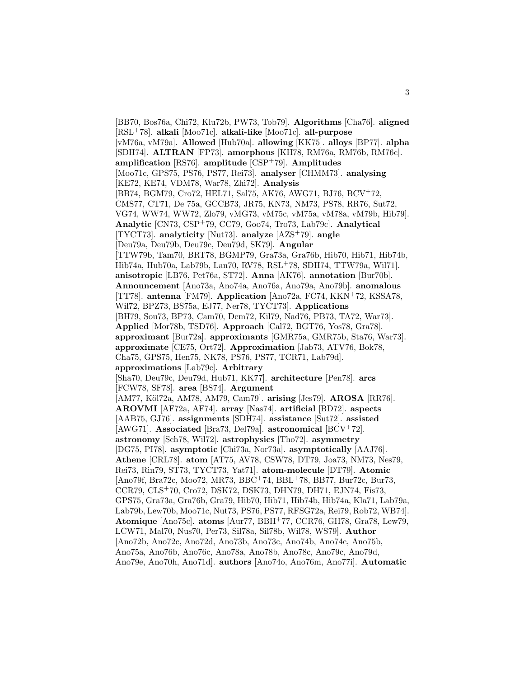[BB70, Bos76a, Chi72, Klu72b, PW73, Tob79]. **Algorithms** [Cha76]. **aligned** [RSL<sup>+</sup>78]. **alkali** [Moo71c]. **alkali-like** [Moo71c]. **all-purpose** [vM76a, vM79a]. **Allowed** [Hub70a]. **allowing** [KK75]. **alloys** [BP77]. **alpha** [SDH74]. **ALTRAN** [FP73]. **amorphous** [KH78, RM76a, RM76b, RM76c]. **amplification** [RS76]. **amplitude** [CSP<sup>+</sup>79]. **Amplitudes** [Moo71c, GPS75, PS76, PS77, Rei73]. **analyser** [CHMM73]. **analysing** [KE72, KE74, VDM78, War78, Zhi72]. **Analysis** [BB74, BGM79, Cro72, HEL71, Sal75, AK76, AWG71, BJ76, BCV<sup>+</sup>72, CMS77, CT71, De 75a, GCCB73, JR75, KN73, NM73, PS78, RR76, Sut72, VG74, WW74, WW72, Zlo79, vMG73, vM75c, vM75a, vM78a, vM79b, Hib79]. **Analytic** [CN73, CSP<sup>+</sup>79, CC79, Goo74, Tro73, Lab79c]. **Analytical** [TYCT73]. **analyticity** [Nut73]. **analyze** [AZS<sup>+</sup>79]. **angle** [Deu79a, Deu79b, Deu79c, Deu79d, SK79]. **Angular** [TTW79b, Tam70, BRT78, BGMP79, Gra73a, Gra76b, Hib70, Hib71, Hib74b, Hib74a, Hub70a, Lab79b, Lan70, RV78, RSL<sup>+</sup>78, SDH74, TTW79a, Wil71]. **anisotropic** [LB76, Pet76a, ST72]. **Anna** [AK76]. **annotation** [Bur70b]. **Announcement** [Ano73a, Ano74a, Ano76a, Ano79a, Ano79b]. **anomalous** [TT78]. **antenna** [FM79]. **Application** [Ano72a, FC74, KKN<sup>+</sup>72, KSSA78, Wil72, BPZ73, BS75a, EJ77, Ner78, TYCT73]. **Applications** [BH79, Sou73, BP73, Cam70, Dem72, Kil79, Nad76, PB73, TA72, War73]. **Applied** [Mor78b, TSD76]. **Approach** [Cal72, BGT76, Yos78, Gra78]. **approximant** [Bur72a]. **approximants** [GMR75a, GMR75b, Sta76, War73]. **approximate** [CE75, Ort72]. **Approximation** [Jab73, ATV76, Bok78, Cha75, GPS75, Hen75, NK78, PS76, PS77, TCR71, Lab79d]. **approximations** [Lab79c]. **Arbitrary** [Sha70, Deu79c, Deu79d, Hub71, KK77]. **architecture** [Pen78]. **arcs** [FCW78, SF78]. **area** [BS74]. **Argument** [AM77, K¨ol72a, AM78, AM79, Cam79]. **arising** [Jes79]. **AROSA** [RR76]. **AROVMI** [AF72a, AF74]. **array** [Nas74]. **artificial** [BD72]. **aspects** [AAB75, GJ76]. **assignments** [SDH74]. **assistance** [Sut72]. **assisted** [AWG71]. **Associated** [Bra73, Del79a]. **astronomical** [BCV<sup>+</sup>72]. **astronomy** [Sch78, Wil72]. **astrophysics** [Tho72]. **asymmetry** [DG75, PI78]. **asymptotic** [Chi73a, Nor73a]. **asymptotically** [AAJ76]. **Athene** [CRL78]. **atom** [AT75, AV78, CSW78, DT79, Joa73, NM73, Nes79, Rei73, Rin79, ST73, TYCT73, Yat71]. **atom-molecule** [DT79]. **Atomic** [Ano79f, Bra72c, Moo72, MR73, BBC<sup>+</sup>74, BBL<sup>+</sup>78, BB77, Bur72c, Bur73, CCR79, CLS<sup>+</sup>70, Cro72, DSK72, DSK73, DHN79, DH71, EJN74, Fis73, GPS75, Gra73a, Gra76b, Gra79, Hib70, Hib71, Hib74b, Hib74a, Kla71, Lab79a, Lab79b, Lew70b, Moo71c, Nut73, PS76, PS77, RFSG72a, Rei79, Rob72, WB74]. **Atomique** [Ano75c]. **atoms** [Aur77, BBH<sup>+</sup>77, CCR76, GH78, Gra78, Lew79, LCW71, Mal70, Nus70, Per73, Sil78a, Sil78b, Wil78, WS79]. **Author** [Ano72b, Ano72c, Ano72d, Ano73b, Ano73c, Ano74b, Ano74c, Ano75b, Ano75a, Ano76b, Ano76c, Ano78a, Ano78b, Ano78c, Ano79c, Ano79d, Ano79e, Ano70h, Ano71d]. **authors** [Ano74o, Ano76m, Ano77i]. **Automatic**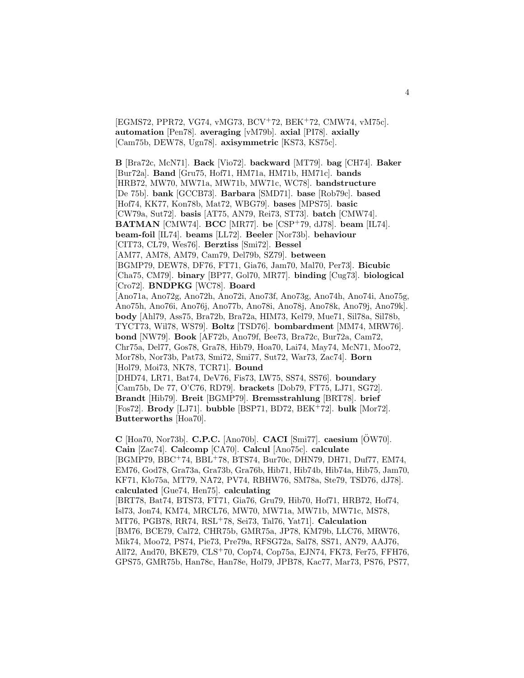[EGMS72, PPR72, VG74, vMG73, BCV<sup>+</sup>72, BEK<sup>+</sup>72, CMW74, vM75c]. **automation** [Pen78]. **averaging** [vM79b]. **axial** [PI78]. **axially** [Cam75b, DEW78, Ugn78]. **axisymmetric** [KS73, KS75c].

**B** [Bra72c, McN71]. **Back** [Vio72]. **backward** [MT79]. **bag** [CH74]. **Baker** [Bur72a]. **Band** [Gru75, Hof71, HM71a, HM71b, HM71c]. **bands** [HRB72, MW70, MW71a, MW71b, MW71c, WC78]. **bandstructure** [De 75b]. **bank** [GCCB73]. **Barbara** [SMD71]. **base** [Rob79c]. **based** [Hof74, KK77, Kon78b, Mat72, WBG79]. **bases** [MPS75]. **basic** [CW79a, Sut72]. **basis** [AT75, AN79, Rei73, ST73]. **batch** [CMW74]. **BATMAN** [CMW74]. **BCC** [MR77]. **be** [CSP<sup>+</sup>79, dJ78]. **beam** [IL74]. **beam-foil** [IL74]. **beams** [LL72]. **Beeler** [Nor73b]. **behaviour** [CIT73, CL79, Wes76]. **Berztiss** [Smi72]. **Bessel** [AM77, AM78, AM79, Cam79, Del79b, SZ79]. **between** [BGMP79, DEW78, DF76, FT71, Gia76, Jam70, Mal70, Per73]. **Bicubic** [Cha75, CM79]. **binary** [BP77, Gol70, MR77]. **binding** [Cug73]. **biological** [Cro72]. **BNDPKG** [WC78]. **Board** [Ano71a, Ano72g, Ano72h, Ano72i, Ano73f, Ano73g, Ano74h, Ano74i, Ano75g, Ano75h, Ano76i, Ano76j, Ano77b, Ano78i, Ano78j, Ano78k, Ano79j, Ano79k]. **body** [Ahl79, Ass75, Bra72b, Bra72a, HIM73, Kel79, Mue71, Sil78a, Sil78b, TYCT73, Wil78, WS79]. **Boltz** [TSD76]. **bombardment** [MM74, MRW76]. **bond** [NW79]. **Book** [AF72b, Ano79f, Bee73, Bra72c, Bur72a, Cam72, Chr75a, Del77, Gos78, Gra78, Hib79, Hoa70, Lai74, May74, McN71, Moo72, Mor78b, Nor73b, Pat73, Smi72, Smi77, Sut72, War73, Zac74]. **Born** [Hol79, Moi73, NK78, TCR71]. **Bound** [DHD74, LR71, Bat74, DeV76, Fis73, LW75, SS74, SS76]. **boundary** [Cam75b, De 77, O'C76, RD79]. **brackets** [Dob79, FT75, LJ71, SG72]. **Brandt** [Hib79]. **Breit** [BGMP79]. **Bremsstrahlung** [BRT78]. **brief** [Fos72]. **Brody** [LJ71]. **bubble** [BSP71, BD72, BEK<sup>+</sup>72]. **bulk** [Mor72]. **Butterworths** [Hoa70].

**C** [Hoa70, Nor73b]. **C.P.C.** [Ano70b]. **CACI** [Smi77]. **caesium** [OW70]. ¨ **Cain** [Zac74]. **Calcomp** [CA70]. **Calcul** [Ano75c]. **calculate** [BGMP79, BBC<sup>+</sup>74, BBL<sup>+</sup>78, BTS74, Bur70c, DHN79, DH71, Duf77, EM74, EM76, God78, Gra73a, Gra73b, Gra76b, Hib71, Hib74b, Hib74a, Hib75, Jam70, KF71, Klo75a, MT79, NA72, PV74, RBHW76, SM78a, Ste79, TSD76, dJ78]. **calculated** [Gue74, Hen75]. **calculating** [BRT78, Bat74, BTS73, FT71, Gia76, Gru79, Hib70, Hof71, HRB72, Hof74, Isl73, Jon74, KM74, MRCL76, MW70, MW71a, MW71b, MW71c, MS78, MT76, PGB78, RR74, RSL<sup>+</sup>78, Sei73, Tal76, Yat71]. **Calculation** [BM76, BCE79, Cal72, CHR75b, GMR75a, JP78, KM79b, LLC76, MRW76, Mik74, Moo72, PS74, Pie73, Pre79a, RFSG72a, Sal78, SS71, AN79, AAJ76, All72, And70, BKE79, CLS<sup>+</sup>70, Cop74, Cop75a, EJN74, FK73, Fer75, FFH76, GPS75, GMR75b, Han78c, Han78e, Hol79, JPB78, Kac77, Mar73, PS76, PS77,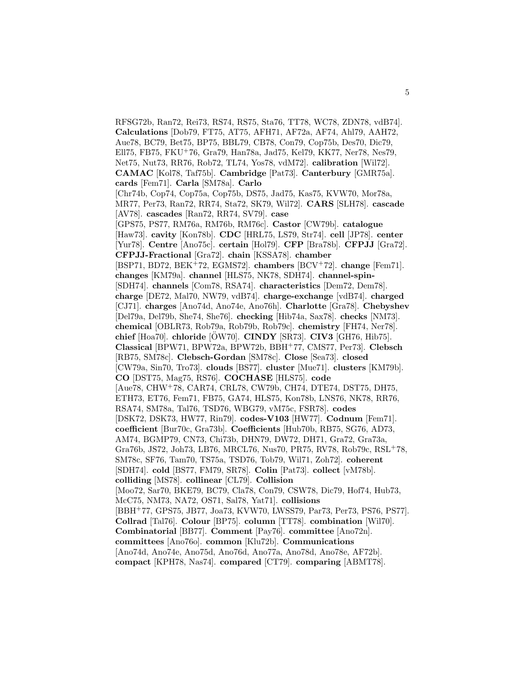RFSG72b, Ran72, Rei73, RS74, RS75, Sta76, TT78, WC78, ZDN78, vdB74]. **Calculations** [Dob79, FT75, AT75, AFH71, AF72a, AF74, Ahl79, AAH72, Aue78, BC79, Bet75, BP75, BBL79, CB78, Con79, Cop75b, Des70, Dic79, Ell75, FB75, FKU<sup>+</sup>76, Gra79, Han78a, Jad75, Kel79, KK77, Ner78, Nes79, Net75, Nut73, RR76, Rob72, TL74, Yos78, vdM72]. **calibration** [Wil72]. **CAMAC** [Kol78, Taf75b]. **Cambridge** [Pat73]. **Canterbury** [GMR75a]. **cards** [Fem71]. **Carla** [SM78a]. **Carlo** [Chr74b, Cop74, Cop75a, Cop75b, DS75, Jad75, Kas75, KVW70, Mor78a, MR77, Per73, Ran72, RR74, Sta72, SK79, Wil72]. **CARS** [SLH78]. **cascade** [AV78]. **cascades** [Ran72, RR74, SV79]. **case** [GPS75, PS77, RM76a, RM76b, RM76c]. **Castor** [CW79b]. **catalogue** [Haw73]. **cavity** [Kon78b]. **CDC** [HRL75, LS79, Str74]. **cell** [JP78]. **center** [Yur78]. **Centre** [Ano75c]. **certain** [Hol79]. **CFP** [Bra78b]. **CFPJJ** [Gra72]. **CFPJJ-Fractional** [Gra72]. **chain** [KSSA78]. **chamber** [BSP71, BD72, BEK<sup>+</sup>72, EGMS72]. **chambers** [BCV<sup>+</sup>72]. **change** [Fem71]. **changes** [KM79a]. **channel** [HLS75, NK78, SDH74]. **channel-spin-** [SDH74]. **channels** [Com78, RSA74]. **characteristics** [Dem72, Dem78]. **charge** [DE72, Mal70, NW79, vdB74]. **charge-exchange** [vdB74]. **charged** [CJ71]. **charges** [Ano74d, Ano74e, Ano76h]. **Charlotte** [Gra78]. **Chebyshev** [Del79a, Del79b, She74, She76]. **checking** [Hib74a, Sax78]. **checks** [NM73]. **chemical** [OBLR73, Rob79a, Rob79b, Rob79c]. **chemistry** [FH74, Ner78]. **chief** [Hoa70]. **chloride** [OW70]. ¨ **CINDY** [SR73]. **CIV3** [GH76, Hib75]. **Classical** [BPW71, BPW72a, BPW72b, BBH<sup>+</sup>77, CMS77, Per73]. **Clebsch** [RB75, SM78c]. **Clebsch-Gordan** [SM78c]. **Close** [Sea73]. **closed** [CW79a, Sin70, Tro73]. **clouds** [BS77]. **cluster** [Mue71]. **clusters** [KM79b]. **CO** [DST75, Mag75, RS76]. **COCHASE** [HLS75]. **code** [Aue78, CHW<sup>+</sup>78, CAR74, CRL78, CW79b, CH74, DTE74, DST75, DH75, ETH73, ET76, Fem71, FB75, GA74, HLS75, Kon78b, LNS76, NK78, RR76, RSA74, SM78a, Tal76, TSD76, WBG79, vM75c, FSR78]. **codes** [DSK72, DSK73, HW77, Rin79]. **codes-V103** [HW77]. **Codnum** [Fem71]. **coefficient** [Bur70c, Gra73b]. **Coefficients** [Hub70b, RB75, SG76, AD73, AM74, BGMP79, CN73, Chi73b, DHN79, DW72, DH71, Gra72, Gra73a, Gra76b, JS72, Joh73, LB76, MRCL76, Nus70, PR75, RV78, Rob79c, RSL<sup>+</sup>78, SM78c, SF76, Tam70, TS75a, TSD76, Tob79, Wil71, Zoh72]. **coherent** [SDH74]. **cold** [BS77, FM79, SR78]. **Colin** [Pat73]. **collect** [vM78b]. **colliding** [MS78]. **collinear** [CL79]. **Collision** [Moo72, Sar70, BKE79, BC79, Cla78, Con79, CSW78, Dic79, Hof74, Hub73, McC75, NM73, NA72, OS71, Sal78, Yat71]. **collisions** [BBH<sup>+</sup>77, GPS75, JB77, Joa73, KVW70, LWSS79, Par73, Per73, PS76, PS77]. **Collrad** [Tal76]. **Colour** [BP75]. **column** [TT78]. **combination** [Wil70]. **Combinatorial** [BB77]. **Comment** [Pay76]. **committee** [Ano72n]. **committees** [Ano76o]. **common** [Klu72b]. **Communications** [Ano74d, Ano74e, Ano75d, Ano76d, Ano77a, Ano78d, Ano78e, AF72b]. **compact** [KPH78, Nas74]. **compared** [CT79]. **comparing** [ABMT78].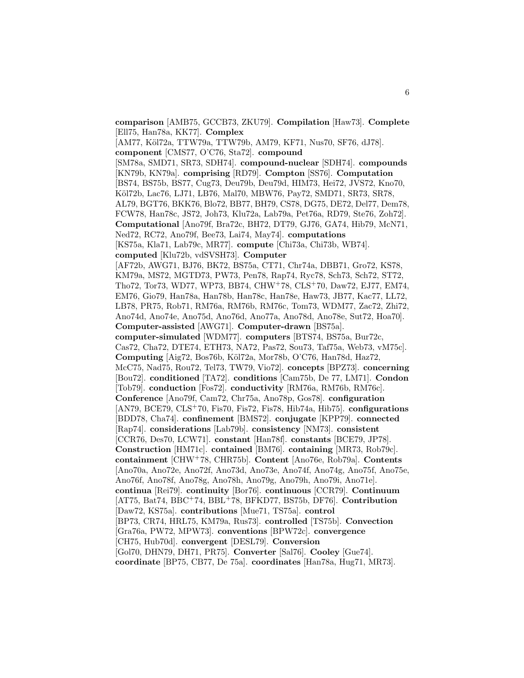**comparison** [AMB75, GCCB73, ZKU79]. **Compilation** [Haw73]. **Complete** [Ell75, Han78a, KK77]. **Complex**

[AM77, Köl72a, TTW79a, TTW79b, AM79, KF71, Nus70, SF76, dJ78]. **component** [CMS77, O'C76, Sta72]. **compound** [SM78a, SMD71, SR73, SDH74]. **compound-nuclear** [SDH74]. **compounds** [KN79b, KN79a]. **comprising** [RD79]. **Compton** [SS76]. **Computation** [BS74, BS75b, BS77, Cug73, Deu79b, Deu79d, HIM73, Hei72, JVS72, Kno70, Köl72b, Lac76, LJ71, LB76, Mal70, MBW76, Pay72, SMD71, SR73, SR78, AL79, BGT76, BKK76, Blo72, BB77, BH79, CS78, DG75, DE72, Del77, Dem78, FCW78, Han78c, JS72, Joh73, Klu72a, Lab79a, Pet76a, RD79, Ste76, Zoh72]. **Computational** [Ano79f, Bra72c, BH72, DT79, GJ76, GA74, Hib79, McN71, Ned72, RC72, Ano79f, Bee73, Lai74, May74]. **computations** [KS75a, Kla71, Lab79c, MR77]. **compute** [Chi73a, Chi73b, WB74]. **computed** [Klu72b, vdSVSH73]. **Computer**

[AF72b, AWG71, BJ76, BK72, BS75a, CT71, Chr74a, DBB71, Gro72, KS78, KM79a, MS72, MGTD73, PW73, Pen78, Rap74, Ryc78, Sch73, Sch72, ST72, Tho72, Tor73, WD77, WP73, BB74, CHW<sup>+</sup>78, CLS<sup>+</sup>70, Daw72, EJ77, EM74, EM76, Gio79, Han78a, Han78b, Han78c, Han78e, Haw73, JB77, Kac77, LL72, LB78, PR75, Rob71, RM76a, RM76b, RM76c, Tom73, WDM77, Zac72, Zhi72, Ano74d, Ano74e, Ano75d, Ano76d, Ano77a, Ano78d, Ano78e, Sut72, Hoa70]. **Computer-assisted** [AWG71]. **Computer-drawn** [BS75a].

**computer-simulated** [WDM77]. **computers** [BTS74, BS75a, Bur72c, Cas72, Cha72, DTE74, ETH73, NA72, Pas72, Sou73, Taf75a, Web73, vM75c]. **Computing** [Aig72, Bos76b, K¨ol72a, Mor78b, O'C76, Han78d, Haz72, McC75, Nad75, Rou72, Tel73, TW79, Vio72]. **concepts** [BPZ73]. **concerning** [Bou72]. **conditioned** [TA72]. **conditions** [Cam75b, De 77, LM71]. **Condon** [Tob79]. **conduction** [Fos72]. **conductivity** [RM76a, RM76b, RM76c]. **Conference** [Ano79f, Cam72, Chr75a, Ano78p, Gos78]. **configuration** [AN79, BCE79, CLS<sup>+</sup>70, Fis70, Fis72, Fis78, Hib74a, Hib75]. **configurations** [BDD78, Cha74]. **confinement** [BMS72]. **conjugate** [KPP79]. **connected** [Rap74]. **considerations** [Lab79b]. **consistency** [NM73]. **consistent** [CCR76, Des70, LCW71]. **constant** [Han78f]. **constants** [BCE79, JP78]. **Construction** [HM71c]. **contained** [BM76]. **containing** [MR73, Rob79c]. **containment** [CHW<sup>+</sup>78, CHR75b]. **Content** [Ano76e, Rob79a]. **Contents** [Ano70a, Ano72e, Ano72f, Ano73d, Ano73e, Ano74f, Ano74g, Ano75f, Ano75e, Ano76f, Ano78f, Ano78g, Ano78h, Ano79g, Ano79h, Ano79i, Ano71e]. **continua** [Rei79]. **continuity** [Bor76]. **continuous** [CCR79]. **Continuum** [AT75, Bat74, BBC<sup>+</sup>74, BBL<sup>+</sup>78, BFKD77, BS75b, DF76]. **Contribution** [Daw72, KS75a]. **contributions** [Mue71, TS75a]. **control** [BP73, CR74, HRL75, KM79a, Rus73]. **controlled** [TS75b]. **Convection** [Gra76a, PW72, MPW73]. **conventions** [BPW72c]. **convergence** [CH75, Hub70d]. **convergent** [DESL79]. **Conversion** [Gol70, DHN79, DH71, PR75]. **Converter** [Sal76]. **Cooley** [Gue74]. **coordinate** [BP75, CB77, De 75a]. **coordinates** [Han78a, Hug71, MR73].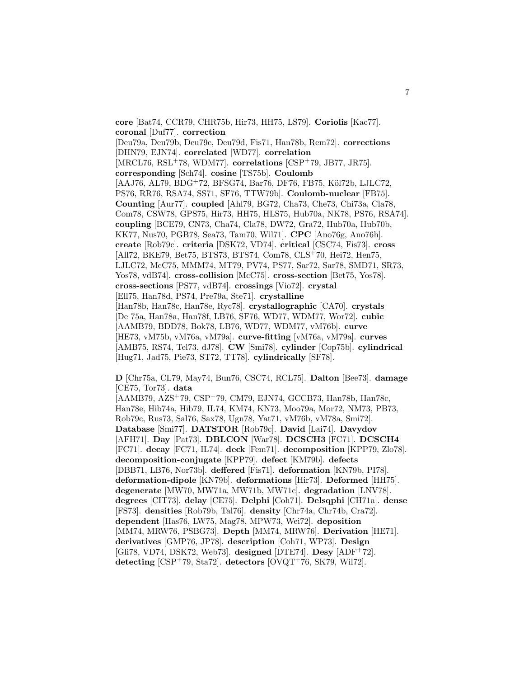**core** [Bat74, CCR79, CHR75b, Hir73, HH75, LS79]. **Coriolis** [Kac77]. **coronal** [Duf77]. **correction** [Deu79a, Deu79b, Deu79c, Deu79d, Fis71, Han78b, Rem72]. **corrections** [DHN79, EJN74]. **correlated** [WD77]. **correlation** [MRCL76, RSL<sup>+</sup>78, WDM77]. **correlations** [CSP<sup>+</sup>79, JB77, JR75]. **corresponding** [Sch74]. **cosine** [TS75b]. **Coulomb** [AAJ76, AL79, BDG+72, BFSG74, Bar76, DF76, FB75, Köl72b, LJLC72, PS76, RR76, RSA74, SS71, SF76, TTW79b]. **Coulomb-nuclear** [FB75]. **Counting** [Aur77]. **coupled** [Ahl79, BG72, Cha73, Che73, Chi73a, Cla78, Com78, CSW78, GPS75, Hir73, HH75, HLS75, Hub70a, NK78, PS76, RSA74]. **coupling** [BCE79, CN73, Cha74, Cla78, DW72, Gra72, Hub70a, Hub70b, KK77, Nus70, PGB78, Sea73, Tam70, Wil71]. **CPC** [Ano76g, Ano76h]. **create** [Rob79c]. **criteria** [DSK72, VD74]. **critical** [CSC74, Fis73]. **cross** [All72, BKE79, Bet75, BTS73, BTS74, Com78, CLS<sup>+</sup>70, Hei72, Hen75, LJLC72, McC75, MMM74, MT79, PV74, PS77, Sar72, Sar78, SMD71, SR73, Yos78, vdB74]. **cross-collision** [McC75]. **cross-section** [Bet75, Yos78]. **cross-sections** [PS77, vdB74]. **crossings** [Vio72]. **crystal** [Ell75, Han78d, PS74, Pre79a, Ste71]. **crystalline** [Han78b, Han78c, Han78e, Ryc78]. **crystallographic** [CA70]. **crystals** [De 75a, Han78a, Han78f, LB76, SF76, WD77, WDM77, Wor72]. **cubic** [AAMB79, BDD78, Bok78, LB76, WD77, WDM77, vM76b]. **curve** [HE73, vM75b, vM76a, vM79a]. **curve-fitting** [vM76a, vM79a]. **curves** [AMB75, RS74, Tel73, dJ78]. **CW** [Smi78]. **cylinder** [Cop75b]. **cylindrical** [Hug71, Jad75, Pie73, ST72, TT78]. **cylindrically** [SF78].

**D** [Chr75a, CL79, May74, Bun76, CSC74, RCL75]. **Dalton** [Bee73]. **damage** [CE75, Tor73]. **data**

[AAMB79, AZS<sup>+</sup>79, CSP<sup>+</sup>79, CM79, EJN74, GCCB73, Han78b, Han78c, Han78e, Hib74a, Hib79, IL74, KM74, KN73, Moo79a, Mor72, NM73, PB73, Rob79c, Rus73, Sal76, Sax78, Ugn78, Yat71, vM76b, vM78a, Smi72]. **Database** [Smi77]. **DATSTOR** [Rob79c]. **David** [Lai74]. **Davydov** [AFH71]. **Day** [Pat73]. **DBLCON** [War78]. **DCSCH3** [FC71]. **DCSCH4** [FC71]. **decay** [FC71, IL74]. **deck** [Fem71]. **decomposition** [KPP79, Zlo78]. **decomposition-conjugate** [KPP79]. **defect** [KM79b]. **defects** [DBB71, LB76, Nor73b]. **deffered** [Fis71]. **deformation** [KN79b, PI78]. **deformation-dipole** [KN79b]. **deformations** [Hir73]. **Deformed** [HH75]. **degenerate** [MW70, MW71a, MW71b, MW71c]. **degradation** [LNV78]. **degrees** [CIT73]. **delay** [CE75]. **Delphi** [Coh71]. **Delsqphi** [CH71a]. **dense** [FS73]. **densities** [Rob79b, Tal76]. **density** [Chr74a, Chr74b, Cra72]. **dependent** [Has76, LW75, Mag78, MPW73, Wei72]. **deposition** [MM74, MRW76, PSBG73]. **Depth** [MM74, MRW76]. **Derivation** [HE71]. **derivatives** [GMP76, JP78]. **description** [Coh71, WP73]. **Design** [Gli78, VD74, DSK72, Web73]. **designed** [DTE74]. **Desy** [ADF<sup>+</sup>72]. **detecting** [CSP<sup>+</sup>79, Sta72]. **detectors** [OVQT<sup>+</sup>76, SK79, Wil72].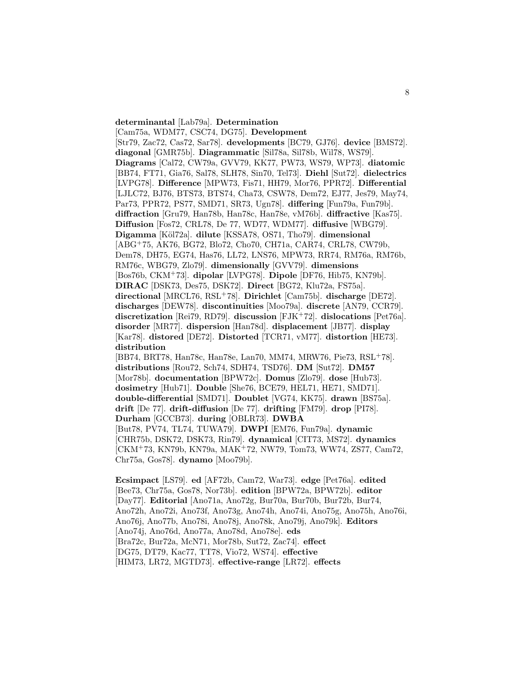#### **determinantal** [Lab79a]. **Determination**

[Cam75a, WDM77, CSC74, DG75]. **Development** [Str79, Zac72, Cas72, Sar78]. **developments** [BC79, GJ76]. **device** [BMS72]. **diagonal** [GMR75b]. **Diagrammatic** [Sil78a, Sil78b, Wil78, WS79]. **Diagrams** [Cal72, CW79a, GVV79, KK77, PW73, WS79, WP73]. **diatomic** [BB74, FT71, Gia76, Sal78, SLH78, Sin70, Tel73]. **Diehl** [Sut72]. **dielectrics** [LVPG78]. **Difference** [MPW73, Fis71, HH79, Mor76, PPR72]. **Differential** [LJLC72, BJ76, BTS73, BTS74, Cha73, CSW78, Dem72, EJ77, Jes79, May74, Par73, PPR72, PS77, SMD71, SR73, Ugn78]. **differing** [Fun79a, Fun79b]. **diffraction** [Gru79, Han78b, Han78c, Han78e, vM76b]. **diffractive** [Kas75]. **Diffusion** [Fos72, CRL78, De 77, WD77, WDM77]. **diffusive** [WBG79]. **Digamma** [K¨ol72a]. **dilute** [KSSA78, OS71, Tho79]. **dimensional** [ABG<sup>+</sup>75, AK76, BG72, Blo72, Cho70, CH71a, CAR74, CRL78, CW79b, Dem78, DH75, EG74, Has76, LL72, LNS76, MPW73, RR74, RM76a, RM76b, RM76c, WBG79, Zlo79]. **dimensionally** [GVV79]. **dimensions** [Bos76b, CKM<sup>+</sup>73]. **dipolar** [LVPG78]. **Dipole** [DF76, Hib75, KN79b]. **DIRAC** [DSK73, Des75, DSK72]. **Direct** [BG72, Klu72a, FS75a]. **directional** [MRCL76, RSL<sup>+</sup>78]. **Dirichlet** [Cam75b]. **discharge** [DE72]. **discharges** [DEW78]. **discontinuities** [Moo79a]. **discrete** [AN79, CCR79]. **discretization** [Rei79, RD79]. **discussion** [FJK<sup>+</sup>72]. **dislocations** [Pet76a]. **disorder** [MR77]. **dispersion** [Han78d]. **displacement** [JB77]. **display** [Kar78]. **distored** [DE72]. **Distorted** [TCR71, vM77]. **distortion** [HE73]. **distribution** [BB74, BRT78, Han78c, Han78e, Lan70, MM74, MRW76, Pie73, RSL<sup>+</sup>78]. **distributions** [Rou72, Sch74, SDH74, TSD76]. **DM** [Sut72]. **DM57** [Mor78b]. **documentation** [BPW72c]. **Domus** [Zlo79]. **dose** [Hub73]. **dosimetry** [Hub71]. **Double** [She76, BCE79, HEL71, HE71, SMD71]. **double-differential** [SMD71]. **Doublet** [VG74, KK75]. **drawn** [BS75a]. **drift** [De 77]. **drift-diffusion** [De 77]. **drifting** [FM79]. **drop** [PI78]. **Durham** [GCCB73]. **during** [OBLR73]. **DWBA** [But78, PV74, TL74, TUWA79]. **DWPI** [EM76, Fun79a]. **dynamic** [CHR75b, DSK72, DSK73, Rin79]. **dynamical** [CIT73, MS72]. **dynamics** [CKM<sup>+</sup>73, KN79b, KN79a, MAK<sup>+</sup>72, NW79, Tom73, WW74, ZS77, Cam72, Chr75a, Gos78]. **dynamo** [Moo79b].

**Ecsimpact** [LS79]. **ed** [AF72b, Cam72, War73]. **edge** [Pet76a]. **edited** [Bee73, Chr75a, Gos78, Nor73b]. **edition** [BPW72a, BPW72b]. **editor** [Day77]. **Editorial** [Ano71a, Ano72g, Bur70a, Bur70b, Bur72b, Bur74, Ano72h, Ano72i, Ano73f, Ano73g, Ano74h, Ano74i, Ano75g, Ano75h, Ano76i, Ano76j, Ano77b, Ano78i, Ano78j, Ano78k, Ano79j, Ano79k]. **Editors** [Ano74j, Ano76d, Ano77a, Ano78d, Ano78e]. **eds** [Bra72c, Bur72a, McN71, Mor78b, Sut72, Zac74]. **effect** [DG75, DT79, Kac77, TT78, Vio72, WS74]. **effective** [HIM73, LR72, MGTD73]. **effective-range** [LR72]. **effects**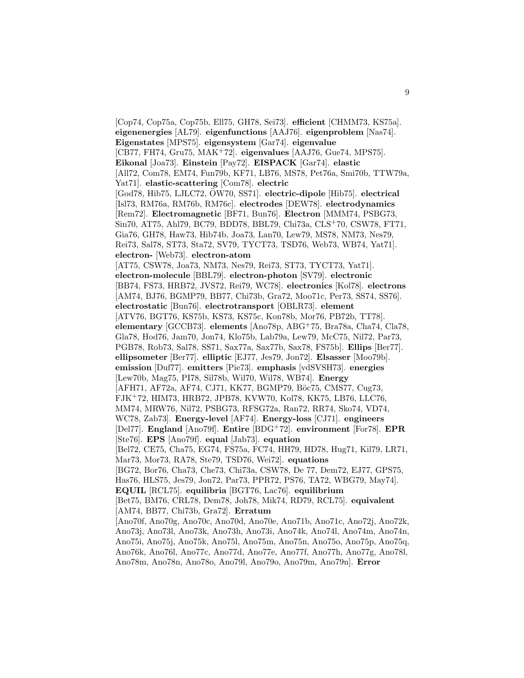[Cop74, Cop75a, Cop75b, Ell75, GH78, Sei73]. **efficient** [CHMM73, KS75a]. **eigenenergies** [AL79]. **eigenfunctions** [AAJ76]. **eigenproblem** [Nas74]. **Eigenstates** [MPS75]. **eigensystem** [Gar74]. **eigenvalue** [CB77, FH74, Gru75, MAK<sup>+</sup>72]. **eigenvalues** [AAJ76, Gue74, MPS75]. **Eikonal** [Joa73]. **Einstein** [Pay72]. **EISPACK** [Gar74]. **elastic** [All72, Com78, EM74, Fun79b, KF71, LB76, MS78, Pet76a, Smi70b, TTW79a, Yat71]. **elastic-scattering** [Com78]. **electric** [God78, Hib75, LJLC72, OW70, SS71]. **electric-dipole** [Hib75]. **electrical** [Isl73, RM76a, RM76b, RM76c]. **electrodes** [DEW78]. **electrodynamics** [Rem72]. **Electromagnetic** [BF71, Bun76]. **Electron** [MMM74, PSBG73, Sin70, AT75, Ahl79, BC79, BDD78, BBL79, Chi73a, CLS<sup>+</sup>70, CSW78, FT71, Gia76, GH78, Haw73, Hib74b, Joa73, Lan70, Lew79, MS78, NM73, Nes79, Rei73, Sal78, ST73, Sta72, SV79, TYCT73, TSD76, Web73, WB74, Yat71]. **electron-** [Web73]. **electron-atom** [AT75, CSW78, Joa73, NM73, Nes79, Rei73, ST73, TYCT73, Yat71]. **electron-molecule** [BBL79]. **electron-photon** [SV79]. **electronic** [BB74, FS73, HRB72, JVS72, Rei79, WC78]. **electronics** [Kol78]. **electrons** [AM74, BJ76, BGMP79, BB77, Chi73b, Gra72, Moo71c, Per73, SS74, SS76]. **electrostatic** [Bun76]. **electrotransport** [OBLR73]. **element** [ATV76, BGT76, KS75b, KS73, KS75c, Kon78b, Mor76, PB72b, TT78]. **elementary** [GCCB73]. **elements** [Ano78p, ABG<sup>+</sup>75, Bra78a, Cha74, Cla78, Gla78, Hod76, Jam70, Jon74, Klo75b, Lab79a, Lew79, McC75, Nil72, Par73, PGB78, Rob73, Sal78, SS71, Sax77a, Sax77b, Sax78, FS75b]. **Ellips** [Ber77]. **ellipsometer** [Ber77]. **elliptic** [EJ77, Jes79, Jon72]. **Elsasser** [Moo79b]. **emission** [Duf77]. **emitters** [Pie73]. **emphasis** [vdSVSH73]. **energies** [Lew70b, Mag75, PI78, Sil78b, Wil70, Wil78, WB74]. **Energy** [AFH71, AF72a, AF74, CJ71, KK77, BGMP79, Böc75, CMS77, Cug73, FJK<sup>+</sup>72, HIM73, HRB72, JPB78, KVW70, Kol78, KK75, LB76, LLC76, MM74, MRW76, Nil72, PSBG73, RFSG72a, Ran72, RR74, Sko74, VD74, WC78, Zab73]. **Energy-level** [AF74]. **Energy-loss** [CJ71]. **engineers** [Del77]. **England** [Ano79f]. **Entire** [BDG<sup>+</sup>72]. **environment** [For78]. **EPR** [Ste76]. **EPS** [Ano79f]. **equal** [Jab73]. **equation** [Bel72, CE75, Cha75, EG74, FS75a, FC74, HH79, HD78, Hug71, Kil79, LR71, Mar73, Mor73, RA78, Ste79, TSD76, Wei72]. **equations** [BG72, Bor76, Cha73, Che73, Chi73a, CSW78, De 77, Dem72, EJ77, GPS75, Has76, HLS75, Jes79, Jon72, Par73, PPR72, PS76, TA72, WBG79, May74]. **EQUIL** [RCL75]. **equilibria** [BGT76, Lac76]. **equilibrium** [Bet75, BM76, CRL78, Dem78, Joh78, Mik74, RD79, RCL75]. **equivalent** [AM74, BB77, Chi73b, Gra72]. **Erratum** [Ano70f, Ano70g, Ano70c, Ano70d, Ano70e, Ano71b, Ano71c, Ano72j, Ano72k, Ano73j, Ano73l, Ano73k, Ano73h, Ano73i, Ano74k, Ano74l, Ano74m, Ano74n, Ano75i, Ano75j, Ano75k, Ano75l, Ano75m, Ano75n, Ano75o, Ano75p, Ano75q, Ano76k, Ano76l, Ano77c, Ano77d, Ano77e, Ano77f, Ano77h, Ano77g, Ano78l, Ano78m, Ano78n, Ano78o, Ano79l, Ano79o, Ano79m, Ano79n]. **Error**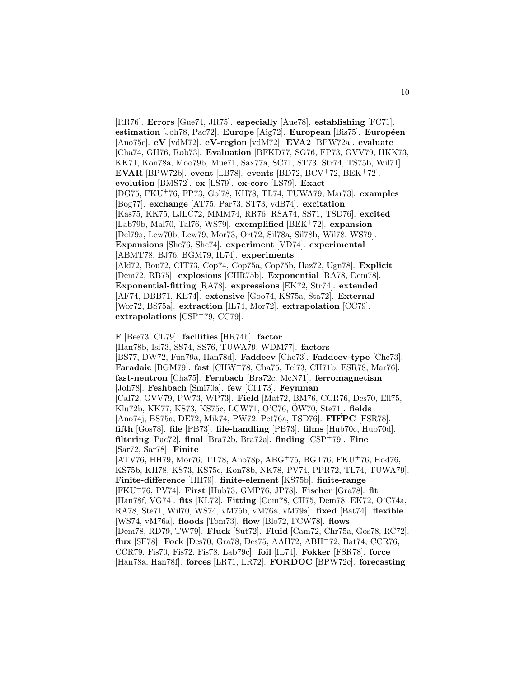[RR76]. **Errors** [Gue74, JR75]. **especially** [Aue78]. **establishing** [FC71]. **estimation** [Joh78, Pac72]. **Europe** [Aig72]. **European** [Bis75]. **Européen** [Ano75c]. **eV** [vdM72]. **eV-region** [vdM72]. **EVA2** [BPW72a]. **evaluate** [Cha74, GH76, Rob73]. **Evaluation** [BFKD77, SG76, FP73, GVV79, HKK73, KK71, Kon78a, Moo79b, Mue71, Sax77a, SC71, ST73, Str74, TS75b, Wil71]. **EVAR** [BPW72b]. **event** [LB78]. **events** [BD72, BCV<sup>+</sup>72, BEK<sup>+</sup>72]. **evolution** [BMS72]. **ex** [LS79]. **ex-core** [LS79]. **Exact** [DG75, FKU<sup>+</sup>76, FP73, Gol78, KH78, TL74, TUWA79, Mar73]. **examples** [Bog77]. **exchange** [AT75, Par73, ST73, vdB74]. **excitation** [Kas75, KK75, LJLC72, MMM74, RR76, RSA74, SS71, TSD76]. **excited** [Lab79b, Mal70, Tal76, WS79]. **exemplified** [BEK<sup>+</sup>72]. **expansion** [Del79a, Lew70b, Lew79, Mor73, Ort72, Sil78a, Sil78b, Wil78, WS79]. **Expansions** [She76, She74]. **experiment** [VD74]. **experimental** [ABMT78, BJ76, BGM79, IL74]. **experiments** [Ald72, Bou72, CIT73, Cop74, Cop75a, Cop75b, Haz72, Ugn78]. **Explicit** [Dem72, RB75]. **explosions** [CHR75b]. **Exponential** [RA78, Dem78]. **Exponential-fitting** [RA78]. **expressions** [EK72, Str74]. **extended** [AF74, DBB71, KE74]. **extensive** [Goo74, KS75a, Sta72]. **External** [Wor72, BS75a]. **extraction** [IL74, Mor72]. **extrapolation** [CC79]. **extrapolations** [CSP<sup>+</sup>79, CC79].

**F** [Bee73, CL79]. **facilities** [HR74b]. **factor** [Han78b, Isl73, SS74, SS76, TUWA79, WDM77]. **factors** [BS77, DW72, Fun79a, Han78d]. **Faddeev** [Che73]. **Faddeev-type** [Che73]. **Faradaic** [BGM79]. **fast** [CHW<sup>+</sup>78, Cha75, Tel73, CH71b, FSR78, Mar76]. **fast-neutron** [Cha75]. **Fernbach** [Bra72c, McN71]. **ferromagnetism** [Joh78]. **Feshbach** [Smi70a]. **few** [CIT73]. **Feynman** [Cal72, GVV79, PW73, WP73]. **Field** [Mat72, BM76, CCR76, Des70, Ell75, Klu72b, KK77, KS73, KS75c, LCW71, O'C76, ÖW70, Ste71. **fields** [Ano74j, BS75a, DE72, Mik74, PW72, Pet76a, TSD76]. **FIFPC** [FSR78]. **fifth** [Gos78]. **file** [PB73]. **file-handling** [PB73]. **films** [Hub70c, Hub70d]. **filtering** [Pac72]. **final** [Bra72b, Bra72a]. **finding** [CSP<sup>+</sup>79]. **Fine** [Sar72, Sar78]. **Finite** [ATV76, HH79, Mor76, TT78, Ano78p, ABG<sup>+</sup>75, BGT76, FKU<sup>+</sup>76, Hod76, KS75b, KH78, KS73, KS75c, Kon78b, NK78, PV74, PPR72, TL74, TUWA79]. **Finite-difference** [HH79]. **finite-element** [KS75b]. **finite-range** [FKU<sup>+</sup>76, PV74]. **First** [Hub73, GMP76, JP78]. **Fischer** [Gra78]. **fit** [Han78f, VG74]. **fits** [KL72]. **Fitting** [Com78, CH75, Dem78, EK72, O'C74a, RA78, Ste71, Wil70, WS74, vM75b, vM76a, vM79a]. **fixed** [Bat74]. **flexible** [WS74, vM76a]. **floods** [Tom73]. **flow** [Blo72, FCW78]. **flows** [Dem78, RD79, TW79]. **Fluck** [Sut72]. **Fluid** [Cam72, Chr75a, Gos78, RC72]. **flux** [SF78]. **Fock** [Des70, Gra78, Des75, AAH72, ABH<sup>+</sup>72, Bat74, CCR76, CCR79, Fis70, Fis72, Fis78, Lab79c]. **foil** [IL74]. **Fokker** [FSR78]. **force** [Han78a, Han78f]. **forces** [LR71, LR72]. **FORDOC** [BPW72c]. **forecasting**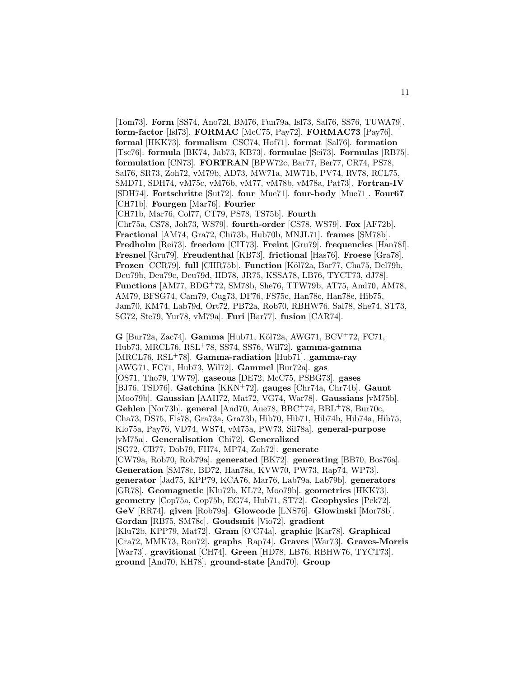[Tom73]. **Form** [SS74, Ano72l, BM76, Fun79a, Isl73, Sal76, SS76, TUWA79]. **form-factor** [Isl73]. **FORMAC** [McC75, Pay72]. **FORMAC73** [Pay76]. **formal** [HKK73]. **formalism** [CSC74, Hof71]. **format** [Sal76]. **formation** [Tsc76]. **formula** [BK74, Jab73, KB73]. **formulae** [Sei73]. **Formulas** [RB75]. **formulation** [CN73]. **FORTRAN** [BPW72c, Bar77, Ber77, CR74, PS78, Sal76, SR73, Zoh72, vM79b, AD73, MW71a, MW71b, PV74, RV78, RCL75, SMD71, SDH74, vM75c, vM76b, vM77, vM78b, vM78a, Pat73]. **Fortran-IV** [SDH74]. **Fortschritte** [Sut72]. **four** [Mue71]. **four-body** [Mue71]. **Four67** [CH71b]. **Fourgen** [Mar76]. **Fourier** [CH71b, Mar76, Col77, CT79, PS78, TS75b]. **Fourth** [Chr75a, CS78, Joh73, WS79]. **fourth-order** [CS78, WS79]. **Fox** [AF72b].

**Fractional** [AM74, Gra72, Chi73b, Hub70b, MNJL71]. **frames** [SM78b]. **Fredholm** [Rei73]. **freedom** [CIT73]. **Freint** [Gru79]. **frequencies** [Han78f]. **Fresnel** [Gru79]. **Freudenthal** [KB73]. **frictional** [Has76]. **Froese** [Gra78]. **Frozen** [CCR79]. **full** [CHR75b]. **Function** [K¨ol72a, Bar77, Cha75, Del79b, Deu79b, Deu79c, Deu79d, HD78, JR75, KSSA78, LB76, TYCT73, dJ78]. **Functions** [AM77, BDG<sup>+</sup>72, SM78b, She76, TTW79b, AT75, And70, AM78, AM79, BFSG74, Cam79, Cug73, DF76, FS75c, Han78c, Han78e, Hib75, Jam70, KM74, Lab79d, Ort72, PB72a, Rob70, RBHW76, Sal78, She74, ST73, SG72, Ste79, Yur78, vM79a]. **Furi** [Bar77]. **fusion** [CAR74].

**G** [Bur72a, Zac74]. **Gamma** [Hub71, K¨ol72a, AWG71, BCV<sup>+</sup>72, FC71, Hub73, MRCL76, RSL<sup>+</sup>78, SS74, SS76, Wil72]. **gamma-gamma** [MRCL76, RSL<sup>+</sup>78]. **Gamma-radiation** [Hub71]. **gamma-ray** [AWG71, FC71, Hub73, Wil72]. **Gammel** [Bur72a]. **gas** [OS71, Tho79, TW79]. **gaseous** [DE72, McC75, PSBG73]. **gases** [BJ76, TSD76]. **Gatchina** [KKN<sup>+</sup>72]. **gauges** [Chr74a, Chr74b]. **Gaunt** [Moo79b]. **Gaussian** [AAH72, Mat72, VG74, War78]. **Gaussians** [vM75b]. **Gehlen** [Nor73b]. **general** [And70, Aue78, BBC<sup>+</sup>74, BBL<sup>+</sup>78, Bur70c, Cha73, DS75, Fis78, Gra73a, Gra73b, Hib70, Hib71, Hib74b, Hib74a, Hib75, Klo75a, Pay76, VD74, WS74, vM75a, PW73, Sil78a]. **general-purpose** [vM75a]. **Generalisation** [Chi72]. **Generalized** [SG72, CB77, Dob79, FH74, MP74, Zoh72]. **generate** [CW79a, Rob70, Rob79a]. **generated** [BK72]. **generating** [BB70, Bos76a]. **Generation** [SM78c, BD72, Han78a, KVW70, PW73, Rap74, WP73]. **generator** [Jad75, KPP79, KCA76, Mar76, Lab79a, Lab79b]. **generators** [GR78]. **Geomagnetic** [Klu72b, KL72, Moo79b]. **geometries** [HKK73]. **geometry** [Cop75a, Cop75b, EG74, Hub71, ST72]. **Geophysics** [Pek72]. **GeV** [RR74]. **given** [Rob79a]. **Glowcode** [LNS76]. **Glowinski** [Mor78b]. **Gordan** [RB75, SM78c]. **Goudsmit** [Vio72]. **gradient** [Klu72b, KPP79, Mat72]. **Gram** [O'C74a]. **graphic** [Kar78]. **Graphical** [Cra72, MMK73, Rou72]. **graphs** [Rap74]. **Graves** [War73]. **Graves-Morris** [War73]. **gravitional** [CH74]. **Green** [HD78, LB76, RBHW76, TYCT73]. **ground** [And70, KH78]. **ground-state** [And70]. **Group**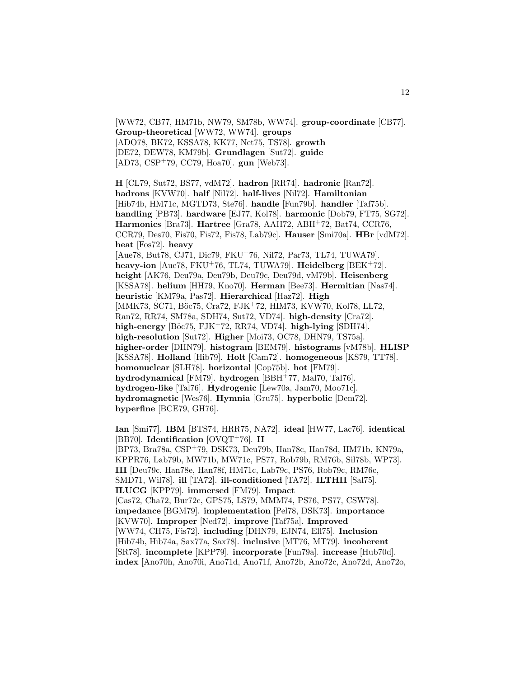[WW72, CB77, HM71b, NW79, SM78b, WW74]. **group-coordinate** [CB77]. **Group-theoretical** [WW72, WW74]. **groups** [ADO78, BK72, KSSA78, KK77, Net75, TS78]. **growth** [DE72, DEW78, KM79b]. **Grundlagen** [Sut72]. **guide** [AD73, CSP<sup>+</sup>79, CC79, Hoa70]. **gun** [Web73].

12

**H** [CL79, Sut72, BS77, vdM72]. **hadron** [RR74]. **hadronic** [Ran72]. **hadrons** [KVW70]. **half** [Nil72]. **half-lives** [Nil72]. **Hamiltonian** [Hib74b, HM71c, MGTD73, Ste76]. **handle** [Fun79b]. **handler** [Taf75b]. **handling** [PB73]. **hardware** [EJ77, Kol78]. **harmonic** [Dob79, FT75, SG72]. **Harmonics** [Bra73]. **Hartree** [Gra78, AAH72, ABH<sup>+</sup>72, Bat74, CCR76, CCR79, Des70, Fis70, Fis72, Fis78, Lab79c]. **Hauser** [Smi70a]. **HBr** [vdM72]. **heat** [Fos72]. **heavy** [Aue78, But78, CJ71, Dic79, FKU<sup>+</sup>76, Nil72, Par73, TL74, TUWA79]. **heavy-ion** [Aue78, FKU<sup>+</sup>76, TL74, TUWA79]. **Heidelberg** [BEK<sup>+</sup>72]. **height** [AK76, Deu79a, Deu79b, Deu79c, Deu79d, vM79b]. **Heisenberg** [KSSA78]. **helium** [HH79, Kno70]. **Herman** [Bee73]. **Hermitian** [Nas74]. **heuristic** [KM79a, Pas72]. **Hierarchical** [Haz72]. **High** [MMK73, SC71, Böc75, Cra72, FJK+72, HIM73, KVW70, Kol78, LL72, Ran72, RR74, SM78a, SDH74, Sut72, VD74]. **high-density** [Cra72]. **high-energy** [B¨oc75, FJK<sup>+</sup>72, RR74, VD74]. **high-lying** [SDH74]. **high-resolution** [Sut72]. **Higher** [Moi73, OC78, DHN79, TS75a]. **higher-order** [DHN79]. **histogram** [BEM79]. **histograms** [vM78b]. **HLISP** [KSSA78]. **Holland** [Hib79]. **Holt** [Cam72]. **homogeneous** [KS79, TT78]. **homonuclear** [SLH78]. **horizontal** [Cop75b]. **hot** [FM79]. **hydrodynamical** [FM79]. **hydrogen** [BBH<sup>+</sup>77, Mal70, Tal76]. **hydrogen-like** [Tal76]. **Hydrogenic** [Lew70a, Jam70, Moo71c]. **hydromagnetic** [Wes76]. **Hymnia** [Gru75]. **hyperbolic** [Dem72]. **hyperfine** [BCE79, GH76].

**Ian** [Smi77]. **IBM** [BTS74, HRR75, NA72]. **ideal** [HW77, Lac76]. **identical** [BB70]. **Identification** [OVQT<sup>+</sup>76]. **II** [BP73, Bra78a, CSP<sup>+</sup>79, DSK73, Deu79b, Han78c, Han78d, HM71b, KN79a, KPPR76, Lab79b, MW71b, MW71c, PS77, Rob79b, RM76b, Sil78b, WP73]. **III** [Deu79c, Han78e, Han78f, HM71c, Lab79c, PS76, Rob79c, RM76c, SMD71, Wil78]. **ill** [TA72]. **ill-conditioned** [TA72]. **ILTHII** [Sal75]. **ILUCG** [KPP79]. **immersed** [FM79]. **Impact** [Cas72, Cha72, Bur72c, GPS75, LS79, MMM74, PS76, PS77, CSW78]. **impedance** [BGM79]. **implementation** [Pel78, DSK73]. **importance** [KVW70]. **Improper** [Ned72]. **improve** [Taf75a]. **Improved** [WW74, CH75, Fis72]. **including** [DHN79, EJN74, Ell75]. **Inclusion** [Hib74b, Hib74a, Sax77a, Sax78]. **inclusive** [MT76, MT79]. **incoherent** [SR78]. **incomplete** [KPP79]. **incorporate** [Fun79a]. **increase** [Hub70d]. **index** [Ano70h, Ano70i, Ano71d, Ano71f, Ano72b, Ano72c, Ano72d, Ano72o,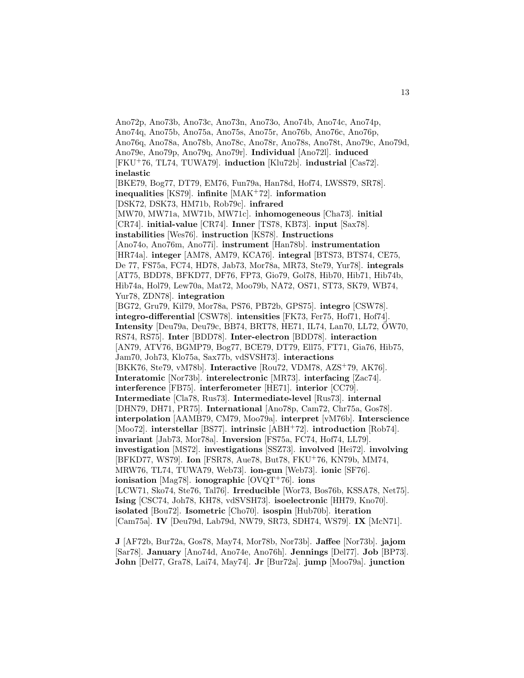Ano72p, Ano73b, Ano73c, Ano73n, Ano73o, Ano74b, Ano74c, Ano74p, Ano74q, Ano75b, Ano75a, Ano75s, Ano75r, Ano76b, Ano76c, Ano76p, Ano76q, Ano78a, Ano78b, Ano78c, Ano78r, Ano78s, Ano78t, Ano79c, Ano79d, Ano79e, Ano79p, Ano79q, Ano79r]. **Individual** [Ano72l]. **induced** [FKU<sup>+</sup>76, TL74, TUWA79]. **induction** [Klu72b]. **industrial** [Cas72]. **inelastic** [BKE79, Bog77, DT79, EM76, Fun79a, Han78d, Hof74, LWSS79, SR78]. **inequalities** [KS79]. **infinite** [MAK<sup>+</sup>72]. **information** [DSK72, DSK73, HM71b, Rob79c]. **infrared** [MW70, MW71a, MW71b, MW71c]. **inhomogeneous** [Cha73]. **initial** [CR74]. **initial-value** [CR74]. **Inner** [TS78, KB73]. **input** [Sax78]. **instabilities** [Wes76]. **instruction** [KS78]. **Instructions** [Ano74o, Ano76m, Ano77i]. **instrument** [Han78b]. **instrumentation** [HR74a]. **integer** [AM78, AM79, KCA76]. **integral** [BTS73, BTS74, CE75, De 77, FS75a, FC74, HD78, Jab73, Mor78a, MR73, Ste79, Yur78]. **integrals** [AT75, BDD78, BFKD77, DF76, FP73, Gio79, Gol78, Hib70, Hib71, Hib74b, Hib74a, Hol79, Lew70a, Mat72, Moo79b, NA72, OS71, ST73, SK79, WB74, Yur78, ZDN78]. **integration** [BG72, Gru79, Kil79, Mor78a, PS76, PB72b, GPS75]. **integro** [CSW78]. **integro-differential** [CSW78]. **intensities** [FK73, Fer75, Hof71, Hof74]. **Intensity** [Deu79a, Deu79c, BB74, BRT78, HE71, IL74, Lan70, LL72,  $\ddot{O}$ W70, RS74, RS75]. **Inter** [BDD78]. **Inter-electron** [BDD78]. **interaction** [AN79, ATV76, BGMP79, Bog77, BCE79, DT79, Ell75, FT71, Gia76, Hib75, Jam70, Joh73, Klo75a, Sax77b, vdSVSH73]. **interactions** [BKK76, Ste79, vM78b]. **Interactive** [Rou72, VDM78, AZS<sup>+</sup>79, AK76]. **Interatomic** [Nor73b]. **interelectronic** [MR73]. **interfacing** [Zac74]. **interference** [FB75]. **interferometer** [HE71]. **interior** [CC79]. **Intermediate** [Cla78, Rus73]. **Intermediate-level** [Rus73]. **internal** [DHN79, DH71, PR75]. **International** [Ano78p, Cam72, Chr75a, Gos78]. **interpolation** [AAMB79, CM79, Moo79a]. **interpret** [vM76b]. **Interscience** [Moo72]. **interstellar** [BS77]. **intrinsic** [ABH<sup>+</sup>72]. **introduction** [Rob74]. **invariant** [Jab73, Mor78a]. **Inversion** [FS75a, FC74, Hof74, LL79]. **investigation** [MS72]. **investigations** [SSZ73]. **involved** [Hei72]. **involving** [BFKD77, WS79]. **Ion** [FSR78, Aue78, But78, FKU<sup>+</sup>76, KN79b, MM74, MRW76, TL74, TUWA79, Web73]. **ion-gun** [Web73]. **ionic** [SF76]. **ionisation** [Mag78]. **ionographic** [OVQT<sup>+</sup>76]. **ions** [LCW71, Sko74, Ste76, Tal76]. **Irreducible** [Wor73, Bos76b, KSSA78, Net75]. **Ising** [CSC74, Joh78, KH78, vdSVSH73]. **isoelectronic** [HH79, Kno70]. **isolated** [Bou72]. **Isometric** [Cho70]. **isospin** [Hub70b]. **iteration** [Cam75a]. **IV** [Deu79d, Lab79d, NW79, SR73, SDH74, WS79]. **IX** [McN71].

**J** [AF72b, Bur72a, Gos78, May74, Mor78b, Nor73b]. **Jaffee** [Nor73b]. **jajom** [Sar78]. **January** [Ano74d, Ano74e, Ano76h]. **Jennings** [Del77]. **Job** [BP73]. **John** [Del77, Gra78, Lai74, May74]. **Jr** [Bur72a]. **jump** [Moo79a]. **junction**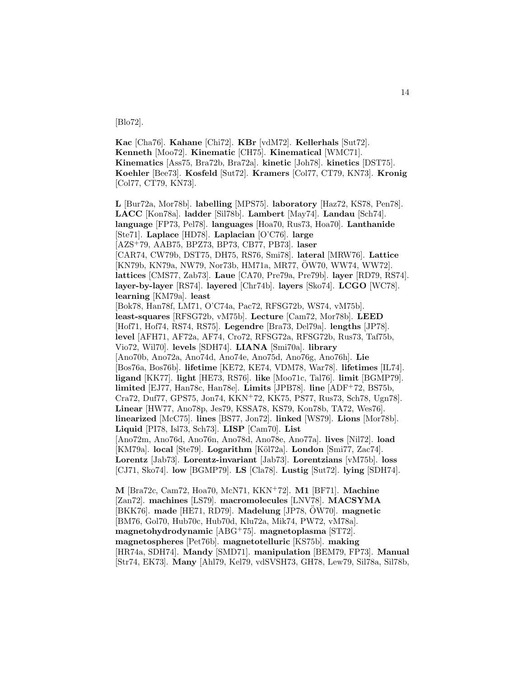[Blo72].

**Kac** [Cha76]. **Kahane** [Chi72]. **KBr** [vdM72]. **Kellerhals** [Sut72]. **Kenneth** [Moo72]. **Kinematic** [CH75]. **Kinematical** [WMC71]. **Kinematics** [Ass75, Bra72b, Bra72a]. **kinetic** [Joh78]. **kinetics** [DST75]. **Koehler** [Bee73]. **Kosfeld** [Sut72]. **Kramers** [Col77, CT79, KN73]. **Kronig** [Col77, CT79, KN73].

**L** [Bur72a, Mor78b]. **labelling** [MPS75]. **laboratory** [Haz72, KS78, Pen78]. **LACC** [Kon78a]. **ladder** [Sil78b]. **Lambert** [May74]. **Landau** [Sch74]. **language** [FP73, Pel78]. **languages** [Hoa70, Rus73, Hoa70]. **Lanthanide** [Ste71]. **Laplace** [HD78]. **Laplacian** [O'C76]. **large** [AZS<sup>+</sup>79, AAB75, BPZ73, BP73, CB77, PB73]. **laser** [CAR74, CW79b, DST75, DH75, RS76, Smi78]. **lateral** [MRW76]. **Lattice** [KN79b, KN79a, NW79, Nor73b, HM71a, MR77, OW70, WW74, WW72]. ¨ **lattices** [CMS77, Zab73]. **Laue** [CA70, Pre79a, Pre79b]. **layer** [RD79, RS74]. **layer-by-layer** [RS74]. **layered** [Chr74b]. **layers** [Sko74]. **LCGO** [WC78]. **learning** [KM79a]. **least** [Bok78, Han78f, LM71, O'C74a, Pac72, RFSG72b, WS74, vM75b]. **least-squares** [RFSG72b, vM75b]. **Lecture** [Cam72, Mor78b]. **LEED** [Hof71, Hof74, RS74, RS75]. **Legendre** [Bra73, Del79a]. **lengths** [JP78]. **level** [AFH71, AF72a, AF74, Cro72, RFSG72a, RFSG72b, Rus73, Taf75b, Vio72, Wil70]. **levels** [SDH74]. **LIANA** [Smi70a]. **library** [Ano70b, Ano72a, Ano74d, Ano74e, Ano75d, Ano76g, Ano76h]. **Lie** [Bos76a, Bos76b]. **lifetime** [KE72, KE74, VDM78, War78]. **lifetimes** [IL74]. **ligand** [KK77]. **light** [HE73, RS76]. **like** [Moo71c, Tal76]. **limit** [BGMP79]. **limited** [EJ77, Han78c, Han78e]. **Limits** [JPB78]. **line** [ADF<sup>+</sup>72, BS75b, Cra72, Duf77, GPS75, Jon74, KKN<sup>+</sup>72, KK75, PS77, Rus73, Sch78, Ugn78]. **Linear** [HW77, Ano78p, Jes79, KSSA78, KS79, Kon78b, TA72, Wes76]. **linearized** [McC75]. **lines** [BS77, Jon72]. **linked** [WS79]. **Lions** [Mor78b]. **Liquid** [PI78, Isl73, Sch73]. **LISP** [Cam70]. **List** [Ano72m, Ano76d, Ano76n, Ano78d, Ano78e, Ano77a]. **lives** [Nil72]. **load** [KM79a]. **local** [Ste79]. **Logarithm** [K¨ol72a]. **London** [Smi77, Zac74]. **Lorentz** [Jab73]. **Lorentz-invariant** [Jab73]. **Lorentzians** [vM75b]. **loss** [CJ71, Sko74]. **low** [BGMP79]. **LS** [Cla78]. **Lustig** [Sut72]. **lying** [SDH74].

**M** [Bra72c, Cam72, Hoa70, McN71, KKN<sup>+</sup>72]. **M1** [BF71]. **Machine** [Zan72]. **machines** [LS79]. **macromolecules** [LNV78]. **MACSYMA** [BKK76]. made [HE71, RD79]. Madelung [JP78, OW70]. magnetic [BM76, Gol70, Hub70c, Hub70d, Klu72a, Mik74, PW72, vM78a]. **magnetohydrodynamic** [ABG<sup>+</sup>75]. **magnetoplasma** [ST72]. **magnetospheres** [Pet76b]. **magnetotelluric** [KS75b]. **making** [HR74a, SDH74]. **Mandy** [SMD71]. **manipulation** [BEM79, FP73]. **Manual** [Str74, EK73]. **Many** [Ahl79, Kel79, vdSVSH73, GH78, Lew79, Sil78a, Sil78b,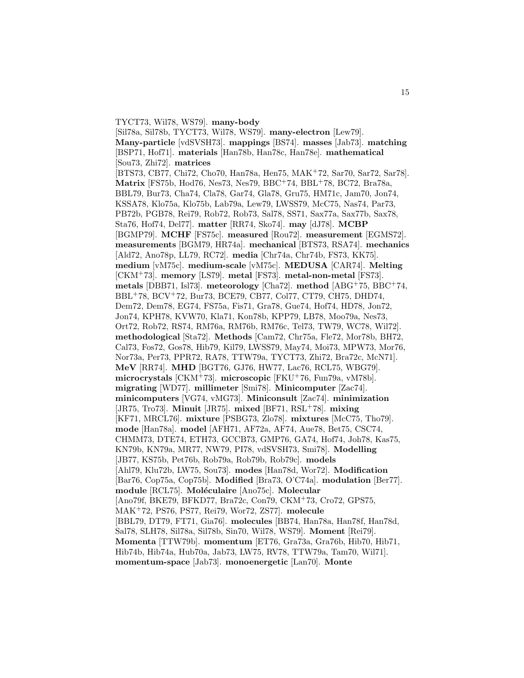TYCT73, Wil78, WS79]. **many-body** [Sil78a, Sil78b, TYCT73, Wil78, WS79]. **many-electron** [Lew79]. **Many-particle** [vdSVSH73]. **mappings** [BS74]. **masses** [Jab73]. **matching** [BSP71, Hof71]. **materials** [Han78b, Han78c, Han78e]. **mathematical** [Sou73, Zhi72]. **matrices** [BTS73, CB77, Chi72, Cho70, Han78a, Hen75, MAK<sup>+</sup>72, Sar70, Sar72, Sar78]. **Matrix** [FS75b, Hod76, Nes73, Nes79, BBC<sup>+</sup>74, BBL<sup>+</sup>78, BC72, Bra78a, BBL79, Bur73, Cha74, Cla78, Gar74, Gla78, Gru75, HM71c, Jam70, Jon74, KSSA78, Klo75a, Klo75b, Lab79a, Lew79, LWSS79, McC75, Nas74, Par73, PB72b, PGB78, Rei79, Rob72, Rob73, Sal78, SS71, Sax77a, Sax77b, Sax78, Sta76, Hof74, Del77]. **matter** [RR74, Sko74]. **may** [dJ78]. **MCBP** [BGMP79]. **MCHF** [FS75c]. **measured** [Rou72]. **measurement** [EGMS72]. **measurements** [BGM79, HR74a]. **mechanical** [BTS73, RSA74]. **mechanics** [Ald72, Ano78p, LL79, RC72]. **media** [Chr74a, Chr74b, FS73, KK75]. **medium** [vM75c]. **medium-scale** [vM75c]. **MEDUSA** [CAR74]. **Melting** [CKM<sup>+</sup>73]. **memory** [LS79]. **metal** [FS73]. **metal-non-metal** [FS73]. **metals** [DBB71, Isl73]. **meteorology** [Cha72]. **method** [ABG<sup>+</sup>75, BBC<sup>+</sup>74, BBL<sup>+</sup>78, BCV<sup>+</sup>72, Bur73, BCE79, CB77, Col77, CT79, CH75, DHD74, Dem72, Dem78, EG74, FS75a, Fis71, Gra78, Gue74, Hof74, HD78, Jon72, Jon74, KPH78, KVW70, Kla71, Kon78b, KPP79, LB78, Moo79a, Nes73, Ort72, Rob72, RS74, RM76a, RM76b, RM76c, Tel73, TW79, WC78, Wil72]. **methodological** [Sta72]. **Methods** [Cam72, Chr75a, Fle72, Mor78b, BH72, Cal73, Fos72, Gos78, Hib79, Kil79, LWSS79, May74, Moi73, MPW73, Mor76, Nor73a, Per73, PPR72, RA78, TTW79a, TYCT73, Zhi72, Bra72c, McN71]. **MeV** [RR74]. **MHD** [BGT76, GJ76, HW77, Lac76, RCL75, WBG79]. **microcrystals** [CKM<sup>+</sup>73]. **microscopic** [FKU<sup>+</sup>76, Fun79a, vM78b]. **migrating** [WD77]. **millimeter** [Smi78]. **Minicomputer** [Zac74]. **minicomputers** [VG74, vMG73]. **Miniconsult** [Zac74]. **minimization** [JR75, Tro73]. **Minuit** [JR75]. **mixed** [BF71, RSL<sup>+</sup>78]. **mixing** [KF71, MRCL76]. **mixture** [PSBG73, Zlo78]. **mixtures** [McC75, Tho79]. **mode** [Han78a]. **model** [AFH71, AF72a, AF74, Aue78, Bet75, CSC74, CHMM73, DTE74, ETH73, GCCB73, GMP76, GA74, Hof74, Joh78, Kas75, KN79b, KN79a, MR77, NW79, PI78, vdSVSH73, Smi78]. **Modelling** [JB77, KS75b, Pet76b, Rob79a, Rob79b, Rob79c]. **models** [Ahl79, Klu72b, LW75, Sou73]. **modes** [Han78d, Wor72]. **Modification** [Bar76, Cop75a, Cop75b]. **Modified** [Bra73, O'C74a]. **modulation** [Ber77]. **module** [RCL75]. **Mol´eculaire** [Ano75c]. **Molecular** [Ano79f, BKE79, BFKD77, Bra72c, Con79, CKM<sup>+</sup>73, Cro72, GPS75, MAK<sup>+</sup>72, PS76, PS77, Rei79, Wor72, ZS77]. **molecule** [BBL79, DT79, FT71, Gia76]. **molecules** [BB74, Han78a, Han78f, Han78d, Sal78, SLH78, Sil78a, Sil78b, Sin70, Wil78, WS79]. **Moment** [Rei79]. **Momenta** [TTW79b]. **momentum** [ET76, Gra73a, Gra76b, Hib70, Hib71, Hib74b, Hib74a, Hub70a, Jab73, LW75, RV78, TTW79a, Tam70, Wil71]. **momentum-space** [Jab73]. **monoenergetic** [Lan70]. **Monte**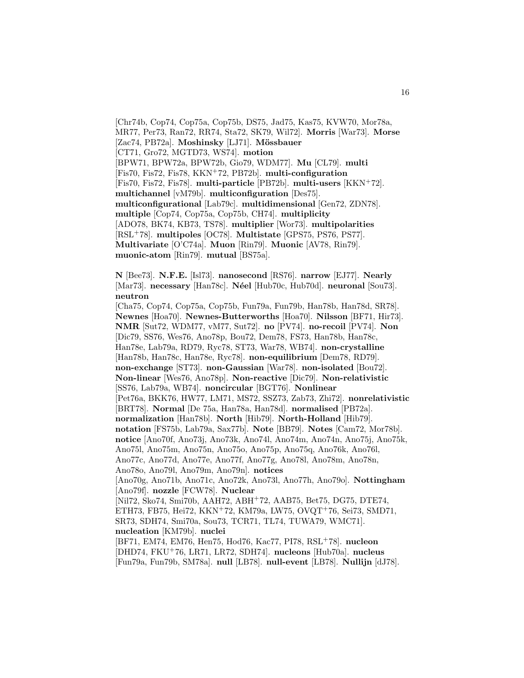[Chr74b, Cop74, Cop75a, Cop75b, DS75, Jad75, Kas75, KVW70, Mor78a, MR77, Per73, Ran72, RR74, Sta72, SK79, Wil72]. **Morris** [War73]. **Morse** [Zac74, PB72a]. **Moshinsky** [LJ71]. **Mössbauer** [CT71, Gro72, MGTD73, WS74]. **motion** [BPW71, BPW72a, BPW72b, Gio79, WDM77]. **Mu** [CL79]. **multi** [Fis70, Fis72, Fis78, KKN<sup>+</sup>72, PB72b]. **multi-configuration** [Fis70, Fis72, Fis78]. **multi-particle** [PB72b]. **multi-users** [KKN<sup>+</sup>72]. **multichannel** [vM79b]. **multiconfiguration** [Des75]. **multiconfigurational** [Lab79c]. **multidimensional** [Gen72, ZDN78]. **multiple** [Cop74, Cop75a, Cop75b, CH74]. **multiplicity** [ADO78, BK74, KB73, TS78]. **multiplier** [Wor73]. **multipolarities** [RSL<sup>+</sup>78]. **multipoles** [OC78]. **Multistate** [GPS75, PS76, PS77]. **Multivariate** [O'C74a]. **Muon** [Rin79]. **Muonic** [AV78, Rin79]. **muonic-atom** [Rin79]. **mutual** [BS75a].

**N** [Bee73]. **N.F.E.** [Isl73]. **nanosecond** [RS76]. **narrow** [EJ77]. **Nearly** [Mar73]. **necessary** [Han78c]. **N´eel** [Hub70c, Hub70d]. **neuronal** [Sou73]. **neutron**

[Cha75, Cop74, Cop75a, Cop75b, Fun79a, Fun79b, Han78b, Han78d, SR78]. **Newnes** [Hoa70]. **Newnes-Butterworths** [Hoa70]. **Nilsson** [BF71, Hir73]. **NMR** [Sut72, WDM77, vM77, Sut72]. **no** [PV74]. **no-recoil** [PV74]. **Non** [Dic79, SS76, Wes76, Ano78p, Bou72, Dem78, FS73, Han78b, Han78c, Han78e, Lab79a, RD79, Ryc78, ST73, War78, WB74]. **non-crystalline** [Han78b, Han78c, Han78e, Ryc78]. **non-equilibrium** [Dem78, RD79]. **non-exchange** [ST73]. **non-Gaussian** [War78]. **non-isolated** [Bou72]. **Non-linear** [Wes76, Ano78p]. **Non-reactive** [Dic79]. **Non-relativistic** [SS76, Lab79a, WB74]. **noncircular** [BGT76]. **Nonlinear** [Pet76a, BKK76, HW77, LM71, MS72, SSZ73, Zab73, Zhi72]. **nonrelativistic** [BRT78]. **Normal** [De 75a, Han78a, Han78d]. **normalised** [PB72a]. **normalization** [Han78b]. **North** [Hib79]. **North-Holland** [Hib79]. **notation** [FS75b, Lab79a, Sax77b]. **Note** [BB79]. **Notes** [Cam72, Mor78b]. **notice** [Ano70f, Ano73j, Ano73k, Ano74l, Ano74m, Ano74n, Ano75j, Ano75k, Ano75l, Ano75m, Ano75n, Ano75o, Ano75p, Ano75q, Ano76k, Ano76l, Ano77c, Ano77d, Ano77e, Ano77f, Ano77g, Ano78l, Ano78m, Ano78n, Ano78o, Ano79l, Ano79m, Ano79n]. **notices** [Ano70g, Ano71b, Ano71c, Ano72k, Ano73l, Ano77h, Ano79o]. **Nottingham** [Ano79f]. **nozzle** [FCW78]. **Nuclear** [Nil72, Sko74, Smi70b, AAH72, ABH<sup>+</sup>72, AAB75, Bet75, DG75, DTE74, ETH73, FB75, Hei72, KKN<sup>+</sup>72, KM79a, LW75, OVQT<sup>+</sup>76, Sei73, SMD71, SR73, SDH74, Smi70a, Sou73, TCR71, TL74, TUWA79, WMC71]. **nucleation** [KM79b]. **nuclei** [BF71, EM74, EM76, Hen75, Hod76, Kac77, PI78, RSL<sup>+</sup>78]. **nucleon** [DHD74, FKU<sup>+</sup>76, LR71, LR72, SDH74]. **nucleons** [Hub70a]. **nucleus**

[Fun79a, Fun79b, SM78a]. **null** [LB78]. **null-event** [LB78]. **Nullijn** [dJ78].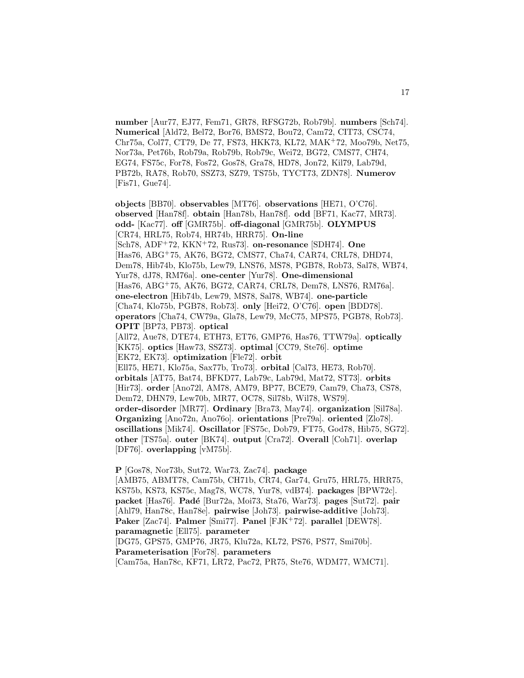**number** [Aur77, EJ77, Fem71, GR78, RFSG72b, Rob79b]. **numbers** [Sch74]. **Numerical** [Ald72, Bel72, Bor76, BMS72, Bou72, Cam72, CIT73, CSC74, Chr75a, Col77, CT79, De 77, FS73, HKK73, KL72, MAK<sup>+</sup>72, Moo79b, Net75, Nor73a, Pet76b, Rob79a, Rob79b, Rob79c, Wei72, BG72, CMS77, CH74, EG74, FS75c, For78, Fos72, Gos78, Gra78, HD78, Jon72, Kil79, Lab79d, PB72b, RA78, Rob70, SSZ73, SZ79, TS75b, TYCT73, ZDN78]. **Numerov** [Fis71, Gue74].

**objects** [BB70]. **observables** [MT76]. **observations** [HE71, O'C76]. **observed** [Han78f]. **obtain** [Han78b, Han78f]. **odd** [BF71, Kac77, MR73]. **odd-** [Kac77]. **off** [GMR75b]. **off-diagonal** [GMR75b]. **OLYMPUS** [CR74, HRL75, Rob74, HR74b, HRR75]. **On-line** [Sch78, ADF<sup>+</sup>72, KKN<sup>+</sup>72, Rus73]. **on-resonance** [SDH74]. **One** [Has76, ABG<sup>+</sup>75, AK76, BG72, CMS77, Cha74, CAR74, CRL78, DHD74, Dem78, Hib74b, Klo75b, Lew79, LNS76, MS78, PGB78, Rob73, Sal78, WB74, Yur78, dJ78, RM76a]. **one-center** [Yur78]. **One-dimensional** [Has76, ABG<sup>+</sup>75, AK76, BG72, CAR74, CRL78, Dem78, LNS76, RM76a]. **one-electron** [Hib74b, Lew79, MS78, Sal78, WB74]. **one-particle** [Cha74, Klo75b, PGB78, Rob73]. **only** [Hei72, O'C76]. **open** [BDD78]. **operators** [Cha74, CW79a, Gla78, Lew79, McC75, MPS75, PGB78, Rob73]. **OPIT** [BP73, PB73]. **optical** [All72, Aue78, DTE74, ETH73, ET76, GMP76, Has76, TTW79a]. **optically** [KK75]. **optics** [Haw73, SSZ73]. **optimal** [CC79, Ste76]. **optime** [EK72, EK73]. **optimization** [Fle72]. **orbit** [Ell75, HE71, Klo75a, Sax77b, Tro73]. **orbital** [Cal73, HE73, Rob70]. **orbitals** [AT75, Bat74, BFKD77, Lab79c, Lab79d, Mat72, ST73]. **orbits** [Hir73]. **order** [Ano72l, AM78, AM79, BP77, BCE79, Cam79, Cha73, CS78, Dem72, DHN79, Lew70b, MR77, OC78, Sil78b, Wil78, WS79]. **order-disorder** [MR77]. **Ordinary** [Bra73, May74]. **organization** [Sil78a]. **Organizing** [Ano72n, Ano76o]. **orientations** [Pre79a]. **oriented** [Zlo78]. **oscillations** [Mik74]. **Oscillator** [FS75c, Dob79, FT75, God78, Hib75, SG72]. **other** [TS75a]. **outer** [BK74]. **output** [Cra72]. **Overall** [Coh71]. **overlap** [DF76]. **overlapping** [vM75b].

**P** [Gos78, Nor73b, Sut72, War73, Zac74]. **package**

[AMB75, ABMT78, Cam75b, CH71b, CR74, Gar74, Gru75, HRL75, HRR75, KS75b, KS73, KS75c, Mag78, WC78, Yur78, vdB74]. **packages** [BPW72c]. **packet** [Has76]. **Pad´e** [Bur72a, Moi73, Sta76, War73]. **pages** [Sut72]. **pair** [Ahl79, Han78c, Han78e]. **pairwise** [Joh73]. **pairwise-additive** [Joh73]. **Paker** [Zac74]. **Palmer** [Smi77]. **Panel** [FJK<sup>+</sup>72]. **parallel** [DEW78]. **paramagnetic** [Ell75]. **parameter** [DG75, GPS75, GMP76, JR75, Klu72a, KL72, PS76, PS77, Smi70b]. **Parameterisation** [For78]. **parameters**

[Cam75a, Han78c, KF71, LR72, Pac72, PR75, Ste76, WDM77, WMC71].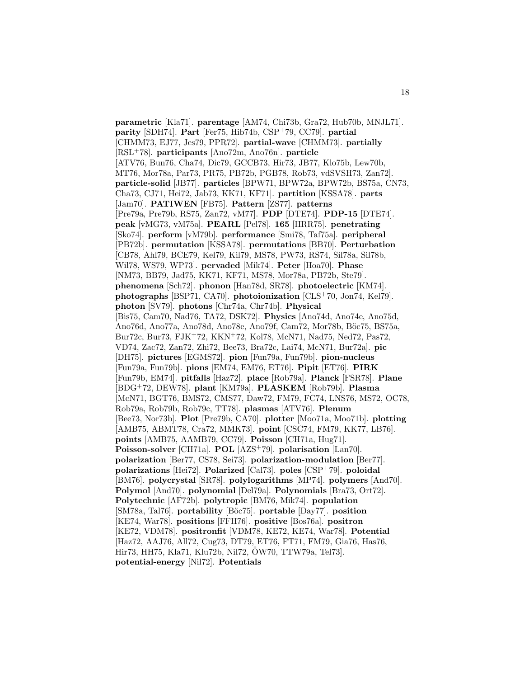**parametric** [Kla71]. **parentage** [AM74, Chi73b, Gra72, Hub70b, MNJL71]. **parity** [SDH74]. **Part** [Fer75, Hib74b, CSP<sup>+</sup>79, CC79]. **partial** [CHMM73, EJ77, Jes79, PPR72]. **partial-wave** [CHMM73]. **partially** [RSL<sup>+</sup>78]. **participants** [Ano72m, Ano76n]. **particle** [ATV76, Bun76, Cha74, Dic79, GCCB73, Hir73, JB77, Klo75b, Lew70b, MT76, Mor78a, Par73, PR75, PB72b, PGB78, Rob73, vdSVSH73, Zan72]. **particle-solid** [JB77]. **particles** [BPW71, BPW72a, BPW72b, BS75a, CN73, Cha73, CJ71, Hei72, Jab73, KK71, KF71]. **partition** [KSSA78]. **parts** [Jam70]. **PATIWEN** [FB75]. **Pattern** [ZS77]. **patterns** [Pre79a, Pre79b, RS75, Zan72, vM77]. **PDP** [DTE74]. **PDP-15** [DTE74]. **peak** [vMG73, vM75a]. **PEARL** [Pel78]. **165** [HRR75]. **penetrating** [Sko74]. **perform** [vM79b]. **performance** [Smi78, Taf75a]. **peripheral** [PB72b]. **permutation** [KSSA78]. **permutations** [BB70]. **Perturbation** [CB78, Ahl79, BCE79, Kel79, Kil79, MS78, PW73, RS74, Sil78a, Sil78b, Wil78, WS79, WP73]. **pervaded** [Mik74]. **Peter** [Hoa70]. **Phase** [NM73, BB79, Jad75, KK71, KF71, MS78, Mor78a, PB72b, Ste79]. **phenomena** [Sch72]. **phonon** [Han78d, SR78]. **photoelectric** [KM74]. **photographs** [BSP71, CA70]. **photoionization** [CLS<sup>+</sup>70, Jon74, Kel79]. **photon** [SV79]. **photons** [Chr74a, Chr74b]. **Physical** [Bis75, Cam70, Nad76, TA72, DSK72]. **Physics** [Ano74d, Ano74e, Ano75d, Ano76d, Ano77a, Ano78d, Ano78e, Ano79f, Cam72, Mor78b, Böc75, BS75a, Bur72c, Bur73, FJK<sup>+</sup>72, KKN<sup>+</sup>72, Kol78, McN71, Nad75, Ned72, Pas72, VD74, Zac72, Zan72, Zhi72, Bee73, Bra72c, Lai74, McN71, Bur72a]. **pic** [DH75]. **pictures** [EGMS72]. **pion** [Fun79a, Fun79b]. **pion-nucleus** [Fun79a, Fun79b]. **pions** [EM74, EM76, ET76]. **Pipit** [ET76]. **PIRK** [Fun79b, EM74]. **pitfalls** [Haz72]. **place** [Rob79a]. **Planck** [FSR78]. **Plane** [BDG<sup>+</sup>72, DEW78]. **plant** [KM79a]. **PLASKEM** [Rob79b]. **Plasma** [McN71, BGT76, BMS72, CMS77, Daw72, FM79, FC74, LNS76, MS72, OC78, Rob79a, Rob79b, Rob79c, TT78]. **plasmas** [ATV76]. **Plenum** [Bee73, Nor73b]. **Plot** [Pre79b, CA70]. **plotter** [Moo71a, Moo71b]. **plotting** [AMB75, ABMT78, Cra72, MMK73]. **point** [CSC74, FM79, KK77, LB76]. **points** [AMB75, AAMB79, CC79]. **Poisson** [CH71a, Hug71]. **Poisson-solver** [CH71a]. **POL** [AZS<sup>+</sup>79]. **polarisation** [Lan70]. **polarization** [Ber77, CS78, Sei73]. **polarization-modulation** [Ber77]. **polarizations** [Hei72]. **Polarized** [Cal73]. **poles** [CSP<sup>+</sup>79]. **poloidal** [BM76]. **polycrystal** [SR78]. **polylogarithms** [MP74]. **polymers** [And70]. **Polymol** [And70]. **polynomial** [Del79a]. **Polynomials** [Bra73, Ort72]. **Polytechnic** [AF72b]. **polytropic** [BM76, Mik74]. **population** [SM78a, Tal76]. **portability** [Böc75]. **portable** [Day77]. **position** [KE74, War78]. **positions** [FFH76]. **positive** [Bos76a]. **positron** [KE72, VDM78]. **positronfit** [VDM78, KE72, KE74, War78]. **Potential** [Haz72, AAJ76, All72, Cug73, DT79, ET76, FT71, FM79, Gia76, Has76, Hir73, HH75, Kla71, Klu72b, Nil72, OW70, TTW79a, Tel73]. ¨ **potential-energy** [Nil72]. **Potentials**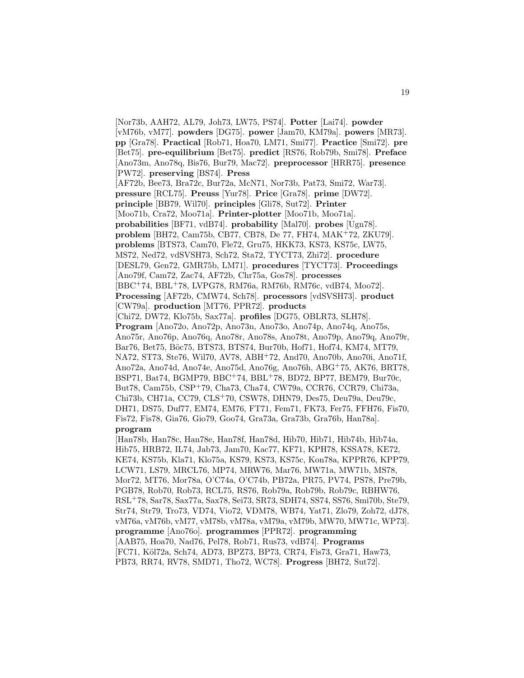[Nor73b, AAH72, AL79, Joh73, LW75, PS74]. **Potter** [Lai74]. **powder** [vM76b, vM77]. **powders** [DG75]. **power** [Jam70, KM79a]. **powers** [MR73]. **pp** [Gra78]. **Practical** [Rob71, Hoa70, LM71, Smi77]. **Practice** [Smi72]. **pre** [Bet75]. **pre-equilibrium** [Bet75]. **predict** [RS76, Rob79b, Smi78]. **Preface** [Ano73m, Ano78q, Bis76, Bur79, Mac72]. **preprocessor** [HRR75]. **presence** [PW72]. **preserving** [BS74]. **Press** [AF72b, Bee73, Bra72c, Bur72a, McN71, Nor73b, Pat73, Smi72, War73]. **pressure** [RCL75]. **Preuss** [Yur78]. **Price** [Gra78]. **prime** [DW72]. **principle** [BB79, Wil70]. **principles** [Gli78, Sut72]. **Printer** [Moo71b, Cra72, Moo71a]. **Printer-plotter** [Moo71b, Moo71a]. **probabilities** [BF71, vdB74]. **probability** [Mal70]. **probes** [Ugn78]. **problem** [BH72, Cam75b, CB77, CB78, De 77, FH74, MAK<sup>+</sup>72, ZKU79]. **problems** [BTS73, Cam70, Fle72, Gru75, HKK73, KS73, KS75c, LW75, MS72, Ned72, vdSVSH73, Sch72, Sta72, TYCT73, Zhi72]. **procedure** [DESL79, Gen72, GMR75b, LM71]. **procedures** [TYCT73]. **Proceedings** [Ano79f, Cam72, Zac74, AF72b, Chr75a, Gos78]. **processes** [BBC<sup>+</sup>74, BBL<sup>+</sup>78, LVPG78, RM76a, RM76b, RM76c, vdB74, Moo72]. **Processing** [AF72b, CMW74, Sch78]. **processors** [vdSVSH73]. **product** [CW79a]. **production** [MT76, PPR72]. **products** [Chi72, DW72, Klo75b, Sax77a]. **profiles** [DG75, OBLR73, SLH78]. **Program** [Ano72o, Ano72p, Ano73n, Ano73o, Ano74p, Ano74q, Ano75s, Ano75r, Ano76p, Ano76q, Ano78r, Ano78s, Ano78t, Ano79p, Ano79q, Ano79r, Bar76, Bet75, Böc75, BTS73, BTS74, Bur70b, Hof71, Hof74, KM74, MT79, NA72, ST73, Ste76, Wil70, AV78, ABH<sup>+</sup>72, And70, Ano70b, Ano70i, Ano71f, Ano72a, Ano74d, Ano74e, Ano75d, Ano76g, Ano76h, ABG<sup>+</sup>75, AK76, BRT78, BSP71, Bat74, BGMP79, BBC<sup>+</sup>74, BBL<sup>+</sup>78, BD72, BP77, BEM79, Bur70c, But78, Cam75b, CSP<sup>+</sup>79, Cha73, Cha74, CW79a, CCR76, CCR79, Chi73a, Chi73b, CH71a, CC79, CLS<sup>+</sup>70, CSW78, DHN79, Des75, Deu79a, Deu79c, DH71, DS75, Duf77, EM74, EM76, FT71, Fem71, FK73, Fer75, FFH76, Fis70, Fis72, Fis78, Gia76, Gio79, Goo74, Gra73a, Gra73b, Gra76b, Han78a]. **program** [Han78b, Han78c, Han78e, Han78f, Han78d, Hib70, Hib71, Hib74b, Hib74a, Hib75, HRB72, IL74, Jab73, Jam70, Kac77, KF71, KPH78, KSSA78, KE72,

KE74, KS75b, Kla71, Klo75a, KS79, KS73, KS75c, Kon78a, KPPR76, KPP79, LCW71, LS79, MRCL76, MP74, MRW76, Mar76, MW71a, MW71b, MS78, Mor72, MT76, Mor78a, O'C74a, O'C74b, PB72a, PR75, PV74, PS78, Pre79b, PGB78, Rob70, Rob73, RCL75, RS76, Rob79a, Rob79b, Rob79c, RBHW76, RSL<sup>+</sup>78, Sar78, Sax77a, Sax78, Sei73, SR73, SDH74, SS74, SS76, Smi70b, Ste79, Str74, Str79, Tro73, VD74, Vio72, VDM78, WB74, Yat71, Zlo79, Zoh72, dJ78, vM76a, vM76b, vM77, vM78b, vM78a, vM79a, vM79b, MW70, MW71c, WP73]. **programme** [Ano76o]. **programmes** [PPR72]. **programming** [AAB75, Hoa70, Nad76, Pel78, Rob71, Rus73, vdB74]. **Programs** [FC71, K¨ol72a, Sch74, AD73, BPZ73, BP73, CR74, Fis73, Gra71, Haw73, PB73, RR74, RV78, SMD71, Tho72, WC78]. **Progress** [BH72, Sut72].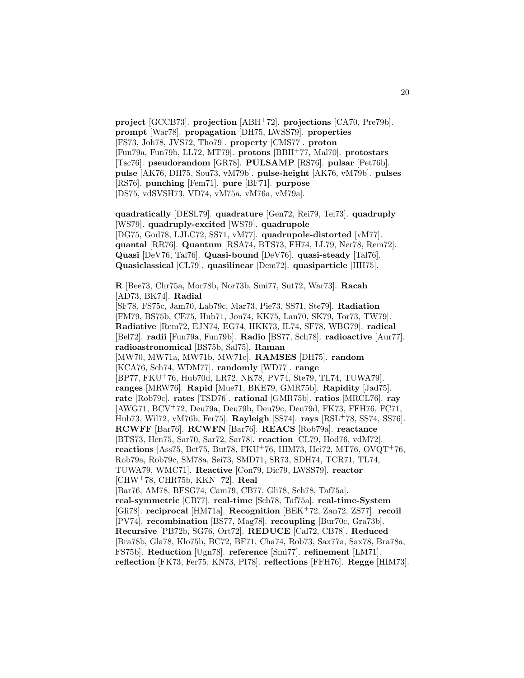**project** [GCCB73]. **projection** [ABH<sup>+</sup>72]. **projections** [CA70, Pre79b]. **prompt** [War78]. **propagation** [DH75, LWSS79]. **properties** [FS73, Joh78, JVS72, Tho79]. **property** [CMS77]. **proton** [Fun79a, Fun79b, LL72, MT79]. **protons** [BBH<sup>+</sup>77, Mal70]. **protostars** [Tsc76]. **pseudorandom** [GR78]. **PULSAMP** [RS76]. **pulsar** [Pet76b]. **pulse** [AK76, DH75, Sou73, vM79b]. **pulse-height** [AK76, vM79b]. **pulses** [RS76]. **punching** [Fem71]. **pure** [BF71]. **purpose** [DS75, vdSVSH73, VD74, vM75a, vM76a, vM79a].

**quadratically** [DESL79]. **quadrature** [Gen72, Rei79, Tel73]. **quadruply** [WS79]. **quadruply-excited** [WS79]. **quadrupole** [DG75, God78, LJLC72, SS71, vM77]. **quadrupole-distorted** [vM77]. **quantal** [RR76]. **Quantum** [RSA74, BTS73, FH74, LL79, Ner78, Rem72]. **Quasi** [DeV76, Tal76]. **Quasi-bound** [DeV76]. **quasi-steady** [Tal76]. **Quasiclassical** [CL79]. **quasilinear** [Dem72]. **quasiparticle** [HH75].

**R** [Bee73, Chr75a, Mor78b, Nor73b, Smi77, Sut72, War73]. **Racah** [AD73, BK74]. **Radial**

[SF78, FS75c, Jam70, Lab79c, Mar73, Pie73, SS71, Ste79]. **Radiation** [FM79, BS75b, CE75, Hub71, Jon74, KK75, Lan70, SK79, Tor73, TW79]. **Radiative** [Rem72, EJN74, EG74, HKK73, IL74, SF78, WBG79]. **radical** [Bel72]. **radii** [Fun79a, Fun79b]. **Radio** [BS77, Sch78]. **radioactive** [Aur77]. **radioastronomical** [BS75b, Sal75]. **Raman** [MW70, MW71a, MW71b, MW71c]. **RAMSES** [DH75]. **random** [KCA76, Sch74, WDM77]. **randomly** [WD77]. **range** [BP77, FKU<sup>+</sup>76, Hub70d, LR72, NK78, PV74, Ste79, TL74, TUWA79]. **ranges** [MRW76]. **Rapid** [Mue71, BKE79, GMR75b]. **Rapidity** [Jad75]. **rate** [Rob79c]. **rates** [TSD76]. **rational** [GMR75b]. **ratios** [MRCL76]. **ray** [AWG71, BCV<sup>+</sup>72, Deu79a, Deu79b, Deu79c, Deu79d, FK73, FFH76, FC71, Hub73, Wil72, vM76b, Fer75]. **Rayleigh** [SS74]. **rays** [RSL<sup>+</sup>78, SS74, SS76]. **RCWFF** [Bar76]. **RCWFN** [Bar76]. **REACS** [Rob79a]. **reactance** [BTS73, Hen75, Sar70, Sar72, Sar78]. **reaction** [CL79, Hod76, vdM72]. **reactions** [Ass75, Bet75, But78, FKU<sup>+</sup>76, HIM73, Hei72, MT76, OVQT<sup>+</sup>76, Rob79a, Rob79c, SM78a, Sei73, SMD71, SR73, SDH74, TCR71, TL74, TUWA79, WMC71]. **Reactive** [Con79, Dic79, LWSS79]. **reactor** [CHW<sup>+</sup>78, CHR75b, KKN<sup>+</sup>72]. **Real** [Bar76, AM78, BFSG74, Cam79, CB77, Gli78, Sch78, Taf75a]. **real-symmetric** [CB77]. **real-time** [Sch78, Taf75a]. **real-time-System** [Gli78]. **reciprocal** [HM71a]. **Recognition** [BEK<sup>+</sup>72, Zan72, ZS77]. **recoil** [PV74]. **recombination** [BS77, Mag78]. **recoupling** [Bur70c, Gra73b]. **Recursive** [PB72b, SG76, Ort72]. **REDUCE** [Cal72, CB78]. **Reduced** [Bra78b, Gla78, Klo75b, BC72, BF71, Cha74, Rob73, Sax77a, Sax78, Bra78a, FS75b]. **Reduction** [Ugn78]. **reference** [Smi77]. **refinement** [LM71]. **reflection** [FK73, Fer75, KN73, PI78]. **reflections** [FFH76]. **Regge** [HIM73].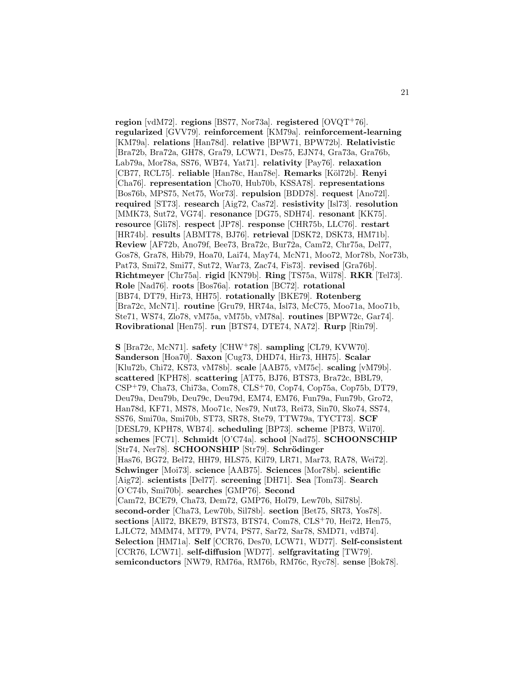**region** [vdM72]. **regions** [BS77, Nor73a]. **registered** [OVQT<sup>+</sup>76]. **regularized** [GVV79]. **reinforcement** [KM79a]. **reinforcement-learning** [KM79a]. **relations** [Han78d]. **relative** [BPW71, BPW72b]. **Relativistic** [Bra72b, Bra72a, GH78, Gra79, LCW71, Des75, EJN74, Gra73a, Gra76b, Lab79a, Mor78a, SS76, WB74, Yat71]. **relativity** [Pay76]. **relaxation** [CB77, RCL75]. **reliable** [Han78c, Han78e]. **Remarks** [K¨ol72b]. **Renyi** [Cha76]. **representation** [Cho70, Hub70b, KSSA78]. **representations** [Bos76b, MPS75, Net75, Wor73]. **repulsion** [BDD78]. **request** [Ano72l]. **required** [ST73]. **research** [Aig72, Cas72]. **resistivity** [Isl73]. **resolution** [MMK73, Sut72, VG74]. **resonance** [DG75, SDH74]. **resonant** [KK75]. **resource** [Gli78]. **respect** [JP78]. **response** [CHR75b, LLC76]. **restart** [HR74b]. **results** [ABMT78, BJ76]. **retrieval** [DSK72, DSK73, HM71b]. **Review** [AF72b, Ano79f, Bee73, Bra72c, Bur72a, Cam72, Chr75a, Del77, Gos78, Gra78, Hib79, Hoa70, Lai74, May74, McN71, Moo72, Mor78b, Nor73b, Pat73, Smi72, Smi77, Sut72, War73, Zac74, Fis73]. **revised** [Gra76b]. **Richtmeyer** [Chr75a]. **rigid** [KN79b]. **Ring** [TS75a, Wil78]. **RKR** [Tel73]. **Role** [Nad76]. **roots** [Bos76a]. **rotation** [BC72]. **rotational** [BB74, DT79, Hir73, HH75]. **rotationally** [BKE79]. **Rotenberg** [Bra72c, McN71]. **routine** [Gru79, HR74a, Isl73, McC75, Moo71a, Moo71b, Ste71, WS74, Zlo78, vM75a, vM75b, vM78a]. **routines** [BPW72c, Gar74]. **Rovibrational** [Hen75]. **run** [BTS74, DTE74, NA72]. **Rurp** [Rin79].

**S** [Bra72c, McN71]. **safety** [CHW<sup>+</sup>78]. **sampling** [CL79, KVW70]. **Sanderson** [Hoa70]. **Saxon** [Cug73, DHD74, Hir73, HH75]. **Scalar** [Klu72b, Chi72, KS73, vM78b]. **scale** [AAB75, vM75c]. **scaling** [vM79b]. **scattered** [KPH78]. **scattering** [AT75, BJ76, BTS73, Bra72c, BBL79, CSP<sup>+</sup>79, Cha73, Chi73a, Com78, CLS<sup>+</sup>70, Cop74, Cop75a, Cop75b, DT79, Deu79a, Deu79b, Deu79c, Deu79d, EM74, EM76, Fun79a, Fun79b, Gro72, Han78d, KF71, MS78, Moo71c, Nes79, Nut73, Rei73, Sin70, Sko74, SS74, SS76, Smi70a, Smi70b, ST73, SR78, Ste79, TTW79a, TYCT73]. **SCF** [DESL79, KPH78, WB74]. **scheduling** [BP73]. **scheme** [PB73, Wil70]. **schemes** [FC71]. **Schmidt** [O'C74a]. **school** [Nad75]. **SCHOONSCHIP** [Str74, Ner78]. **SCHOONSHIP** [Str79]. **Schrödinger** [Has76, BG72, Bel72, HH79, HLS75, Kil79, LR71, Mar73, RA78, Wei72]. **Schwinger** [Moi73]. **science** [AAB75]. **Sciences** [Mor78b]. **scientific** [Aig72]. **scientists** [Del77]. **screening** [DH71]. **Sea** [Tom73]. **Search** [O'C74b, Smi70b]. **searches** [GMP76]. **Second** [Cam72, BCE79, Cha73, Dem72, GMP76, Hol79, Lew70b, Sil78b]. **second-order** [Cha73, Lew70b, Sil78b]. **section** [Bet75, SR73, Yos78]. **sections** [All72, BKE79, BTS73, BTS74, Com78, CLS<sup>+</sup>70, Hei72, Hen75, LJLC72, MMM74, MT79, PV74, PS77, Sar72, Sar78, SMD71, vdB74]. **Selection** [HM71a]. **Self** [CCR76, Des70, LCW71, WD77]. **Self-consistent** [CCR76, LCW71]. **self-diffusion** [WD77]. **selfgravitating** [TW79]. **semiconductors** [NW79, RM76a, RM76b, RM76c, Ryc78]. **sense** [Bok78].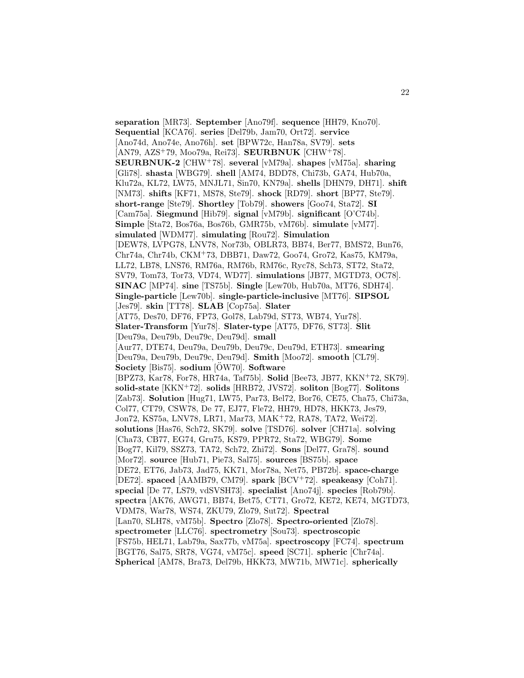**separation** [MR73]. **September** [Ano79f]. **sequence** [HH79, Kno70]. **Sequential** [KCA76]. **series** [Del79b, Jam70, Ort72]. **service** [Ano74d, Ano74e, Ano76h]. **set** [BPW72c, Han78a, SV79]. **sets** [AN79, AZS<sup>+</sup>79, Moo79a, Rei73]. **SEURBNUK** [CHW<sup>+</sup>78]. **SEURBNUK-2** [CHW<sup>+</sup>78]. **several** [vM79a]. **shapes** [vM75a]. **sharing** [Gli78]. **shasta** [WBG79]. **shell** [AM74, BDD78, Chi73b, GA74, Hub70a, Klu72a, KL72, LW75, MNJL71, Sin70, KN79a]. **shells** [DHN79, DH71]. **shift** [NM73]. **shifts** [KF71, MS78, Ste79]. **shock** [RD79]. **short** [BP77, Ste79]. **short-range** [Ste79]. **Shortley** [Tob79]. **showers** [Goo74, Sta72]. **SI** [Cam75a]. **Siegmund** [Hib79]. **signal** [vM79b]. **significant** [O'C74b]. **Simple** [Sta72, Bos76a, Bos76b, GMR75b, vM76b]. **simulate** [vM77]. **simulated** [WDM77]. **simulating** [Rou72]. **Simulation** [DEW78, LVPG78, LNV78, Nor73b, OBLR73, BB74, Ber77, BMS72, Bun76, Chr74a, Chr74b, CKM<sup>+</sup>73, DBB71, Daw72, Goo74, Gro72, Kas75, KM79a, LL72, LB78, LNS76, RM76a, RM76b, RM76c, Ryc78, Sch73, ST72, Sta72, SV79, Tom73, Tor73, VD74, WD77]. **simulations** [JB77, MGTD73, OC78]. **SINAC** [MP74]. **sine** [TS75b]. **Single** [Lew70b, Hub70a, MT76, SDH74]. **Single-particle** [Lew70b]. **single-particle-inclusive** [MT76]. **SIPSOL** [Jes79]. **skin** [TT78]. **SLAB** [Cop75a]. **Slater** [AT75, Des70, DF76, FP73, Gol78, Lab79d, ST73, WB74, Yur78]. **Slater-Transform** [Yur78]. **Slater-type** [AT75, DF76, ST73]. **Slit** [Deu79a, Deu79b, Deu79c, Deu79d]. **small** [Aur77, DTE74, Deu79a, Deu79b, Deu79c, Deu79d, ETH73]. **smearing** [Deu79a, Deu79b, Deu79c, Deu79d]. **Smith** [Moo72]. **smooth** [CL79]. **Society** [Bis75]. **sodium** [OW70]. **Software** [BPZ73, Kar78, For78, HR74a, Taf75b]. **Solid** [Bee73, JB77, KKN<sup>+</sup>72, SK79]. **solid-state** [KKN<sup>+</sup>72]. **solids** [HRB72, JVS72]. **soliton** [Bog77]. **Solitons** [Zab73]. **Solution** [Hug71, LW75, Par73, Bel72, Bor76, CE75, Cha75, Chi73a, Col77, CT79, CSW78, De 77, EJ77, Fle72, HH79, HD78, HKK73, Jes79, Jon72, KS75a, LNV78, LR71, Mar73, MAK<sup>+</sup>72, RA78, TA72, Wei72]. **solutions** [Has76, Sch72, SK79]. **solve** [TSD76]. **solver** [CH71a]. **solving** [Cha73, CB77, EG74, Gru75, KS79, PPR72, Sta72, WBG79]. **Some** [Bog77, Kil79, SSZ73, TA72, Sch72, Zhi72]. **Sons** [Del77, Gra78]. **sound** [Mor72]. **source** [Hub71, Pie73, Sal75]. **sources** [BS75b]. **space** [DE72, ET76, Jab73, Jad75, KK71, Mor78a, Net75, PB72b]. **space-charge** [DE72]. **spaced** [AAMB79, CM79]. **spark** [BCV<sup>+</sup>72]. **speakeasy** [Coh71]. **special** [De 77, LS79, vdSVSH73]. **specialist** [Ano74j]. **species** [Rob79b]. **spectra** [AK76, AWG71, BB74, Bet75, CT71, Gro72, KE72, KE74, MGTD73, VDM78, War78, WS74, ZKU79, Zlo79, Sut72]. **Spectral** [Lan70, SLH78, vM75b]. **Spectro** [Zlo78]. **Spectro-oriented** [Zlo78]. **spectrometer** [LLC76]. **spectrometry** [Sou73]. **spectroscopic** [FS75b, HEL71, Lab79a, Sax77b, vM75a]. **spectroscopy** [FC74]. **spectrum** [BGT76, Sal75, SR78, VG74, vM75c]. **speed** [SC71]. **spheric** [Chr74a]. **Spherical** [AM78, Bra73, Del79b, HKK73, MW71b, MW71c]. **spherically**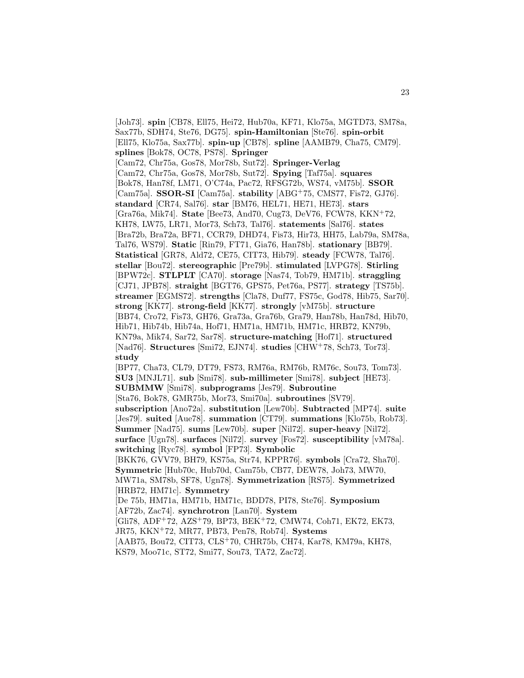[Joh73]. **spin** [CB78, Ell75, Hei72, Hub70a, KF71, Klo75a, MGTD73, SM78a, Sax77b, SDH74, Ste76, DG75]. **spin-Hamiltonian** [Ste76]. **spin-orbit** [Ell75, Klo75a, Sax77b]. **spin-up** [CB78]. **spline** [AAMB79, Cha75, CM79]. **splines** [Bok78, OC78, PS78]. **Springer** [Cam72, Chr75a, Gos78, Mor78b, Sut72]. **Springer-Verlag** [Cam72, Chr75a, Gos78, Mor78b, Sut72]. **Spying** [Taf75a]. **squares** [Bok78, Han78f, LM71, O'C74a, Pac72, RFSG72b, WS74, vM75b]. **SSOR** [Cam75a]. **SSOR-SI** [Cam75a]. **stability** [ABG<sup>+</sup>75, CMS77, Fis72, GJ76]. **standard** [CR74, Sal76]. **star** [BM76, HEL71, HE71, HE73]. **stars** [Gra76a, Mik74]. **State** [Bee73, And70, Cug73, DeV76, FCW78, KKN<sup>+</sup>72, KH78, LW75, LR71, Mor73, Sch73, Tal76]. **statements** [Sal76]. **states** [Bra72b, Bra72a, BF71, CCR79, DHD74, Fis73, Hir73, HH75, Lab79a, SM78a, Tal76, WS79]. **Static** [Rin79, FT71, Gia76, Han78b]. **stationary** [BB79]. **Statistical** [GR78, Ald72, CE75, CIT73, Hib79]. **steady** [FCW78, Tal76]. **stellar** [Bou72]. **stereographic** [Pre79b]. **stimulated** [LVPG78]. **Stirling** [BPW72c]. **STLPLT** [CA70]. **storage** [Nas74, Tob79, HM71b]. **straggling** [CJ71, JPB78]. **straight** [BGT76, GPS75, Pet76a, PS77]. **strategy** [TS75b]. **streamer** [EGMS72]. **strengths** [Cla78, Duf77, FS75c, God78, Hib75, Sar70]. **strong** [KK77]. **strong-field** [KK77]. **strongly** [vM75b]. **structure** [BB74, Cro72, Fis73, GH76, Gra73a, Gra76b, Gra79, Han78b, Han78d, Hib70, Hib71, Hib74b, Hib74a, Hof71, HM71a, HM71b, HM71c, HRB72, KN79b, KN79a, Mik74, Sar72, Sar78]. **structure-matching** [Hof71]. **structured** [Nad76]. **Structures** [Smi72, EJN74]. **studies** [CHW<sup>+</sup>78, Sch73, Tor73]. **study** [BP77, Cha73, CL79, DT79, FS73, RM76a, RM76b, RM76c, Sou73, Tom73]. **SU3** [MNJL71]. **sub** [Smi78]. **sub-millimeter** [Smi78]. **subject** [HE73]. **SUBMMW** [Smi78]. **subprograms** [Jes79]. **Subroutine** [Sta76, Bok78, GMR75b, Mor73, Smi70a]. **subroutines** [SV79]. **subscription** [Ano72a]. **substitution** [Lew70b]. **Subtracted** [MP74]. **suite** [Jes79]. **suited** [Aue78]. **summation** [CT79]. **summations** [Klo75b, Rob73]. **Summer** [Nad75]. **sums** [Lew70b]. **super** [Nil72]. **super-heavy** [Nil72]. **surface** [Ugn78]. **surfaces** [Nil72]. **survey** [Fos72]. **susceptibility** [vM78a]. **switching** [Ryc78]. **symbol** [FP73]. **Symbolic** [BKK76, GVV79, BH79, KS75a, Str74, KPPR76]. **symbols** [Cra72, Sha70]. **Symmetric** [Hub70c, Hub70d, Cam75b, CB77, DEW78, Joh73, MW70, MW71a, SM78b, SF78, Ugn78]. **Symmetrization** [RS75]. **Symmetrized** [HRB72, HM71c]. **Symmetry** [De 75b, HM71a, HM71b, HM71c, BDD78, PI78, Ste76]. **Symposium** [AF72b, Zac74]. **synchrotron** [Lan70]. **System** [Gli78, ADF<sup>+</sup>72, AZS<sup>+</sup>79, BP73, BEK<sup>+</sup>72, CMW74, Coh71, EK72, EK73, JR75, KKN<sup>+</sup>72, MR77, PB73, Pen78, Rob74]. **Systems** [AAB75, Bou72, CIT73, CLS<sup>+</sup>70, CHR75b, CH74, Kar78, KM79a, KH78,

KS79, Moo71c, ST72, Smi77, Sou73, TA72, Zac72].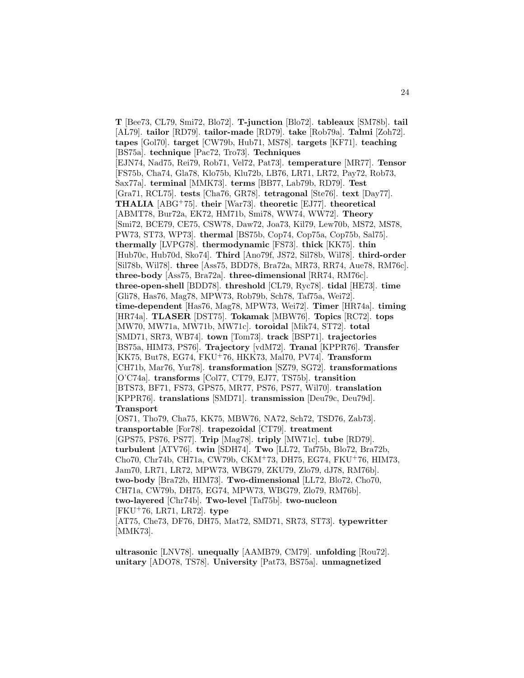**T** [Bee73, CL79, Smi72, Blo72]. **T-junction** [Blo72]. **tableaux** [SM78b]. **tail** [AL79]. **tailor** [RD79]. **tailor-made** [RD79]. **take** [Rob79a]. **Talmi** [Zoh72]. **tapes** [Gol70]. **target** [CW79b, Hub71, MS78]. **targets** [KF71]. **teaching** [BS75a]. **technique** [Pac72, Tro73]. **Techniques** [EJN74, Nad75, Rei79, Rob71, Vel72, Pat73]. **temperature** [MR77]. **Tensor** [FS75b, Cha74, Gla78, Klo75b, Klu72b, LB76, LR71, LR72, Pay72, Rob73, Sax77a]. **terminal** [MMK73]. **terms** [BB77, Lab79b, RD79]. **Test** [Gra71, RCL75]. **tests** [Cha76, GR78]. **tetragonal** [Ste76]. **text** [Day77]. **THALIA** [ABG<sup>+</sup>75]. **their** [War73]. **theoretic** [EJ77]. **theoretical** [ABMT78, Bur72a, EK72, HM71b, Smi78, WW74, WW72]. **Theory** [Smi72, BCE79, CE75, CSW78, Daw72, Joa73, Kil79, Lew70b, MS72, MS78, PW73, ST73, WP73]. **thermal** [BS75b, Cop74, Cop75a, Cop75b, Sal75]. **thermally** [LVPG78]. **thermodynamic** [FS73]. **thick** [KK75]. **thin** [Hub70c, Hub70d, Sko74]. **Third** [Ano79f, JS72, Sil78b, Wil78]. **third-order** [Sil78b, Wil78]. **three** [Ass75, BDD78, Bra72a, MR73, RR74, Aue78, RM76c]. **three-body** [Ass75, Bra72a]. **three-dimensional** [RR74, RM76c]. **three-open-shell** [BDD78]. **threshold** [CL79, Ryc78]. **tidal** [HE73]. **time** [Gli78, Has76, Mag78, MPW73, Rob79b, Sch78, Taf75a, Wei72]. **time-dependent** [Has76, Mag78, MPW73, Wei72]. **Timer** [HR74a]. **timing** [HR74a]. **TLASER** [DST75]. **Tokamak** [MBW76]. **Topics** [RC72]. **tops** [MW70, MW71a, MW71b, MW71c]. **toroidal** [Mik74, ST72]. **total** [SMD71, SR73, WB74]. **town** [Tom73]. **track** [BSP71]. **trajectories** [BS75a, HIM73, PS76]. **Trajectory** [vdM72]. **Tranal** [KPPR76]. **Transfer** [KK75, But78, EG74, FKU<sup>+</sup>76, HKK73, Mal70, PV74]. **Transform** [CH71b, Mar76, Yur78]. **transformation** [SZ79, SG72]. **transformations** [O'C74a]. **transforms** [Col77, CT79, EJ77, TS75b]. **transition** [BTS73, BF71, FS73, GPS75, MR77, PS76, PS77, Wil70]. **translation** [KPPR76]. **translations** [SMD71]. **transmission** [Deu79c, Deu79d]. **Transport** [OS71, Tho79, Cha75, KK75, MBW76, NA72, Sch72, TSD76, Zab73]. **transportable** [For78]. **trapezoidal** [CT79]. **treatment** [GPS75, PS76, PS77]. **Trip** [Mag78]. **triply** [MW71c]. **tube** [RD79]. **turbulent** [ATV76]. **twin** [SDH74]. **Two** [LL72, Taf75b, Blo72, Bra72b, Cho70, Chr74b, CH71a, CW79b, CKM<sup>+</sup>73, DH75, EG74, FKU<sup>+</sup>76, HIM73, Jam70, LR71, LR72, MPW73, WBG79, ZKU79, Zlo79, dJ78, RM76b]. **two-body** [Bra72b, HIM73]. **Two-dimensional** [LL72, Blo72, Cho70, CH71a, CW79b, DH75, EG74, MPW73, WBG79, Zlo79, RM76b]. **two-layered** [Chr74b]. **Two-level** [Taf75b]. **two-nucleon** [FKU<sup>+</sup>76, LR71, LR72]. **type** [AT75, Che73, DF76, DH75, Mat72, SMD71, SR73, ST73]. **typewritter**

**ultrasonic** [LNV78]. **unequally** [AAMB79, CM79]. **unfolding** [Rou72]. **unitary** [ADO78, TS78]. **University** [Pat73, BS75a]. **unmagnetized**

[MMK73].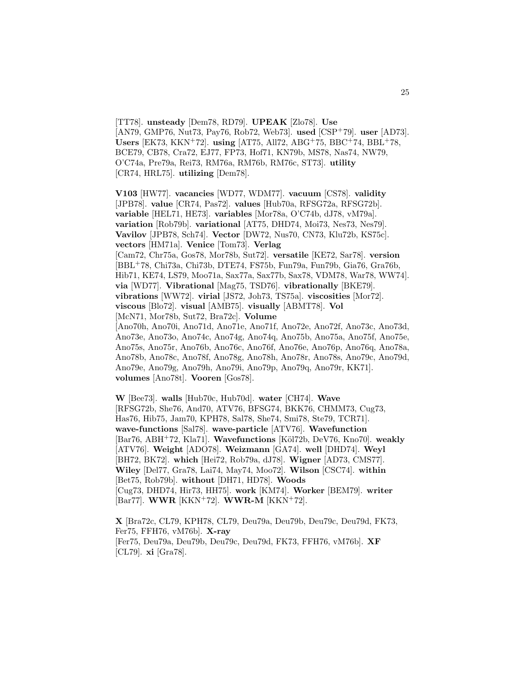[TT78]. **unsteady** [Dem78, RD79]. **UPEAK** [Zlo78]. **Use** [AN79, GMP76, Nut73, Pay76, Rob72, Web73]. **used** [CSP<sup>+</sup>79]. **user** [AD73]. **Users** [EK73, KKN<sup>+</sup>72]. **using** [AT75, All72, ABG<sup>+</sup>75, BBC<sup>+</sup>74, BBL<sup>+</sup>78, BCE79, CB78, Cra72, EJ77, FP73, Hof71, KN79b, MS78, Nas74, NW79, O'C74a, Pre79a, Rei73, RM76a, RM76b, RM76c, ST73]. **utility** [CR74, HRL75]. **utilizing** [Dem78].

**V103** [HW77]. **vacancies** [WD77, WDM77]. **vacuum** [CS78]. **validity** [JPB78]. **value** [CR74, Pas72]. **values** [Hub70a, RFSG72a, RFSG72b]. **variable** [HEL71, HE73]. **variables** [Mor78a, O'C74b, dJ78, vM79a]. **variation** [Rob79b]. **variational** [AT75, DHD74, Moi73, Nes73, Nes79]. **Vavilov** [JPB78, Sch74]. **Vector** [DW72, Nus70, CN73, Klu72b, KS75c]. **vectors** [HM71a]. **Venice** [Tom73]. **Verlag** [Cam72, Chr75a, Gos78, Mor78b, Sut72]. **versatile** [KE72, Sar78]. **version** [BBL<sup>+</sup>78, Chi73a, Chi73b, DTE74, FS75b, Fun79a, Fun79b, Gia76, Gra76b, Hib71, KE74, LS79, Moo71a, Sax77a, Sax77b, Sax78, VDM78, War78, WW74]. **via** [WD77]. **Vibrational** [Mag75, TSD76]. **vibrationally** [BKE79]. **vibrations** [WW72]. **virial** [JS72, Joh73, TS75a]. **viscosities** [Mor72]. **viscous** [Blo72]. **visual** [AMB75]. **visually** [ABMT78]. **Vol** [McN71, Mor78b, Sut72, Bra72c]. **Volume** [Ano70h, Ano70i, Ano71d, Ano71e, Ano71f, Ano72e, Ano72f, Ano73c, Ano73d, Ano73e, Ano73o, Ano74c, Ano74g, Ano74q, Ano75b, Ano75a, Ano75f, Ano75e, Ano75s, Ano75r, Ano76b, Ano76c, Ano76f, Ano76e, Ano76p, Ano76q, Ano78a, Ano78b, Ano78c, Ano78f, Ano78g, Ano78h, Ano78r, Ano78s, Ano79c, Ano79d, Ano79e, Ano79g, Ano79h, Ano79i, Ano79p, Ano79q, Ano79r, KK71]. **volumes** [Ano78t]. **Vooren** [Gos78].

**W** [Bee73]. **walls** [Hub70c, Hub70d]. **water** [CH74]. **Wave** [RFSG72b, She76, And70, ATV76, BFSG74, BKK76, CHMM73, Cug73, Has76, Hib75, Jam70, KPH78, Sal78, She74, Smi78, Ste79, TCR71]. **wave-functions** [Sal78]. **wave-particle** [ATV76]. **Wavefunction** [Bar76, ABH<sup>+</sup>72, Kla71]. **Wavefunctions** [Köl72b, DeV76, Kno70]. **weakly** [ATV76]. **Weight** [ADO78]. **Weizmann** [GA74]. **well** [DHD74]. **Weyl** [BH72, BK72]. **which** [Hei72, Rob79a, dJ78]. **Wigner** [AD73, CMS77]. **Wiley** [Del77, Gra78, Lai74, May74, Moo72]. **Wilson** [CSC74]. **within** [Bet75, Rob79b]. **without** [DH71, HD78]. **Woods** [Cug73, DHD74, Hir73, HH75]. **work** [KM74]. **Worker** [BEM79]. **writer** [Bar77]. **WWR** [KKN<sup>+</sup>72]. **WWR-M** [KKN<sup>+</sup>72].

**X** [Bra72c, CL79, KPH78, CL79, Deu79a, Deu79b, Deu79c, Deu79d, FK73, Fer75, FFH76, vM76b]. **X-ray** [Fer75, Deu79a, Deu79b, Deu79c, Deu79d, FK73, FFH76, vM76b]. **XF** [CL79]. **xi** [Gra78].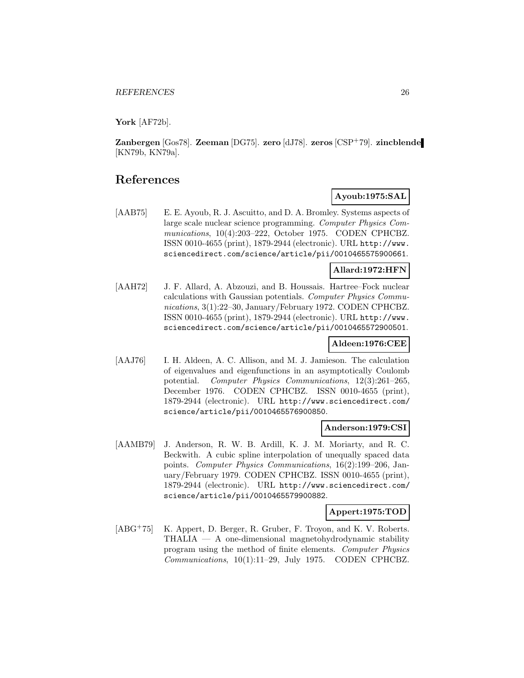**York** [AF72b].

**Zanbergen** [Gos78]. **Zeeman** [DG75]. **zero** [dJ78]. **zeros** [CSP<sup>+</sup>79]. **zincblende** [KN79b, KN79a].

# **References**

# **Ayoub:1975:SAL**

[AAB75] E. E. Ayoub, R. J. Ascuitto, and D. A. Bromley. Systems aspects of large scale nuclear science programming. Computer Physics Communications, 10(4):203–222, October 1975. CODEN CPHCBZ. ISSN 0010-4655 (print), 1879-2944 (electronic). URL http://www. sciencedirect.com/science/article/pii/0010465575900661.

## **Allard:1972:HFN**

[AAH72] J. F. Allard, A. Abzouzi, and B. Houssais. Hartree–Fock nuclear calculations with Gaussian potentials. Computer Physics Communications, 3(1):22–30, January/February 1972. CODEN CPHCBZ. ISSN 0010-4655 (print), 1879-2944 (electronic). URL http://www. sciencedirect.com/science/article/pii/0010465572900501.

# **Aldeen:1976:CEE**

[AAJ76] I. H. Aldeen, A. C. Allison, and M. J. Jamieson. The calculation of eigenvalues and eigenfunctions in an asymptotically Coulomb potential. Computer Physics Communications, 12(3):261–265, December 1976. CODEN CPHCBZ. ISSN 0010-4655 (print), 1879-2944 (electronic). URL http://www.sciencedirect.com/ science/article/pii/0010465576900850.

#### **Anderson:1979:CSI**

[AAMB79] J. Anderson, R. W. B. Ardill, K. J. M. Moriarty, and R. C. Beckwith. A cubic spline interpolation of unequally spaced data points. Computer Physics Communications, 16(2):199–206, January/February 1979. CODEN CPHCBZ. ISSN 0010-4655 (print), 1879-2944 (electronic). URL http://www.sciencedirect.com/ science/article/pii/0010465579900882.

# **Appert:1975:TOD**

[ABG<sup>+</sup>75] K. Appert, D. Berger, R. Gruber, F. Troyon, and K. V. Roberts. THALIA — A one-dimensional magnetohydrodynamic stability program using the method of finite elements. Computer Physics Communications, 10(1):11–29, July 1975. CODEN CPHCBZ.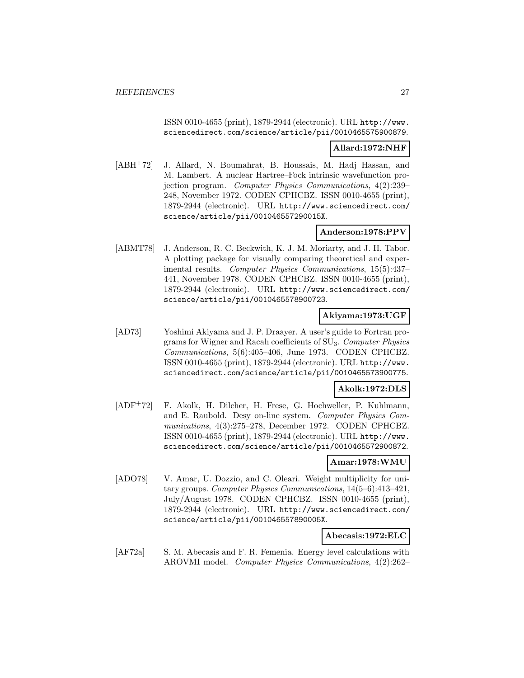ISSN 0010-4655 (print), 1879-2944 (electronic). URL http://www. sciencedirect.com/science/article/pii/0010465575900879.

## **Allard:1972:NHF**

[ABH<sup>+</sup>72] J. Allard, N. Boumahrat, B. Houssais, M. Hadj Hassan, and M. Lambert. A nuclear Hartree–Fock intrinsic wavefunction projection program. Computer Physics Communications, 4(2):239– 248, November 1972. CODEN CPHCBZ. ISSN 0010-4655 (print), 1879-2944 (electronic). URL http://www.sciencedirect.com/ science/article/pii/001046557290015X.

# **Anderson:1978:PPV**

[ABMT78] J. Anderson, R. C. Beckwith, K. J. M. Moriarty, and J. H. Tabor. A plotting package for visually comparing theoretical and experimental results. Computer Physics Communications, 15(5):437– 441, November 1978. CODEN CPHCBZ. ISSN 0010-4655 (print), 1879-2944 (electronic). URL http://www.sciencedirect.com/ science/article/pii/0010465578900723.

# **Akiyama:1973:UGF**

[AD73] Yoshimi Akiyama and J. P. Draayer. A user's guide to Fortran programs for Wigner and Racah coefficients of SU3. Computer Physics Communications, 5(6):405–406, June 1973. CODEN CPHCBZ. ISSN 0010-4655 (print), 1879-2944 (electronic). URL http://www. sciencedirect.com/science/article/pii/0010465573900775.

# **Akolk:1972:DLS**

[ADF<sup>+</sup>72] F. Akolk, H. Dilcher, H. Frese, G. Hochweller, P. Kuhlmann, and E. Raubold. Desy on-line system. Computer Physics Communications, 4(3):275–278, December 1972. CODEN CPHCBZ. ISSN 0010-4655 (print), 1879-2944 (electronic). URL http://www. sciencedirect.com/science/article/pii/0010465572900872.

#### **Amar:1978:WMU**

[ADO78] V. Amar, U. Dozzio, and C. Oleari. Weight multiplicity for unitary groups. Computer Physics Communications, 14(5–6):413–421, July/August 1978. CODEN CPHCBZ. ISSN 0010-4655 (print), 1879-2944 (electronic). URL http://www.sciencedirect.com/ science/article/pii/001046557890005X.

# **Abecasis:1972:ELC**

[AF72a] S. M. Abecasis and F. R. Femenia. Energy level calculations with AROVMI model. Computer Physics Communications, 4(2):262–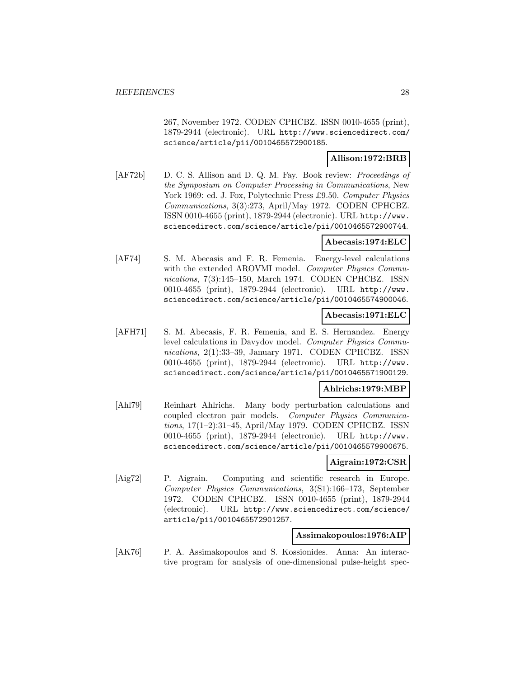267, November 1972. CODEN CPHCBZ. ISSN 0010-4655 (print), 1879-2944 (electronic). URL http://www.sciencedirect.com/ science/article/pii/0010465572900185.

# **Allison:1972:BRB**

[AF72b] D. C. S. Allison and D. Q. M. Fay. Book review: *Proceedings of* the Symposium on Computer Processing in Communications, New York 1969: ed. J. Fox, Polytechnic Press £9.50. Computer Physics Communications, 3(3):273, April/May 1972. CODEN CPHCBZ. ISSN 0010-4655 (print), 1879-2944 (electronic). URL http://www. sciencedirect.com/science/article/pii/0010465572900744.

#### **Abecasis:1974:ELC**

[AF74] S. M. Abecasis and F. R. Femenia. Energy-level calculations with the extended AROVMI model. Computer Physics Communications, 7(3):145–150, March 1974. CODEN CPHCBZ. ISSN 0010-4655 (print), 1879-2944 (electronic). URL http://www. sciencedirect.com/science/article/pii/0010465574900046.

## **Abecasis:1971:ELC**

[AFH71] S. M. Abecasis, F. R. Femenia, and E. S. Hernandez. Energy level calculations in Davydov model. Computer Physics Communications, 2(1):33-39, January 1971. CODEN CPHCBZ. ISSN 0010-4655 (print), 1879-2944 (electronic). URL http://www. sciencedirect.com/science/article/pii/0010465571900129.

# **Ahlrichs:1979:MBP**

[Ahl79] Reinhart Ahlrichs. Many body perturbation calculations and coupled electron pair models. Computer Physics Communications, 17(1–2):31–45, April/May 1979. CODEN CPHCBZ. ISSN 0010-4655 (print), 1879-2944 (electronic). URL http://www. sciencedirect.com/science/article/pii/0010465579900675.

#### **Aigrain:1972:CSR**

[Aig72] P. Aigrain. Computing and scientific research in Europe. Computer Physics Communications, 3(S1):166–173, September 1972. CODEN CPHCBZ. ISSN 0010-4655 (print), 1879-2944 (electronic). URL http://www.sciencedirect.com/science/ article/pii/0010465572901257.

#### **Assimakopoulos:1976:AIP**

[AK76] P. A. Assimakopoulos and S. Kossionides. Anna: An interactive program for analysis of one-dimensional pulse-height spec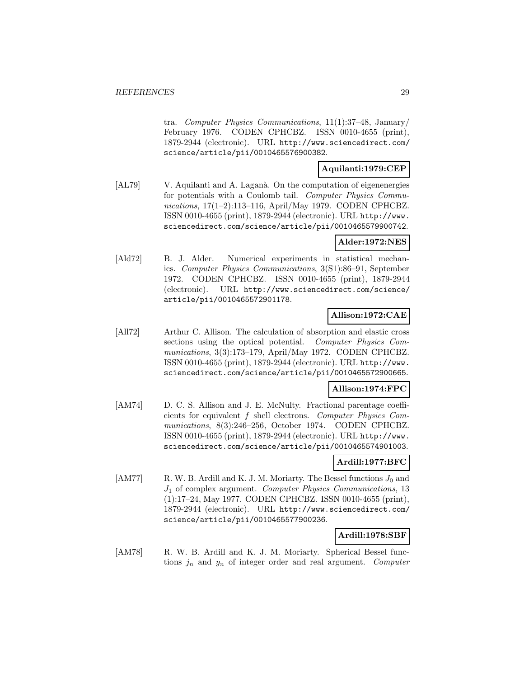tra. Computer Physics Communications, 11(1):37–48, January/ February 1976. CODEN CPHCBZ. ISSN 0010-4655 (print), 1879-2944 (electronic). URL http://www.sciencedirect.com/ science/article/pii/0010465576900382.

# **Aquilanti:1979:CEP**

[AL79] V. Aquilanti and A. Laganà. On the computation of eigenenergies for potentials with a Coulomb tail. Computer Physics Communications, 17(1–2):113–116, April/May 1979. CODEN CPHCBZ. ISSN 0010-4655 (print), 1879-2944 (electronic). URL http://www. sciencedirect.com/science/article/pii/0010465579900742.

# **Alder:1972:NES**

[Ald72] B. J. Alder. Numerical experiments in statistical mechanics. Computer Physics Communications, 3(S1):86–91, September 1972. CODEN CPHCBZ. ISSN 0010-4655 (print), 1879-2944 (electronic). URL http://www.sciencedirect.com/science/ article/pii/0010465572901178.

# **Allison:1972:CAE**

[All72] Arthur C. Allison. The calculation of absorption and elastic cross sections using the optical potential. Computer Physics Communications, 3(3):173–179, April/May 1972. CODEN CPHCBZ. ISSN 0010-4655 (print), 1879-2944 (electronic). URL http://www. sciencedirect.com/science/article/pii/0010465572900665.

# **Allison:1974:FPC**

[AM74] D. C. S. Allison and J. E. McNulty. Fractional parentage coefficients for equivalent f shell electrons. Computer Physics Communications, 8(3):246–256, October 1974. CODEN CPHCBZ. ISSN 0010-4655 (print), 1879-2944 (electronic). URL http://www. sciencedirect.com/science/article/pii/0010465574901003.

# **Ardill:1977:BFC**

[AM77] R. W. B. Ardill and K. J. M. Moriarty. The Bessel functions  $J_0$  and  $J_1$  of complex argument. Computer Physics Communications, 13 (1):17–24, May 1977. CODEN CPHCBZ. ISSN 0010-4655 (print), 1879-2944 (electronic). URL http://www.sciencedirect.com/ science/article/pii/0010465577900236.

# **Ardill:1978:SBF**

[AM78] R. W. B. Ardill and K. J. M. Moriarty. Spherical Bessel functions  $j_n$  and  $y_n$  of integer order and real argument. Computer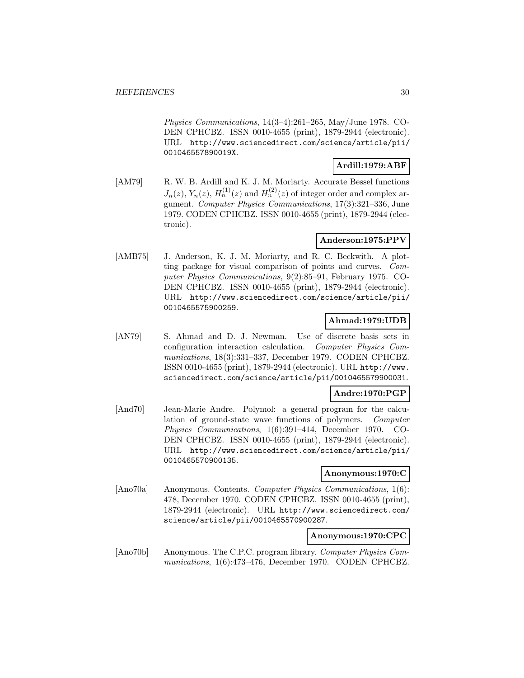Physics Communications, 14(3–4):261–265, May/June 1978. CO-DEN CPHCBZ. ISSN 0010-4655 (print), 1879-2944 (electronic). URL http://www.sciencedirect.com/science/article/pii/ 001046557890019X.

# **Ardill:1979:ABF**

[AM79] R. W. B. Ardill and K. J. M. Moriarty. Accurate Bessel functions  $J_n(z)$ ,  $Y_n(z)$ ,  $H_n^{(1)}(z)$  and  $H_n^{(2)}(z)$  of integer order and complex argument. Computer Physics Communications, 17(3):321–336, June 1979. CODEN CPHCBZ. ISSN 0010-4655 (print), 1879-2944 (electronic).

# **Anderson:1975:PPV**

[AMB75] J. Anderson, K. J. M. Moriarty, and R. C. Beckwith. A plotting package for visual comparison of points and curves. Computer Physics Communications, 9(2):85–91, February 1975. CO-DEN CPHCBZ. ISSN 0010-4655 (print), 1879-2944 (electronic). URL http://www.sciencedirect.com/science/article/pii/ 0010465575900259.

## **Ahmad:1979:UDB**

[AN79] S. Ahmad and D. J. Newman. Use of discrete basis sets in configuration interaction calculation. Computer Physics Communications, 18(3):331–337, December 1979. CODEN CPHCBZ. ISSN 0010-4655 (print), 1879-2944 (electronic). URL http://www. sciencedirect.com/science/article/pii/0010465579900031.

# **Andre:1970:PGP**

[And70] Jean-Marie Andre. Polymol: a general program for the calculation of ground-state wave functions of polymers. Computer Physics Communications, 1(6):391–414, December 1970. CO-DEN CPHCBZ. ISSN 0010-4655 (print), 1879-2944 (electronic). URL http://www.sciencedirect.com/science/article/pii/ 0010465570900135.

#### **Anonymous:1970:C**

[Ano70a] Anonymous. Contents. Computer Physics Communications, 1(6): 478, December 1970. CODEN CPHCBZ. ISSN 0010-4655 (print), 1879-2944 (electronic). URL http://www.sciencedirect.com/ science/article/pii/0010465570900287.

## **Anonymous:1970:CPC**

[Ano70b] Anonymous. The C.P.C. program library. Computer Physics Communications, 1(6):473–476, December 1970. CODEN CPHCBZ.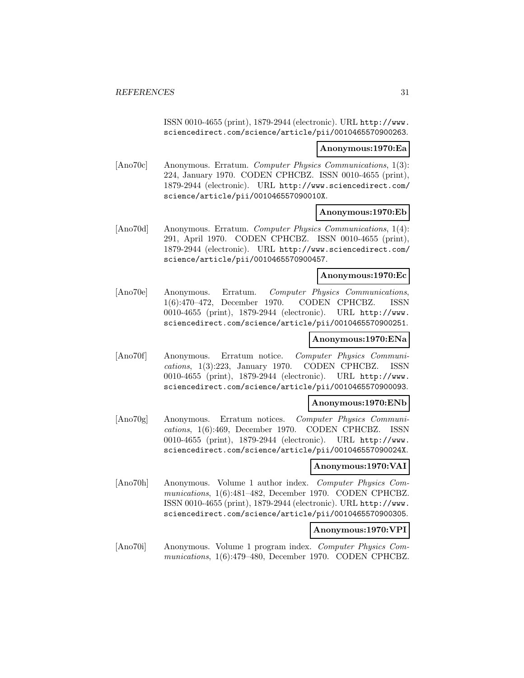ISSN 0010-4655 (print), 1879-2944 (electronic). URL http://www. sciencedirect.com/science/article/pii/0010465570900263.

#### **Anonymous:1970:Ea**

[Ano70c] Anonymous. Erratum. Computer Physics Communications, 1(3): 224, January 1970. CODEN CPHCBZ. ISSN 0010-4655 (print), 1879-2944 (electronic). URL http://www.sciencedirect.com/ science/article/pii/001046557090010X.

#### **Anonymous:1970:Eb**

[Ano70d] Anonymous. Erratum. Computer Physics Communications, 1(4): 291, April 1970. CODEN CPHCBZ. ISSN 0010-4655 (print), 1879-2944 (electronic). URL http://www.sciencedirect.com/ science/article/pii/0010465570900457.

### **Anonymous:1970:Ec**

[Ano70e] Anonymous. Erratum. Computer Physics Communications, 1(6):470–472, December 1970. CODEN CPHCBZ. ISSN 0010-4655 (print), 1879-2944 (electronic). URL http://www. sciencedirect.com/science/article/pii/0010465570900251.

# **Anonymous:1970:ENa**

[Ano70f] Anonymous. Erratum notice. Computer Physics Communications, 1(3):223, January 1970. CODEN CPHCBZ. ISSN 0010-4655 (print), 1879-2944 (electronic). URL http://www. sciencedirect.com/science/article/pii/0010465570900093.

#### **Anonymous:1970:ENb**

[Ano70g] Anonymous. Erratum notices. Computer Physics Communications, 1(6):469, December 1970. CODEN CPHCBZ. ISSN 0010-4655 (print), 1879-2944 (electronic). URL http://www. sciencedirect.com/science/article/pii/001046557090024X.

#### **Anonymous:1970:VAI**

[Ano70h] Anonymous. Volume 1 author index. Computer Physics Communications, 1(6):481–482, December 1970. CODEN CPHCBZ. ISSN 0010-4655 (print), 1879-2944 (electronic). URL http://www. sciencedirect.com/science/article/pii/0010465570900305.

#### **Anonymous:1970:VPI**

[Ano70i] Anonymous. Volume 1 program index. Computer Physics Communications, 1(6):479–480, December 1970. CODEN CPHCBZ.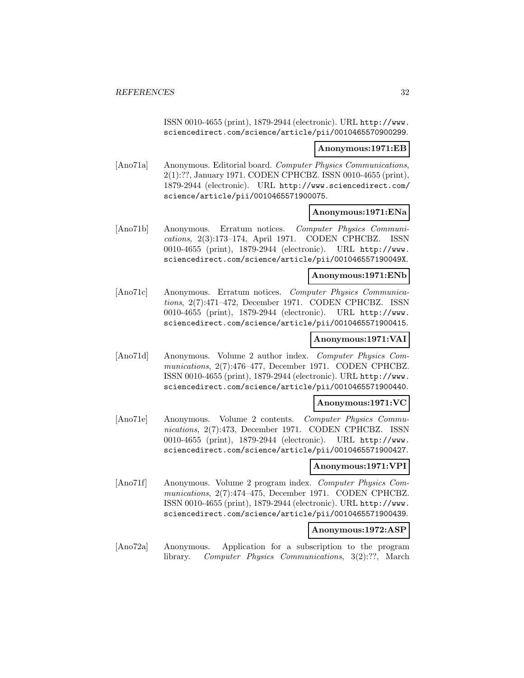ISSN 0010-4655 (print), 1879-2944 (electronic). URL http://www. sciencedirect.com/science/article/pii/0010465570900299.

#### **Anonymous:1971:EB**

[Ano71a] Anonymous. Editorial board. Computer Physics Communications, 2(1):??, January 1971. CODEN CPHCBZ. ISSN 0010-4655 (print), 1879-2944 (electronic). URL http://www.sciencedirect.com/ science/article/pii/0010465571900075.

#### **Anonymous:1971:ENa**

[Ano71b] Anonymous. Erratum notices. Computer Physics Communications, 2(3):173–174, April 1971. CODEN CPHCBZ. ISSN 0010-4655 (print), 1879-2944 (electronic). URL http://www. sciencedirect.com/science/article/pii/001046557190049X.

#### **Anonymous:1971:ENb**

[Ano71c] Anonymous. Erratum notices. Computer Physics Communications, 2(7):471–472, December 1971. CODEN CPHCBZ. ISSN 0010-4655 (print), 1879-2944 (electronic). URL http://www. sciencedirect.com/science/article/pii/0010465571900415.

# **Anonymous:1971:VAI**

[Ano71d] Anonymous. Volume 2 author index. Computer Physics Communications, 2(7):476–477, December 1971. CODEN CPHCBZ. ISSN 0010-4655 (print), 1879-2944 (electronic). URL http://www. sciencedirect.com/science/article/pii/0010465571900440.

#### **Anonymous:1971:VC**

[Ano71e] Anonymous. Volume 2 contents. Computer Physics Communications, 2(7):473, December 1971. CODEN CPHCBZ. ISSN 0010-4655 (print), 1879-2944 (electronic). URL http://www. sciencedirect.com/science/article/pii/0010465571900427.

### **Anonymous:1971:VPI**

[Ano71f] Anonymous. Volume 2 program index. Computer Physics Communications, 2(7):474–475, December 1971. CODEN CPHCBZ. ISSN 0010-4655 (print), 1879-2944 (electronic). URL http://www. sciencedirect.com/science/article/pii/0010465571900439.

#### **Anonymous:1972:ASP**

[Ano72a] Anonymous. Application for a subscription to the program library. Computer Physics Communications, 3(2):??, March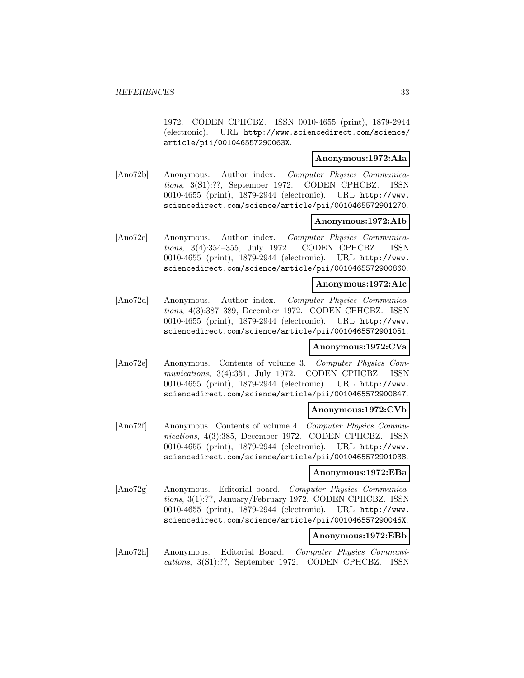1972. CODEN CPHCBZ. ISSN 0010-4655 (print), 1879-2944 (electronic). URL http://www.sciencedirect.com/science/ article/pii/001046557290063X.

# **Anonymous:1972:AIa**

[Ano72b] Anonymous. Author index. Computer Physics Communications, 3(S1):??, September 1972. CODEN CPHCBZ. ISSN 0010-4655 (print), 1879-2944 (electronic). URL http://www. sciencedirect.com/science/article/pii/0010465572901270.

#### **Anonymous:1972:AIb**

[Ano72c] Anonymous. Author index. Computer Physics Communications, 3(4):354–355, July 1972. CODEN CPHCBZ. ISSN 0010-4655 (print), 1879-2944 (electronic). URL http://www. sciencedirect.com/science/article/pii/0010465572900860.

#### **Anonymous:1972:AIc**

[Ano72d] Anonymous. Author index. Computer Physics Communications, 4(3):387–389, December 1972. CODEN CPHCBZ. ISSN 0010-4655 (print), 1879-2944 (electronic). URL http://www. sciencedirect.com/science/article/pii/0010465572901051.

#### **Anonymous:1972:CVa**

[Ano72e] Anonymous. Contents of volume 3. Computer Physics Communications, 3(4):351, July 1972. CODEN CPHCBZ. ISSN 0010-4655 (print), 1879-2944 (electronic). URL http://www. sciencedirect.com/science/article/pii/0010465572900847.

#### **Anonymous:1972:CVb**

[Ano72f] Anonymous. Contents of volume 4. Computer Physics Communications, 4(3):385, December 1972. CODEN CPHCBZ. ISSN 0010-4655 (print), 1879-2944 (electronic). URL http://www. sciencedirect.com/science/article/pii/0010465572901038.

#### **Anonymous:1972:EBa**

[Ano72g] Anonymous. Editorial board. Computer Physics Communications, 3(1):??, January/February 1972. CODEN CPHCBZ. ISSN 0010-4655 (print), 1879-2944 (electronic). URL http://www. sciencedirect.com/science/article/pii/001046557290046X.

## **Anonymous:1972:EBb**

[Ano72h] Anonymous. Editorial Board. Computer Physics Communications, 3(S1):??, September 1972. CODEN CPHCBZ. ISSN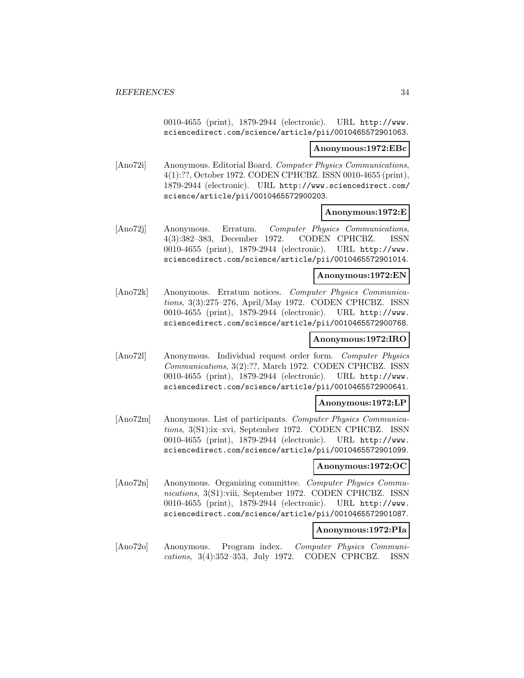0010-4655 (print), 1879-2944 (electronic). URL http://www. sciencedirect.com/science/article/pii/0010465572901063.

#### **Anonymous:1972:EBc**

[Ano72i] Anonymous. Editorial Board. Computer Physics Communications, 4(1):??, October 1972. CODEN CPHCBZ. ISSN 0010-4655 (print), 1879-2944 (electronic). URL http://www.sciencedirect.com/ science/article/pii/0010465572900203.

#### **Anonymous:1972:E**

[Ano72j] Anonymous. Erratum. Computer Physics Communications, 4(3):382–383, December 1972. CODEN CPHCBZ. ISSN 0010-4655 (print), 1879-2944 (electronic). URL http://www. sciencedirect.com/science/article/pii/0010465572901014.

#### **Anonymous:1972:EN**

[Ano72k] Anonymous. Erratum notices. Computer Physics Communications, 3(3):275–276, April/May 1972. CODEN CPHCBZ. ISSN 0010-4655 (print), 1879-2944 (electronic). URL http://www. sciencedirect.com/science/article/pii/0010465572900768.

# **Anonymous:1972:IRO**

[Ano72l] Anonymous. Individual request order form. Computer Physics Communications, 3(2):??, March 1972. CODEN CPHCBZ. ISSN 0010-4655 (print), 1879-2944 (electronic). URL http://www. sciencedirect.com/science/article/pii/0010465572900641.

#### **Anonymous:1972:LP**

[Ano72m] Anonymous. List of participants. Computer Physics Communications, 3(S1):ix–xvi, September 1972. CODEN CPHCBZ. ISSN 0010-4655 (print), 1879-2944 (electronic). URL http://www. sciencedirect.com/science/article/pii/0010465572901099.

# **Anonymous:1972:OC**

[Ano72n] Anonymous. Organizing committee. Computer Physics Communications, 3(S1):viii, September 1972. CODEN CPHCBZ. ISSN 0010-4655 (print), 1879-2944 (electronic). URL http://www. sciencedirect.com/science/article/pii/0010465572901087.

#### **Anonymous:1972:PIa**

[Ano72o] Anonymous. Program index. Computer Physics Communications, 3(4):352–353, July 1972. CODEN CPHCBZ. ISSN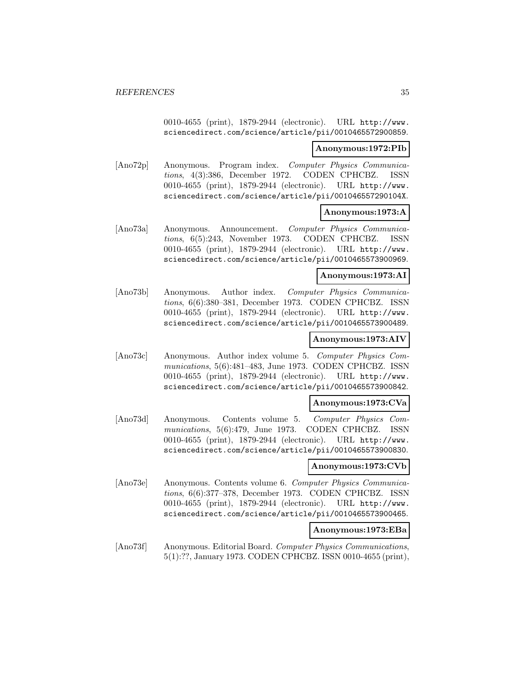0010-4655 (print), 1879-2944 (electronic). URL http://www. sciencedirect.com/science/article/pii/0010465572900859.

#### **Anonymous:1972:PIb**

[Ano72p] Anonymous. Program index. Computer Physics Communications, 4(3):386, December 1972. CODEN CPHCBZ. ISSN 0010-4655 (print), 1879-2944 (electronic). URL http://www. sciencedirect.com/science/article/pii/001046557290104X.

#### **Anonymous:1973:A**

[Ano73a] Anonymous. Announcement. Computer Physics Communications, 6(5):243, November 1973. CODEN CPHCBZ. ISSN 0010-4655 (print), 1879-2944 (electronic). URL http://www. sciencedirect.com/science/article/pii/0010465573900969.

#### **Anonymous:1973:AI**

[Ano73b] Anonymous. Author index. Computer Physics Communications, 6(6):380–381, December 1973. CODEN CPHCBZ. ISSN 0010-4655 (print), 1879-2944 (electronic). URL http://www. sciencedirect.com/science/article/pii/0010465573900489.

# **Anonymous:1973:AIV**

[Ano73c] Anonymous. Author index volume 5. Computer Physics Communications, 5(6):481–483, June 1973. CODEN CPHCBZ. ISSN 0010-4655 (print), 1879-2944 (electronic). URL http://www. sciencedirect.com/science/article/pii/0010465573900842.

#### **Anonymous:1973:CVa**

[Ano73d] Anonymous. Contents volume 5. Computer Physics Communications, 5(6):479, June 1973. CODEN CPHCBZ. ISSN 0010-4655 (print), 1879-2944 (electronic). URL http://www. sciencedirect.com/science/article/pii/0010465573900830.

#### **Anonymous:1973:CVb**

[Ano73e] Anonymous. Contents volume 6. Computer Physics Communications, 6(6):377–378, December 1973. CODEN CPHCBZ. ISSN 0010-4655 (print), 1879-2944 (electronic). URL http://www. sciencedirect.com/science/article/pii/0010465573900465.

#### **Anonymous:1973:EBa**

[Ano73f] Anonymous. Editorial Board. Computer Physics Communications, 5(1):??, January 1973. CODEN CPHCBZ. ISSN 0010-4655 (print),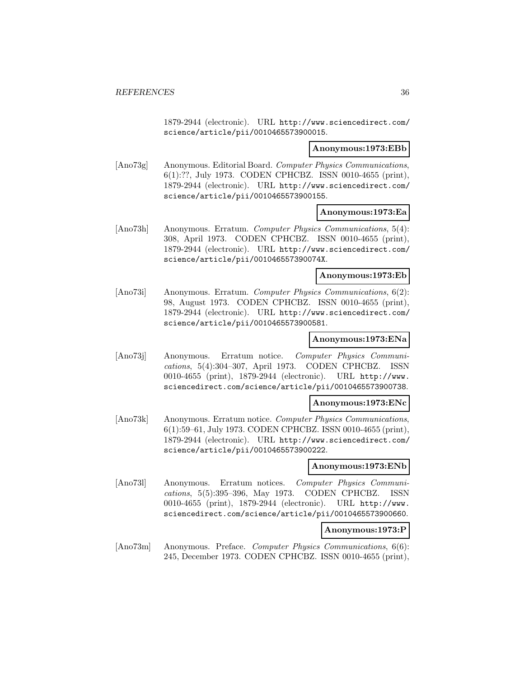1879-2944 (electronic). URL http://www.sciencedirect.com/ science/article/pii/0010465573900015.

#### **Anonymous:1973:EBb**

[Ano73g] Anonymous. Editorial Board. Computer Physics Communications, 6(1):??, July 1973. CODEN CPHCBZ. ISSN 0010-4655 (print), 1879-2944 (electronic). URL http://www.sciencedirect.com/ science/article/pii/0010465573900155.

#### **Anonymous:1973:Ea**

[Ano73h] Anonymous. Erratum. Computer Physics Communications, 5(4): 308, April 1973. CODEN CPHCBZ. ISSN 0010-4655 (print), 1879-2944 (electronic). URL http://www.sciencedirect.com/ science/article/pii/001046557390074X.

#### **Anonymous:1973:Eb**

[Ano73i] Anonymous. Erratum. Computer Physics Communications, 6(2): 98, August 1973. CODEN CPHCBZ. ISSN 0010-4655 (print), 1879-2944 (electronic). URL http://www.sciencedirect.com/ science/article/pii/0010465573900581.

# **Anonymous:1973:ENa**

[Ano73j] Anonymous. Erratum notice. Computer Physics Communications, 5(4):304–307, April 1973. CODEN CPHCBZ. ISSN 0010-4655 (print), 1879-2944 (electronic). URL http://www. sciencedirect.com/science/article/pii/0010465573900738.

#### **Anonymous:1973:ENc**

[Ano73k] Anonymous. Erratum notice. Computer Physics Communications, 6(1):59–61, July 1973. CODEN CPHCBZ. ISSN 0010-4655 (print), 1879-2944 (electronic). URL http://www.sciencedirect.com/ science/article/pii/0010465573900222.

### **Anonymous:1973:ENb**

[Ano73l] Anonymous. Erratum notices. Computer Physics Communications, 5(5):395–396, May 1973. CODEN CPHCBZ. ISSN 0010-4655 (print), 1879-2944 (electronic). URL http://www. sciencedirect.com/science/article/pii/0010465573900660.

#### **Anonymous:1973:P**

[Ano73m] Anonymous. Preface. Computer Physics Communications, 6(6): 245, December 1973. CODEN CPHCBZ. ISSN 0010-4655 (print),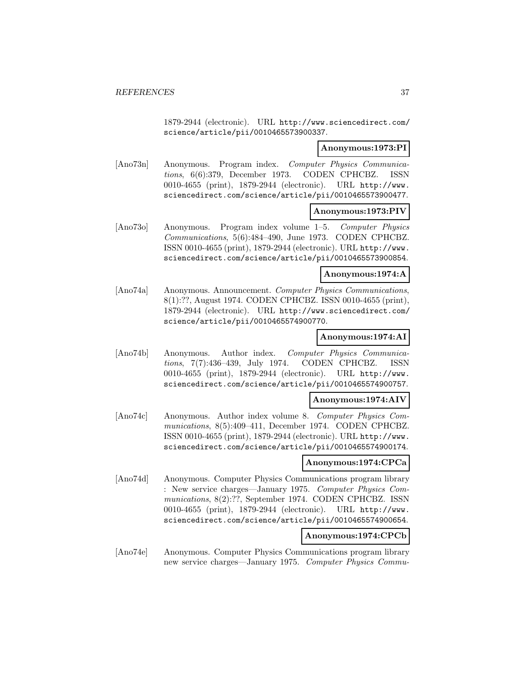1879-2944 (electronic). URL http://www.sciencedirect.com/ science/article/pii/0010465573900337.

## **Anonymous:1973:PI**

[Ano73n] Anonymous. Program index. Computer Physics Communications, 6(6):379, December 1973. CODEN CPHCBZ. ISSN 0010-4655 (print), 1879-2944 (electronic). URL http://www. sciencedirect.com/science/article/pii/0010465573900477.

# **Anonymous:1973:PIV**

[Ano73o] Anonymous. Program index volume 1–5. Computer Physics Communications, 5(6):484–490, June 1973. CODEN CPHCBZ. ISSN 0010-4655 (print), 1879-2944 (electronic). URL http://www. sciencedirect.com/science/article/pii/0010465573900854.

## **Anonymous:1974:A**

[Ano74a] Anonymous. Announcement. Computer Physics Communications, 8(1):??, August 1974. CODEN CPHCBZ. ISSN 0010-4655 (print), 1879-2944 (electronic). URL http://www.sciencedirect.com/ science/article/pii/0010465574900770.

# **Anonymous:1974:AI**

[Ano74b] Anonymous. Author index. Computer Physics Communications, 7(7):436–439, July 1974. CODEN CPHCBZ. ISSN 0010-4655 (print), 1879-2944 (electronic). URL http://www. sciencedirect.com/science/article/pii/0010465574900757.

### **Anonymous:1974:AIV**

[Ano74c] Anonymous. Author index volume 8. Computer Physics Communications, 8(5):409–411, December 1974. CODEN CPHCBZ. ISSN 0010-4655 (print), 1879-2944 (electronic). URL http://www. sciencedirect.com/science/article/pii/0010465574900174.

## **Anonymous:1974:CPCa**

[Ano74d] Anonymous. Computer Physics Communications program library : New service charges—January 1975. Computer Physics Communications, 8(2):??, September 1974. CODEN CPHCBZ. ISSN 0010-4655 (print), 1879-2944 (electronic). URL http://www. sciencedirect.com/science/article/pii/0010465574900654.

# **Anonymous:1974:CPCb**

[Ano74e] Anonymous. Computer Physics Communications program library new service charges—January 1975. Computer Physics Commu-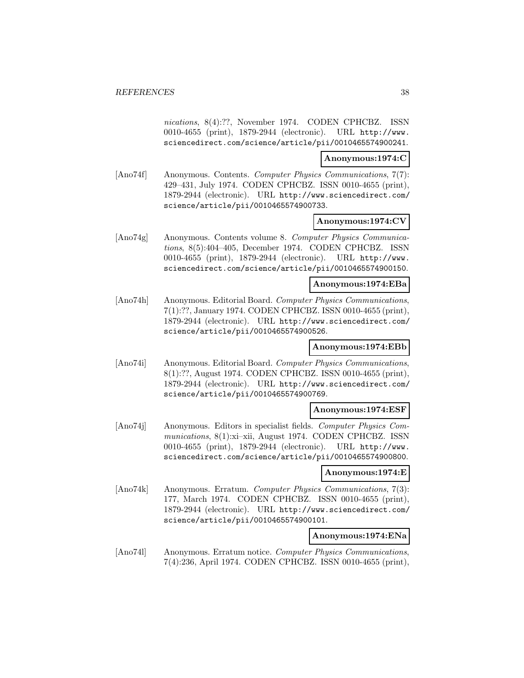nications, 8(4):??, November 1974. CODEN CPHCBZ. ISSN 0010-4655 (print), 1879-2944 (electronic). URL http://www. sciencedirect.com/science/article/pii/0010465574900241.

### **Anonymous:1974:C**

[Ano74f] Anonymous. Contents. Computer Physics Communications, 7(7): 429–431, July 1974. CODEN CPHCBZ. ISSN 0010-4655 (print), 1879-2944 (electronic). URL http://www.sciencedirect.com/ science/article/pii/0010465574900733.

## **Anonymous:1974:CV**

[Ano74g] Anonymous. Contents volume 8. Computer Physics Communications, 8(5):404–405, December 1974. CODEN CPHCBZ. ISSN 0010-4655 (print), 1879-2944 (electronic). URL http://www. sciencedirect.com/science/article/pii/0010465574900150.

### **Anonymous:1974:EBa**

[Ano74h] Anonymous. Editorial Board. Computer Physics Communications, 7(1):??, January 1974. CODEN CPHCBZ. ISSN 0010-4655 (print), 1879-2944 (electronic). URL http://www.sciencedirect.com/ science/article/pii/0010465574900526.

### **Anonymous:1974:EBb**

[Ano74i] Anonymous. Editorial Board. Computer Physics Communications, 8(1):??, August 1974. CODEN CPHCBZ. ISSN 0010-4655 (print), 1879-2944 (electronic). URL http://www.sciencedirect.com/ science/article/pii/0010465574900769.

## **Anonymous:1974:ESF**

[Ano74j] Anonymous. Editors in specialist fields. Computer Physics Communications, 8(1):xi–xii, August 1974. CODEN CPHCBZ. ISSN 0010-4655 (print), 1879-2944 (electronic). URL http://www. sciencedirect.com/science/article/pii/0010465574900800.

## **Anonymous:1974:E**

[Ano74k] Anonymous. Erratum. Computer Physics Communications, 7(3): 177, March 1974. CODEN CPHCBZ. ISSN 0010-4655 (print), 1879-2944 (electronic). URL http://www.sciencedirect.com/ science/article/pii/0010465574900101.

# **Anonymous:1974:ENa**

[Ano74l] Anonymous. Erratum notice. Computer Physics Communications, 7(4):236, April 1974. CODEN CPHCBZ. ISSN 0010-4655 (print),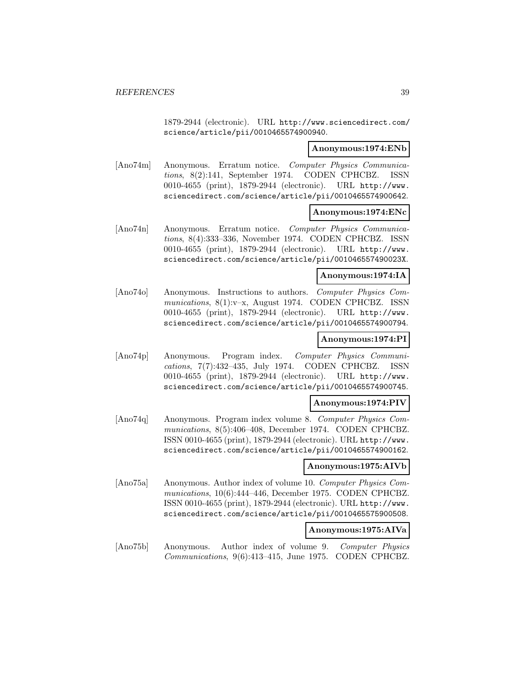1879-2944 (electronic). URL http://www.sciencedirect.com/ science/article/pii/0010465574900940.

### **Anonymous:1974:ENb**

[Ano74m] Anonymous. Erratum notice. Computer Physics Communications, 8(2):141, September 1974. CODEN CPHCBZ. ISSN 0010-4655 (print), 1879-2944 (electronic). URL http://www. sciencedirect.com/science/article/pii/0010465574900642.

## **Anonymous:1974:ENc**

[Ano74n] Anonymous. Erratum notice. Computer Physics Communications, 8(4):333–336, November 1974. CODEN CPHCBZ. ISSN 0010-4655 (print), 1879-2944 (electronic). URL http://www. sciencedirect.com/science/article/pii/001046557490023X.

### **Anonymous:1974:IA**

[Ano74o] Anonymous. Instructions to authors. Computer Physics Communications, 8(1):v–x, August 1974. CODEN CPHCBZ. ISSN 0010-4655 (print), 1879-2944 (electronic). URL http://www. sciencedirect.com/science/article/pii/0010465574900794.

# **Anonymous:1974:PI**

[Ano74p] Anonymous. Program index. Computer Physics Communications, 7(7):432–435, July 1974. CODEN CPHCBZ. ISSN 0010-4655 (print), 1879-2944 (electronic). URL http://www. sciencedirect.com/science/article/pii/0010465574900745.

## **Anonymous:1974:PIV**

[Ano74q] Anonymous. Program index volume 8. Computer Physics Communications, 8(5):406–408, December 1974. CODEN CPHCBZ. ISSN 0010-4655 (print), 1879-2944 (electronic). URL http://www. sciencedirect.com/science/article/pii/0010465574900162.

# **Anonymous:1975:AIVb**

[Ano75a] Anonymous. Author index of volume 10. Computer Physics Communications, 10(6):444–446, December 1975. CODEN CPHCBZ. ISSN 0010-4655 (print), 1879-2944 (electronic). URL http://www. sciencedirect.com/science/article/pii/0010465575900508.

## **Anonymous:1975:AIVa**

[Ano75b] Anonymous. Author index of volume 9. Computer Physics Communications, 9(6):413–415, June 1975. CODEN CPHCBZ.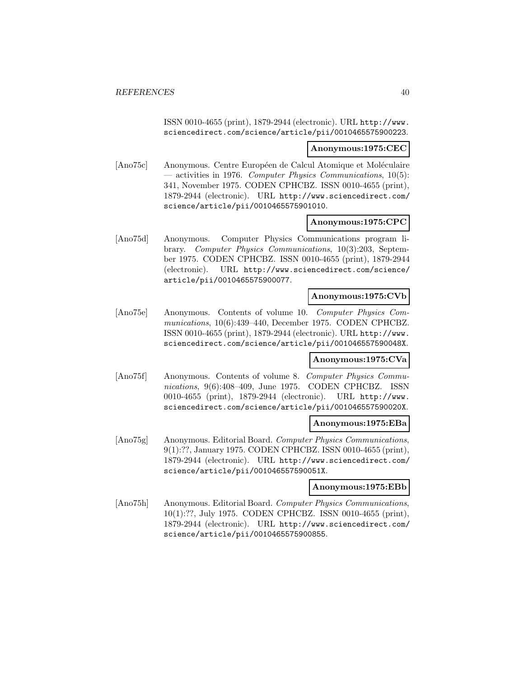ISSN 0010-4655 (print), 1879-2944 (electronic). URL http://www. sciencedirect.com/science/article/pii/0010465575900223.

### **Anonymous:1975:CEC**

[Ano75c] Anonymous. Centre Européen de Calcul Atomique et Moléculaire — activities in 1976. Computer Physics Communications,  $10(5)$ : 341, November 1975. CODEN CPHCBZ. ISSN 0010-4655 (print), 1879-2944 (electronic). URL http://www.sciencedirect.com/ science/article/pii/0010465575901010.

## **Anonymous:1975:CPC**

[Ano75d] Anonymous. Computer Physics Communications program library. Computer Physics Communications, 10(3):203, September 1975. CODEN CPHCBZ. ISSN 0010-4655 (print), 1879-2944 (electronic). URL http://www.sciencedirect.com/science/ article/pii/0010465575900077.

## **Anonymous:1975:CVb**

[Ano75e] Anonymous. Contents of volume 10. Computer Physics Communications, 10(6):439–440, December 1975. CODEN CPHCBZ. ISSN 0010-4655 (print), 1879-2944 (electronic). URL http://www. sciencedirect.com/science/article/pii/001046557590048X.

## **Anonymous:1975:CVa**

[Ano75f] Anonymous. Contents of volume 8. Computer Physics Communications, 9(6):408–409, June 1975. CODEN CPHCBZ. ISSN 0010-4655 (print), 1879-2944 (electronic). URL http://www. sciencedirect.com/science/article/pii/001046557590020X.

## **Anonymous:1975:EBa**

[Ano75g] Anonymous. Editorial Board. Computer Physics Communications, 9(1):??, January 1975. CODEN CPHCBZ. ISSN 0010-4655 (print), 1879-2944 (electronic). URL http://www.sciencedirect.com/ science/article/pii/001046557590051X.

#### **Anonymous:1975:EBb**

[Ano75h] Anonymous. Editorial Board. Computer Physics Communications, 10(1):??, July 1975. CODEN CPHCBZ. ISSN 0010-4655 (print), 1879-2944 (electronic). URL http://www.sciencedirect.com/ science/article/pii/0010465575900855.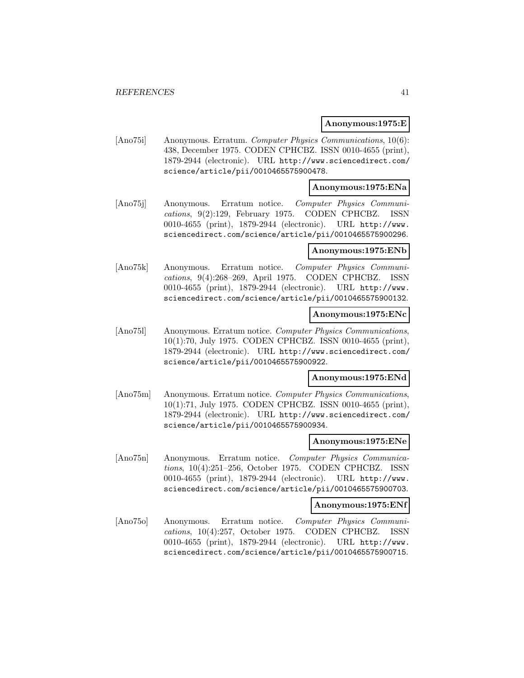### **Anonymous:1975:E**

[Ano75i] Anonymous. Erratum. Computer Physics Communications, 10(6): 438, December 1975. CODEN CPHCBZ. ISSN 0010-4655 (print), 1879-2944 (electronic). URL http://www.sciencedirect.com/ science/article/pii/0010465575900478.

## **Anonymous:1975:ENa**

[Ano75j] Anonymous. Erratum notice. Computer Physics Communications, 9(2):129, February 1975. CODEN CPHCBZ. ISSN 0010-4655 (print), 1879-2944 (electronic). URL http://www. sciencedirect.com/science/article/pii/0010465575900296.

### **Anonymous:1975:ENb**

[Ano75k] Anonymous. Erratum notice. Computer Physics Communications, 9(4):268–269, April 1975. CODEN CPHCBZ. ISSN 0010-4655 (print), 1879-2944 (electronic). URL http://www. sciencedirect.com/science/article/pii/0010465575900132.

### **Anonymous:1975:ENc**

[Ano75l] Anonymous. Erratum notice. Computer Physics Communications, 10(1):70, July 1975. CODEN CPHCBZ. ISSN 0010-4655 (print), 1879-2944 (electronic). URL http://www.sciencedirect.com/ science/article/pii/0010465575900922.

#### **Anonymous:1975:ENd**

[Ano75m] Anonymous. Erratum notice. Computer Physics Communications, 10(1):71, July 1975. CODEN CPHCBZ. ISSN 0010-4655 (print), 1879-2944 (electronic). URL http://www.sciencedirect.com/ science/article/pii/0010465575900934.

#### **Anonymous:1975:ENe**

[Ano75n] Anonymous. Erratum notice. Computer Physics Communications, 10(4):251–256, October 1975. CODEN CPHCBZ. ISSN 0010-4655 (print), 1879-2944 (electronic). URL http://www. sciencedirect.com/science/article/pii/0010465575900703.

#### **Anonymous:1975:ENf**

[Ano75o] Anonymous. Erratum notice. Computer Physics Communications, 10(4):257, October 1975. CODEN CPHCBZ. ISSN 0010-4655 (print), 1879-2944 (electronic). URL http://www. sciencedirect.com/science/article/pii/0010465575900715.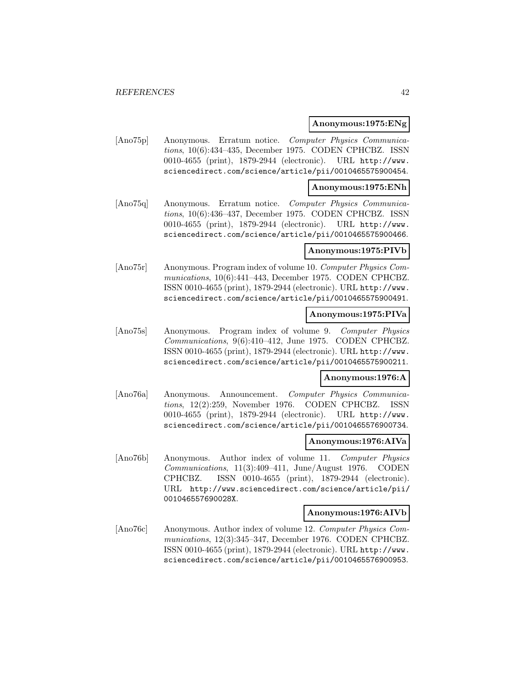### **Anonymous:1975:ENg**

[Ano75p] Anonymous. Erratum notice. Computer Physics Communications, 10(6):434–435, December 1975. CODEN CPHCBZ. ISSN 0010-4655 (print), 1879-2944 (electronic). URL http://www. sciencedirect.com/science/article/pii/0010465575900454.

## **Anonymous:1975:ENh**

[Ano75q] Anonymous. Erratum notice. Computer Physics Communications, 10(6):436–437, December 1975. CODEN CPHCBZ. ISSN 0010-4655 (print), 1879-2944 (electronic). URL http://www. sciencedirect.com/science/article/pii/0010465575900466.

### **Anonymous:1975:PIVb**

[Ano75r] Anonymous. Program index of volume 10. Computer Physics Communications, 10(6):441–443, December 1975. CODEN CPHCBZ. ISSN 0010-4655 (print), 1879-2944 (electronic). URL http://www. sciencedirect.com/science/article/pii/0010465575900491.

### **Anonymous:1975:PIVa**

[Ano75s] Anonymous. Program index of volume 9. Computer Physics Communications, 9(6):410–412, June 1975. CODEN CPHCBZ. ISSN 0010-4655 (print), 1879-2944 (electronic). URL http://www. sciencedirect.com/science/article/pii/0010465575900211.

## **Anonymous:1976:A**

[Ano76a] Anonymous. Announcement. Computer Physics Communications, 12(2):259, November 1976. CODEN CPHCBZ. ISSN 0010-4655 (print), 1879-2944 (electronic). URL http://www. sciencedirect.com/science/article/pii/0010465576900734.

## **Anonymous:1976:AIVa**

[Ano76b] Anonymous. Author index of volume 11. Computer Physics Communications, 11(3):409–411, June/August 1976. CODEN CPHCBZ. ISSN 0010-4655 (print), 1879-2944 (electronic). URL http://www.sciencedirect.com/science/article/pii/ 001046557690028X.

## **Anonymous:1976:AIVb**

[Ano76c] Anonymous. Author index of volume 12. Computer Physics Communications, 12(3):345–347, December 1976. CODEN CPHCBZ. ISSN 0010-4655 (print), 1879-2944 (electronic). URL http://www. sciencedirect.com/science/article/pii/0010465576900953.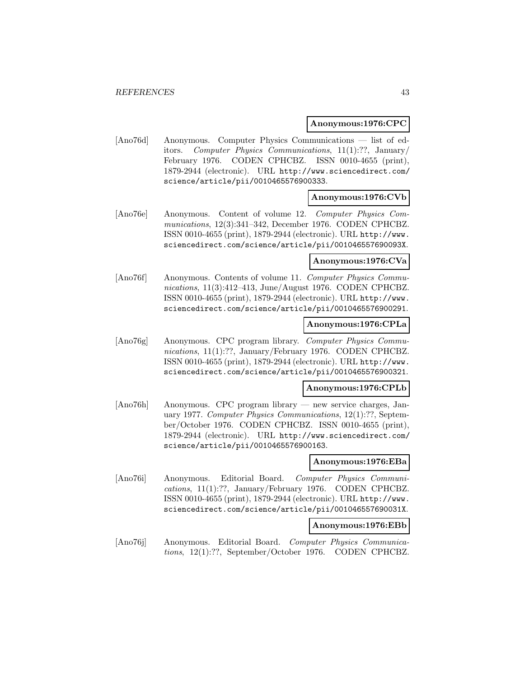### **Anonymous:1976:CPC**

[Ano76d] Anonymous. Computer Physics Communications — list of editors. Computer Physics Communications, 11(1):??, January/ February 1976. CODEN CPHCBZ. ISSN 0010-4655 (print), 1879-2944 (electronic). URL http://www.sciencedirect.com/ science/article/pii/0010465576900333.

## **Anonymous:1976:CVb**

[Ano76e] Anonymous. Content of volume 12. Computer Physics Communications, 12(3):341–342, December 1976. CODEN CPHCBZ. ISSN 0010-4655 (print), 1879-2944 (electronic). URL http://www. sciencedirect.com/science/article/pii/001046557690093X.

#### **Anonymous:1976:CVa**

[Ano76f] Anonymous. Contents of volume 11. Computer Physics Communications, 11(3):412–413, June/August 1976. CODEN CPHCBZ. ISSN 0010-4655 (print), 1879-2944 (electronic). URL http://www. sciencedirect.com/science/article/pii/0010465576900291.

### **Anonymous:1976:CPLa**

[Ano76g] Anonymous. CPC program library. Computer Physics Communications, 11(1):??, January/February 1976. CODEN CPHCBZ. ISSN 0010-4655 (print), 1879-2944 (electronic). URL http://www. sciencedirect.com/science/article/pii/0010465576900321.

#### **Anonymous:1976:CPLb**

[Ano76h] Anonymous. CPC program library — new service charges, January 1977. Computer Physics Communications, 12(1):??, September/October 1976. CODEN CPHCBZ. ISSN 0010-4655 (print), 1879-2944 (electronic). URL http://www.sciencedirect.com/ science/article/pii/0010465576900163.

### **Anonymous:1976:EBa**

[Ano76i] Anonymous. Editorial Board. Computer Physics Communications, 11(1):??, January/February 1976. CODEN CPHCBZ. ISSN 0010-4655 (print), 1879-2944 (electronic). URL http://www. sciencedirect.com/science/article/pii/001046557690031X.

#### **Anonymous:1976:EBb**

[Ano76j] Anonymous. Editorial Board. Computer Physics Communications, 12(1):??, September/October 1976. CODEN CPHCBZ.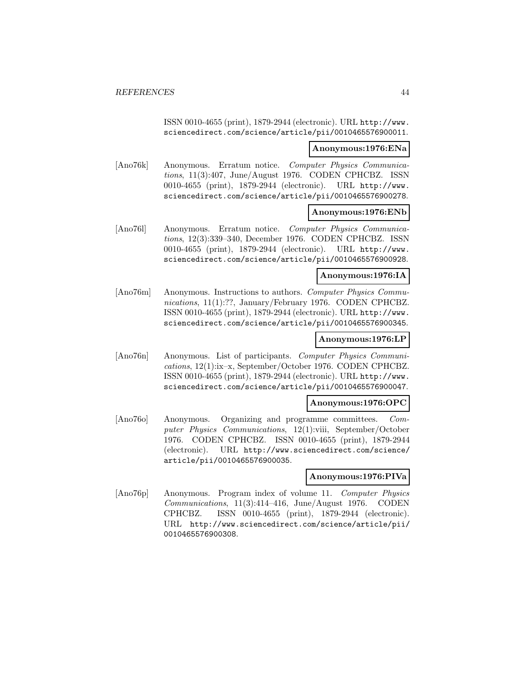ISSN 0010-4655 (print), 1879-2944 (electronic). URL http://www. sciencedirect.com/science/article/pii/0010465576900011.

### **Anonymous:1976:ENa**

[Ano76k] Anonymous. Erratum notice. Computer Physics Communications, 11(3):407, June/August 1976. CODEN CPHCBZ. ISSN 0010-4655 (print), 1879-2944 (electronic). URL http://www. sciencedirect.com/science/article/pii/0010465576900278.

## **Anonymous:1976:ENb**

[Ano76l] Anonymous. Erratum notice. Computer Physics Communications, 12(3):339–340, December 1976. CODEN CPHCBZ. ISSN 0010-4655 (print), 1879-2944 (electronic). URL http://www. sciencedirect.com/science/article/pii/0010465576900928.

## **Anonymous:1976:IA**

[Ano76m] Anonymous. Instructions to authors. Computer Physics Communications, 11(1):??, January/February 1976. CODEN CPHCBZ. ISSN 0010-4655 (print), 1879-2944 (electronic). URL http://www. sciencedirect.com/science/article/pii/0010465576900345.

# **Anonymous:1976:LP**

[Ano76n] Anonymous. List of participants. Computer Physics Communications, 12(1):ix–x, September/October 1976. CODEN CPHCBZ. ISSN 0010-4655 (print), 1879-2944 (electronic). URL http://www. sciencedirect.com/science/article/pii/0010465576900047.

## **Anonymous:1976:OPC**

[Ano76o] Anonymous. Organizing and programme committees. Computer Physics Communications, 12(1):viii, September/October 1976. CODEN CPHCBZ. ISSN 0010-4655 (print), 1879-2944 (electronic). URL http://www.sciencedirect.com/science/ article/pii/0010465576900035.

### **Anonymous:1976:PIVa**

[Ano76p] Anonymous. Program index of volume 11. Computer Physics Communications, 11(3):414–416, June/August 1976. CODEN CPHCBZ. ISSN 0010-4655 (print), 1879-2944 (electronic). URL http://www.sciencedirect.com/science/article/pii/ 0010465576900308.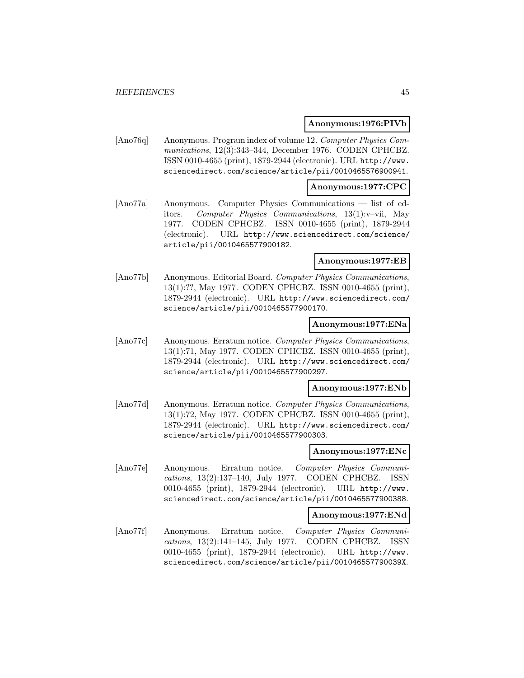### **Anonymous:1976:PIVb**

[Ano76q] Anonymous. Program index of volume 12. Computer Physics Communications, 12(3):343–344, December 1976. CODEN CPHCBZ. ISSN 0010-4655 (print), 1879-2944 (electronic). URL http://www. sciencedirect.com/science/article/pii/0010465576900941.

### **Anonymous:1977:CPC**

[Ano77a] Anonymous. Computer Physics Communications — list of editors. Computer Physics Communications, 13(1):v–vii, May 1977. CODEN CPHCBZ. ISSN 0010-4655 (print), 1879-2944 (electronic). URL http://www.sciencedirect.com/science/ article/pii/0010465577900182.

#### **Anonymous:1977:EB**

[Ano77b] Anonymous. Editorial Board. Computer Physics Communications, 13(1):??, May 1977. CODEN CPHCBZ. ISSN 0010-4655 (print), 1879-2944 (electronic). URL http://www.sciencedirect.com/ science/article/pii/0010465577900170.

#### **Anonymous:1977:ENa**

[Ano77c] Anonymous. Erratum notice. Computer Physics Communications, 13(1):71, May 1977. CODEN CPHCBZ. ISSN 0010-4655 (print), 1879-2944 (electronic). URL http://www.sciencedirect.com/ science/article/pii/0010465577900297.

#### **Anonymous:1977:ENb**

[Ano77d] Anonymous. Erratum notice. Computer Physics Communications, 13(1):72, May 1977. CODEN CPHCBZ. ISSN 0010-4655 (print), 1879-2944 (electronic). URL http://www.sciencedirect.com/ science/article/pii/0010465577900303.

### **Anonymous:1977:ENc**

[Ano77e] Anonymous. Erratum notice. Computer Physics Communications, 13(2):137–140, July 1977. CODEN CPHCBZ. ISSN 0010-4655 (print), 1879-2944 (electronic). URL http://www. sciencedirect.com/science/article/pii/0010465577900388.

#### **Anonymous:1977:ENd**

[Ano77f] Anonymous. Erratum notice. Computer Physics Communications, 13(2):141–145, July 1977. CODEN CPHCBZ. ISSN 0010-4655 (print), 1879-2944 (electronic). URL http://www. sciencedirect.com/science/article/pii/001046557790039X.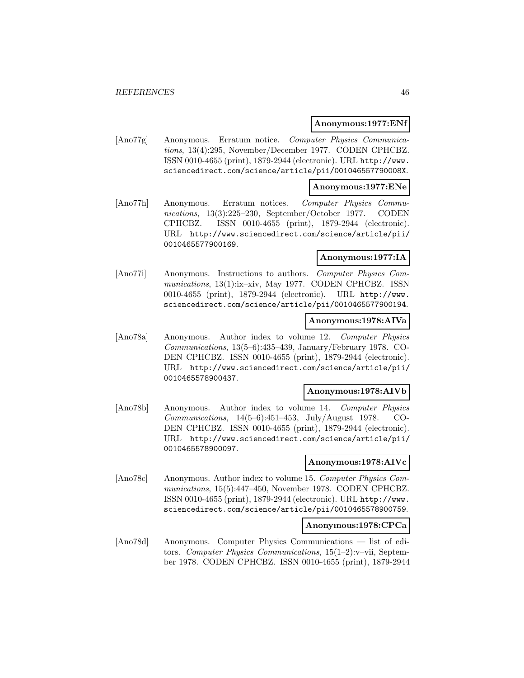### **Anonymous:1977:ENf**

[Ano77g] Anonymous. Erratum notice. Computer Physics Communications, 13(4):295, November/December 1977. CODEN CPHCBZ. ISSN 0010-4655 (print), 1879-2944 (electronic). URL http://www. sciencedirect.com/science/article/pii/001046557790008X.

## **Anonymous:1977:ENe**

[Ano77h] Anonymous. Erratum notices. Computer Physics Communications, 13(3):225–230, September/October 1977. CODEN CPHCBZ. ISSN 0010-4655 (print), 1879-2944 (electronic). URL http://www.sciencedirect.com/science/article/pii/ 0010465577900169.

## **Anonymous:1977:IA**

[Ano77i] Anonymous. Instructions to authors. Computer Physics Communications, 13(1):ix–xiv, May 1977. CODEN CPHCBZ. ISSN 0010-4655 (print), 1879-2944 (electronic). URL http://www. sciencedirect.com/science/article/pii/0010465577900194.

## **Anonymous:1978:AIVa**

[Ano78a] Anonymous. Author index to volume 12. Computer Physics Communications, 13(5–6):435–439, January/February 1978. CO-DEN CPHCBZ. ISSN 0010-4655 (print), 1879-2944 (electronic). URL http://www.sciencedirect.com/science/article/pii/ 0010465578900437.

### **Anonymous:1978:AIVb**

[Ano78b] Anonymous. Author index to volume 14. Computer Physics Communications, 14(5–6):451–453, July/August 1978. CO-DEN CPHCBZ. ISSN 0010-4655 (print), 1879-2944 (electronic). URL http://www.sciencedirect.com/science/article/pii/ 0010465578900097.

## **Anonymous:1978:AIVc**

[Ano78c] Anonymous. Author index to volume 15. Computer Physics Communications, 15(5):447–450, November 1978. CODEN CPHCBZ. ISSN 0010-4655 (print), 1879-2944 (electronic). URL http://www. sciencedirect.com/science/article/pii/0010465578900759.

# **Anonymous:1978:CPCa**

[Ano78d] Anonymous. Computer Physics Communications — list of editors. Computer Physics Communications, 15(1–2):v–vii, September 1978. CODEN CPHCBZ. ISSN 0010-4655 (print), 1879-2944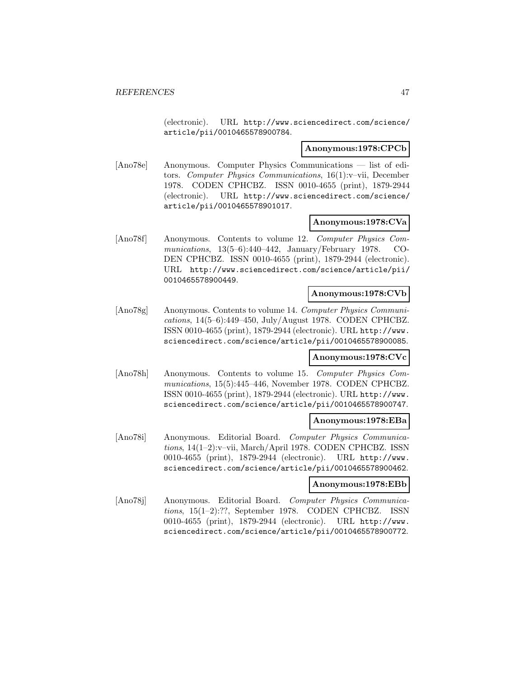(electronic). URL http://www.sciencedirect.com/science/ article/pii/0010465578900784.

### **Anonymous:1978:CPCb**

[Ano78e] Anonymous. Computer Physics Communications — list of editors. Computer Physics Communications, 16(1):v–vii, December 1978. CODEN CPHCBZ. ISSN 0010-4655 (print), 1879-2944 (electronic). URL http://www.sciencedirect.com/science/ article/pii/0010465578901017.

### **Anonymous:1978:CVa**

[Ano78f] Anonymous. Contents to volume 12. Computer Physics Communications, 13(5–6):440–442, January/February 1978. CO-DEN CPHCBZ. ISSN 0010-4655 (print), 1879-2944 (electronic). URL http://www.sciencedirect.com/science/article/pii/ 0010465578900449.

### **Anonymous:1978:CVb**

[Ano78g] Anonymous. Contents to volume 14. Computer Physics Communications, 14(5–6):449–450, July/August 1978. CODEN CPHCBZ. ISSN 0010-4655 (print), 1879-2944 (electronic). URL http://www. sciencedirect.com/science/article/pii/0010465578900085.

### **Anonymous:1978:CVc**

[Ano78h] Anonymous. Contents to volume 15. Computer Physics Communications, 15(5):445–446, November 1978. CODEN CPHCBZ. ISSN 0010-4655 (print), 1879-2944 (electronic). URL http://www. sciencedirect.com/science/article/pii/0010465578900747.

### **Anonymous:1978:EBa**

[Ano78i] Anonymous. Editorial Board. Computer Physics Communications, 14(1–2):v–vii, March/April 1978. CODEN CPHCBZ. ISSN 0010-4655 (print), 1879-2944 (electronic). URL http://www. sciencedirect.com/science/article/pii/0010465578900462.

### **Anonymous:1978:EBb**

[Ano78j] Anonymous. Editorial Board. Computer Physics Communications, 15(1–2):??, September 1978. CODEN CPHCBZ. ISSN 0010-4655 (print), 1879-2944 (electronic). URL http://www. sciencedirect.com/science/article/pii/0010465578900772.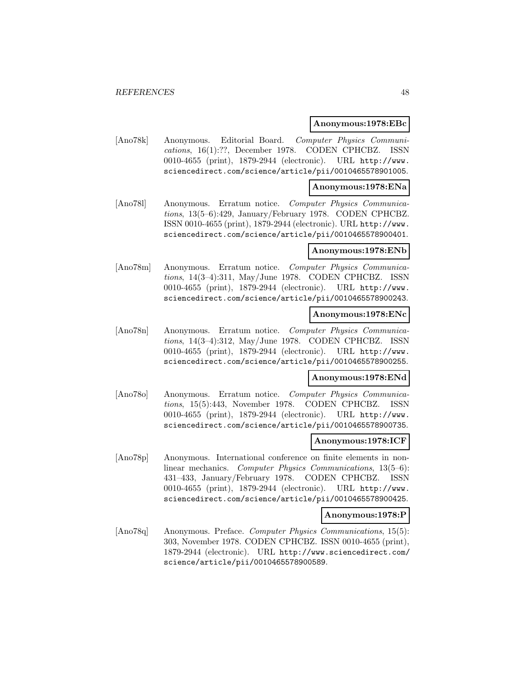### **Anonymous:1978:EBc**

[Ano78k] Anonymous. Editorial Board. Computer Physics Communications, 16(1):??, December 1978. CODEN CPHCBZ. ISSN 0010-4655 (print), 1879-2944 (electronic). URL http://www. sciencedirect.com/science/article/pii/0010465578901005.

### **Anonymous:1978:ENa**

[Ano78l] Anonymous. Erratum notice. Computer Physics Communications, 13(5–6):429, January/February 1978. CODEN CPHCBZ. ISSN 0010-4655 (print), 1879-2944 (electronic). URL http://www. sciencedirect.com/science/article/pii/0010465578900401.

# **Anonymous:1978:ENb**

[Ano78m] Anonymous. Erratum notice. Computer Physics Communications, 14(3–4):311, May/June 1978. CODEN CPHCBZ. ISSN 0010-4655 (print), 1879-2944 (electronic). URL http://www. sciencedirect.com/science/article/pii/0010465578900243.

### **Anonymous:1978:ENc**

[Ano78n] Anonymous. Erratum notice. Computer Physics Communications, 14(3–4):312, May/June 1978. CODEN CPHCBZ. ISSN 0010-4655 (print), 1879-2944 (electronic). URL http://www. sciencedirect.com/science/article/pii/0010465578900255.

## **Anonymous:1978:ENd**

[Ano78o] Anonymous. Erratum notice. Computer Physics Communications, 15(5):443, November 1978. CODEN CPHCBZ. ISSN 0010-4655 (print), 1879-2944 (electronic). URL http://www. sciencedirect.com/science/article/pii/0010465578900735.

## **Anonymous:1978:ICF**

[Ano78p] Anonymous. International conference on finite elements in nonlinear mechanics. Computer Physics Communications, 13(5–6): 431–433, January/February 1978. CODEN CPHCBZ. ISSN 0010-4655 (print), 1879-2944 (electronic). URL http://www. sciencedirect.com/science/article/pii/0010465578900425.

#### **Anonymous:1978:P**

[Ano78q] Anonymous. Preface. Computer Physics Communications, 15(5): 303, November 1978. CODEN CPHCBZ. ISSN 0010-4655 (print), 1879-2944 (electronic). URL http://www.sciencedirect.com/ science/article/pii/0010465578900589.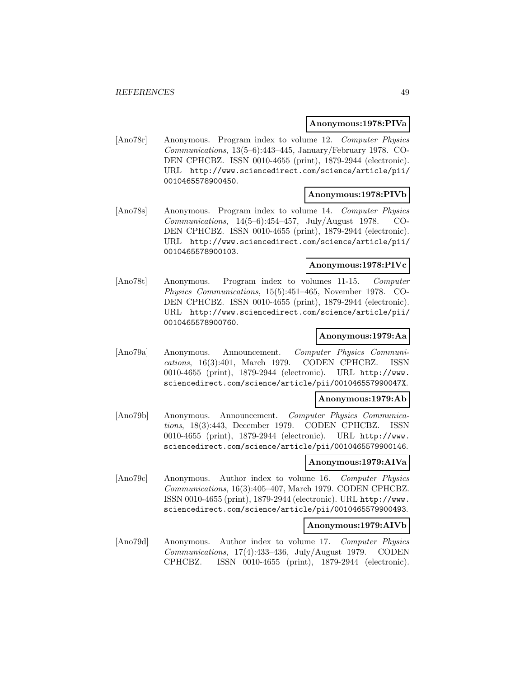### **Anonymous:1978:PIVa**

[Ano78r] Anonymous. Program index to volume 12. Computer Physics Communications, 13(5–6):443–445, January/February 1978. CO-DEN CPHCBZ. ISSN 0010-4655 (print), 1879-2944 (electronic). URL http://www.sciencedirect.com/science/article/pii/ 0010465578900450.

### **Anonymous:1978:PIVb**

[Ano78s] Anonymous. Program index to volume 14. Computer Physics Communications, 14(5–6):454–457, July/August 1978. CO-DEN CPHCBZ. ISSN 0010-4655 (print), 1879-2944 (electronic). URL http://www.sciencedirect.com/science/article/pii/ 0010465578900103.

### **Anonymous:1978:PIVc**

[Ano78t] Anonymous. Program index to volumes 11-15. Computer Physics Communications, 15(5):451–465, November 1978. CO-DEN CPHCBZ. ISSN 0010-4655 (print), 1879-2944 (electronic). URL http://www.sciencedirect.com/science/article/pii/ 0010465578900760.

### **Anonymous:1979:Aa**

[Ano79a] Anonymous. Announcement. Computer Physics Communications, 16(3):401, March 1979. CODEN CPHCBZ. ISSN 0010-4655 (print), 1879-2944 (electronic). URL http://www. sciencedirect.com/science/article/pii/001046557990047X.

### **Anonymous:1979:Ab**

[Ano79b] Anonymous. Announcement. Computer Physics Communications, 18(3):443, December 1979. CODEN CPHCBZ. ISSN 0010-4655 (print), 1879-2944 (electronic). URL http://www. sciencedirect.com/science/article/pii/0010465579900146.

## **Anonymous:1979:AIVa**

[Ano79c] Anonymous. Author index to volume 16. Computer Physics Communications, 16(3):405–407, March 1979. CODEN CPHCBZ. ISSN 0010-4655 (print), 1879-2944 (electronic). URL http://www. sciencedirect.com/science/article/pii/0010465579900493.

## **Anonymous:1979:AIVb**

[Ano79d] Anonymous. Author index to volume 17. Computer Physics Communications, 17(4):433–436, July/August 1979. CODEN CPHCBZ. ISSN 0010-4655 (print), 1879-2944 (electronic).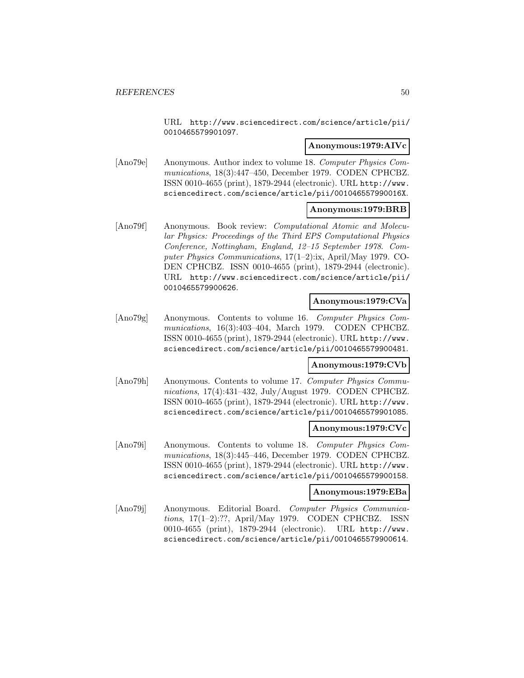URL http://www.sciencedirect.com/science/article/pii/ 0010465579901097.

# **Anonymous:1979:AIVc**

[Ano79e] Anonymous. Author index to volume 18. Computer Physics Communications, 18(3):447–450, December 1979. CODEN CPHCBZ. ISSN 0010-4655 (print), 1879-2944 (electronic). URL http://www. sciencedirect.com/science/article/pii/001046557990016X.

## **Anonymous:1979:BRB**

[Ano79f] Anonymous. Book review: Computational Atomic and Molecular Physics: Proceedings of the Third EPS Computational Physics Conference, Nottingham, England, 12–15 September 1978. Computer Physics Communications, 17(1–2):ix, April/May 1979. CO-DEN CPHCBZ. ISSN 0010-4655 (print), 1879-2944 (electronic). URL http://www.sciencedirect.com/science/article/pii/ 0010465579900626.

## **Anonymous:1979:CVa**

[Ano79g] Anonymous. Contents to volume 16. Computer Physics Communications, 16(3):403–404, March 1979. CODEN CPHCBZ. ISSN 0010-4655 (print), 1879-2944 (electronic). URL http://www. sciencedirect.com/science/article/pii/0010465579900481.

### **Anonymous:1979:CVb**

[Ano79h] Anonymous. Contents to volume 17. Computer Physics Communications, 17(4):431–432, July/August 1979. CODEN CPHCBZ. ISSN 0010-4655 (print), 1879-2944 (electronic). URL http://www. sciencedirect.com/science/article/pii/0010465579901085.

## **Anonymous:1979:CVc**

[Ano79i] Anonymous. Contents to volume 18. Computer Physics Communications, 18(3):445–446, December 1979. CODEN CPHCBZ. ISSN 0010-4655 (print), 1879-2944 (electronic). URL http://www. sciencedirect.com/science/article/pii/0010465579900158.

#### **Anonymous:1979:EBa**

[Ano79j] Anonymous. Editorial Board. Computer Physics Communications, 17(1–2):??, April/May 1979. CODEN CPHCBZ. ISSN 0010-4655 (print), 1879-2944 (electronic). URL http://www. sciencedirect.com/science/article/pii/0010465579900614.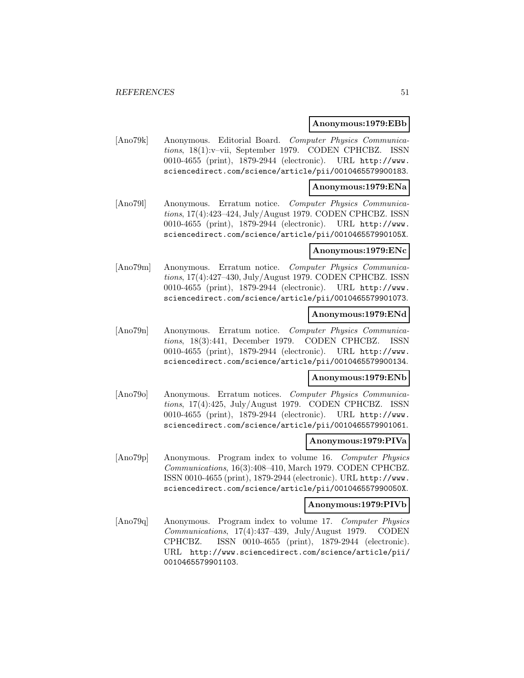### **Anonymous:1979:EBb**

[Ano79k] Anonymous. Editorial Board. Computer Physics Communications, 18(1):v–vii, September 1979. CODEN CPHCBZ. ISSN 0010-4655 (print), 1879-2944 (electronic). URL http://www. sciencedirect.com/science/article/pii/0010465579900183.

### **Anonymous:1979:ENa**

[Ano79l] Anonymous. Erratum notice. Computer Physics Communications, 17(4):423–424, July/August 1979. CODEN CPHCBZ. ISSN 0010-4655 (print), 1879-2944 (electronic). URL http://www. sciencedirect.com/science/article/pii/001046557990105X.

### **Anonymous:1979:ENc**

[Ano79m] Anonymous. Erratum notice. Computer Physics Communications, 17(4):427–430, July/August 1979. CODEN CPHCBZ. ISSN 0010-4655 (print), 1879-2944 (electronic). URL http://www. sciencedirect.com/science/article/pii/0010465579901073.

## **Anonymous:1979:ENd**

[Ano79n] Anonymous. Erratum notice. Computer Physics Communications, 18(3):441, December 1979. CODEN CPHCBZ. ISSN 0010-4655 (print), 1879-2944 (electronic). URL http://www. sciencedirect.com/science/article/pii/0010465579900134.

# **Anonymous:1979:ENb**

[Ano79o] Anonymous. Erratum notices. Computer Physics Communications, 17(4):425, July/August 1979. CODEN CPHCBZ. ISSN 0010-4655 (print), 1879-2944 (electronic). URL http://www. sciencedirect.com/science/article/pii/0010465579901061.

#### **Anonymous:1979:PIVa**

[Ano79p] Anonymous. Program index to volume 16. Computer Physics Communications, 16(3):408–410, March 1979. CODEN CPHCBZ. ISSN 0010-4655 (print), 1879-2944 (electronic). URL http://www. sciencedirect.com/science/article/pii/001046557990050X.

#### **Anonymous:1979:PIVb**

[Ano79q] Anonymous. Program index to volume 17. Computer Physics Communications, 17(4):437–439, July/August 1979. CODEN CPHCBZ. ISSN 0010-4655 (print), 1879-2944 (electronic). URL http://www.sciencedirect.com/science/article/pii/ 0010465579901103.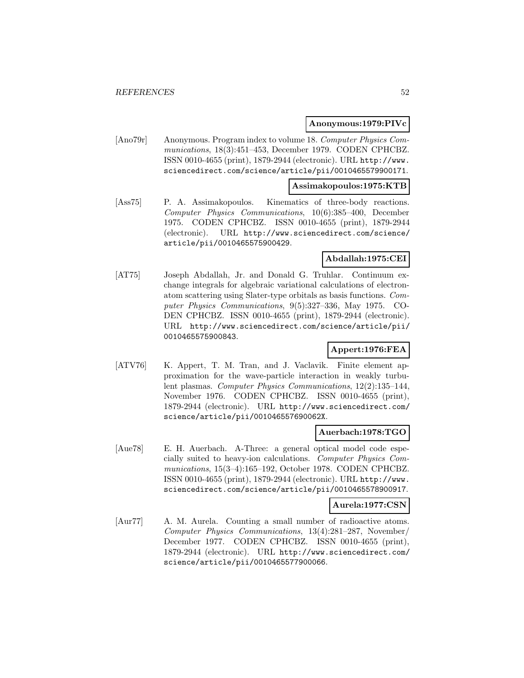## **Anonymous:1979:PIVc**

[Ano79r] Anonymous. Program index to volume 18. Computer Physics Communications, 18(3):451–453, December 1979. CODEN CPHCBZ. ISSN 0010-4655 (print), 1879-2944 (electronic). URL http://www. sciencedirect.com/science/article/pii/0010465579900171.

#### **Assimakopoulos:1975:KTB**

[Ass75] P. A. Assimakopoulos. Kinematics of three-body reactions. Computer Physics Communications, 10(6):385–400, December 1975. CODEN CPHCBZ. ISSN 0010-4655 (print), 1879-2944 (electronic). URL http://www.sciencedirect.com/science/ article/pii/0010465575900429.

# **Abdallah:1975:CEI**

[AT75] Joseph Abdallah, Jr. and Donald G. Truhlar. Continuum exchange integrals for algebraic variational calculations of electronatom scattering using Slater-type orbitals as basis functions. Computer Physics Communications, 9(5):327–336, May 1975. CO-DEN CPHCBZ. ISSN 0010-4655 (print), 1879-2944 (electronic). URL http://www.sciencedirect.com/science/article/pii/ 0010465575900843.

# **Appert:1976:FEA**

[ATV76] K. Appert, T. M. Tran, and J. Vaclavik. Finite element approximation for the wave-particle interaction in weakly turbulent plasmas. Computer Physics Communications, 12(2):135–144, November 1976. CODEN CPHCBZ. ISSN 0010-4655 (print), 1879-2944 (electronic). URL http://www.sciencedirect.com/ science/article/pii/001046557690062X.

#### **Auerbach:1978:TGO**

[Aue78] E. H. Auerbach. A-Three: a general optical model code especially suited to heavy-ion calculations. Computer Physics Communications, 15(3–4):165–192, October 1978. CODEN CPHCBZ. ISSN 0010-4655 (print), 1879-2944 (electronic). URL http://www. sciencedirect.com/science/article/pii/0010465578900917.

#### **Aurela:1977:CSN**

[Aur77] A. M. Aurela. Counting a small number of radioactive atoms. Computer Physics Communications, 13(4):281–287, November/ December 1977. CODEN CPHCBZ. ISSN 0010-4655 (print), 1879-2944 (electronic). URL http://www.sciencedirect.com/ science/article/pii/0010465577900066.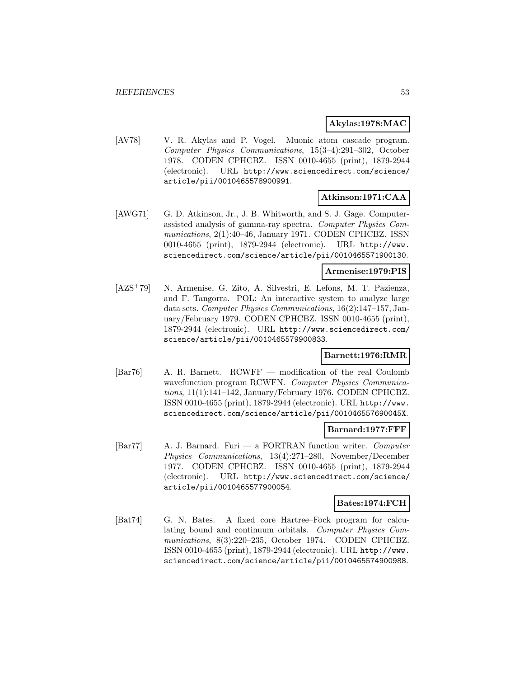## **Akylas:1978:MAC**

[AV78] V. R. Akylas and P. Vogel. Muonic atom cascade program. Computer Physics Communications, 15(3–4):291–302, October 1978. CODEN CPHCBZ. ISSN 0010-4655 (print), 1879-2944 (electronic). URL http://www.sciencedirect.com/science/ article/pii/0010465578900991.

# **Atkinson:1971:CAA**

[AWG71] G. D. Atkinson, Jr., J. B. Whitworth, and S. J. Gage. Computerassisted analysis of gamma-ray spectra. Computer Physics Communications, 2(1):40–46, January 1971. CODEN CPHCBZ. ISSN 0010-4655 (print), 1879-2944 (electronic). URL http://www. sciencedirect.com/science/article/pii/0010465571900130.

## **Armenise:1979:PIS**

[AZS<sup>+</sup>79] N. Armenise, G. Zito, A. Silvestri, E. Lefons, M. T. Pazienza, and F. Tangorra. POL: An interactive system to analyze large data sets. Computer Physics Communications, 16(2):147–157, January/February 1979. CODEN CPHCBZ. ISSN 0010-4655 (print), 1879-2944 (electronic). URL http://www.sciencedirect.com/ science/article/pii/0010465579900833.

# **Barnett:1976:RMR**

[Bar76] A. R. Barnett. RCWFF — modification of the real Coulomb wavefunction program RCWFN. Computer Physics Communications, 11(1):141–142, January/February 1976. CODEN CPHCBZ. ISSN 0010-4655 (print), 1879-2944 (electronic). URL http://www. sciencedirect.com/science/article/pii/001046557690045X.

## **Barnard:1977:FFF**

 $\text{[Bar77]}$  A. J. Barnard. Furi — a FORTRAN function writer. Computer Physics Communications, 13(4):271–280, November/December 1977. CODEN CPHCBZ. ISSN 0010-4655 (print), 1879-2944 (electronic). URL http://www.sciencedirect.com/science/ article/pii/0010465577900054.

## **Bates:1974:FCH**

[Bat74] G. N. Bates. A fixed core Hartree–Fock program for calculating bound and continuum orbitals. Computer Physics Communications, 8(3):220–235, October 1974. CODEN CPHCBZ. ISSN 0010-4655 (print), 1879-2944 (electronic). URL http://www. sciencedirect.com/science/article/pii/0010465574900988.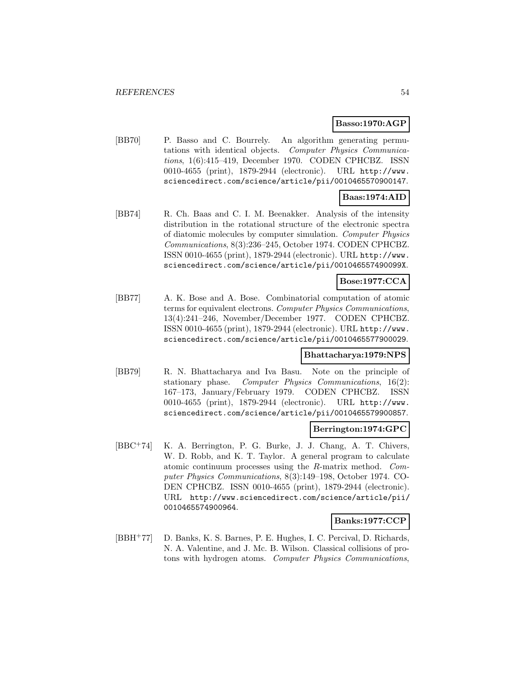# **Basso:1970:AGP**

[BB70] P. Basso and C. Bourrely. An algorithm generating permutations with identical objects. Computer Physics Communications, 1(6):415–419, December 1970. CODEN CPHCBZ. ISSN 0010-4655 (print), 1879-2944 (electronic). URL http://www. sciencedirect.com/science/article/pii/0010465570900147.

# **Baas:1974:AID**

[BB74] R. Ch. Baas and C. I. M. Beenakker. Analysis of the intensity distribution in the rotational structure of the electronic spectra of diatomic molecules by computer simulation. Computer Physics Communications, 8(3):236–245, October 1974. CODEN CPHCBZ. ISSN 0010-4655 (print), 1879-2944 (electronic). URL http://www. sciencedirect.com/science/article/pii/001046557490099X.

# **Bose:1977:CCA**

[BB77] A. K. Bose and A. Bose. Combinatorial computation of atomic terms for equivalent electrons. Computer Physics Communications, 13(4):241–246, November/December 1977. CODEN CPHCBZ. ISSN 0010-4655 (print), 1879-2944 (electronic). URL http://www. sciencedirect.com/science/article/pii/0010465577900029.

# **Bhattacharya:1979:NPS**

[BB79] R. N. Bhattacharya and Iva Basu. Note on the principle of stationary phase. Computer Physics Communications, 16(2): 167–173, January/February 1979. CODEN CPHCBZ. ISSN 0010-4655 (print), 1879-2944 (electronic). URL http://www. sciencedirect.com/science/article/pii/0010465579900857.

## **Berrington:1974:GPC**

[BBC<sup>+</sup>74] K. A. Berrington, P. G. Burke, J. J. Chang, A. T. Chivers, W. D. Robb, and K. T. Taylor. A general program to calculate atomic continuum processes using the R-matrix method. Computer Physics Communications, 8(3):149–198, October 1974. CO-DEN CPHCBZ. ISSN 0010-4655 (print), 1879-2944 (electronic). URL http://www.sciencedirect.com/science/article/pii/ 0010465574900964.

## **Banks:1977:CCP**

[BBH<sup>+</sup>77] D. Banks, K. S. Barnes, P. E. Hughes, I. C. Percival, D. Richards, N. A. Valentine, and J. Mc. B. Wilson. Classical collisions of protons with hydrogen atoms. Computer Physics Communications,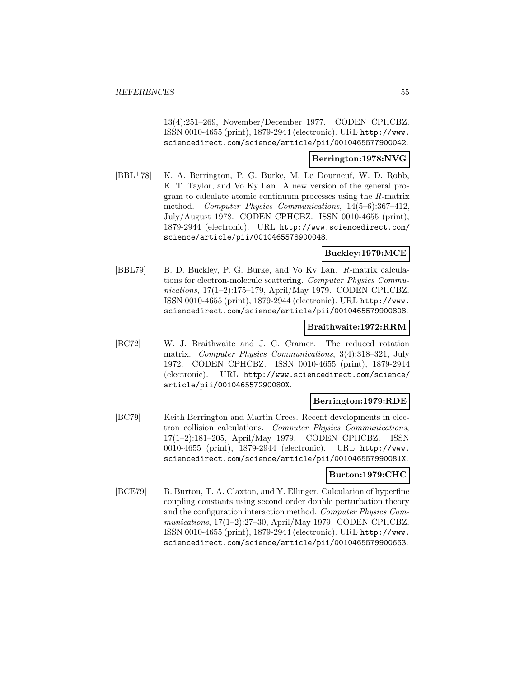13(4):251–269, November/December 1977. CODEN CPHCBZ. ISSN 0010-4655 (print), 1879-2944 (electronic). URL http://www. sciencedirect.com/science/article/pii/0010465577900042.

### **Berrington:1978:NVG**

[BBL<sup>+</sup>78] K. A. Berrington, P. G. Burke, M. Le Dourneuf, W. D. Robb, K. T. Taylor, and Vo Ky Lan. A new version of the general program to calculate atomic continuum processes using the R-matrix method. Computer Physics Communications, 14(5–6):367–412, July/August 1978. CODEN CPHCBZ. ISSN 0010-4655 (print), 1879-2944 (electronic). URL http://www.sciencedirect.com/ science/article/pii/0010465578900048.

# **Buckley:1979:MCE**

[BBL79] B. D. Buckley, P. G. Burke, and Vo Ky Lan. R-matrix calculations for electron-molecule scattering. Computer Physics Communications, 17(1–2):175–179, April/May 1979. CODEN CPHCBZ. ISSN 0010-4655 (print), 1879-2944 (electronic). URL http://www. sciencedirect.com/science/article/pii/0010465579900808.

## **Braithwaite:1972:RRM**

[BC72] W. J. Braithwaite and J. G. Cramer. The reduced rotation matrix. Computer Physics Communications, 3(4):318–321, July 1972. CODEN CPHCBZ. ISSN 0010-4655 (print), 1879-2944 (electronic). URL http://www.sciencedirect.com/science/ article/pii/001046557290080X.

# **Berrington:1979:RDE**

[BC79] Keith Berrington and Martin Crees. Recent developments in electron collision calculations. Computer Physics Communications, 17(1–2):181–205, April/May 1979. CODEN CPHCBZ. ISSN 0010-4655 (print), 1879-2944 (electronic). URL http://www. sciencedirect.com/science/article/pii/001046557990081X.

## **Burton:1979:CHC**

[BCE79] B. Burton, T. A. Claxton, and Y. Ellinger. Calculation of hyperfine coupling constants using second order double perturbation theory and the configuration interaction method. Computer Physics Communications, 17(1–2):27–30, April/May 1979. CODEN CPHCBZ. ISSN 0010-4655 (print), 1879-2944 (electronic). URL http://www. sciencedirect.com/science/article/pii/0010465579900663.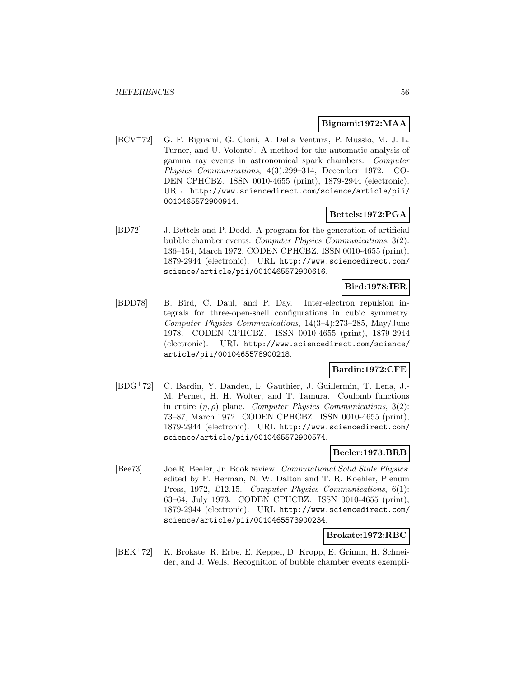# **Bignami:1972:MAA**

[BCV<sup>+</sup>72] G. F. Bignami, G. Cioni, A. Della Ventura, P. Mussio, M. J. L. Turner, and U. Volonte'. A method for the automatic analysis of gamma ray events in astronomical spark chambers. Computer Physics Communications, 4(3):299–314, December 1972. CO-DEN CPHCBZ. ISSN 0010-4655 (print), 1879-2944 (electronic). URL http://www.sciencedirect.com/science/article/pii/ 0010465572900914.

# **Bettels:1972:PGA**

[BD72] J. Bettels and P. Dodd. A program for the generation of artificial bubble chamber events. Computer Physics Communications, 3(2): 136–154, March 1972. CODEN CPHCBZ. ISSN 0010-4655 (print), 1879-2944 (electronic). URL http://www.sciencedirect.com/ science/article/pii/0010465572900616.

# **Bird:1978:IER**

[BDD78] B. Bird, C. Daul, and P. Day. Inter-electron repulsion integrals for three-open-shell configurations in cubic symmetry. Computer Physics Communications, 14(3–4):273–285, May/June 1978. CODEN CPHCBZ. ISSN 0010-4655 (print), 1879-2944 (electronic). URL http://www.sciencedirect.com/science/ article/pii/0010465578900218.

# **Bardin:1972:CFE**

[BDG<sup>+</sup>72] C. Bardin, Y. Dandeu, L. Gauthier, J. Guillermin, T. Lena, J.- M. Pernet, H. H. Wolter, and T. Tamura. Coulomb functions in entire  $(\eta, \rho)$  plane. Computer Physics Communications, 3(2): 73–87, March 1972. CODEN CPHCBZ. ISSN 0010-4655 (print), 1879-2944 (electronic). URL http://www.sciencedirect.com/ science/article/pii/0010465572900574.

# **Beeler:1973:BRB**

[Bee73] Joe R. Beeler, Jr. Book review: Computational Solid State Physics: edited by F. Herman, N. W. Dalton and T. R. Koehler, Plenum Press, 1972, £12.15. Computer Physics Communications, 6(1): 63–64, July 1973. CODEN CPHCBZ. ISSN 0010-4655 (print), 1879-2944 (electronic). URL http://www.sciencedirect.com/ science/article/pii/0010465573900234.

# **Brokate:1972:RBC**

[BEK<sup>+</sup>72] K. Brokate, R. Erbe, E. Keppel, D. Kropp, E. Grimm, H. Schneider, and J. Wells. Recognition of bubble chamber events exempli-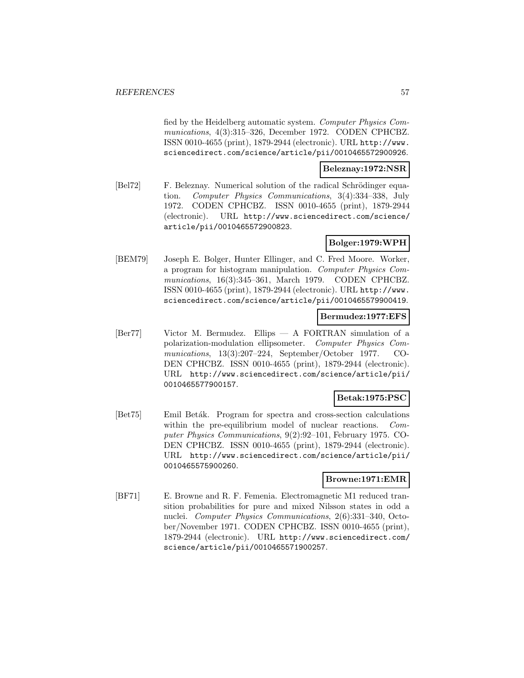fied by the Heidelberg automatic system. Computer Physics Communications, 4(3):315–326, December 1972. CODEN CPHCBZ. ISSN 0010-4655 (print), 1879-2944 (electronic). URL http://www. sciencedirect.com/science/article/pii/0010465572900926.

# **Beleznay:1972:NSR**

[Bel72] F. Beleznay. Numerical solution of the radical Schrödinger equation. Computer Physics Communications, 3(4):334–338, July 1972. CODEN CPHCBZ. ISSN 0010-4655 (print), 1879-2944 (electronic). URL http://www.sciencedirect.com/science/ article/pii/0010465572900823.

# **Bolger:1979:WPH**

[BEM79] Joseph E. Bolger, Hunter Ellinger, and C. Fred Moore. Worker, a program for histogram manipulation. Computer Physics Communications, 16(3):345–361, March 1979. CODEN CPHCBZ. ISSN 0010-4655 (print), 1879-2944 (electronic). URL http://www. sciencedirect.com/science/article/pii/0010465579900419.

## **Bermudez:1977:EFS**

[Ber77] Victor M. Bermudez. Ellips — A FORTRAN simulation of a polarization-modulation ellipsometer. Computer Physics Communications, 13(3):207–224, September/October 1977. CO-DEN CPHCBZ. ISSN 0010-4655 (print), 1879-2944 (electronic). URL http://www.sciencedirect.com/science/article/pii/ 0010465577900157.

# **Betak:1975:PSC**

[Bet75] Emil Betak. Program for spectra and cross-section calculations within the pre-equilibrium model of nuclear reactions. Computer Physics Communications, 9(2):92–101, February 1975. CO-DEN CPHCBZ. ISSN 0010-4655 (print), 1879-2944 (electronic). URL http://www.sciencedirect.com/science/article/pii/ 0010465575900260.

# **Browne:1971:EMR**

[BF71] E. Browne and R. F. Femenia. Electromagnetic M1 reduced transition probabilities for pure and mixed Nilsson states in odd a nuclei. Computer Physics Communications, 2(6):331–340, October/November 1971. CODEN CPHCBZ. ISSN 0010-4655 (print), 1879-2944 (electronic). URL http://www.sciencedirect.com/ science/article/pii/0010465571900257.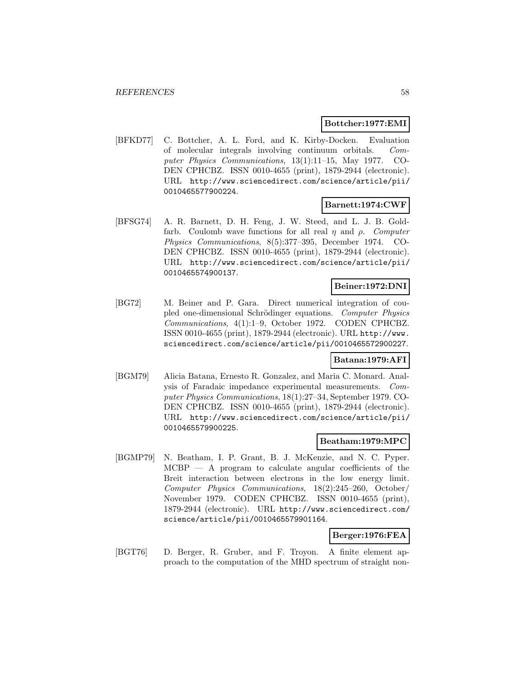## **Bottcher:1977:EMI**

[BFKD77] C. Bottcher, A. L. Ford, and K. Kirby-Docken. Evaluation of molecular integrals involving continuum orbitals. Computer Physics Communications, 13(1):11–15, May 1977. CO-DEN CPHCBZ. ISSN 0010-4655 (print), 1879-2944 (electronic). URL http://www.sciencedirect.com/science/article/pii/ 0010465577900224.

## **Barnett:1974:CWF**

[BFSG74] A. R. Barnett, D. H. Feng, J. W. Steed, and L. J. B. Goldfarb. Coulomb wave functions for all real  $\eta$  and  $\rho$ . Computer Physics Communications, 8(5):377–395, December 1974. CO-DEN CPHCBZ. ISSN 0010-4655 (print), 1879-2944 (electronic). URL http://www.sciencedirect.com/science/article/pii/ 0010465574900137.

# **Beiner:1972:DNI**

[BG72] M. Beiner and P. Gara. Direct numerical integration of coupled one-dimensional Schrödinger equations. Computer Physics Communications, 4(1):1–9, October 1972. CODEN CPHCBZ. ISSN 0010-4655 (print), 1879-2944 (electronic). URL http://www. sciencedirect.com/science/article/pii/0010465572900227.

## **Batana:1979:AFI**

[BGM79] Alicia Batana, Ernesto R. Gonzalez, and Maria C. Monard. Analysis of Faradaic impedance experimental measurements. Computer Physics Communications, 18(1):27–34, September 1979. CO-DEN CPHCBZ. ISSN 0010-4655 (print), 1879-2944 (electronic). URL http://www.sciencedirect.com/science/article/pii/ 0010465579900225.

# **Beatham:1979:MPC**

[BGMP79] N. Beatham, I. P. Grant, B. J. McKenzie, and N. C. Pyper.  $MCBP - A$  program to calculate angular coefficients of the Breit interaction between electrons in the low energy limit. Computer Physics Communications, 18(2):245–260, October/ November 1979. CODEN CPHCBZ. ISSN 0010-4655 (print), 1879-2944 (electronic). URL http://www.sciencedirect.com/ science/article/pii/0010465579901164.

## **Berger:1976:FEA**

[BGT76] D. Berger, R. Gruber, and F. Troyon. A finite element approach to the computation of the MHD spectrum of straight non-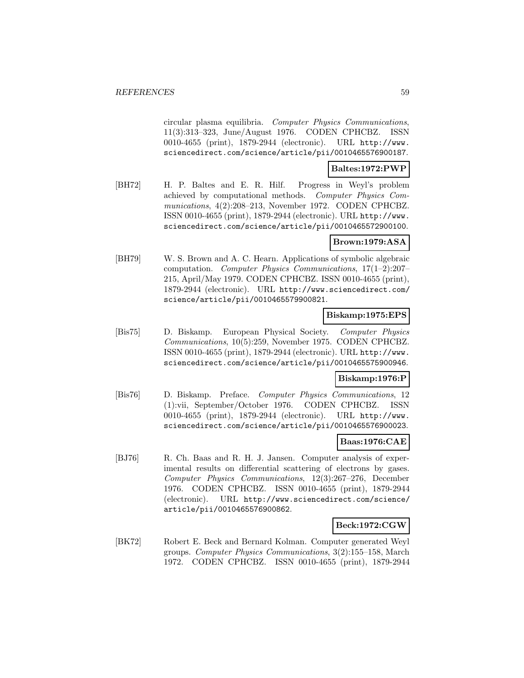circular plasma equilibria. Computer Physics Communications, 11(3):313–323, June/August 1976. CODEN CPHCBZ. ISSN 0010-4655 (print), 1879-2944 (electronic). URL http://www. sciencedirect.com/science/article/pii/0010465576900187.

# **Baltes:1972:PWP**

[BH72] H. P. Baltes and E. R. Hilf. Progress in Weyl's problem achieved by computational methods. Computer Physics Communications, 4(2):208–213, November 1972. CODEN CPHCBZ. ISSN 0010-4655 (print), 1879-2944 (electronic). URL http://www. sciencedirect.com/science/article/pii/0010465572900100.

# **Brown:1979:ASA**

[BH79] W. S. Brown and A. C. Hearn. Applications of symbolic algebraic computation. Computer Physics Communications, 17(1–2):207– 215, April/May 1979. CODEN CPHCBZ. ISSN 0010-4655 (print), 1879-2944 (electronic). URL http://www.sciencedirect.com/ science/article/pii/0010465579900821.

## **Biskamp:1975:EPS**

[Bis75] D. Biskamp. European Physical Society. Computer Physics Communications, 10(5):259, November 1975. CODEN CPHCBZ. ISSN 0010-4655 (print), 1879-2944 (electronic). URL http://www. sciencedirect.com/science/article/pii/0010465575900946.

## **Biskamp:1976:P**

[Bis76] D. Biskamp. Preface. Computer Physics Communications, 12 (1):vii, September/October 1976. CODEN CPHCBZ. ISSN 0010-4655 (print), 1879-2944 (electronic). URL http://www. sciencedirect.com/science/article/pii/0010465576900023.

## **Baas:1976:CAE**

[BJ76] R. Ch. Baas and R. H. J. Jansen. Computer analysis of experimental results on differential scattering of electrons by gases. Computer Physics Communications, 12(3):267–276, December 1976. CODEN CPHCBZ. ISSN 0010-4655 (print), 1879-2944 (electronic). URL http://www.sciencedirect.com/science/ article/pii/0010465576900862.

# **Beck:1972:CGW**

[BK72] Robert E. Beck and Bernard Kolman. Computer generated Weyl groups. Computer Physics Communications, 3(2):155–158, March 1972. CODEN CPHCBZ. ISSN 0010-4655 (print), 1879-2944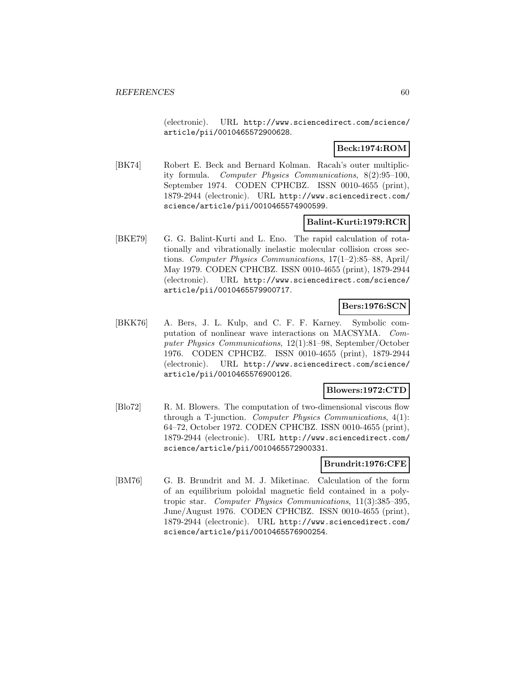(electronic). URL http://www.sciencedirect.com/science/ article/pii/0010465572900628.

# **Beck:1974:ROM**

[BK74] Robert E. Beck and Bernard Kolman. Racah's outer multiplicity formula. Computer Physics Communications, 8(2):95–100, September 1974. CODEN CPHCBZ. ISSN 0010-4655 (print), 1879-2944 (electronic). URL http://www.sciencedirect.com/ science/article/pii/0010465574900599.

# **Balint-Kurti:1979:RCR**

[BKE79] G. G. Balint-Kurti and L. Eno. The rapid calculation of rotationally and vibrationally inelastic molecular collision cross sections. Computer Physics Communications, 17(1–2):85–88, April/ May 1979. CODEN CPHCBZ. ISSN 0010-4655 (print), 1879-2944 (electronic). URL http://www.sciencedirect.com/science/ article/pii/0010465579900717.

## **Bers:1976:SCN**

[BKK76] A. Bers, J. L. Kulp, and C. F. F. Karney. Symbolic computation of nonlinear wave interactions on MACSYMA. Computer Physics Communications, 12(1):81–98, September/October 1976. CODEN CPHCBZ. ISSN 0010-4655 (print), 1879-2944 (electronic). URL http://www.sciencedirect.com/science/ article/pii/0010465576900126.

### **Blowers:1972:CTD**

[Blo72] R. M. Blowers. The computation of two-dimensional viscous flow through a T-junction. Computer Physics Communications,  $4(1)$ : 64–72, October 1972. CODEN CPHCBZ. ISSN 0010-4655 (print), 1879-2944 (electronic). URL http://www.sciencedirect.com/ science/article/pii/0010465572900331.

# **Brundrit:1976:CFE**

[BM76] G. B. Brundrit and M. J. Miketinac. Calculation of the form of an equilibrium poloidal magnetic field contained in a polytropic star. Computer Physics Communications, 11(3):385–395, June/August 1976. CODEN CPHCBZ. ISSN 0010-4655 (print), 1879-2944 (electronic). URL http://www.sciencedirect.com/ science/article/pii/0010465576900254.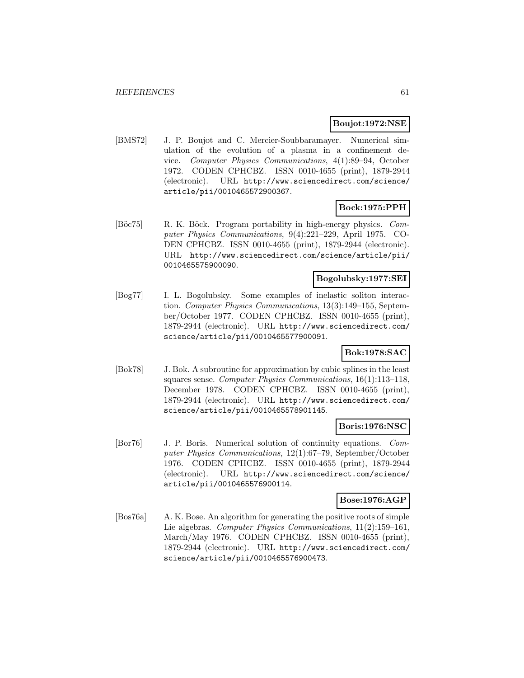## **Boujot:1972:NSE**

[BMS72] J. P. Boujot and C. Mercier-Soubbaramayer. Numerical simulation of the evolution of a plasma in a confinement device. Computer Physics Communications, 4(1):89–94, October 1972. CODEN CPHCBZ. ISSN 0010-4655 (print), 1879-2944 (electronic). URL http://www.sciencedirect.com/science/ article/pii/0010465572900367.

# **Bock:1975:PPH**

[Böc75] R. K. Böck. Program portability in high-energy physics. Computer Physics Communications, 9(4):221–229, April 1975. CO-DEN CPHCBZ. ISSN 0010-4655 (print), 1879-2944 (electronic). URL http://www.sciencedirect.com/science/article/pii/ 0010465575900090.

# **Bogolubsky:1977:SEI**

[Bog77] I. L. Bogolubsky. Some examples of inelastic soliton interaction. Computer Physics Communications, 13(3):149–155, September/October 1977. CODEN CPHCBZ. ISSN 0010-4655 (print), 1879-2944 (electronic). URL http://www.sciencedirect.com/ science/article/pii/0010465577900091.

# **Bok:1978:SAC**

[Bok78] J. Bok. A subroutine for approximation by cubic splines in the least squares sense. Computer Physics Communications, 16(1):113–118, December 1978. CODEN CPHCBZ. ISSN 0010-4655 (print), 1879-2944 (electronic). URL http://www.sciencedirect.com/ science/article/pii/0010465578901145.

## **Boris:1976:NSC**

[Bor76] J. P. Boris. Numerical solution of continuity equations. Computer Physics Communications, 12(1):67–79, September/October 1976. CODEN CPHCBZ. ISSN 0010-4655 (print), 1879-2944 (electronic). URL http://www.sciencedirect.com/science/ article/pii/0010465576900114.

# **Bose:1976:AGP**

[Bos76a] A. K. Bose. An algorithm for generating the positive roots of simple Lie algebras. Computer Physics Communications, 11(2):159–161, March/May 1976. CODEN CPHCBZ. ISSN 0010-4655 (print), 1879-2944 (electronic). URL http://www.sciencedirect.com/ science/article/pii/0010465576900473.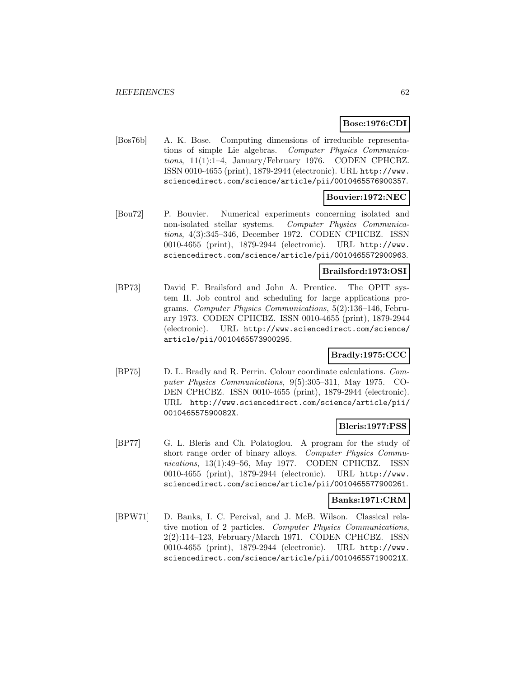# **Bose:1976:CDI**

[Bos76b] A. K. Bose. Computing dimensions of irreducible representations of simple Lie algebras. Computer Physics Communications, 11(1):1–4, January/February 1976. CODEN CPHCBZ. ISSN 0010-4655 (print), 1879-2944 (electronic). URL http://www. sciencedirect.com/science/article/pii/0010465576900357.

## **Bouvier:1972:NEC**

[Bou72] P. Bouvier. Numerical experiments concerning isolated and non-isolated stellar systems. Computer Physics Communications, 4(3):345–346, December 1972. CODEN CPHCBZ. ISSN 0010-4655 (print), 1879-2944 (electronic). URL http://www. sciencedirect.com/science/article/pii/0010465572900963.

## **Brailsford:1973:OSI**

[BP73] David F. Brailsford and John A. Prentice. The OPIT system II. Job control and scheduling for large applications programs. Computer Physics Communications, 5(2):136–146, February 1973. CODEN CPHCBZ. ISSN 0010-4655 (print), 1879-2944 (electronic). URL http://www.sciencedirect.com/science/ article/pii/0010465573900295.

## **Bradly:1975:CCC**

[BP75] D. L. Bradly and R. Perrin. Colour coordinate calculations. Computer Physics Communications, 9(5):305–311, May 1975. CO-DEN CPHCBZ. ISSN 0010-4655 (print), 1879-2944 (electronic). URL http://www.sciencedirect.com/science/article/pii/ 001046557590082X.

## **Bleris:1977:PSS**

[BP77] G. L. Bleris and Ch. Polatoglou. A program for the study of short range order of binary alloys. Computer Physics Communications, 13(1):49–56, May 1977. CODEN CPHCBZ. ISSN 0010-4655 (print), 1879-2944 (electronic). URL http://www. sciencedirect.com/science/article/pii/0010465577900261.

### **Banks:1971:CRM**

[BPW71] D. Banks, I. C. Percival, and J. McB. Wilson. Classical relative motion of 2 particles. Computer Physics Communications, 2(2):114–123, February/March 1971. CODEN CPHCBZ. ISSN 0010-4655 (print), 1879-2944 (electronic). URL http://www. sciencedirect.com/science/article/pii/001046557190021X.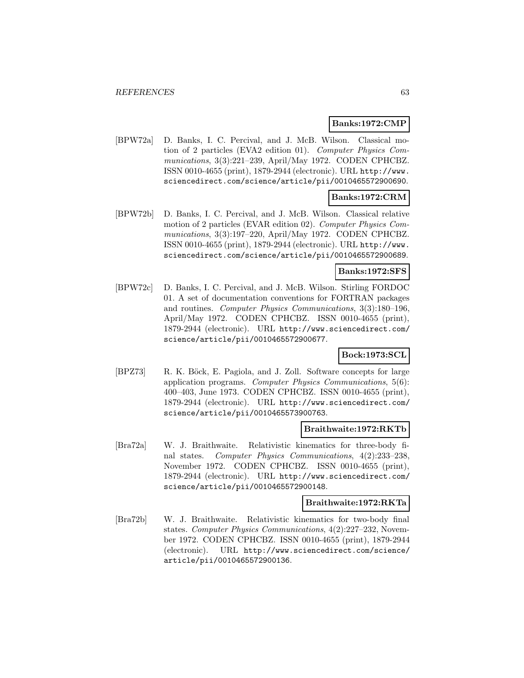## **Banks:1972:CMP**

[BPW72a] D. Banks, I. C. Percival, and J. McB. Wilson. Classical motion of 2 particles (EVA2 edition 01). Computer Physics Communications, 3(3):221–239, April/May 1972. CODEN CPHCBZ. ISSN 0010-4655 (print), 1879-2944 (electronic). URL http://www. sciencedirect.com/science/article/pii/0010465572900690.

# **Banks:1972:CRM**

[BPW72b] D. Banks, I. C. Percival, and J. McB. Wilson. Classical relative motion of 2 particles (EVAR edition 02). Computer Physics Communications, 3(3):197–220, April/May 1972. CODEN CPHCBZ. ISSN 0010-4655 (print), 1879-2944 (electronic). URL http://www. sciencedirect.com/science/article/pii/0010465572900689.

# **Banks:1972:SFS**

[BPW72c] D. Banks, I. C. Percival, and J. McB. Wilson. Stirling FORDOC 01. A set of documentation conventions for FORTRAN packages and routines. Computer Physics Communications, 3(3):180–196, April/May 1972. CODEN CPHCBZ. ISSN 0010-4655 (print), 1879-2944 (electronic). URL http://www.sciencedirect.com/ science/article/pii/0010465572900677.

# **Bock:1973:SCL**

[BPZ73] R. K. Böck, E. Pagiola, and J. Zoll. Software concepts for large application programs. Computer Physics Communications, 5(6): 400–403, June 1973. CODEN CPHCBZ. ISSN 0010-4655 (print), 1879-2944 (electronic). URL http://www.sciencedirect.com/ science/article/pii/0010465573900763.

## **Braithwaite:1972:RKTb**

[Bra72a] W. J. Braithwaite. Relativistic kinematics for three-body final states. Computer Physics Communications, 4(2):233–238, November 1972. CODEN CPHCBZ. ISSN 0010-4655 (print), 1879-2944 (electronic). URL http://www.sciencedirect.com/ science/article/pii/0010465572900148.

## **Braithwaite:1972:RKTa**

[Bra72b] W. J. Braithwaite. Relativistic kinematics for two-body final states. Computer Physics Communications, 4(2):227–232, November 1972. CODEN CPHCBZ. ISSN 0010-4655 (print), 1879-2944 (electronic). URL http://www.sciencedirect.com/science/ article/pii/0010465572900136.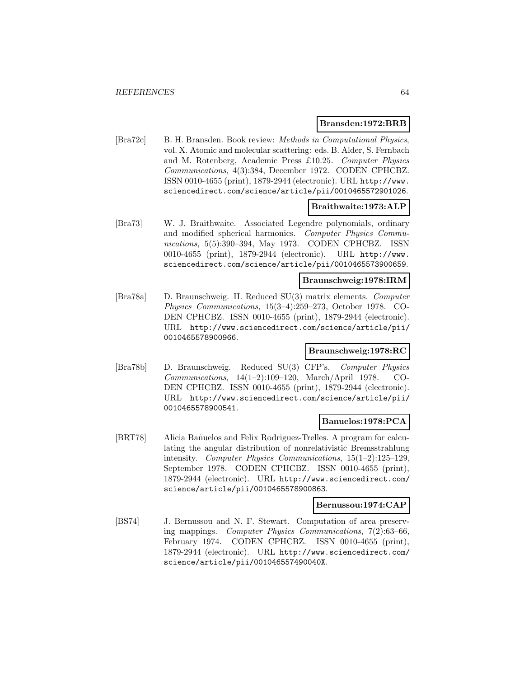## **Bransden:1972:BRB**

[Bra72c] B. H. Bransden. Book review: Methods in Computational Physics, vol. X. Atomic and molecular scattering: eds. B. Alder, S. Fernbach and M. Rotenberg, Academic Press £10.25. Computer Physics Communications, 4(3):384, December 1972. CODEN CPHCBZ. ISSN 0010-4655 (print), 1879-2944 (electronic). URL http://www. sciencedirect.com/science/article/pii/0010465572901026.

# **Braithwaite:1973:ALP**

[Bra73] W. J. Braithwaite. Associated Legendre polynomials, ordinary and modified spherical harmonics. Computer Physics Communications, 5(5):390–394, May 1973. CODEN CPHCBZ. ISSN 0010-4655 (print), 1879-2944 (electronic). URL http://www. sciencedirect.com/science/article/pii/0010465573900659.

# **Braunschweig:1978:IRM**

[Bra78a] D. Braunschweig. II. Reduced SU(3) matrix elements. Computer Physics Communications, 15(3–4):259–273, October 1978. CO-DEN CPHCBZ. ISSN 0010-4655 (print), 1879-2944 (electronic). URL http://www.sciencedirect.com/science/article/pii/ 0010465578900966.

## **Braunschweig:1978:RC**

[Bra78b] D. Braunschweig. Reduced SU(3) CFP's. Computer Physics Communications, 14(1–2):109–120, March/April 1978. CO-DEN CPHCBZ. ISSN 0010-4655 (print), 1879-2944 (electronic). URL http://www.sciencedirect.com/science/article/pii/ 0010465578900541.

#### **Banuelos:1978:PCA**

[BRT78] Alicia Bañuelos and Felix Rodriguez-Trelles. A program for calculating the angular distribution of nonrelativistic Bremsstrahlung intensity. Computer Physics Communications, 15(1–2):125–129, September 1978. CODEN CPHCBZ. ISSN 0010-4655 (print), 1879-2944 (electronic). URL http://www.sciencedirect.com/ science/article/pii/0010465578900863.

#### **Bernussou:1974:CAP**

[BS74] J. Bernussou and N. F. Stewart. Computation of area preserving mappings. Computer Physics Communications, 7(2):63–66, February 1974. CODEN CPHCBZ. ISSN 0010-4655 (print), 1879-2944 (electronic). URL http://www.sciencedirect.com/ science/article/pii/001046557490040X.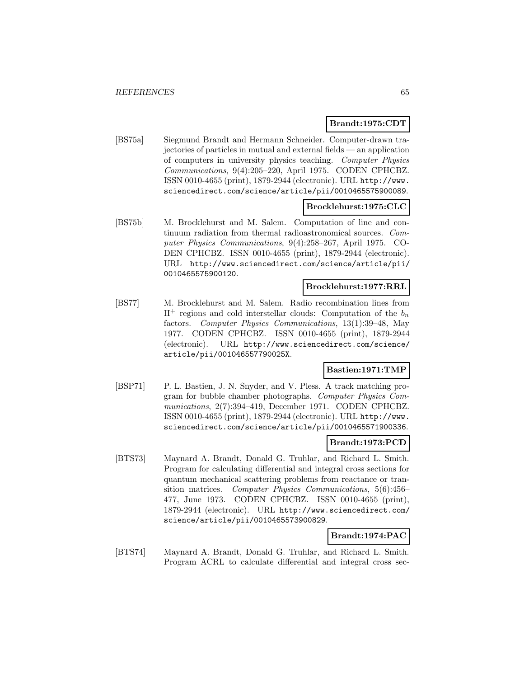## **Brandt:1975:CDT**

[BS75a] Siegmund Brandt and Hermann Schneider. Computer-drawn trajectories of particles in mutual and external fields — an application of computers in university physics teaching. Computer Physics Communications, 9(4):205–220, April 1975. CODEN CPHCBZ. ISSN 0010-4655 (print), 1879-2944 (electronic). URL http://www. sciencedirect.com/science/article/pii/0010465575900089.

## **Brocklehurst:1975:CLC**

[BS75b] M. Brocklehurst and M. Salem. Computation of line and continuum radiation from thermal radioastronomical sources. Computer Physics Communications, 9(4):258–267, April 1975. CO-DEN CPHCBZ. ISSN 0010-4655 (print), 1879-2944 (electronic). URL http://www.sciencedirect.com/science/article/pii/ 0010465575900120.

# **Brocklehurst:1977:RRL**

[BS77] M. Brocklehurst and M. Salem. Radio recombination lines from  $H^+$  regions and cold interstellar clouds: Computation of the  $b_n$ factors. Computer Physics Communications, 13(1):39–48, May 1977. CODEN CPHCBZ. ISSN 0010-4655 (print), 1879-2944 (electronic). URL http://www.sciencedirect.com/science/ article/pii/001046557790025X.

# **Bastien:1971:TMP**

[BSP71] P. L. Bastien, J. N. Snyder, and V. Pless. A track matching program for bubble chamber photographs. Computer Physics Communications, 2(7):394–419, December 1971. CODEN CPHCBZ. ISSN 0010-4655 (print), 1879-2944 (electronic). URL http://www. sciencedirect.com/science/article/pii/0010465571900336.

## **Brandt:1973:PCD**

[BTS73] Maynard A. Brandt, Donald G. Truhlar, and Richard L. Smith. Program for calculating differential and integral cross sections for quantum mechanical scattering problems from reactance or transition matrices. Computer Physics Communications, 5(6):456– 477, June 1973. CODEN CPHCBZ. ISSN 0010-4655 (print), 1879-2944 (electronic). URL http://www.sciencedirect.com/ science/article/pii/0010465573900829.

# **Brandt:1974:PAC**

[BTS74] Maynard A. Brandt, Donald G. Truhlar, and Richard L. Smith. Program ACRL to calculate differential and integral cross sec-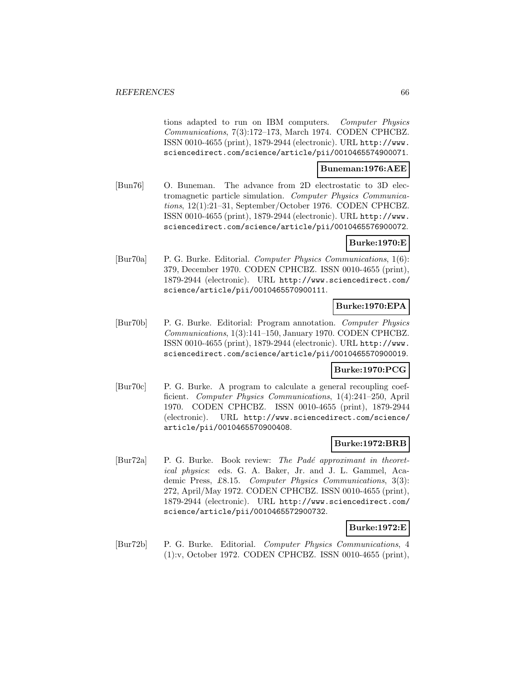tions adapted to run on IBM computers. Computer Physics Communications, 7(3):172–173, March 1974. CODEN CPHCBZ. ISSN 0010-4655 (print), 1879-2944 (electronic). URL http://www. sciencedirect.com/science/article/pii/0010465574900071.

# **Buneman:1976:AEE**

[Bun76] O. Buneman. The advance from 2D electrostatic to 3D electromagnetic particle simulation. Computer Physics Communications, 12(1):21–31, September/October 1976. CODEN CPHCBZ. ISSN 0010-4655 (print), 1879-2944 (electronic). URL http://www. sciencedirect.com/science/article/pii/0010465576900072.

## **Burke:1970:E**

[Bur70a] P. G. Burke. Editorial. Computer Physics Communications, 1(6): 379, December 1970. CODEN CPHCBZ. ISSN 0010-4655 (print), 1879-2944 (electronic). URL http://www.sciencedirect.com/ science/article/pii/0010465570900111.

## **Burke:1970:EPA**

[Bur70b] P. G. Burke. Editorial: Program annotation. Computer Physics Communications, 1(3):141–150, January 1970. CODEN CPHCBZ. ISSN 0010-4655 (print), 1879-2944 (electronic). URL http://www. sciencedirect.com/science/article/pii/0010465570900019.

## **Burke:1970:PCG**

[Bur70c] P. G. Burke. A program to calculate a general recoupling coefficient. Computer Physics Communications, 1(4):241–250, April 1970. CODEN CPHCBZ. ISSN 0010-4655 (print), 1879-2944 (electronic). URL http://www.sciencedirect.com/science/ article/pii/0010465570900408.

# **Burke:1972:BRB**

[Bur72a] P. G. Burke. Book review: The Padé approximant in theoretical physics: eds. G. A. Baker, Jr. and J. L. Gammel, Academic Press, £8.15. Computer Physics Communications, 3(3): 272, April/May 1972. CODEN CPHCBZ. ISSN 0010-4655 (print), 1879-2944 (electronic). URL http://www.sciencedirect.com/ science/article/pii/0010465572900732.

## **Burke:1972:E**

[Bur72b] P. G. Burke. Editorial. Computer Physics Communications, 4 (1):v, October 1972. CODEN CPHCBZ. ISSN 0010-4655 (print),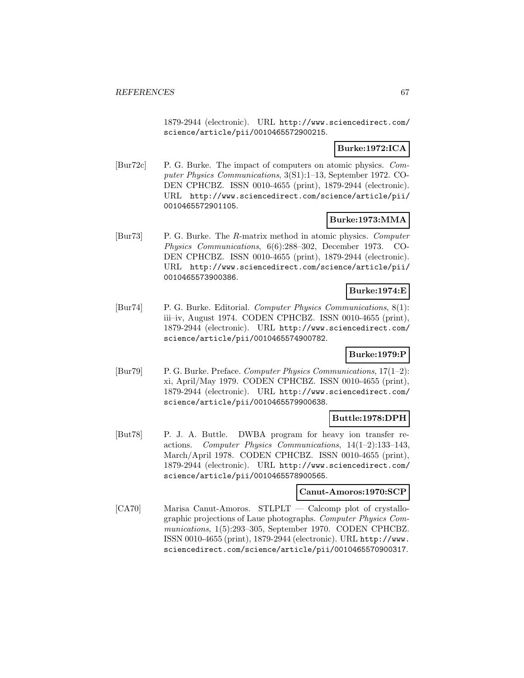1879-2944 (electronic). URL http://www.sciencedirect.com/ science/article/pii/0010465572900215.

# **Burke:1972:ICA**

[Bur72c] P. G. Burke. The impact of computers on atomic physics. Computer Physics Communications, 3(S1):1–13, September 1972. CO-DEN CPHCBZ. ISSN 0010-4655 (print), 1879-2944 (electronic). URL http://www.sciencedirect.com/science/article/pii/ 0010465572901105.

# **Burke:1973:MMA**

[Bur73] P. G. Burke. The R-matrix method in atomic physics. Computer Physics Communications, 6(6):288–302, December 1973. CO-DEN CPHCBZ. ISSN 0010-4655 (print), 1879-2944 (electronic). URL http://www.sciencedirect.com/science/article/pii/ 0010465573900386.

## **Burke:1974:E**

[Bur74] P. G. Burke. Editorial. Computer Physics Communications, 8(1): iii–iv, August 1974. CODEN CPHCBZ. ISSN 0010-4655 (print), 1879-2944 (electronic). URL http://www.sciencedirect.com/ science/article/pii/0010465574900782.

## **Burke:1979:P**

[Bur79] P. G. Burke. Preface. Computer Physics Communications, 17(1–2): xi, April/May 1979. CODEN CPHCBZ. ISSN 0010-4655 (print), 1879-2944 (electronic). URL http://www.sciencedirect.com/ science/article/pii/0010465579900638.

# **Buttle:1978:DPH**

[But78] P. J. A. Buttle. DWBA program for heavy ion transfer reactions. Computer Physics Communications, 14(1–2):133–143, March/April 1978. CODEN CPHCBZ. ISSN 0010-4655 (print), 1879-2944 (electronic). URL http://www.sciencedirect.com/ science/article/pii/0010465578900565.

#### **Canut-Amoros:1970:SCP**

[CA70] Marisa Canut-Amoros. STLPLT — Calcomp plot of crystallographic projections of Laue photographs. Computer Physics Communications, 1(5):293–305, September 1970. CODEN CPHCBZ. ISSN 0010-4655 (print), 1879-2944 (electronic). URL http://www. sciencedirect.com/science/article/pii/0010465570900317.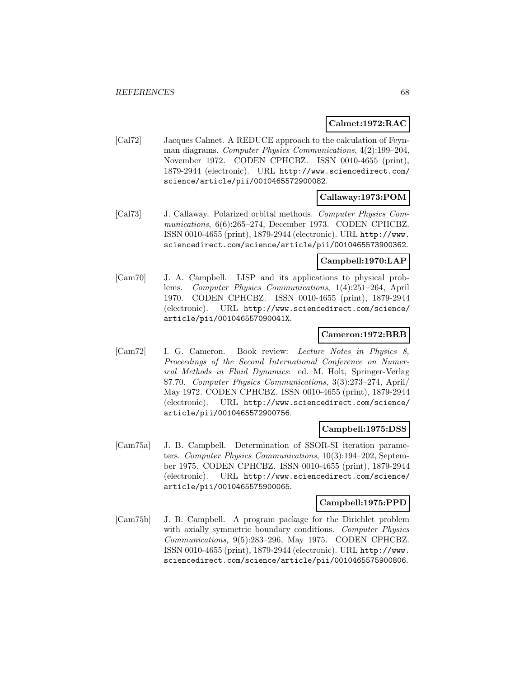## **Calmet:1972:RAC**

[Cal72] Jacques Calmet. A REDUCE approach to the calculation of Feynman diagrams. Computer Physics Communications, 4(2):199–204, November 1972. CODEN CPHCBZ. ISSN 0010-4655 (print), 1879-2944 (electronic). URL http://www.sciencedirect.com/ science/article/pii/0010465572900082.

# **Callaway:1973:POM**

[Cal73] J. Callaway. Polarized orbital methods. Computer Physics Communications, 6(6):265-274, December 1973. CODEN CPHCBZ. ISSN 0010-4655 (print), 1879-2944 (electronic). URL http://www. sciencedirect.com/science/article/pii/0010465573900362.

## **Campbell:1970:LAP**

[Cam70] J. A. Campbell. LISP and its applications to physical problems. Computer Physics Communications, 1(4):251–264, April 1970. CODEN CPHCBZ. ISSN 0010-4655 (print), 1879-2944 (electronic). URL http://www.sciencedirect.com/science/ article/pii/001046557090041X.

## **Cameron:1972:BRB**

[Cam72] I. G. Cameron. Book review: Lecture Notes in Physics 8, Proceedings of the Second International Conference on Numerical Methods in Fluid Dynamics: ed. M. Holt, Springer-Verlag \$7.70. Computer Physics Communications, 3(3):273–274, April/ May 1972. CODEN CPHCBZ. ISSN 0010-4655 (print), 1879-2944 (electronic). URL http://www.sciencedirect.com/science/ article/pii/0010465572900756.

## **Campbell:1975:DSS**

[Cam75a] J. B. Campbell. Determination of SSOR-SI iteration parameters. Computer Physics Communications, 10(3):194–202, September 1975. CODEN CPHCBZ. ISSN 0010-4655 (print), 1879-2944 (electronic). URL http://www.sciencedirect.com/science/ article/pii/0010465575900065.

## **Campbell:1975:PPD**

[Cam75b] J. B. Campbell. A program package for the Dirichlet problem with axially symmetric boundary conditions. Computer Physics Communications, 9(5):283–296, May 1975. CODEN CPHCBZ. ISSN 0010-4655 (print), 1879-2944 (electronic). URL http://www. sciencedirect.com/science/article/pii/0010465575900806.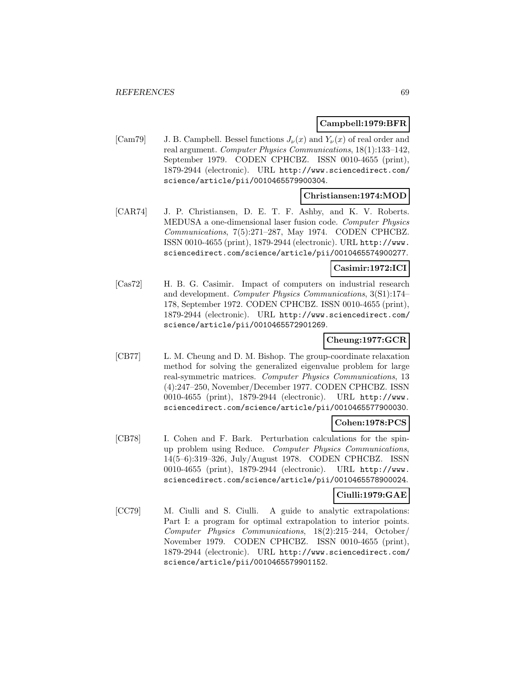# **Campbell:1979:BFR**

[Cam79] J. B. Campbell. Bessel functions  $J_{\nu}(x)$  and  $Y_{\nu}(x)$  of real order and real argument. Computer Physics Communications, 18(1):133–142, September 1979. CODEN CPHCBZ. ISSN 0010-4655 (print), 1879-2944 (electronic). URL http://www.sciencedirect.com/ science/article/pii/0010465579900304.

## **Christiansen:1974:MOD**

[CAR74] J. P. Christiansen, D. E. T. F. Ashby, and K. V. Roberts. MEDUSA a one-dimensional laser fusion code. Computer Physics Communications, 7(5):271–287, May 1974. CODEN CPHCBZ. ISSN 0010-4655 (print), 1879-2944 (electronic). URL http://www. sciencedirect.com/science/article/pii/0010465574900277.

## **Casimir:1972:ICI**

[Cas72] H. B. G. Casimir. Impact of computers on industrial research and development. Computer Physics Communications, 3(S1):174– 178, September 1972. CODEN CPHCBZ. ISSN 0010-4655 (print), 1879-2944 (electronic). URL http://www.sciencedirect.com/ science/article/pii/0010465572901269.

# **Cheung:1977:GCR**

[CB77] L. M. Cheung and D. M. Bishop. The group-coordinate relaxation method for solving the generalized eigenvalue problem for large real-symmetric matrices. Computer Physics Communications, 13 (4):247–250, November/December 1977. CODEN CPHCBZ. ISSN 0010-4655 (print), 1879-2944 (electronic). URL http://www. sciencedirect.com/science/article/pii/0010465577900030.

# **Cohen:1978:PCS**

[CB78] I. Cohen and F. Bark. Perturbation calculations for the spinup problem using Reduce. Computer Physics Communications, 14(5–6):319–326, July/August 1978. CODEN CPHCBZ. ISSN 0010-4655 (print), 1879-2944 (electronic). URL http://www. sciencedirect.com/science/article/pii/0010465578900024.

# **Ciulli:1979:GAE**

[CC79] M. Ciulli and S. Ciulli. A guide to analytic extrapolations: Part I: a program for optimal extrapolation to interior points. Computer Physics Communications, 18(2):215–244, October/ November 1979. CODEN CPHCBZ. ISSN 0010-4655 (print), 1879-2944 (electronic). URL http://www.sciencedirect.com/ science/article/pii/0010465579901152.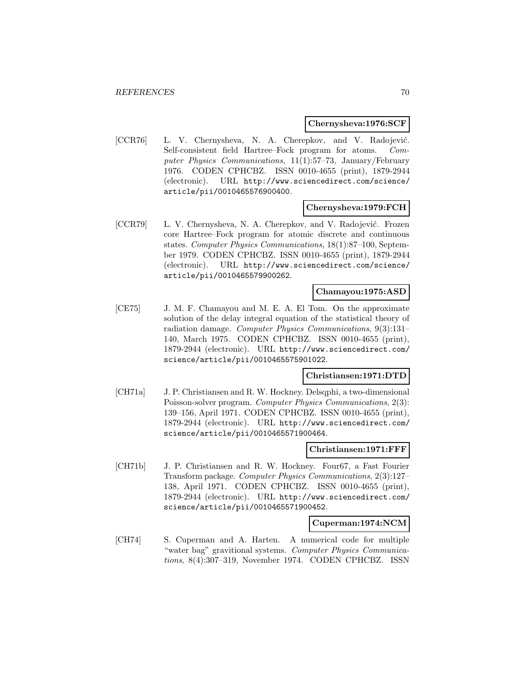### **Chernysheva:1976:SCF**

[CCR76] L. V. Chernysheva, N. A. Cherepkov, and V. Radojević. Self-consistent field Hartree–Fock program for atoms. Computer Physics Communications, 11(1):57–73, January/February 1976. CODEN CPHCBZ. ISSN 0010-4655 (print), 1879-2944 (electronic). URL http://www.sciencedirect.com/science/ article/pii/0010465576900400.

## **Chernysheva:1979:FCH**

[CCR79] L. V. Chernysheva, N. A. Cherepkov, and V. Radojević. Frozen core Hartree–Fock program for atomic discrete and continuous states. Computer Physics Communications, 18(1):87–100, September 1979. CODEN CPHCBZ. ISSN 0010-4655 (print), 1879-2944 (electronic). URL http://www.sciencedirect.com/science/ article/pii/0010465579900262.

### **Chamayou:1975:ASD**

[CE75] J. M. F. Chamayou and M. E. A. El Tom. On the approximate solution of the delay integral equation of the statistical theory of radiation damage. Computer Physics Communications, 9(3):131– 140, March 1975. CODEN CPHCBZ. ISSN 0010-4655 (print), 1879-2944 (electronic). URL http://www.sciencedirect.com/ science/article/pii/0010465575901022.

### **Christiansen:1971:DTD**

[CH71a] J. P. Christiansen and R. W. Hockney. Delsqphi, a two-dimensional Poisson-solver program. Computer Physics Communications, 2(3): 139–156, April 1971. CODEN CPHCBZ. ISSN 0010-4655 (print), 1879-2944 (electronic). URL http://www.sciencedirect.com/ science/article/pii/0010465571900464.

#### **Christiansen:1971:FFF**

[CH71b] J. P. Christiansen and R. W. Hockney. Four67, a Fast Fourier Transform package. Computer Physics Communications, 2(3):127– 138, April 1971. CODEN CPHCBZ. ISSN 0010-4655 (print), 1879-2944 (electronic). URL http://www.sciencedirect.com/ science/article/pii/0010465571900452.

#### **Cuperman:1974:NCM**

[CH74] S. Cuperman and A. Harten. A numerical code for multiple "water bag" gravitional systems. Computer Physics Communications, 8(4):307–319, November 1974. CODEN CPHCBZ. ISSN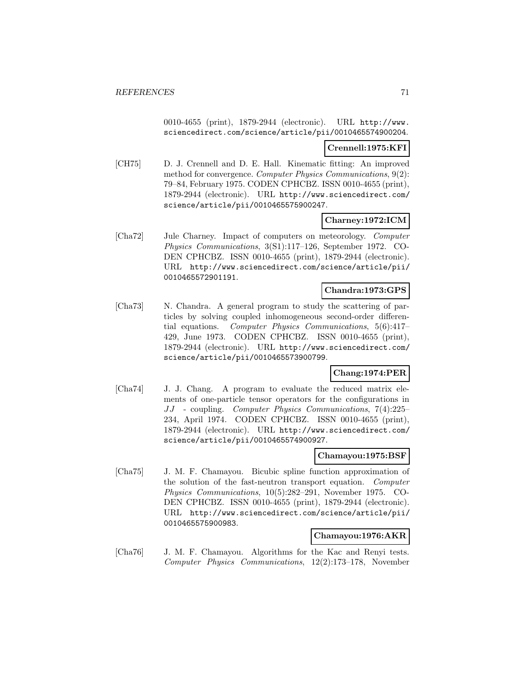0010-4655 (print), 1879-2944 (electronic). URL http://www. sciencedirect.com/science/article/pii/0010465574900204.

## **Crennell:1975:KFI**

[CH75] D. J. Crennell and D. E. Hall. Kinematic fitting: An improved method for convergence. Computer Physics Communications, 9(2): 79–84, February 1975. CODEN CPHCBZ. ISSN 0010-4655 (print), 1879-2944 (electronic). URL http://www.sciencedirect.com/ science/article/pii/0010465575900247.

# **Charney:1972:ICM**

[Cha72] Jule Charney. Impact of computers on meteorology. Computer Physics Communications, 3(S1):117–126, September 1972. CO-DEN CPHCBZ. ISSN 0010-4655 (print), 1879-2944 (electronic). URL http://www.sciencedirect.com/science/article/pii/ 0010465572901191.

## **Chandra:1973:GPS**

[Cha73] N. Chandra. A general program to study the scattering of particles by solving coupled inhomogeneous second-order differential equations. Computer Physics Communications, 5(6):417– 429, June 1973. CODEN CPHCBZ. ISSN 0010-4655 (print), 1879-2944 (electronic). URL http://www.sciencedirect.com/ science/article/pii/0010465573900799.

# **Chang:1974:PER**

[Cha74] J. J. Chang. A program to evaluate the reduced matrix elements of one-particle tensor operators for the configurations in JJ - coupling. Computer Physics Communications, 7(4):225– 234, April 1974. CODEN CPHCBZ. ISSN 0010-4655 (print), 1879-2944 (electronic). URL http://www.sciencedirect.com/ science/article/pii/0010465574900927.

## **Chamayou:1975:BSF**

[Cha75] J. M. F. Chamayou. Bicubic spline function approximation of the solution of the fast-neutron transport equation. Computer Physics Communications, 10(5):282–291, November 1975. CO-DEN CPHCBZ. ISSN 0010-4655 (print), 1879-2944 (electronic). URL http://www.sciencedirect.com/science/article/pii/ 0010465575900983.

# **Chamayou:1976:AKR**

[Cha76] J. M. F. Chamayou. Algorithms for the Kac and Renyi tests. Computer Physics Communications, 12(2):173–178, November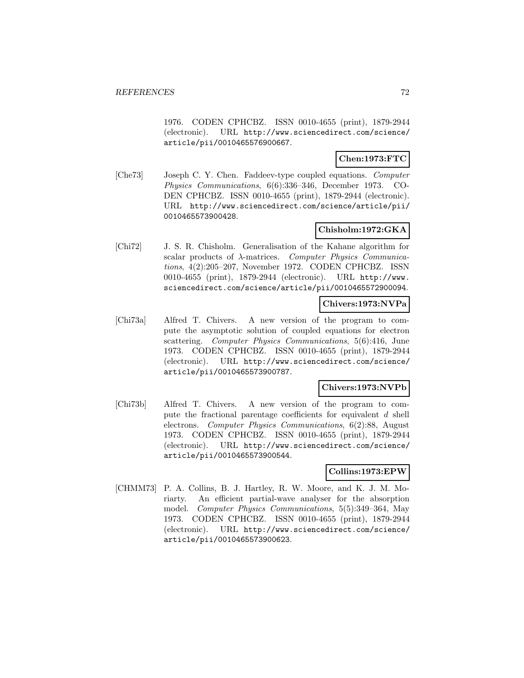1976. CODEN CPHCBZ. ISSN 0010-4655 (print), 1879-2944 (electronic). URL http://www.sciencedirect.com/science/ article/pii/0010465576900667.

# **Chen:1973:FTC**

[Che73] Joseph C. Y. Chen. Faddeev-type coupled equations. Computer Physics Communications, 6(6):336–346, December 1973. CO-DEN CPHCBZ. ISSN 0010-4655 (print), 1879-2944 (electronic). URL http://www.sciencedirect.com/science/article/pii/ 0010465573900428.

# **Chisholm:1972:GKA**

[Chi72] J. S. R. Chisholm. Generalisation of the Kahane algorithm for scalar products of λ-matrices. Computer Physics Communications, 4(2):205–207, November 1972. CODEN CPHCBZ. ISSN 0010-4655 (print), 1879-2944 (electronic). URL http://www. sciencedirect.com/science/article/pii/0010465572900094.

# **Chivers:1973:NVPa**

[Chi73a] Alfred T. Chivers. A new version of the program to compute the asymptotic solution of coupled equations for electron scattering. Computer Physics Communications, 5(6):416, June 1973. CODEN CPHCBZ. ISSN 0010-4655 (print), 1879-2944 (electronic). URL http://www.sciencedirect.com/science/ article/pii/0010465573900787.

## **Chivers:1973:NVPb**

[Chi73b] Alfred T. Chivers. A new version of the program to compute the fractional parentage coefficients for equivalent d shell electrons. Computer Physics Communications, 6(2):88, August 1973. CODEN CPHCBZ. ISSN 0010-4655 (print), 1879-2944 (electronic). URL http://www.sciencedirect.com/science/ article/pii/0010465573900544.

## **Collins:1973:EPW**

[CHMM73] P. A. Collins, B. J. Hartley, R. W. Moore, and K. J. M. Moriarty. An efficient partial-wave analyser for the absorption model. Computer Physics Communications, 5(5):349–364, May 1973. CODEN CPHCBZ. ISSN 0010-4655 (print), 1879-2944 (electronic). URL http://www.sciencedirect.com/science/ article/pii/0010465573900623.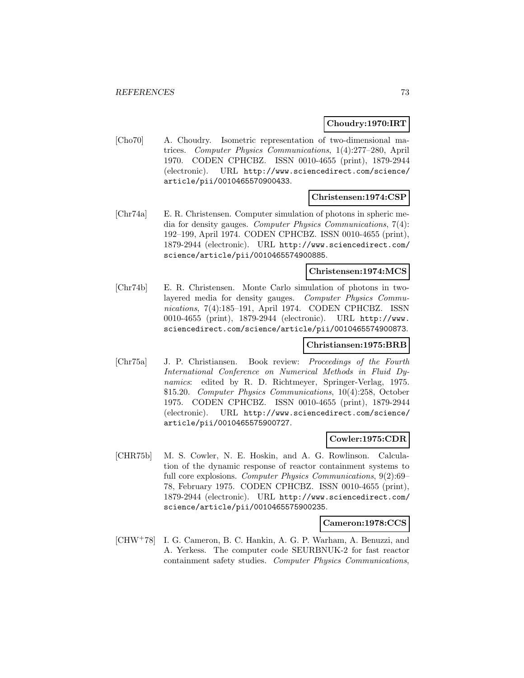### **Choudry:1970:IRT**

[Cho70] A. Choudry. Isometric representation of two-dimensional matrices. Computer Physics Communications, 1(4):277–280, April 1970. CODEN CPHCBZ. ISSN 0010-4655 (print), 1879-2944 (electronic). URL http://www.sciencedirect.com/science/ article/pii/0010465570900433.

#### **Christensen:1974:CSP**

[Chr74a] E. R. Christensen. Computer simulation of photons in spheric media for density gauges. Computer Physics Communications, 7(4): 192–199, April 1974. CODEN CPHCBZ. ISSN 0010-4655 (print), 1879-2944 (electronic). URL http://www.sciencedirect.com/ science/article/pii/0010465574900885.

#### **Christensen:1974:MCS**

[Chr74b] E. R. Christensen. Monte Carlo simulation of photons in twolayered media for density gauges. Computer Physics Communications, 7(4):185–191, April 1974. CODEN CPHCBZ. ISSN 0010-4655 (print), 1879-2944 (electronic). URL http://www. sciencedirect.com/science/article/pii/0010465574900873.

#### **Christiansen:1975:BRB**

[Chr75a] J. P. Christiansen. Book review: Proceedings of the Fourth International Conference on Numerical Methods in Fluid Dynamics: edited by R. D. Richtmeyer, Springer-Verlag, 1975. \$15.20. Computer Physics Communications, 10(4):258, October 1975. CODEN CPHCBZ. ISSN 0010-4655 (print), 1879-2944 (electronic). URL http://www.sciencedirect.com/science/ article/pii/0010465575900727.

#### **Cowler:1975:CDR**

[CHR75b] M. S. Cowler, N. E. Hoskin, and A. G. Rowlinson. Calculation of the dynamic response of reactor containment systems to full core explosions. Computer Physics Communications, 9(2):69– 78, February 1975. CODEN CPHCBZ. ISSN 0010-4655 (print), 1879-2944 (electronic). URL http://www.sciencedirect.com/ science/article/pii/0010465575900235.

**Cameron:1978:CCS**

[CHW<sup>+</sup>78] I. G. Cameron, B. C. Hankin, A. G. P. Warham, A. Benuzzi, and A. Yerkess. The computer code SEURBNUK-2 for fast reactor containment safety studies. Computer Physics Communications,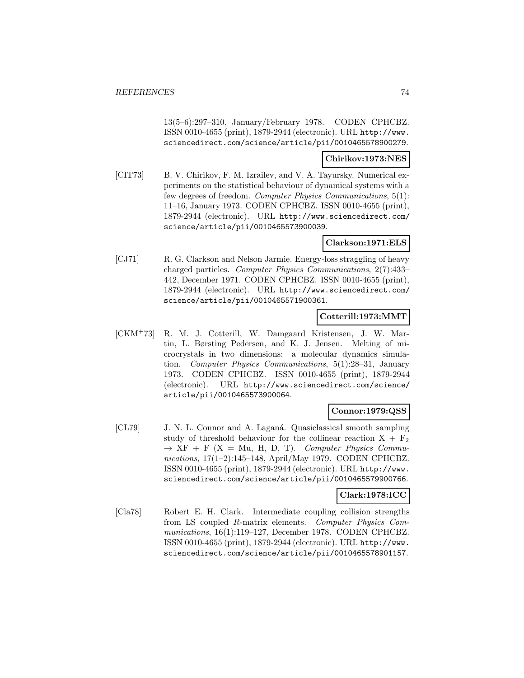13(5–6):297–310, January/February 1978. CODEN CPHCBZ. ISSN 0010-4655 (print), 1879-2944 (electronic). URL http://www. sciencedirect.com/science/article/pii/0010465578900279.

### **Chirikov:1973:NES**

[CIT73] B. V. Chirikov, F. M. Izrailev, and V. A. Tayursky. Numerical experiments on the statistical behaviour of dynamical systems with a few degrees of freedom. Computer Physics Communications, 5(1): 11–16, January 1973. CODEN CPHCBZ. ISSN 0010-4655 (print), 1879-2944 (electronic). URL http://www.sciencedirect.com/ science/article/pii/0010465573900039.

## **Clarkson:1971:ELS**

[CJ71] R. G. Clarkson and Nelson Jarmie. Energy-loss straggling of heavy charged particles. Computer Physics Communications, 2(7):433– 442, December 1971. CODEN CPHCBZ. ISSN 0010-4655 (print), 1879-2944 (electronic). URL http://www.sciencedirect.com/ science/article/pii/0010465571900361.

# **Cotterill:1973:MMT**

[CKM<sup>+</sup>73] R. M. J. Cotterill, W. Damgaard Kristensen, J. W. Martin, L. Børsting Pedersen, and K. J. Jensen. Melting of microcrystals in two dimensions: a molecular dynamics simulation. Computer Physics Communications, 5(1):28–31, January 1973. CODEN CPHCBZ. ISSN 0010-4655 (print), 1879-2944 (electronic). URL http://www.sciencedirect.com/science/ article/pii/0010465573900064.

# **Connor:1979:QSS**

[CL79] J. N. L. Connor and A. Laganá. Quasiclassical smooth sampling study of threshold behaviour for the collinear reaction  $X + F_2$  $\rightarrow$  XF + F (X = Mu, H, D, T). Computer Physics Communications, 17(1–2):145–148, April/May 1979. CODEN CPHCBZ. ISSN 0010-4655 (print), 1879-2944 (electronic). URL http://www. sciencedirect.com/science/article/pii/0010465579900766.

# **Clark:1978:ICC**

[Cla78] Robert E. H. Clark. Intermediate coupling collision strengths from LS coupled R-matrix elements. Computer Physics Communications, 16(1):119–127, December 1978. CODEN CPHCBZ. ISSN 0010-4655 (print), 1879-2944 (electronic). URL http://www. sciencedirect.com/science/article/pii/0010465578901157.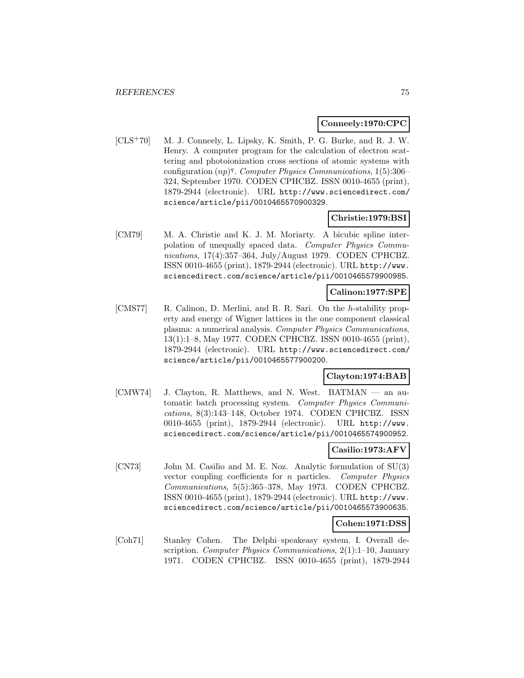#### **Conneely:1970:CPC**

[CLS<sup>+</sup>70] M. J. Conneely, L. Lipsky, K. Smith, P. G. Burke, and R. J. W. Henry. A computer program for the calculation of electron scattering and photoionization cross sections of atomic systems with configuration  $(np)^q$ . Computer Physics Communications, 1(5):306– 324, September 1970. CODEN CPHCBZ. ISSN 0010-4655 (print), 1879-2944 (electronic). URL http://www.sciencedirect.com/ science/article/pii/0010465570900329.

## **Christie:1979:BSI**

[CM79] M. A. Christie and K. J. M. Moriarty. A bicubic spline interpolation of unequally spaced data. Computer Physics Communications, 17(4):357–364, July/August 1979. CODEN CPHCBZ. ISSN 0010-4655 (print), 1879-2944 (electronic). URL http://www. sciencedirect.com/science/article/pii/0010465579900985.

# **Calinon:1977:SPE**

[CMS77] R. Calinon, D. Merlini, and R. R. Sari. On the h-stability property and energy of Wigner lattices in the one component classical plasma: a numerical analysis. Computer Physics Communications, 13(1):1–8, May 1977. CODEN CPHCBZ. ISSN 0010-4655 (print), 1879-2944 (electronic). URL http://www.sciencedirect.com/ science/article/pii/0010465577900200.

## **Clayton:1974:BAB**

[CMW74] J. Clayton, R. Matthews, and N. West. BATMAN — an automatic batch processing system. Computer Physics Communications, 8(3):143–148, October 1974. CODEN CPHCBZ. ISSN 0010-4655 (print), 1879-2944 (electronic). URL http://www. sciencedirect.com/science/article/pii/0010465574900952.

# **Casilio:1973:AFV**

[CN73] John M. Casilio and M. E. Noz. Analytic formulation of SU(3) vector coupling coefficients for n particles. Computer Physics Communications, 5(5):365–378, May 1973. CODEN CPHCBZ. ISSN 0010-4655 (print), 1879-2944 (electronic). URL http://www. sciencedirect.com/science/article/pii/0010465573900635.

#### **Cohen:1971:DSS**

[Coh71] Stanley Cohen. The Delphi–speakeasy system. I. Overall description. Computer Physics Communications, 2(1):1–10, January 1971. CODEN CPHCBZ. ISSN 0010-4655 (print), 1879-2944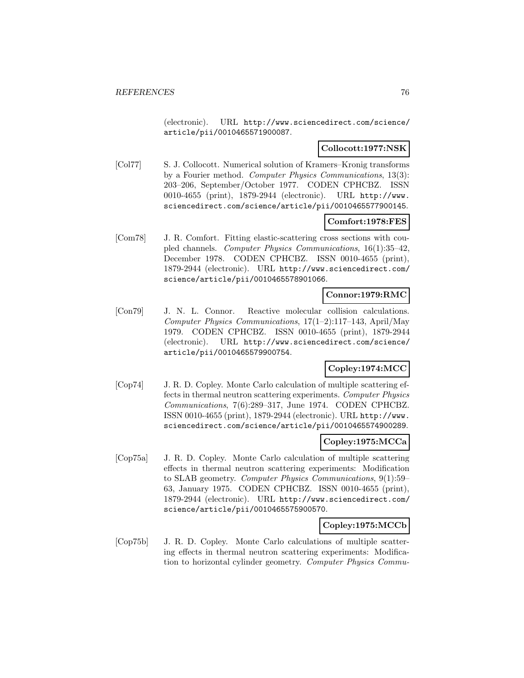(electronic). URL http://www.sciencedirect.com/science/ article/pii/0010465571900087.

## **Collocott:1977:NSK**

[Col77] S. J. Collocott. Numerical solution of Kramers–Kronig transforms by a Fourier method. Computer Physics Communications, 13(3): 203–206, September/October 1977. CODEN CPHCBZ. ISSN 0010-4655 (print), 1879-2944 (electronic). URL http://www. sciencedirect.com/science/article/pii/0010465577900145.

# **Comfort:1978:FES**

[Com78] J. R. Comfort. Fitting elastic-scattering cross sections with coupled channels. Computer Physics Communications, 16(1):35–42, December 1978. CODEN CPHCBZ. ISSN 0010-4655 (print), 1879-2944 (electronic). URL http://www.sciencedirect.com/ science/article/pii/0010465578901066.

# **Connor:1979:RMC**

[Con79] J. N. L. Connor. Reactive molecular collision calculations. Computer Physics Communications, 17(1–2):117–143, April/May 1979. CODEN CPHCBZ. ISSN 0010-4655 (print), 1879-2944 (electronic). URL http://www.sciencedirect.com/science/ article/pii/0010465579900754.

# **Copley:1974:MCC**

[Cop74] J. R. D. Copley. Monte Carlo calculation of multiple scattering effects in thermal neutron scattering experiments. Computer Physics Communications, 7(6):289–317, June 1974. CODEN CPHCBZ. ISSN 0010-4655 (print), 1879-2944 (electronic). URL http://www. sciencedirect.com/science/article/pii/0010465574900289.

#### **Copley:1975:MCCa**

[Cop75a] J. R. D. Copley. Monte Carlo calculation of multiple scattering effects in thermal neutron scattering experiments: Modification to SLAB geometry. Computer Physics Communications, 9(1):59– 63, January 1975. CODEN CPHCBZ. ISSN 0010-4655 (print), 1879-2944 (electronic). URL http://www.sciencedirect.com/ science/article/pii/0010465575900570.

# **Copley:1975:MCCb**

[Cop75b] J. R. D. Copley. Monte Carlo calculations of multiple scattering effects in thermal neutron scattering experiments: Modification to horizontal cylinder geometry. Computer Physics Commu-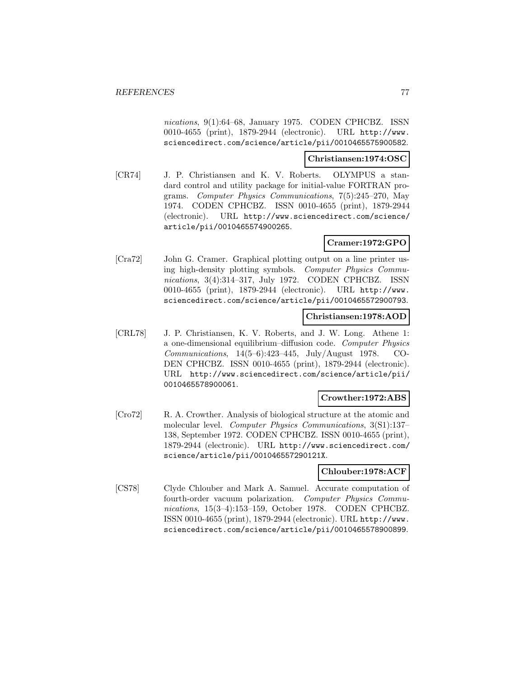nications, 9(1):64–68, January 1975. CODEN CPHCBZ. ISSN 0010-4655 (print), 1879-2944 (electronic). URL http://www. sciencedirect.com/science/article/pii/0010465575900582.

#### **Christiansen:1974:OSC**

[CR74] J. P. Christiansen and K. V. Roberts. OLYMPUS a standard control and utility package for initial-value FORTRAN programs. Computer Physics Communications, 7(5):245–270, May 1974. CODEN CPHCBZ. ISSN 0010-4655 (print), 1879-2944 (electronic). URL http://www.sciencedirect.com/science/ article/pii/0010465574900265.

## **Cramer:1972:GPO**

[Cra72] John G. Cramer. Graphical plotting output on a line printer using high-density plotting symbols. Computer Physics Communications, 3(4):314–317, July 1972. CODEN CPHCBZ. ISSN 0010-4655 (print), 1879-2944 (electronic). URL http://www. sciencedirect.com/science/article/pii/0010465572900793.

## **Christiansen:1978:AOD**

[CRL78] J. P. Christiansen, K. V. Roberts, and J. W. Long. Athene 1: a one-dimensional equilibrium–diffusion code. Computer Physics Communications, 14(5–6):423–445, July/August 1978. CO-DEN CPHCBZ. ISSN 0010-4655 (print), 1879-2944 (electronic). URL http://www.sciencedirect.com/science/article/pii/ 0010465578900061.

#### **Crowther:1972:ABS**

[Cro72] R. A. Crowther. Analysis of biological structure at the atomic and molecular level. Computer Physics Communications, 3(S1):137– 138, September 1972. CODEN CPHCBZ. ISSN 0010-4655 (print), 1879-2944 (electronic). URL http://www.sciencedirect.com/ science/article/pii/001046557290121X.

#### **Chlouber:1978:ACF**

[CS78] Clyde Chlouber and Mark A. Samuel. Accurate computation of fourth-order vacuum polarization. Computer Physics Communications, 15(3–4):153–159, October 1978. CODEN CPHCBZ. ISSN 0010-4655 (print), 1879-2944 (electronic). URL http://www. sciencedirect.com/science/article/pii/0010465578900899.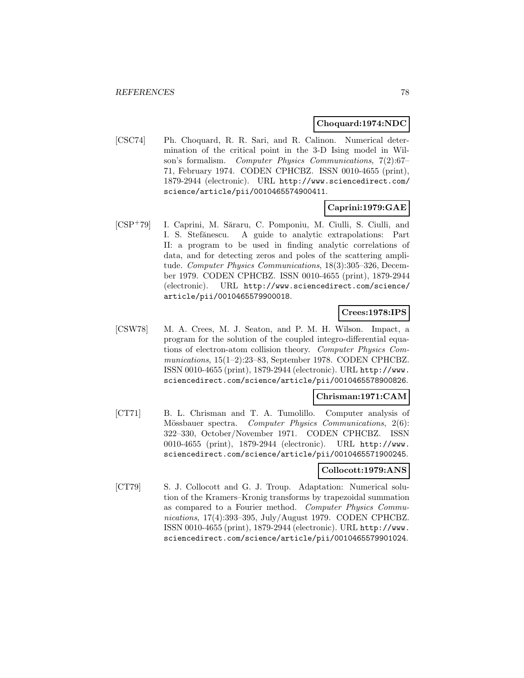#### **Choquard:1974:NDC**

[CSC74] Ph. Choquard, R. R. Sari, and R. Calinon. Numerical determination of the critical point in the 3-D Ising model in Wilson's formalism. Computer Physics Communications, 7(2):67– 71, February 1974. CODEN CPHCBZ. ISSN 0010-4655 (print), 1879-2944 (electronic). URL http://www.sciencedirect.com/ science/article/pii/0010465574900411.

## **Caprini:1979:GAE**

[CSP+79] I. Caprini, M. Săraru, C. Pomponiu, M. Ciulli, S. Ciulli, and I. S. Stefănescu. A guide to analytic extrapolations: Part II: a program to be used in finding analytic correlations of data, and for detecting zeros and poles of the scattering amplitude. Computer Physics Communications, 18(3):305–326, December 1979. CODEN CPHCBZ. ISSN 0010-4655 (print), 1879-2944 (electronic). URL http://www.sciencedirect.com/science/ article/pii/0010465579900018.

#### **Crees:1978:IPS**

[CSW78] M. A. Crees, M. J. Seaton, and P. M. H. Wilson. Impact, a program for the solution of the coupled integro-differential equations of electron-atom collision theory. Computer Physics Communications, 15(1–2):23–83, September 1978. CODEN CPHCBZ. ISSN 0010-4655 (print), 1879-2944 (electronic). URL http://www. sciencedirect.com/science/article/pii/0010465578900826.

#### **Chrisman:1971:CAM**

[CT71] B. L. Chrisman and T. A. Tumolillo. Computer analysis of Mössbauer spectra. Computer Physics Communications, 2(6): 322–330, October/November 1971. CODEN CPHCBZ. ISSN 0010-4655 (print), 1879-2944 (electronic). URL http://www. sciencedirect.com/science/article/pii/0010465571900245.

## **Collocott:1979:ANS**

[CT79] S. J. Collocott and G. J. Troup. Adaptation: Numerical solution of the Kramers–Kronig transforms by trapezoidal summation as compared to a Fourier method. Computer Physics Communications, 17(4):393–395, July/August 1979. CODEN CPHCBZ. ISSN 0010-4655 (print), 1879-2944 (electronic). URL http://www. sciencedirect.com/science/article/pii/0010465579901024.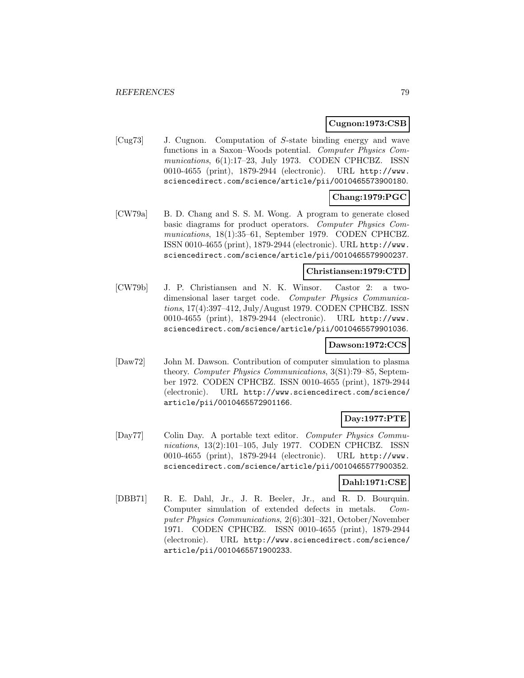## **Cugnon:1973:CSB**

[Cug73] J. Cugnon. Computation of S-state binding energy and wave functions in a Saxon–Woods potential. Computer Physics Communications, 6(1):17-23, July 1973. CODEN CPHCBZ. ISSN 0010-4655 (print), 1879-2944 (electronic). URL http://www. sciencedirect.com/science/article/pii/0010465573900180.

# **Chang:1979:PGC**

[CW79a] B. D. Chang and S. S. M. Wong. A program to generate closed basic diagrams for product operators. Computer Physics Communications, 18(1):35–61, September 1979. CODEN CPHCBZ. ISSN 0010-4655 (print), 1879-2944 (electronic). URL http://www. sciencedirect.com/science/article/pii/0010465579900237.

# **Christiansen:1979:CTD**

[CW79b] J. P. Christiansen and N. K. Winsor. Castor 2: a twodimensional laser target code. Computer Physics Communications, 17(4):397–412, July/August 1979. CODEN CPHCBZ. ISSN 0010-4655 (print), 1879-2944 (electronic). URL http://www. sciencedirect.com/science/article/pii/0010465579901036.

# **Dawson:1972:CCS**

[Daw72] John M. Dawson. Contribution of computer simulation to plasma theory. Computer Physics Communications, 3(S1):79–85, September 1972. CODEN CPHCBZ. ISSN 0010-4655 (print), 1879-2944 (electronic). URL http://www.sciencedirect.com/science/ article/pii/0010465572901166.

# **Day:1977:PTE**

[Day77] Colin Day. A portable text editor. Computer Physics Communications, 13(2):101–105, July 1977. CODEN CPHCBZ. ISSN 0010-4655 (print), 1879-2944 (electronic). URL http://www. sciencedirect.com/science/article/pii/0010465577900352.

#### **Dahl:1971:CSE**

[DBB71] R. E. Dahl, Jr., J. R. Beeler, Jr., and R. D. Bourquin. Computer simulation of extended defects in metals. Computer Physics Communications, 2(6):301–321, October/November 1971. CODEN CPHCBZ. ISSN 0010-4655 (print), 1879-2944 (electronic). URL http://www.sciencedirect.com/science/ article/pii/0010465571900233.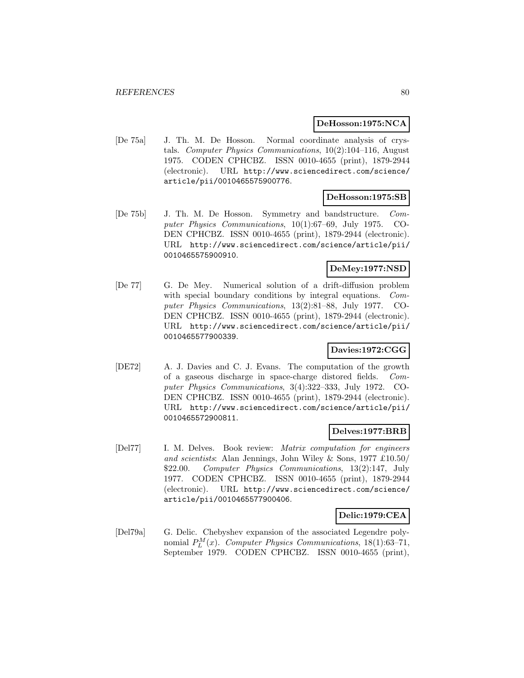#### **DeHosson:1975:NCA**

[De 75a] J. Th. M. De Hosson. Normal coordinate analysis of crystals. Computer Physics Communications, 10(2):104–116, August 1975. CODEN CPHCBZ. ISSN 0010-4655 (print), 1879-2944 (electronic). URL http://www.sciencedirect.com/science/ article/pii/0010465575900776.

## **DeHosson:1975:SB**

[De 75b] J. Th. M. De Hosson. Symmetry and bandstructure. Computer Physics Communications, 10(1):67–69, July 1975. CO-DEN CPHCBZ. ISSN 0010-4655 (print), 1879-2944 (electronic). URL http://www.sciencedirect.com/science/article/pii/ 0010465575900910.

# **DeMey:1977:NSD**

[De 77] G. De Mey. Numerical solution of a drift-diffusion problem with special boundary conditions by integral equations. Computer Physics Communications, 13(2):81–88, July 1977. CO-DEN CPHCBZ. ISSN 0010-4655 (print), 1879-2944 (electronic). URL http://www.sciencedirect.com/science/article/pii/ 0010465577900339.

# **Davies:1972:CGG**

[DE72] A. J. Davies and C. J. Evans. The computation of the growth of a gaseous discharge in space-charge distored fields. Computer Physics Communications, 3(4):322–333, July 1972. CO-DEN CPHCBZ. ISSN 0010-4655 (print), 1879-2944 (electronic). URL http://www.sciencedirect.com/science/article/pii/ 0010465572900811.

#### **Delves:1977:BRB**

[Del77] I. M. Delves. Book review: Matrix computation for engineers and scientists: Alan Jennings, John Wiley & Sons, 1977 £10.50/ \$22.00. Computer Physics Communications, 13(2):147, July 1977. CODEN CPHCBZ. ISSN 0010-4655 (print), 1879-2944 (electronic). URL http://www.sciencedirect.com/science/ article/pii/0010465577900406.

# **Delic:1979:CEA**

[Del79a] G. Delic. Chebyshev expansion of the associated Legendre polynomial  $P_L^M(x)$ . Computer Physics Communications, 18(1):63-71, September 1979. CODEN CPHCBZ. ISSN 0010-4655 (print),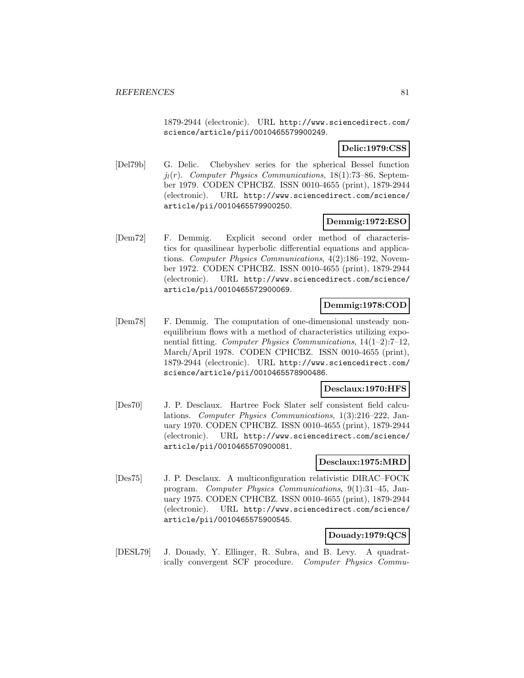1879-2944 (electronic). URL http://www.sciencedirect.com/ science/article/pii/0010465579900249.

# **Delic:1979:CSS**

[Del79b] G. Delic. Chebyshev series for the spherical Bessel function  $j_l(r)$ . Computer Physics Communications, 18(1):73–86, September 1979. CODEN CPHCBZ. ISSN 0010-4655 (print), 1879-2944 (electronic). URL http://www.sciencedirect.com/science/ article/pii/0010465579900250.

# **Demmig:1972:ESO**

[Dem72] F. Demmig. Explicit second order method of characteristics for quasilinear hyperbolic differential equations and applications. Computer Physics Communications, 4(2):186–192, November 1972. CODEN CPHCBZ. ISSN 0010-4655 (print), 1879-2944 (electronic). URL http://www.sciencedirect.com/science/ article/pii/0010465572900069.

# **Demmig:1978:COD**

[Dem78] F. Demmig. The computation of one-dimensional unsteady nonequilibrium flows with a method of characteristics utilizing exponential fitting. Computer Physics Communications, 14(1–2):7–12, March/April 1978. CODEN CPHCBZ. ISSN 0010-4655 (print), 1879-2944 (electronic). URL http://www.sciencedirect.com/ science/article/pii/0010465578900486.

#### **Desclaux:1970:HFS**

[Des70] J. P. Desclaux. Hartree Fock Slater self consistent field calculations. Computer Physics Communications, 1(3):216–222, January 1970. CODEN CPHCBZ. ISSN 0010-4655 (print), 1879-2944 (electronic). URL http://www.sciencedirect.com/science/ article/pii/0010465570900081.

## **Desclaux:1975:MRD**

[Des75] J. P. Desclaux. A multiconfiguration relativistic DIRAC–FOCK program. Computer Physics Communications, 9(1):31–45, January 1975. CODEN CPHCBZ. ISSN 0010-4655 (print), 1879-2944 (electronic). URL http://www.sciencedirect.com/science/ article/pii/0010465575900545.

#### **Douady:1979:QCS**

[DESL79] J. Douady, Y. Ellinger, R. Subra, and B. Levy. A quadratically convergent SCF procedure. Computer Physics Commu-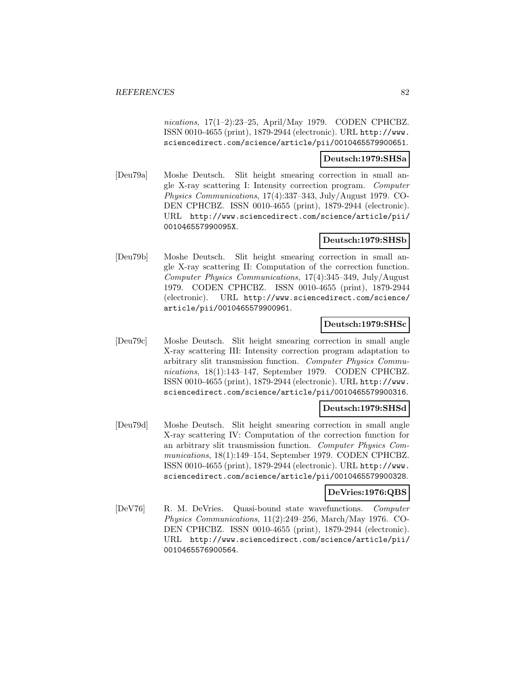nications, 17(1–2):23–25, April/May 1979. CODEN CPHCBZ. ISSN 0010-4655 (print), 1879-2944 (electronic). URL http://www. sciencedirect.com/science/article/pii/0010465579900651.

### **Deutsch:1979:SHSa**

[Deu79a] Moshe Deutsch. Slit height smearing correction in small angle X-ray scattering I: Intensity correction program. Computer Physics Communications, 17(4):337–343, July/August 1979. CO-DEN CPHCBZ. ISSN 0010-4655 (print), 1879-2944 (electronic). URL http://www.sciencedirect.com/science/article/pii/ 001046557990095X.

# **Deutsch:1979:SHSb**

[Deu79b] Moshe Deutsch. Slit height smearing correction in small angle X-ray scattering II: Computation of the correction function. Computer Physics Communications, 17(4):345–349, July/August 1979. CODEN CPHCBZ. ISSN 0010-4655 (print), 1879-2944 (electronic). URL http://www.sciencedirect.com/science/ article/pii/0010465579900961.

#### **Deutsch:1979:SHSc**

[Deu79c] Moshe Deutsch. Slit height smearing correction in small angle X-ray scattering III: Intensity correction program adaptation to arbitrary slit transmission function. Computer Physics Communications, 18(1):143–147, September 1979. CODEN CPHCBZ. ISSN 0010-4655 (print), 1879-2944 (electronic). URL http://www. sciencedirect.com/science/article/pii/0010465579900316.

#### **Deutsch:1979:SHSd**

[Deu79d] Moshe Deutsch. Slit height smearing correction in small angle X-ray scattering IV: Computation of the correction function for an arbitrary slit transmission function. Computer Physics Communications, 18(1):149–154, September 1979. CODEN CPHCBZ. ISSN 0010-4655 (print), 1879-2944 (electronic). URL http://www. sciencedirect.com/science/article/pii/0010465579900328.

#### **DeVries:1976:QBS**

[DeV76] R. M. DeVries. Quasi-bound state wavefunctions. Computer Physics Communications, 11(2):249–256, March/May 1976. CO-DEN CPHCBZ. ISSN 0010-4655 (print), 1879-2944 (electronic). URL http://www.sciencedirect.com/science/article/pii/ 0010465576900564.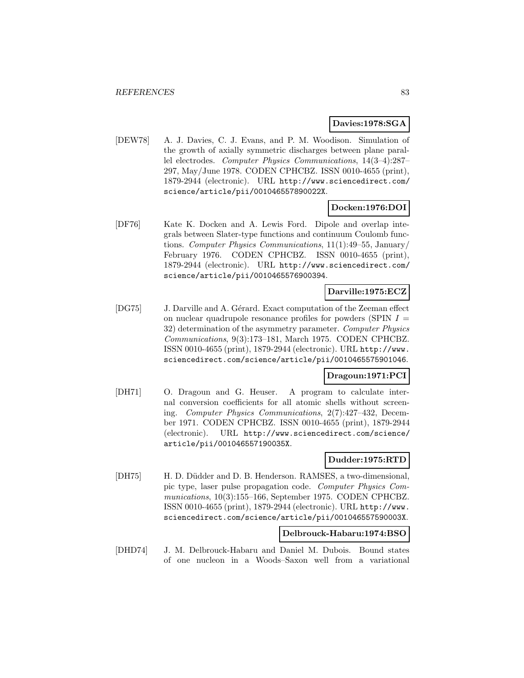#### **Davies:1978:SGA**

[DEW78] A. J. Davies, C. J. Evans, and P. M. Woodison. Simulation of the growth of axially symmetric discharges between plane parallel electrodes. Computer Physics Communications, 14(3–4):287– 297, May/June 1978. CODEN CPHCBZ. ISSN 0010-4655 (print), 1879-2944 (electronic). URL http://www.sciencedirect.com/ science/article/pii/001046557890022X.

#### **Docken:1976:DOI**

[DF76] Kate K. Docken and A. Lewis Ford. Dipole and overlap integrals between Slater-type functions and continuum Coulomb functions. Computer Physics Communications, 11(1):49–55, January/ February 1976. CODEN CPHCBZ. ISSN 0010-4655 (print), 1879-2944 (electronic). URL http://www.sciencedirect.com/ science/article/pii/0010465576900394.

#### **Darville:1975:ECZ**

[DG75] J. Darville and A. Gérard. Exact computation of the Zeeman effect on nuclear quadrupole resonance profiles for powders (SPIN  $I =$ 32) determination of the asymmetry parameter. Computer Physics Communications, 9(3):173–181, March 1975. CODEN CPHCBZ. ISSN 0010-4655 (print), 1879-2944 (electronic). URL http://www. sciencedirect.com/science/article/pii/0010465575901046.

## **Dragoun:1971:PCI**

[DH71] O. Dragoun and G. Heuser. A program to calculate internal conversion coefficients for all atomic shells without screening. Computer Physics Communications, 2(7):427–432, December 1971. CODEN CPHCBZ. ISSN 0010-4655 (print), 1879-2944 (electronic). URL http://www.sciencedirect.com/science/ article/pii/001046557190035X.

#### **Dudder:1975:RTD**

[DH75] H. D. Düdder and D. B. Henderson. RAMSES, a two-dimensional, pic type, laser pulse propagation code. Computer Physics Communications, 10(3):155–166, September 1975. CODEN CPHCBZ. ISSN 0010-4655 (print), 1879-2944 (electronic). URL http://www. sciencedirect.com/science/article/pii/001046557590003X.

#### **Delbrouck-Habaru:1974:BSO**

[DHD74] J. M. Delbrouck-Habaru and Daniel M. Dubois. Bound states of one nucleon in a Woods–Saxon well from a variational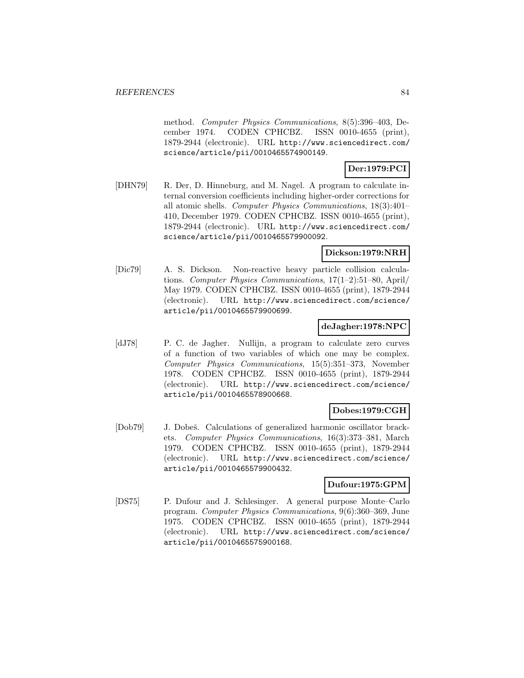method. Computer Physics Communications, 8(5):396–403, December 1974. CODEN CPHCBZ. ISSN 0010-4655 (print), 1879-2944 (electronic). URL http://www.sciencedirect.com/ science/article/pii/0010465574900149.

# **Der:1979:PCI**

[DHN79] R. Der, D. Hinneburg, and M. Nagel. A program to calculate internal conversion coefficients including higher-order corrections for all atomic shells. Computer Physics Communications, 18(3):401– 410, December 1979. CODEN CPHCBZ. ISSN 0010-4655 (print), 1879-2944 (electronic). URL http://www.sciencedirect.com/ science/article/pii/0010465579900092.

# **Dickson:1979:NRH**

[Dic79] A. S. Dickson. Non-reactive heavy particle collision calculations. Computer Physics Communications, 17(1–2):51–80, April/ May 1979. CODEN CPHCBZ. ISSN 0010-4655 (print), 1879-2944 (electronic). URL http://www.sciencedirect.com/science/ article/pii/0010465579900699.

## **deJagher:1978:NPC**

[dJ78] P. C. de Jagher. Nullijn, a program to calculate zero curves of a function of two variables of which one may be complex. Computer Physics Communications, 15(5):351–373, November 1978. CODEN CPHCBZ. ISSN 0010-4655 (print), 1879-2944 (electronic). URL http://www.sciencedirect.com/science/ article/pii/0010465578900668.

# **Dobes:1979:CGH**

[Dob79] J. Dobeš. Calculations of generalized harmonic oscillator brackets. Computer Physics Communications, 16(3):373–381, March 1979. CODEN CPHCBZ. ISSN 0010-4655 (print), 1879-2944 (electronic). URL http://www.sciencedirect.com/science/ article/pii/0010465579900432.

# **Dufour:1975:GPM**

[DS75] P. Dufour and J. Schlesinger. A general purpose Monte–Carlo program. Computer Physics Communications, 9(6):360–369, June 1975. CODEN CPHCBZ. ISSN 0010-4655 (print), 1879-2944 (electronic). URL http://www.sciencedirect.com/science/ article/pii/0010465575900168.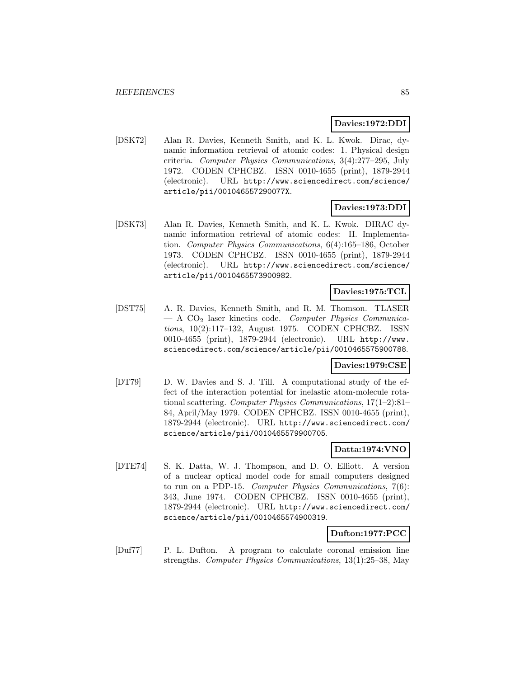#### **Davies:1972:DDI**

[DSK72] Alan R. Davies, Kenneth Smith, and K. L. Kwok. Dirac, dynamic information retrieval of atomic codes: 1. Physical design criteria. Computer Physics Communications, 3(4):277–295, July 1972. CODEN CPHCBZ. ISSN 0010-4655 (print), 1879-2944 (electronic). URL http://www.sciencedirect.com/science/ article/pii/001046557290077X.

## **Davies:1973:DDI**

[DSK73] Alan R. Davies, Kenneth Smith, and K. L. Kwok. DIRAC dynamic information retrieval of atomic codes: II. Implementation. Computer Physics Communications, 6(4):165–186, October 1973. CODEN CPHCBZ. ISSN 0010-4655 (print), 1879-2944 (electronic). URL http://www.sciencedirect.com/science/ article/pii/0010465573900982.

### **Davies:1975:TCL**

[DST75] A. R. Davies, Kenneth Smith, and R. M. Thomson. TLASER  $- A CO<sub>2</sub>$  laser kinetics code. Computer Physics Communications, 10(2):117–132, August 1975. CODEN CPHCBZ. ISSN 0010-4655 (print), 1879-2944 (electronic). URL http://www. sciencedirect.com/science/article/pii/0010465575900788.

## **Davies:1979:CSE**

[DT79] D. W. Davies and S. J. Till. A computational study of the effect of the interaction potential for inelastic atom-molecule rotational scattering. Computer Physics Communications, 17(1–2):81– 84, April/May 1979. CODEN CPHCBZ. ISSN 0010-4655 (print), 1879-2944 (electronic). URL http://www.sciencedirect.com/ science/article/pii/0010465579900705.

#### **Datta:1974:VNO**

[DTE74] S. K. Datta, W. J. Thompson, and D. O. Elliott. A version of a nuclear optical model code for small computers designed to run on a PDP-15. Computer Physics Communications, 7(6): 343, June 1974. CODEN CPHCBZ. ISSN 0010-4655 (print), 1879-2944 (electronic). URL http://www.sciencedirect.com/ science/article/pii/0010465574900319.

#### **Dufton:1977:PCC**

[Duf77] P. L. Dufton. A program to calculate coronal emission line strengths. Computer Physics Communications, 13(1):25–38, May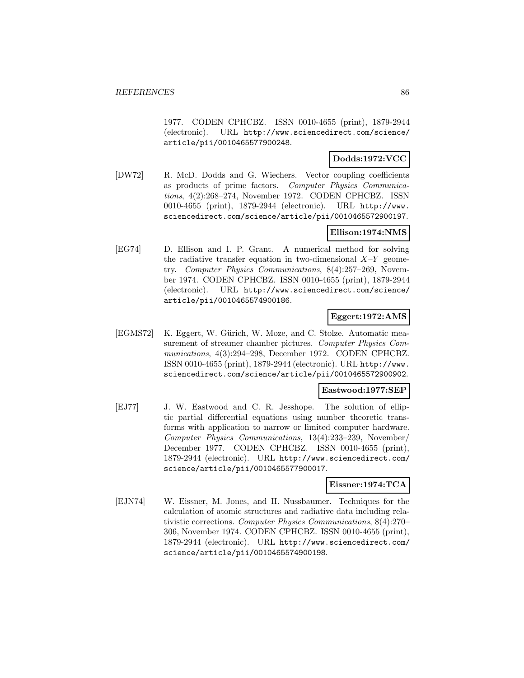1977. CODEN CPHCBZ. ISSN 0010-4655 (print), 1879-2944 (electronic). URL http://www.sciencedirect.com/science/ article/pii/0010465577900248.

# **Dodds:1972:VCC**

[DW72] R. McD. Dodds and G. Wiechers. Vector coupling coefficients as products of prime factors. Computer Physics Communications, 4(2):268–274, November 1972. CODEN CPHCBZ. ISSN 0010-4655 (print), 1879-2944 (electronic). URL http://www. sciencedirect.com/science/article/pii/0010465572900197.

### **Ellison:1974:NMS**

[EG74] D. Ellison and I. P. Grant. A numerical method for solving the radiative transfer equation in two-dimensional  $X-Y$  geometry. Computer Physics Communications, 8(4):257–269, November 1974. CODEN CPHCBZ. ISSN 0010-4655 (print), 1879-2944 (electronic). URL http://www.sciencedirect.com/science/ article/pii/0010465574900186.

## **Eggert:1972:AMS**

[EGMS72] K. Eggert, W. Gürich, W. Moze, and C. Stolze. Automatic measurement of streamer chamber pictures. Computer Physics Communications, 4(3):294–298, December 1972. CODEN CPHCBZ. ISSN 0010-4655 (print), 1879-2944 (electronic). URL http://www. sciencedirect.com/science/article/pii/0010465572900902.

#### **Eastwood:1977:SEP**

[EJ77] J. W. Eastwood and C. R. Jesshope. The solution of elliptic partial differential equations using number theoretic transforms with application to narrow or limited computer hardware. Computer Physics Communications, 13(4):233–239, November/ December 1977. CODEN CPHCBZ. ISSN 0010-4655 (print), 1879-2944 (electronic). URL http://www.sciencedirect.com/ science/article/pii/0010465577900017.

#### **Eissner:1974:TCA**

[EJN74] W. Eissner, M. Jones, and H. Nussbaumer. Techniques for the calculation of atomic structures and radiative data including relativistic corrections. Computer Physics Communications, 8(4):270– 306, November 1974. CODEN CPHCBZ. ISSN 0010-4655 (print), 1879-2944 (electronic). URL http://www.sciencedirect.com/ science/article/pii/0010465574900198.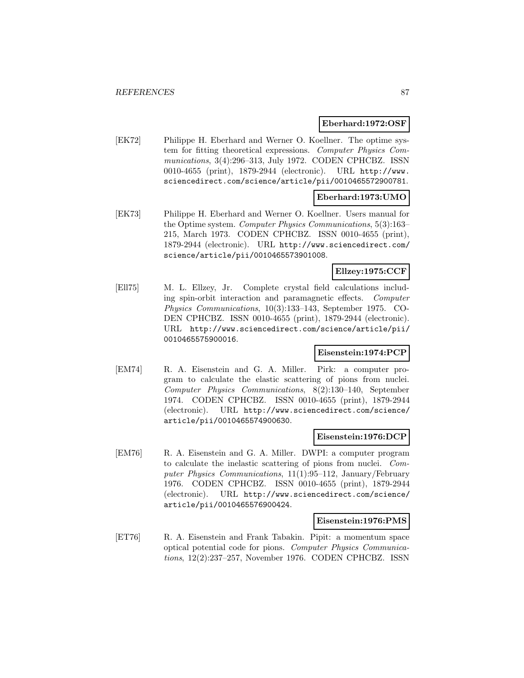#### **Eberhard:1972:OSF**

[EK72] Philippe H. Eberhard and Werner O. Koellner. The optime system for fitting theoretical expressions. Computer Physics Communications, 3(4):296–313, July 1972. CODEN CPHCBZ. ISSN 0010-4655 (print), 1879-2944 (electronic). URL http://www. sciencedirect.com/science/article/pii/0010465572900781.

## **Eberhard:1973:UMO**

[EK73] Philippe H. Eberhard and Werner O. Koellner. Users manual for the Optime system. Computer Physics Communications, 5(3):163– 215, March 1973. CODEN CPHCBZ. ISSN 0010-4655 (print), 1879-2944 (electronic). URL http://www.sciencedirect.com/ science/article/pii/0010465573901008.

# **Ellzey:1975:CCF**

[Ell75] M. L. Ellzey, Jr. Complete crystal field calculations including spin-orbit interaction and paramagnetic effects. Computer Physics Communications, 10(3):133–143, September 1975. CO-DEN CPHCBZ. ISSN 0010-4655 (print), 1879-2944 (electronic). URL http://www.sciencedirect.com/science/article/pii/ 0010465575900016.

## **Eisenstein:1974:PCP**

[EM74] R. A. Eisenstein and G. A. Miller. Pirk: a computer program to calculate the elastic scattering of pions from nuclei. Computer Physics Communications, 8(2):130–140, September 1974. CODEN CPHCBZ. ISSN 0010-4655 (print), 1879-2944 (electronic). URL http://www.sciencedirect.com/science/ article/pii/0010465574900630.

### **Eisenstein:1976:DCP**

[EM76] R. A. Eisenstein and G. A. Miller. DWPI: a computer program to calculate the inelastic scattering of pions from nuclei. Computer Physics Communications, 11(1):95–112, January/February 1976. CODEN CPHCBZ. ISSN 0010-4655 (print), 1879-2944 (electronic). URL http://www.sciencedirect.com/science/ article/pii/0010465576900424.

#### **Eisenstein:1976:PMS**

[ET76] R. A. Eisenstein and Frank Tabakin. Pipit: a momentum space optical potential code for pions. Computer Physics Communications, 12(2):237–257, November 1976. CODEN CPHCBZ. ISSN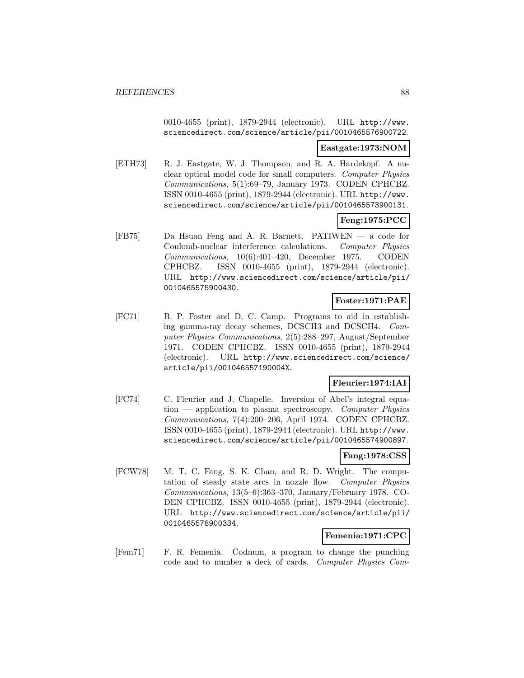0010-4655 (print), 1879-2944 (electronic). URL http://www. sciencedirect.com/science/article/pii/0010465576900722.

# **Eastgate:1973:NOM**

[ETH73] R. J. Eastgate, W. J. Thompson, and R. A. Hardekopf. A nuclear optical model code for small computers. Computer Physics Communications, 5(1):69–79, January 1973. CODEN CPHCBZ. ISSN 0010-4655 (print), 1879-2944 (electronic). URL http://www. sciencedirect.com/science/article/pii/0010465573900131.

# **Feng:1975:PCC**

[FB75] Da Hsuan Feng and A. R. Barnett. PATIWEN — a code for Coulomb-nuclear interference calculations. Computer Physics Communications, 10(6):401–420, December 1975. CODEN CPHCBZ. ISSN 0010-4655 (print), 1879-2944 (electronic). URL http://www.sciencedirect.com/science/article/pii/ 0010465575900430.

# **Foster:1971:PAE**

[FC71] B. P. Foster and D. C. Camp. Programs to aid in establishing gamma-ray decay schemes, DCSCH3 and DCSCH4. Computer Physics Communications, 2(5):288–297, August/September 1971. CODEN CPHCBZ. ISSN 0010-4655 (print), 1879-2944 (electronic). URL http://www.sciencedirect.com/science/ article/pii/001046557190004X.

# **Fleurier:1974:IAI**

[FC74] C. Fleurier and J. Chapelle. Inversion of Abel's integral equa $tion$  — application to plasma spectroscopy. Computer Physics Communications, 7(4):200–206, April 1974. CODEN CPHCBZ. ISSN 0010-4655 (print), 1879-2944 (electronic). URL http://www. sciencedirect.com/science/article/pii/0010465574900897.

### **Fang:1978:CSS**

[FCW78] M. T. C. Fang, S. K. Chan, and R. D. Wright. The computation of steady state arcs in nozzle flow. Computer Physics Communications, 13(5–6):363–370, January/February 1978. CO-DEN CPHCBZ. ISSN 0010-4655 (print), 1879-2944 (electronic). URL http://www.sciencedirect.com/science/article/pii/ 0010465578900334.

# **Femenia:1971:CPC**

[Fem71] F. R. Femenia. Codnum, a program to change the punching code and to number a deck of cards. Computer Physics Com-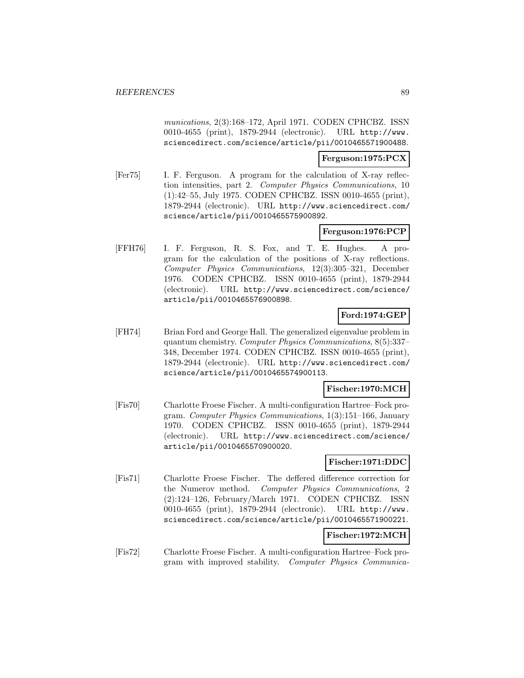munications, 2(3):168–172, April 1971. CODEN CPHCBZ. ISSN 0010-4655 (print), 1879-2944 (electronic). URL http://www. sciencedirect.com/science/article/pii/0010465571900488.

# **Ferguson:1975:PCX**

[Fer75] I. F. Ferguson. A program for the calculation of X-ray reflection intensities, part 2. Computer Physics Communications, 10 (1):42–55, July 1975. CODEN CPHCBZ. ISSN 0010-4655 (print), 1879-2944 (electronic). URL http://www.sciencedirect.com/ science/article/pii/0010465575900892.

# **Ferguson:1976:PCP**

[FFH76] I. F. Ferguson, R. S. Fox, and T. E. Hughes. A program for the calculation of the positions of X-ray reflections. Computer Physics Communications, 12(3):305–321, December 1976. CODEN CPHCBZ. ISSN 0010-4655 (print), 1879-2944 (electronic). URL http://www.sciencedirect.com/science/ article/pii/0010465576900898.

# **Ford:1974:GEP**

[FH74] Brian Ford and George Hall. The generalized eigenvalue problem in quantum chemistry. Computer Physics Communications, 8(5):337– 348, December 1974. CODEN CPHCBZ. ISSN 0010-4655 (print), 1879-2944 (electronic). URL http://www.sciencedirect.com/ science/article/pii/0010465574900113.

# **Fischer:1970:MCH**

[Fis70] Charlotte Froese Fischer. A multi-configuration Hartree–Fock program. Computer Physics Communications, 1(3):151–166, January 1970. CODEN CPHCBZ. ISSN 0010-4655 (print), 1879-2944 (electronic). URL http://www.sciencedirect.com/science/ article/pii/0010465570900020.

#### **Fischer:1971:DDC**

[Fis71] Charlotte Froese Fischer. The deffered difference correction for the Numerov method. Computer Physics Communications, 2 (2):124–126, February/March 1971. CODEN CPHCBZ. ISSN 0010-4655 (print), 1879-2944 (electronic). URL http://www. sciencedirect.com/science/article/pii/0010465571900221.

# **Fischer:1972:MCH**

[Fis72] Charlotte Froese Fischer. A multi-configuration Hartree–Fock program with improved stability. Computer Physics Communica-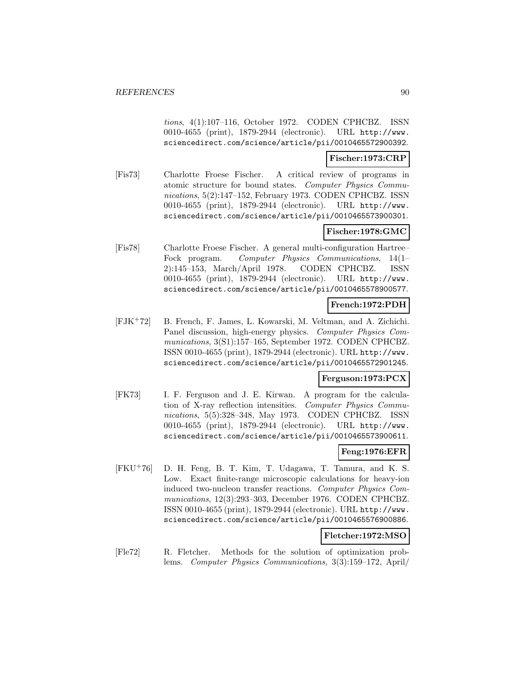tions, 4(1):107–116, October 1972. CODEN CPHCBZ. ISSN 0010-4655 (print), 1879-2944 (electronic). URL http://www. sciencedirect.com/science/article/pii/0010465572900392.

### **Fischer:1973:CRP**

[Fis73] Charlotte Froese Fischer. A critical review of programs in atomic structure for bound states. Computer Physics Communications, 5(2):147–152, February 1973. CODEN CPHCBZ. ISSN 0010-4655 (print), 1879-2944 (electronic). URL http://www. sciencedirect.com/science/article/pii/0010465573900301.

## **Fischer:1978:GMC**

[Fis78] Charlotte Froese Fischer. A general multi-configuration Hartree– Fock program. Computer Physics Communications, 14(1– 2):145–153, March/April 1978. CODEN CPHCBZ. ISSN 0010-4655 (print), 1879-2944 (electronic). URL http://www. sciencedirect.com/science/article/pii/0010465578900577.

## **French:1972:PDH**

[FJK<sup>+</sup>72] B. French, F. James, L. Kowarski, M. Veltman, and A. Zichichi. Panel discussion, high-energy physics. Computer Physics Communications, 3(S1):157–165, September 1972. CODEN CPHCBZ. ISSN 0010-4655 (print), 1879-2944 (electronic). URL http://www. sciencedirect.com/science/article/pii/0010465572901245.

#### **Ferguson:1973:PCX**

[FK73] I. F. Ferguson and J. E. Kirwan. A program for the calculation of X-ray reflection intensities. Computer Physics Communications, 5(5):328–348, May 1973. CODEN CPHCBZ. ISSN 0010-4655 (print), 1879-2944 (electronic). URL http://www. sciencedirect.com/science/article/pii/0010465573900611.

# **Feng:1976:EFR**

[FKU<sup>+</sup>76] D. H. Feng, B. T. Kim, T. Udagawa, T. Tamura, and K. S. Low. Exact finite-range microscopic calculations for heavy-ion induced two-nucleon transfer reactions. Computer Physics Communications, 12(3):293–303, December 1976. CODEN CPHCBZ. ISSN 0010-4655 (print), 1879-2944 (electronic). URL http://www. sciencedirect.com/science/article/pii/0010465576900886.

#### **Fletcher:1972:MSO**

[Fle72] R. Fletcher. Methods for the solution of optimization problems. Computer Physics Communications, 3(3):159–172, April/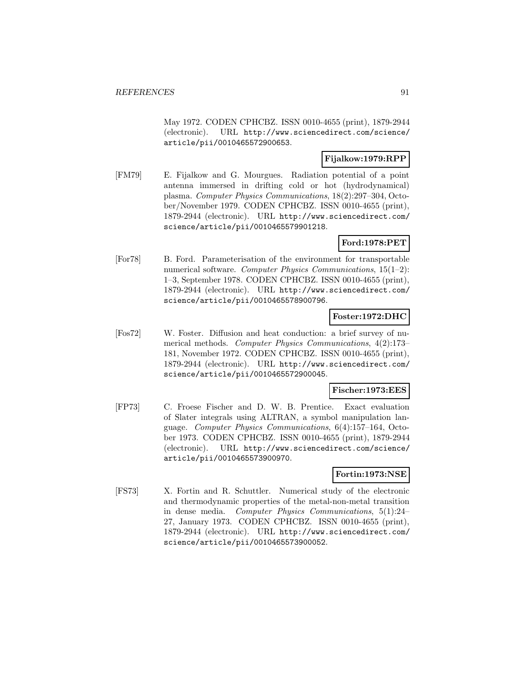May 1972. CODEN CPHCBZ. ISSN 0010-4655 (print), 1879-2944 (electronic). URL http://www.sciencedirect.com/science/ article/pii/0010465572900653.

# **Fijalkow:1979:RPP**

[FM79] E. Fijalkow and G. Mourgues. Radiation potential of a point antenna immersed in drifting cold or hot (hydrodynamical) plasma. Computer Physics Communications, 18(2):297–304, October/November 1979. CODEN CPHCBZ. ISSN 0010-4655 (print), 1879-2944 (electronic). URL http://www.sciencedirect.com/ science/article/pii/0010465579901218.

## **Ford:1978:PET**

[For78] B. Ford. Parameterisation of the environment for transportable numerical software. Computer Physics Communications, 15(1–2): 1–3, September 1978. CODEN CPHCBZ. ISSN 0010-4655 (print), 1879-2944 (electronic). URL http://www.sciencedirect.com/ science/article/pii/0010465578900796.

## **Foster:1972:DHC**

[Fos72] W. Foster. Diffusion and heat conduction: a brief survey of numerical methods. Computer Physics Communications, 4(2):173– 181, November 1972. CODEN CPHCBZ. ISSN 0010-4655 (print), 1879-2944 (electronic). URL http://www.sciencedirect.com/ science/article/pii/0010465572900045.

#### **Fischer:1973:EES**

[FP73] C. Froese Fischer and D. W. B. Prentice. Exact evaluation of Slater integrals using ALTRAN, a symbol manipulation language. Computer Physics Communications, 6(4):157–164, October 1973. CODEN CPHCBZ. ISSN 0010-4655 (print), 1879-2944 (electronic). URL http://www.sciencedirect.com/science/ article/pii/0010465573900970.

# **Fortin:1973:NSE**

[FS73] X. Fortin and R. Schuttler. Numerical study of the electronic and thermodynamic properties of the metal-non-metal transition in dense media. Computer Physics Communications, 5(1):24– 27, January 1973. CODEN CPHCBZ. ISSN 0010-4655 (print), 1879-2944 (electronic). URL http://www.sciencedirect.com/ science/article/pii/0010465573900052.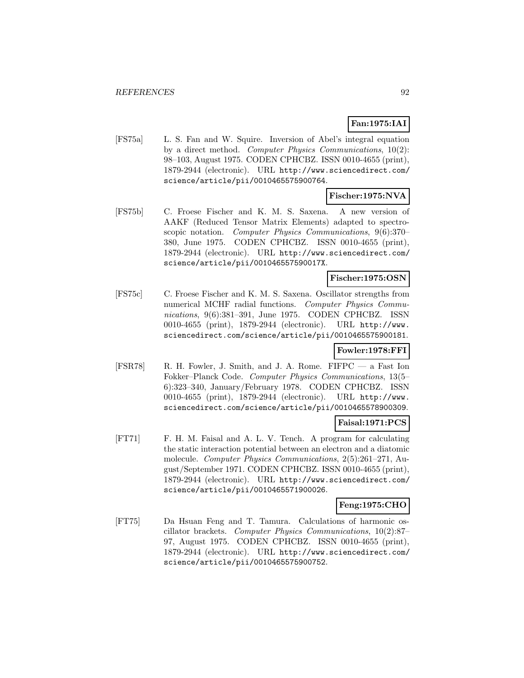# **Fan:1975:IAI**

[FS75a] L. S. Fan and W. Squire. Inversion of Abel's integral equation by a direct method. Computer Physics Communications, 10(2): 98–103, August 1975. CODEN CPHCBZ. ISSN 0010-4655 (print), 1879-2944 (electronic). URL http://www.sciencedirect.com/ science/article/pii/0010465575900764.

#### **Fischer:1975:NVA**

[FS75b] C. Froese Fischer and K. M. S. Saxena. A new version of AAKF (Reduced Tensor Matrix Elements) adapted to spectroscopic notation. Computer Physics Communications, 9(6):370– 380, June 1975. CODEN CPHCBZ. ISSN 0010-4655 (print), 1879-2944 (electronic). URL http://www.sciencedirect.com/ science/article/pii/001046557590017X.

## **Fischer:1975:OSN**

[FS75c] C. Froese Fischer and K. M. S. Saxena. Oscillator strengths from numerical MCHF radial functions. Computer Physics Communications, 9(6):381–391, June 1975. CODEN CPHCBZ. ISSN 0010-4655 (print), 1879-2944 (electronic). URL http://www. sciencedirect.com/science/article/pii/0010465575900181.

# **Fowler:1978:FFI**

[FSR78] R. H. Fowler, J. Smith, and J. A. Rome. FIFPC — a Fast Ion Fokker–Planck Code. Computer Physics Communications, 13(5– 6):323–340, January/February 1978. CODEN CPHCBZ. ISSN 0010-4655 (print), 1879-2944 (electronic). URL http://www. sciencedirect.com/science/article/pii/0010465578900309.

# **Faisal:1971:PCS**

[FT71] F. H. M. Faisal and A. L. V. Tench. A program for calculating the static interaction potential between an electron and a diatomic molecule. Computer Physics Communications, 2(5):261–271, August/September 1971. CODEN CPHCBZ. ISSN 0010-4655 (print), 1879-2944 (electronic). URL http://www.sciencedirect.com/ science/article/pii/0010465571900026.

## **Feng:1975:CHO**

[FT75] Da Hsuan Feng and T. Tamura. Calculations of harmonic oscillator brackets. Computer Physics Communications, 10(2):87– 97, August 1975. CODEN CPHCBZ. ISSN 0010-4655 (print), 1879-2944 (electronic). URL http://www.sciencedirect.com/ science/article/pii/0010465575900752.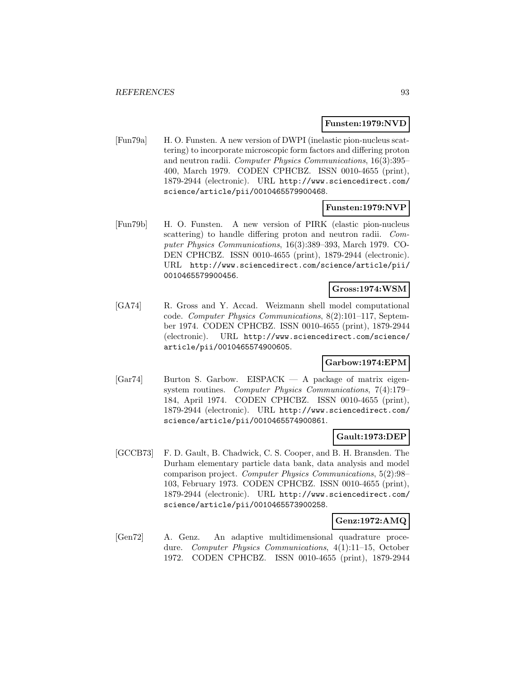### **Funsten:1979:NVD**

[Fun79a] H. O. Funsten. A new version of DWPI (inelastic pion-nucleus scattering) to incorporate microscopic form factors and differing proton and neutron radii. Computer Physics Communications, 16(3):395– 400, March 1979. CODEN CPHCBZ. ISSN 0010-4655 (print), 1879-2944 (electronic). URL http://www.sciencedirect.com/ science/article/pii/0010465579900468.

## **Funsten:1979:NVP**

[Fun79b] H. O. Funsten. A new version of PIRK (elastic pion-nucleus scattering) to handle differing proton and neutron radii. Computer Physics Communications, 16(3):389–393, March 1979. CO-DEN CPHCBZ. ISSN 0010-4655 (print), 1879-2944 (electronic). URL http://www.sciencedirect.com/science/article/pii/ 0010465579900456.

# **Gross:1974:WSM**

[GA74] R. Gross and Y. Accad. Weizmann shell model computational code. Computer Physics Communications, 8(2):101–117, September 1974. CODEN CPHCBZ. ISSN 0010-4655 (print), 1879-2944 (electronic). URL http://www.sciencedirect.com/science/ article/pii/0010465574900605.

#### **Garbow:1974:EPM**

[Gar74] Burton S. Garbow. EISPACK — A package of matrix eigensystem routines. Computer Physics Communications, 7(4):179– 184, April 1974. CODEN CPHCBZ. ISSN 0010-4655 (print), 1879-2944 (electronic). URL http://www.sciencedirect.com/ science/article/pii/0010465574900861.

# **Gault:1973:DEP**

[GCCB73] F. D. Gault, B. Chadwick, C. S. Cooper, and B. H. Bransden. The Durham elementary particle data bank, data analysis and model comparison project. Computer Physics Communications, 5(2):98– 103, February 1973. CODEN CPHCBZ. ISSN 0010-4655 (print), 1879-2944 (electronic). URL http://www.sciencedirect.com/ science/article/pii/0010465573900258.

# **Genz:1972:AMQ**

[Gen72] A. Genz. An adaptive multidimensional quadrature procedure. Computer Physics Communications, 4(1):11–15, October 1972. CODEN CPHCBZ. ISSN 0010-4655 (print), 1879-2944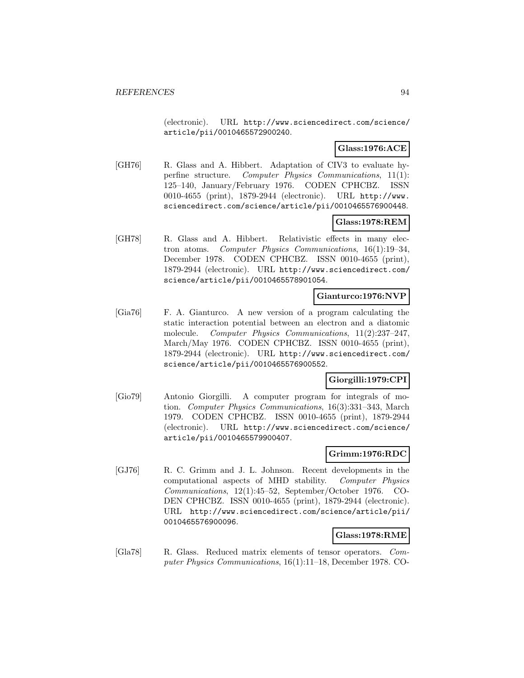(electronic). URL http://www.sciencedirect.com/science/ article/pii/0010465572900240.

# **Glass:1976:ACE**

[GH76] R. Glass and A. Hibbert. Adaptation of CIV3 to evaluate hyperfine structure. Computer Physics Communications, 11(1): 125–140, January/February 1976. CODEN CPHCBZ. ISSN 0010-4655 (print), 1879-2944 (electronic). URL http://www. sciencedirect.com/science/article/pii/0010465576900448.

# **Glass:1978:REM**

[GH78] R. Glass and A. Hibbert. Relativistic effects in many electron atoms. Computer Physics Communications, 16(1):19–34, December 1978. CODEN CPHCBZ. ISSN 0010-4655 (print), 1879-2944 (electronic). URL http://www.sciencedirect.com/ science/article/pii/0010465578901054.

#### **Gianturco:1976:NVP**

[Gia76] F. A. Gianturco. A new version of a program calculating the static interaction potential between an electron and a diatomic molecule. Computer Physics Communications, 11(2):237-247, March/May 1976. CODEN CPHCBZ. ISSN 0010-4655 (print), 1879-2944 (electronic). URL http://www.sciencedirect.com/ science/article/pii/0010465576900552.

### **Giorgilli:1979:CPI**

[Gio79] Antonio Giorgilli. A computer program for integrals of motion. Computer Physics Communications, 16(3):331–343, March 1979. CODEN CPHCBZ. ISSN 0010-4655 (print), 1879-2944 (electronic). URL http://www.sciencedirect.com/science/ article/pii/0010465579900407.

#### **Grimm:1976:RDC**

[GJ76] R. C. Grimm and J. L. Johnson. Recent developments in the computational aspects of MHD stability. Computer Physics Communications, 12(1):45–52, September/October 1976. CO-DEN CPHCBZ. ISSN 0010-4655 (print), 1879-2944 (electronic). URL http://www.sciencedirect.com/science/article/pii/ 0010465576900096.

# **Glass:1978:RME**

[Gla78] R. Glass. Reduced matrix elements of tensor operators. Computer Physics Communications, 16(1):11–18, December 1978. CO-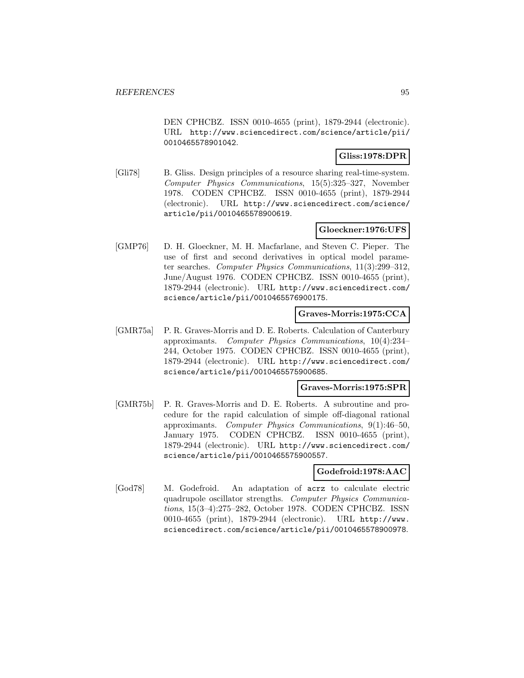DEN CPHCBZ. ISSN 0010-4655 (print), 1879-2944 (electronic). URL http://www.sciencedirect.com/science/article/pii/ 0010465578901042.

# **Gliss:1978:DPR**

[Gli78] B. Gliss. Design principles of a resource sharing real-time-system. Computer Physics Communications, 15(5):325–327, November 1978. CODEN CPHCBZ. ISSN 0010-4655 (print), 1879-2944 (electronic). URL http://www.sciencedirect.com/science/ article/pii/0010465578900619.

# **Gloeckner:1976:UFS**

[GMP76] D. H. Gloeckner, M. H. Macfarlane, and Steven C. Pieper. The use of first and second derivatives in optical model parameter searches. Computer Physics Communications, 11(3):299–312, June/August 1976. CODEN CPHCBZ. ISSN 0010-4655 (print), 1879-2944 (electronic). URL http://www.sciencedirect.com/ science/article/pii/0010465576900175.

# **Graves-Morris:1975:CCA**

[GMR75a] P. R. Graves-Morris and D. E. Roberts. Calculation of Canterbury approximants. Computer Physics Communications, 10(4):234– 244, October 1975. CODEN CPHCBZ. ISSN 0010-4655 (print), 1879-2944 (electronic). URL http://www.sciencedirect.com/ science/article/pii/0010465575900685.

#### **Graves-Morris:1975:SPR**

[GMR75b] P. R. Graves-Morris and D. E. Roberts. A subroutine and procedure for the rapid calculation of simple off-diagonal rational approximants. Computer Physics Communications, 9(1):46–50, January 1975. CODEN CPHCBZ. ISSN 0010-4655 (print), 1879-2944 (electronic). URL http://www.sciencedirect.com/ science/article/pii/0010465575900557.

#### **Godefroid:1978:AAC**

[God78] M. Godefroid. An adaptation of acrz to calculate electric quadrupole oscillator strengths. Computer Physics Communications, 15(3–4):275–282, October 1978. CODEN CPHCBZ. ISSN 0010-4655 (print), 1879-2944 (electronic). URL http://www. sciencedirect.com/science/article/pii/0010465578900978.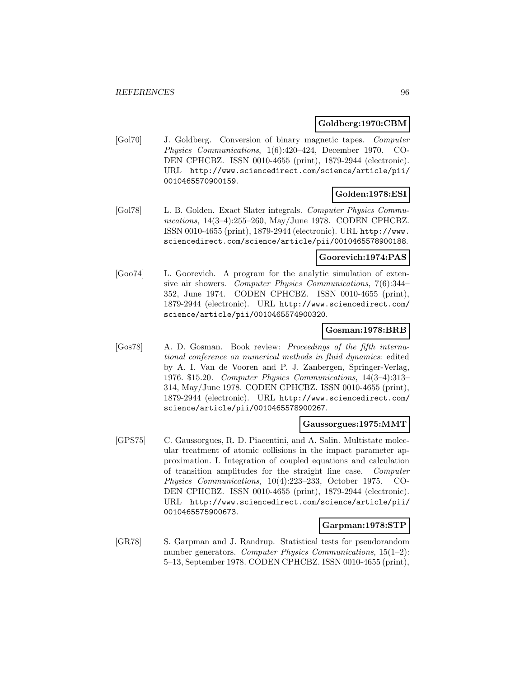#### **Goldberg:1970:CBM**

[Gol70] J. Goldberg. Conversion of binary magnetic tapes. Computer Physics Communications, 1(6):420–424, December 1970. CO-DEN CPHCBZ. ISSN 0010-4655 (print), 1879-2944 (electronic). URL http://www.sciencedirect.com/science/article/pii/ 0010465570900159.

# **Golden:1978:ESI**

[Gol78] L. B. Golden. Exact Slater integrals. Computer Physics Communications, 14(3–4):255–260, May/June 1978. CODEN CPHCBZ. ISSN 0010-4655 (print), 1879-2944 (electronic). URL http://www. sciencedirect.com/science/article/pii/0010465578900188.

## **Goorevich:1974:PAS**

[Goo74] L. Goorevich. A program for the analytic simulation of extensive air showers. Computer Physics Communications, 7(6):344– 352, June 1974. CODEN CPHCBZ. ISSN 0010-4655 (print), 1879-2944 (electronic). URL http://www.sciencedirect.com/ science/article/pii/0010465574900320.

### **Gosman:1978:BRB**

[Gos78] A. D. Gosman. Book review: Proceedings of the fifth international conference on numerical methods in fluid dynamics: edited by A. I. Van de Vooren and P. J. Zanbergen, Springer-Verlag, 1976. \$15.20. Computer Physics Communications, 14(3–4):313– 314, May/June 1978. CODEN CPHCBZ. ISSN 0010-4655 (print), 1879-2944 (electronic). URL http://www.sciencedirect.com/ science/article/pii/0010465578900267.

# **Gaussorgues:1975:MMT**

[GPS75] C. Gaussorgues, R. D. Piacentini, and A. Salin. Multistate molecular treatment of atomic collisions in the impact parameter approximation. I. Integration of coupled equations and calculation of transition amplitudes for the straight line case. Computer Physics Communications, 10(4):223–233, October 1975. CO-DEN CPHCBZ. ISSN 0010-4655 (print), 1879-2944 (electronic). URL http://www.sciencedirect.com/science/article/pii/ 0010465575900673.

#### **Garpman:1978:STP**

[GR78] S. Garpman and J. Randrup. Statistical tests for pseudorandom number generators. Computer Physics Communications, 15(1–2): 5–13, September 1978. CODEN CPHCBZ. ISSN 0010-4655 (print),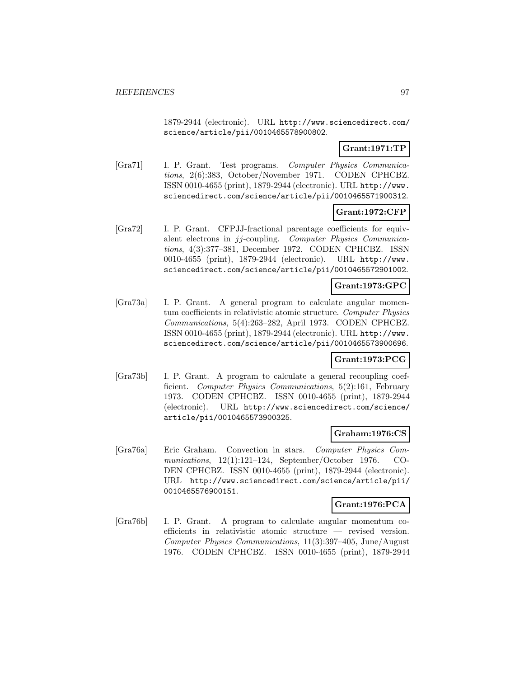1879-2944 (electronic). URL http://www.sciencedirect.com/ science/article/pii/0010465578900802.

# **Grant:1971:TP**

[Gra71] I. P. Grant. Test programs. Computer Physics Communications, 2(6):383, October/November 1971. CODEN CPHCBZ. ISSN 0010-4655 (print), 1879-2944 (electronic). URL http://www. sciencedirect.com/science/article/pii/0010465571900312.

# **Grant:1972:CFP**

[Gra72] I. P. Grant. CFPJJ-fractional parentage coefficients for equivalent electrons in jj-coupling. Computer Physics Communications, 4(3):377–381, December 1972. CODEN CPHCBZ. ISSN 0010-4655 (print), 1879-2944 (electronic). URL http://www. sciencedirect.com/science/article/pii/0010465572901002.

## **Grant:1973:GPC**

[Gra73a] I. P. Grant. A general program to calculate angular momentum coefficients in relativistic atomic structure. Computer Physics Communications, 5(4):263–282, April 1973. CODEN CPHCBZ. ISSN 0010-4655 (print), 1879-2944 (electronic). URL http://www. sciencedirect.com/science/article/pii/0010465573900696.

# **Grant:1973:PCG**

[Gra73b] I. P. Grant. A program to calculate a general recoupling coefficient. Computer Physics Communications, 5(2):161, February 1973. CODEN CPHCBZ. ISSN 0010-4655 (print), 1879-2944 (electronic). URL http://www.sciencedirect.com/science/ article/pii/0010465573900325.

#### **Graham:1976:CS**

[Gra76a] Eric Graham. Convection in stars. Computer Physics Communications, 12(1):121–124, September/October 1976. CO-DEN CPHCBZ. ISSN 0010-4655 (print), 1879-2944 (electronic). URL http://www.sciencedirect.com/science/article/pii/ 0010465576900151.

#### **Grant:1976:PCA**

[Gra76b] I. P. Grant. A program to calculate angular momentum coefficients in relativistic atomic structure — revised version. Computer Physics Communications, 11(3):397–405, June/August 1976. CODEN CPHCBZ. ISSN 0010-4655 (print), 1879-2944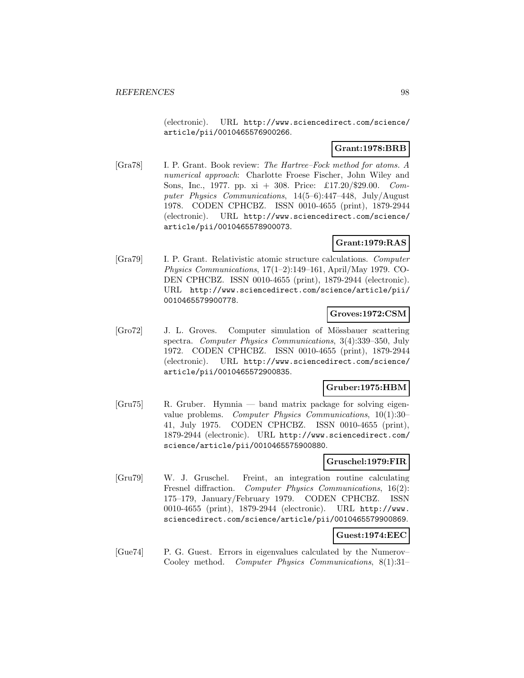(electronic). URL http://www.sciencedirect.com/science/ article/pii/0010465576900266.

# **Grant:1978:BRB**

[Gra78] I. P. Grant. Book review: The Hartree–Fock method for atoms. A numerical approach: Charlotte Froese Fischer, John Wiley and Sons, Inc., 1977. pp. xi + 308. Price: £17.20/\$29.00. Computer Physics Communications, 14(5–6):447–448, July/August 1978. CODEN CPHCBZ. ISSN 0010-4655 (print), 1879-2944 (electronic). URL http://www.sciencedirect.com/science/ article/pii/0010465578900073.

# **Grant:1979:RAS**

[Gra79] I. P. Grant. Relativistic atomic structure calculations. Computer Physics Communications, 17(1–2):149–161, April/May 1979. CO-DEN CPHCBZ. ISSN 0010-4655 (print), 1879-2944 (electronic). URL http://www.sciencedirect.com/science/article/pii/ 0010465579900778.

## **Groves:1972:CSM**

[Gro72] J. L. Groves. Computer simulation of Mössbauer scattering spectra. Computer Physics Communications, 3(4):339–350, July 1972. CODEN CPHCBZ. ISSN 0010-4655 (print), 1879-2944 (electronic). URL http://www.sciencedirect.com/science/ article/pii/0010465572900835.

#### **Gruber:1975:HBM**

[Gru75] R. Gruber. Hymnia — band matrix package for solving eigenvalue problems. Computer Physics Communications, 10(1):30– 41, July 1975. CODEN CPHCBZ. ISSN 0010-4655 (print), 1879-2944 (electronic). URL http://www.sciencedirect.com/ science/article/pii/0010465575900880.

#### **Gruschel:1979:FIR**

[Gru79] W. J. Gruschel. Freint, an integration routine calculating Fresnel diffraction. Computer Physics Communications, 16(2): 175–179, January/February 1979. CODEN CPHCBZ. ISSN 0010-4655 (print), 1879-2944 (electronic). URL http://www. sciencedirect.com/science/article/pii/0010465579900869.

# **Guest:1974:EEC**

[Gue74] P. G. Guest. Errors in eigenvalues calculated by the Numerov– Cooley method. Computer Physics Communications, 8(1):31–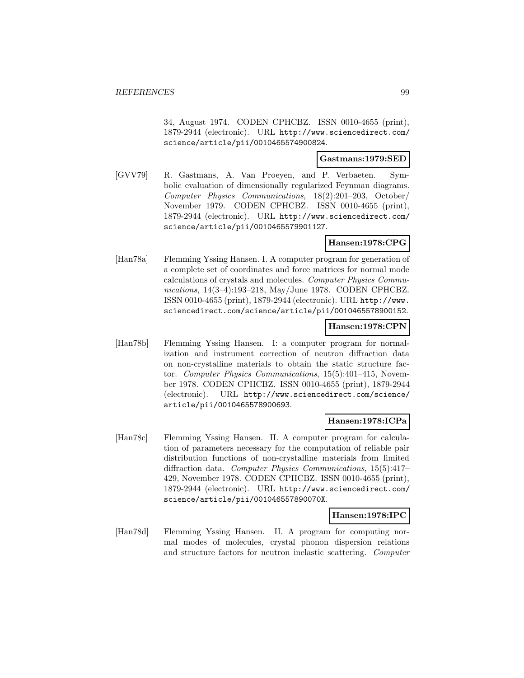34, August 1974. CODEN CPHCBZ. ISSN 0010-4655 (print), 1879-2944 (electronic). URL http://www.sciencedirect.com/ science/article/pii/0010465574900824.

# **Gastmans:1979:SED**

[GVV79] R. Gastmans, A. Van Proeyen, and P. Verbaeten. Symbolic evaluation of dimensionally regularized Feynman diagrams. Computer Physics Communications, 18(2):201–203, October/ November 1979. CODEN CPHCBZ. ISSN 0010-4655 (print), 1879-2944 (electronic). URL http://www.sciencedirect.com/ science/article/pii/0010465579901127.

# **Hansen:1978:CPG**

[Han78a] Flemming Yssing Hansen. I. A computer program for generation of a complete set of coordinates and force matrices for normal mode calculations of crystals and molecules. Computer Physics Communications, 14(3–4):193–218, May/June 1978. CODEN CPHCBZ. ISSN 0010-4655 (print), 1879-2944 (electronic). URL http://www. sciencedirect.com/science/article/pii/0010465578900152.

#### **Hansen:1978:CPN**

[Han78b] Flemming Yssing Hansen. I: a computer program for normalization and instrument correction of neutron diffraction data on non-crystalline materials to obtain the static structure factor. Computer Physics Communications, 15(5):401–415, November 1978. CODEN CPHCBZ. ISSN 0010-4655 (print), 1879-2944 (electronic). URL http://www.sciencedirect.com/science/ article/pii/0010465578900693.

#### **Hansen:1978:ICPa**

[Han78c] Flemming Yssing Hansen. II. A computer program for calculation of parameters necessary for the computation of reliable pair distribution functions of non-crystalline materials from limited diffraction data. Computer Physics Communications, 15(5):417– 429, November 1978. CODEN CPHCBZ. ISSN 0010-4655 (print), 1879-2944 (electronic). URL http://www.sciencedirect.com/ science/article/pii/001046557890070X.

#### **Hansen:1978:IPC**

[Han78d] Flemming Yssing Hansen. II. A program for computing normal modes of molecules, crystal phonon dispersion relations and structure factors for neutron inelastic scattering. Computer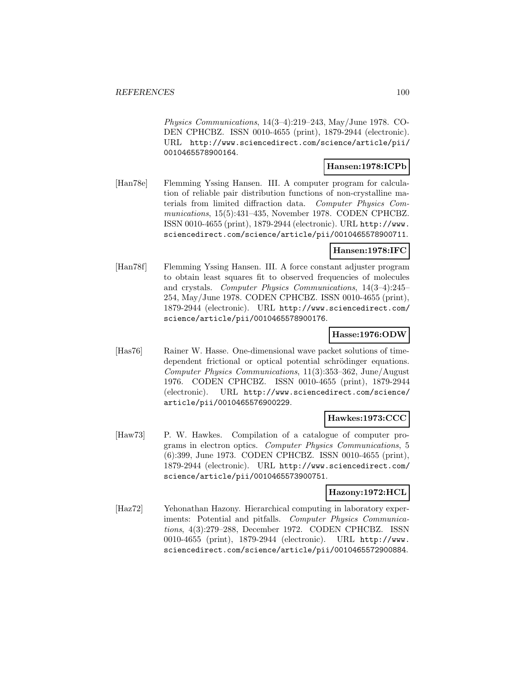Physics Communications, 14(3–4):219–243, May/June 1978. CO-DEN CPHCBZ. ISSN 0010-4655 (print), 1879-2944 (electronic). URL http://www.sciencedirect.com/science/article/pii/ 0010465578900164.

#### **Hansen:1978:ICPb**

[Han78e] Flemming Yssing Hansen. III. A computer program for calculation of reliable pair distribution functions of non-crystalline materials from limited diffraction data. Computer Physics Communications, 15(5):431–435, November 1978. CODEN CPHCBZ. ISSN 0010-4655 (print), 1879-2944 (electronic). URL http://www. sciencedirect.com/science/article/pii/0010465578900711.

# **Hansen:1978:IFC**

[Han78f] Flemming Yssing Hansen. III. A force constant adjuster program to obtain least squares fit to observed frequencies of molecules and crystals. Computer Physics Communications, 14(3–4):245– 254, May/June 1978. CODEN CPHCBZ. ISSN 0010-4655 (print), 1879-2944 (electronic). URL http://www.sciencedirect.com/ science/article/pii/0010465578900176.

### **Hasse:1976:ODW**

[Has76] Rainer W. Hasse. One-dimensional wave packet solutions of timedependent frictional or optical potential schrödinger equations. Computer Physics Communications, 11(3):353–362, June/August 1976. CODEN CPHCBZ. ISSN 0010-4655 (print), 1879-2944 (electronic). URL http://www.sciencedirect.com/science/ article/pii/0010465576900229.

## **Hawkes:1973:CCC**

[Haw73] P. W. Hawkes. Compilation of a catalogue of computer programs in electron optics. Computer Physics Communications, 5 (6):399, June 1973. CODEN CPHCBZ. ISSN 0010-4655 (print), 1879-2944 (electronic). URL http://www.sciencedirect.com/ science/article/pii/0010465573900751.

# **Hazony:1972:HCL**

[Haz72] Yehonathan Hazony. Hierarchical computing in laboratory experiments: Potential and pitfalls. Computer Physics Communications, 4(3):279–288, December 1972. CODEN CPHCBZ. ISSN 0010-4655 (print), 1879-2944 (electronic). URL http://www. sciencedirect.com/science/article/pii/0010465572900884.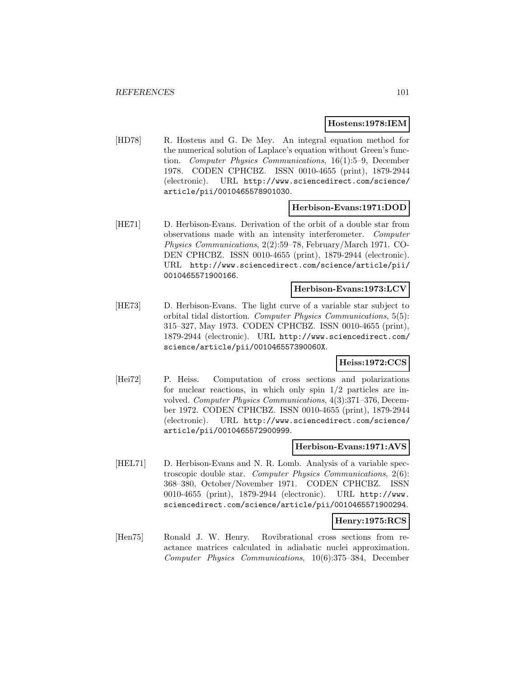#### **Hostens:1978:IEM**

[HD78] R. Hostens and G. De Mey. An integral equation method for the numerical solution of Laplace's equation without Green's function. Computer Physics Communications, 16(1):5–9, December 1978. CODEN CPHCBZ. ISSN 0010-4655 (print), 1879-2944 (electronic). URL http://www.sciencedirect.com/science/ article/pii/0010465578901030.

#### **Herbison-Evans:1971:DOD**

[HE71] D. Herbison-Evans. Derivation of the orbit of a double star from observations made with an intensity interferometer. Computer Physics Communications, 2(2):59–78, February/March 1971. CO-DEN CPHCBZ. ISSN 0010-4655 (print), 1879-2944 (electronic). URL http://www.sciencedirect.com/science/article/pii/ 0010465571900166.

#### **Herbison-Evans:1973:LCV**

[HE73] D. Herbison-Evans. The light curve of a variable star subject to orbital tidal distortion. Computer Physics Communications, 5(5): 315–327, May 1973. CODEN CPHCBZ. ISSN 0010-4655 (print), 1879-2944 (electronic). URL http://www.sciencedirect.com/ science/article/pii/001046557390060X.

#### **Heiss:1972:CCS**

[Hei72] P. Heiss. Computation of cross sections and polarizations for nuclear reactions, in which only spin 1/2 particles are involved. Computer Physics Communications, 4(3):371-376, December 1972. CODEN CPHCBZ. ISSN 0010-4655 (print), 1879-2944 (electronic). URL http://www.sciencedirect.com/science/ article/pii/0010465572900999.

#### **Herbison-Evans:1971:AVS**

[HEL71] D. Herbison-Evans and N. R. Lomb. Analysis of a variable spectroscopic double star. Computer Physics Communications, 2(6): 368–380, October/November 1971. CODEN CPHCBZ. ISSN 0010-4655 (print), 1879-2944 (electronic). URL http://www. sciencedirect.com/science/article/pii/0010465571900294.

### **Henry:1975:RCS**

[Hen75] Ronald J. W. Henry. Rovibrational cross sections from reactance matrices calculated in adiabatic nuclei approximation. Computer Physics Communications, 10(6):375–384, December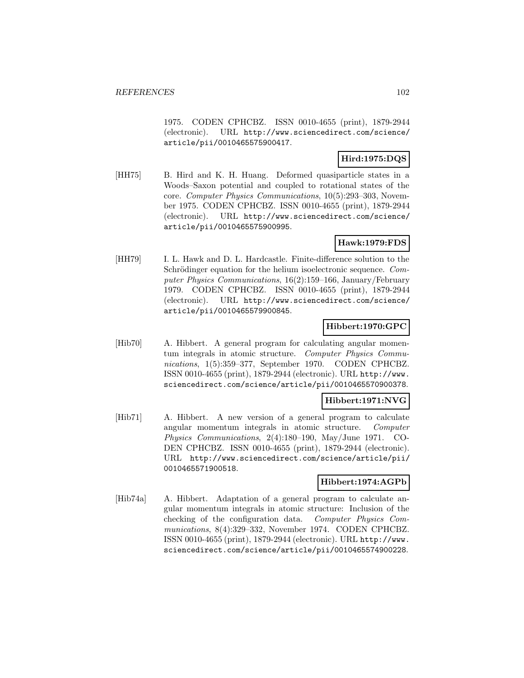1975. CODEN CPHCBZ. ISSN 0010-4655 (print), 1879-2944 (electronic). URL http://www.sciencedirect.com/science/ article/pii/0010465575900417.

# **Hird:1975:DQS**

[HH75] B. Hird and K. H. Huang. Deformed quasiparticle states in a Woods–Saxon potential and coupled to rotational states of the core. Computer Physics Communications, 10(5):293–303, November 1975. CODEN CPHCBZ. ISSN 0010-4655 (print), 1879-2944 (electronic). URL http://www.sciencedirect.com/science/ article/pii/0010465575900995.

# **Hawk:1979:FDS**

[HH79] I. L. Hawk and D. L. Hardcastle. Finite-difference solution to the Schrödinger equation for the helium isoelectronic sequence. Computer Physics Communications, 16(2):159–166, January/February 1979. CODEN CPHCBZ. ISSN 0010-4655 (print), 1879-2944 (electronic). URL http://www.sciencedirect.com/science/ article/pii/0010465579900845.

## **Hibbert:1970:GPC**

[Hib70] A. Hibbert. A general program for calculating angular momentum integrals in atomic structure. Computer Physics Communications, 1(5):359–377, September 1970. CODEN CPHCBZ. ISSN 0010-4655 (print), 1879-2944 (electronic). URL http://www. sciencedirect.com/science/article/pii/0010465570900378.

# **Hibbert:1971:NVG**

[Hib71] A. Hibbert. A new version of a general program to calculate angular momentum integrals in atomic structure. Computer Physics Communications, 2(4):180–190, May/June 1971. CO-DEN CPHCBZ. ISSN 0010-4655 (print), 1879-2944 (electronic). URL http://www.sciencedirect.com/science/article/pii/ 0010465571900518.

# **Hibbert:1974:AGPb**

[Hib74a] A. Hibbert. Adaptation of a general program to calculate angular momentum integrals in atomic structure: Inclusion of the checking of the configuration data. Computer Physics Communications, 8(4):329–332, November 1974. CODEN CPHCBZ. ISSN 0010-4655 (print), 1879-2944 (electronic). URL http://www. sciencedirect.com/science/article/pii/0010465574900228.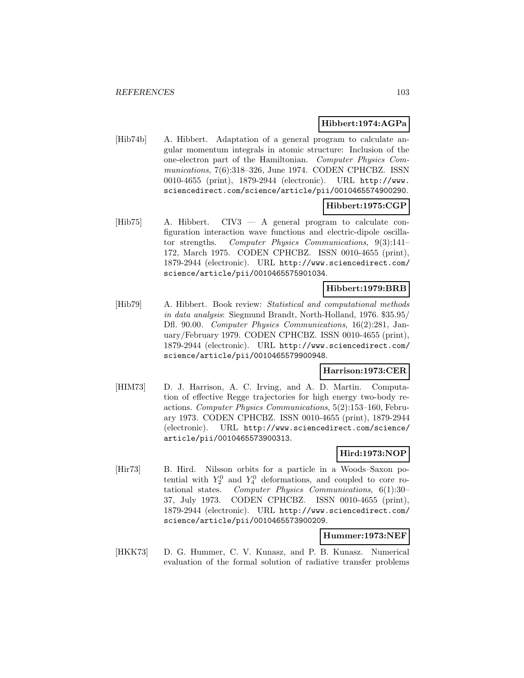# **Hibbert:1974:AGPa**

[Hib74b] A. Hibbert. Adaptation of a general program to calculate angular momentum integrals in atomic structure: Inclusion of the one-electron part of the Hamiltonian. Computer Physics Communications, 7(6):318–326, June 1974. CODEN CPHCBZ. ISSN 0010-4655 (print), 1879-2944 (electronic). URL http://www. sciencedirect.com/science/article/pii/0010465574900290.

# **Hibbert:1975:CGP**

[Hib75] A. Hibbert. CIV3 — A general program to calculate configuration interaction wave functions and electric-dipole oscillator strengths. Computer Physics Communications, 9(3):141– 172, March 1975. CODEN CPHCBZ. ISSN 0010-4655 (print), 1879-2944 (electronic). URL http://www.sciencedirect.com/ science/article/pii/0010465575901034.

#### **Hibbert:1979:BRB**

[Hib79] A. Hibbert. Book review: Statistical and computational methods in data analysis: Siegmund Brandt, North-Holland, 1976. \$35.95/ Dfl. 90.00. Computer Physics Communications, 16(2):281, January/February 1979. CODEN CPHCBZ. ISSN 0010-4655 (print), 1879-2944 (electronic). URL http://www.sciencedirect.com/ science/article/pii/0010465579900948.

### **Harrison:1973:CER**

[HIM73] D. J. Harrison, A. C. Irving, and A. D. Martin. Computation of effective Regge trajectories for high energy two-body reactions. Computer Physics Communications, 5(2):153–160, February 1973. CODEN CPHCBZ. ISSN 0010-4655 (print), 1879-2944 (electronic). URL http://www.sciencedirect.com/science/ article/pii/0010465573900313.

# **Hird:1973:NOP**

[Hir73] B. Hird. Nilsson orbits for a particle in a Woods–Saxon potential with  $Y_2^0$  and  $Y_4^0$  deformations, and coupled to core rotational states. Computer Physics Communications, 6(1):30– 37, July 1973. CODEN CPHCBZ. ISSN 0010-4655 (print), 1879-2944 (electronic). URL http://www.sciencedirect.com/ science/article/pii/0010465573900209.

# **Hummer:1973:NEF**

[HKK73] D. G. Hummer, C. V. Kunasz, and P. B. Kunasz. Numerical evaluation of the formal solution of radiative transfer problems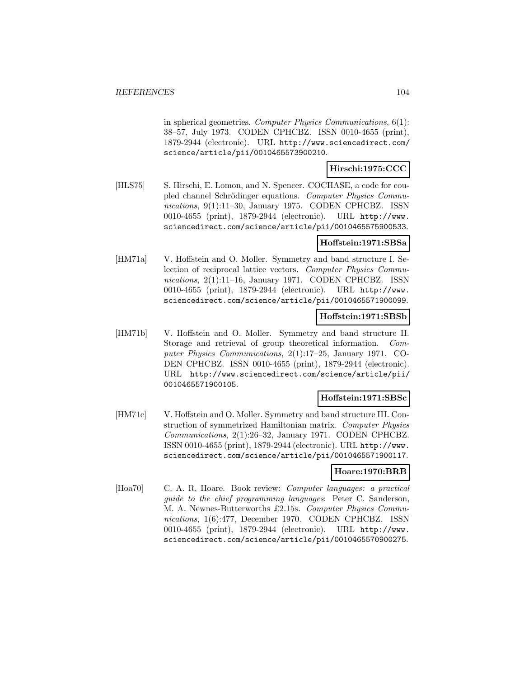in spherical geometries. Computer Physics Communications, 6(1): 38–57, July 1973. CODEN CPHCBZ. ISSN 0010-4655 (print), 1879-2944 (electronic). URL http://www.sciencedirect.com/ science/article/pii/0010465573900210.

#### **Hirschi:1975:CCC**

[HLS75] S. Hirschi, E. Lomon, and N. Spencer. COCHASE, a code for coupled channel Schrödinger equations. Computer Physics Communications, 9(1):11-30, January 1975. CODEN CPHCBZ. ISSN 0010-4655 (print), 1879-2944 (electronic). URL http://www. sciencedirect.com/science/article/pii/0010465575900533.

## **Hoffstein:1971:SBSa**

[HM71a] V. Hoffstein and O. Moller. Symmetry and band structure I. Selection of reciprocal lattice vectors. Computer Physics Communications, 2(1):11–16, January 1971. CODEN CPHCBZ. ISSN 0010-4655 (print), 1879-2944 (electronic). URL http://www. sciencedirect.com/science/article/pii/0010465571900099.

#### **Hoffstein:1971:SBSb**

[HM71b] V. Hoffstein and O. Moller. Symmetry and band structure II. Storage and retrieval of group theoretical information. Computer Physics Communications, 2(1):17–25, January 1971. CO-DEN CPHCBZ. ISSN 0010-4655 (print), 1879-2944 (electronic). URL http://www.sciencedirect.com/science/article/pii/ 0010465571900105.

#### **Hoffstein:1971:SBSc**

[HM71c] V. Hoffstein and O. Moller. Symmetry and band structure III. Construction of symmetrized Hamiltonian matrix. Computer Physics Communications, 2(1):26–32, January 1971. CODEN CPHCBZ. ISSN 0010-4655 (print), 1879-2944 (electronic). URL http://www. sciencedirect.com/science/article/pii/0010465571900117.

#### **Hoare:1970:BRB**

[Hoa70] C. A. R. Hoare. Book review: Computer languages: a practical guide to the chief programming languages: Peter C. Sanderson, M. A. Newnes-Butterworths £2.15s. Computer Physics Communications, 1(6):477, December 1970. CODEN CPHCBZ. ISSN 0010-4655 (print), 1879-2944 (electronic). URL http://www. sciencedirect.com/science/article/pii/0010465570900275.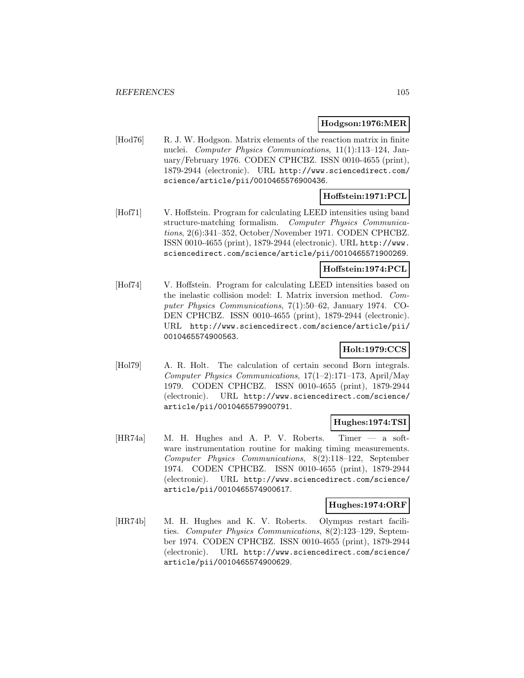### **Hodgson:1976:MER**

[Hod76] R. J. W. Hodgson. Matrix elements of the reaction matrix in finite nuclei. Computer Physics Communications, 11(1):113–124, January/February 1976. CODEN CPHCBZ. ISSN 0010-4655 (print), 1879-2944 (electronic). URL http://www.sciencedirect.com/ science/article/pii/0010465576900436.

# **Hoffstein:1971:PCL**

[Hof71] V. Hoffstein. Program for calculating LEED intensities using band structure-matching formalism. Computer Physics Communications, 2(6):341–352, October/November 1971. CODEN CPHCBZ. ISSN 0010-4655 (print), 1879-2944 (electronic). URL http://www. sciencedirect.com/science/article/pii/0010465571900269.

# **Hoffstein:1974:PCL**

[Hof74] V. Hoffstein. Program for calculating LEED intensities based on the inelastic collision model: I. Matrix inversion method. Computer Physics Communications, 7(1):50–62, January 1974. CO-DEN CPHCBZ. ISSN 0010-4655 (print), 1879-2944 (electronic). URL http://www.sciencedirect.com/science/article/pii/ 0010465574900563.

# **Holt:1979:CCS**

[Hol79] A. R. Holt. The calculation of certain second Born integrals. Computer Physics Communications, 17(1–2):171–173, April/May 1979. CODEN CPHCBZ. ISSN 0010-4655 (print), 1879-2944 (electronic). URL http://www.sciencedirect.com/science/ article/pii/0010465579900791.

#### **Hughes:1974:TSI**

[HR74a] M. H. Hughes and A. P. V. Roberts. Timer — a software instrumentation routine for making timing measurements. Computer Physics Communications, 8(2):118–122, September 1974. CODEN CPHCBZ. ISSN 0010-4655 (print), 1879-2944 (electronic). URL http://www.sciencedirect.com/science/ article/pii/0010465574900617.

#### **Hughes:1974:ORF**

[HR74b] M. H. Hughes and K. V. Roberts. Olympus restart facilities. Computer Physics Communications, 8(2):123–129, September 1974. CODEN CPHCBZ. ISSN 0010-4655 (print), 1879-2944 (electronic). URL http://www.sciencedirect.com/science/ article/pii/0010465574900629.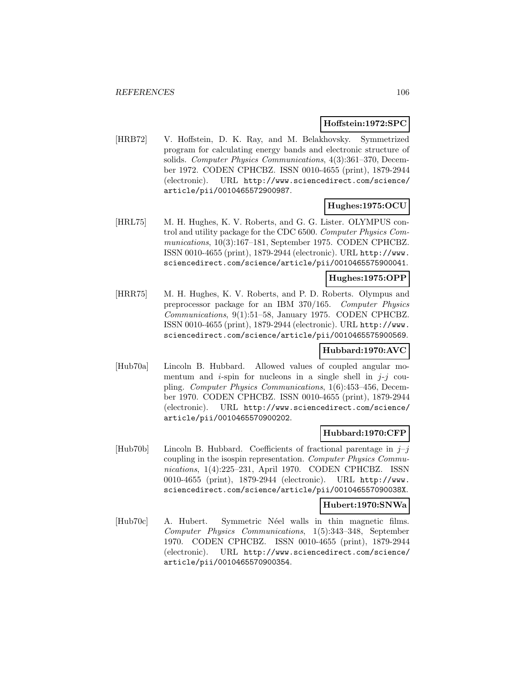### **Hoffstein:1972:SPC**

[HRB72] V. Hoffstein, D. K. Ray, and M. Belakhovsky. Symmetrized program for calculating energy bands and electronic structure of solids. Computer Physics Communications, 4(3):361–370, December 1972. CODEN CPHCBZ. ISSN 0010-4655 (print), 1879-2944 (electronic). URL http://www.sciencedirect.com/science/ article/pii/0010465572900987.

# **Hughes:1975:OCU**

[HRL75] M. H. Hughes, K. V. Roberts, and G. G. Lister. OLYMPUS control and utility package for the CDC 6500. Computer Physics Communications, 10(3):167–181, September 1975. CODEN CPHCBZ. ISSN 0010-4655 (print), 1879-2944 (electronic). URL http://www. sciencedirect.com/science/article/pii/0010465575900041.

# **Hughes:1975:OPP**

[HRR75] M. H. Hughes, K. V. Roberts, and P. D. Roberts. Olympus and preprocessor package for an IBM 370/165. Computer Physics Communications, 9(1):51–58, January 1975. CODEN CPHCBZ. ISSN 0010-4655 (print), 1879-2944 (electronic). URL http://www. sciencedirect.com/science/article/pii/0010465575900569.

#### **Hubbard:1970:AVC**

[Hub70a] Lincoln B. Hubbard. Allowed values of coupled angular momentum and *i*-spin for nucleons in a single shell in  $j-j$  coupling. Computer Physics Communications, 1(6):453–456, December 1970. CODEN CPHCBZ. ISSN 0010-4655 (print), 1879-2944 (electronic). URL http://www.sciencedirect.com/science/ article/pii/0010465570900202.

# **Hubbard:1970:CFP**

[Hub70b] Lincoln B. Hubbard. Coefficients of fractional parentage in  $j-j$ coupling in the isospin representation. Computer Physics Communications, 1(4):225–231, April 1970. CODEN CPHCBZ. ISSN 0010-4655 (print), 1879-2944 (electronic). URL http://www. sciencedirect.com/science/article/pii/001046557090038X.

#### **Hubert:1970:SNWa**

[Hub70c] A. Hubert. Symmetric Néel walls in thin magnetic films. Computer Physics Communications, 1(5):343–348, September 1970. CODEN CPHCBZ. ISSN 0010-4655 (print), 1879-2944 (electronic). URL http://www.sciencedirect.com/science/ article/pii/0010465570900354.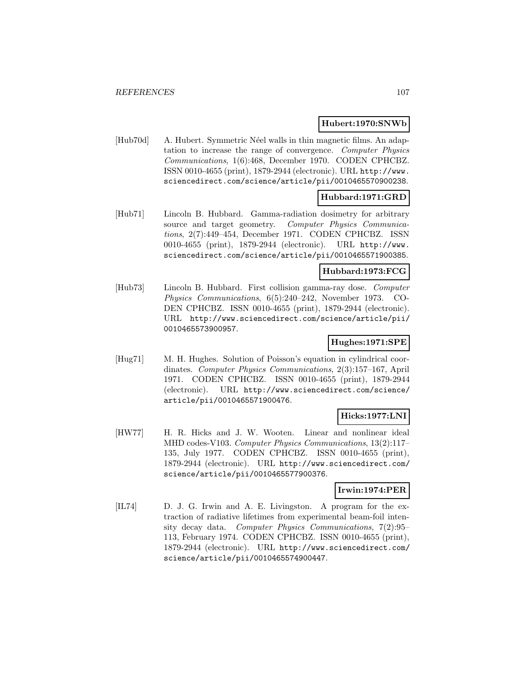### **Hubert:1970:SNWb**

[Hub70d] A. Hubert. Symmetric Néel walls in thin magnetic films. An adaptation to increase the range of convergence. Computer Physics Communications, 1(6):468, December 1970. CODEN CPHCBZ. ISSN 0010-4655 (print), 1879-2944 (electronic). URL http://www. sciencedirect.com/science/article/pii/0010465570900238.

# **Hubbard:1971:GRD**

[Hub71] Lincoln B. Hubbard. Gamma-radiation dosimetry for arbitrary source and target geometry. Computer Physics Communications, 2(7):449–454, December 1971. CODEN CPHCBZ. ISSN 0010-4655 (print), 1879-2944 (electronic). URL http://www. sciencedirect.com/science/article/pii/0010465571900385.

# **Hubbard:1973:FCG**

[Hub73] Lincoln B. Hubbard. First collision gamma-ray dose. Computer Physics Communications, 6(5):240–242, November 1973. CO-DEN CPHCBZ. ISSN 0010-4655 (print), 1879-2944 (electronic). URL http://www.sciencedirect.com/science/article/pii/ 0010465573900957.

## **Hughes:1971:SPE**

[Hug71] M. H. Hughes. Solution of Poisson's equation in cylindrical coordinates. Computer Physics Communications, 2(3):157–167, April 1971. CODEN CPHCBZ. ISSN 0010-4655 (print), 1879-2944 (electronic). URL http://www.sciencedirect.com/science/ article/pii/0010465571900476.

# **Hicks:1977:LNI**

[HW77] H. R. Hicks and J. W. Wooten. Linear and nonlinear ideal MHD codes-V103. Computer Physics Communications, 13(2):117– 135, July 1977. CODEN CPHCBZ. ISSN 0010-4655 (print), 1879-2944 (electronic). URL http://www.sciencedirect.com/ science/article/pii/0010465577900376.

#### **Irwin:1974:PER**

[IL74] D. J. G. Irwin and A. E. Livingston. A program for the extraction of radiative lifetimes from experimental beam-foil intensity decay data. Computer Physics Communications, 7(2):95– 113, February 1974. CODEN CPHCBZ. ISSN 0010-4655 (print), 1879-2944 (electronic). URL http://www.sciencedirect.com/ science/article/pii/0010465574900447.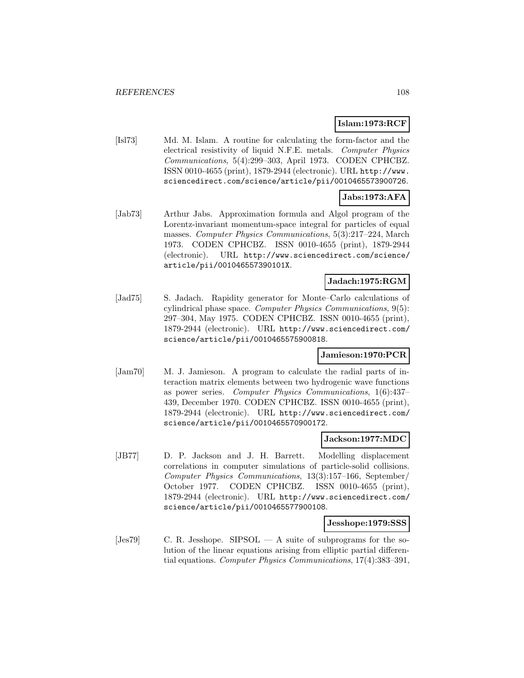# **Islam:1973:RCF**

[Isl73] Md. M. Islam. A routine for calculating the form-factor and the electrical resistivity of liquid N.F.E. metals. Computer Physics Communications, 5(4):299–303, April 1973. CODEN CPHCBZ. ISSN 0010-4655 (print), 1879-2944 (electronic). URL http://www. sciencedirect.com/science/article/pii/0010465573900726.

# **Jabs:1973:AFA**

[Jab73] Arthur Jabs. Approximation formula and Algol program of the Lorentz-invariant momentum-space integral for particles of equal masses. Computer Physics Communications, 5(3):217–224, March 1973. CODEN CPHCBZ. ISSN 0010-4655 (print), 1879-2944 (electronic). URL http://www.sciencedirect.com/science/ article/pii/001046557390101X.

# **Jadach:1975:RGM**

[Jad75] S. Jadach. Rapidity generator for Monte–Carlo calculations of cylindrical phase space. Computer Physics Communications, 9(5): 297–304, May 1975. CODEN CPHCBZ. ISSN 0010-4655 (print), 1879-2944 (electronic). URL http://www.sciencedirect.com/ science/article/pii/0010465575900818.

# **Jamieson:1970:PCR**

[Jam70] M. J. Jamieson. A program to calculate the radial parts of interaction matrix elements between two hydrogenic wave functions as power series. Computer Physics Communications, 1(6):437– 439, December 1970. CODEN CPHCBZ. ISSN 0010-4655 (print), 1879-2944 (electronic). URL http://www.sciencedirect.com/ science/article/pii/0010465570900172.

#### **Jackson:1977:MDC**

[JB77] D. P. Jackson and J. H. Barrett. Modelling displacement correlations in computer simulations of particle-solid collisions. Computer Physics Communications, 13(3):157–166, September/ October 1977. CODEN CPHCBZ. ISSN 0010-4655 (print), 1879-2944 (electronic). URL http://www.sciencedirect.com/ science/article/pii/0010465577900108.

#### **Jesshope:1979:SSS**

[Jes79] C. R. Jesshope. SIPSOL — A suite of subprograms for the solution of the linear equations arising from elliptic partial differential equations. Computer Physics Communications, 17(4):383–391,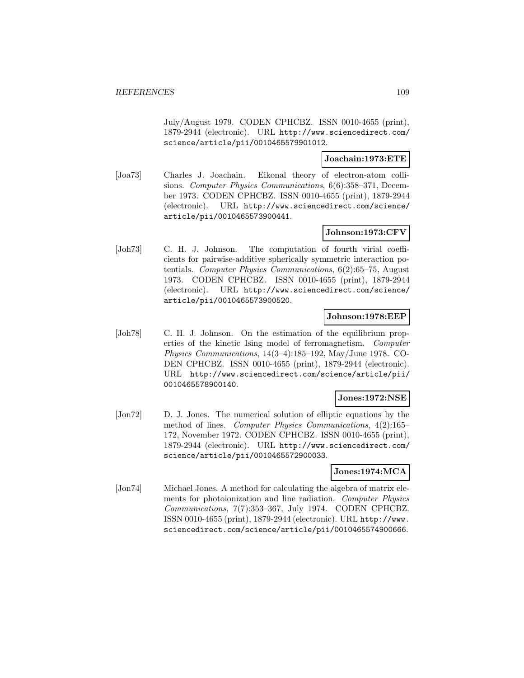July/August 1979. CODEN CPHCBZ. ISSN 0010-4655 (print), 1879-2944 (electronic). URL http://www.sciencedirect.com/ science/article/pii/0010465579901012.

### **Joachain:1973:ETE**

[Joa73] Charles J. Joachain. Eikonal theory of electron-atom collisions. Computer Physics Communications, 6(6):358–371, December 1973. CODEN CPHCBZ. ISSN 0010-4655 (print), 1879-2944 (electronic). URL http://www.sciencedirect.com/science/ article/pii/0010465573900441.

# **Johnson:1973:CFV**

[Joh73] C. H. J. Johnson. The computation of fourth virial coefficients for pairwise-additive spherically symmetric interaction potentials. Computer Physics Communications, 6(2):65–75, August 1973. CODEN CPHCBZ. ISSN 0010-4655 (print), 1879-2944 (electronic). URL http://www.sciencedirect.com/science/ article/pii/0010465573900520.

### **Johnson:1978:EEP**

[Joh78] C. H. J. Johnson. On the estimation of the equilibrium properties of the kinetic Ising model of ferromagnetism. Computer Physics Communications, 14(3–4):185–192, May/June 1978. CO-DEN CPHCBZ. ISSN 0010-4655 (print), 1879-2944 (electronic). URL http://www.sciencedirect.com/science/article/pii/ 0010465578900140.

# **Jones:1972:NSE**

[Jon72] D. J. Jones. The numerical solution of elliptic equations by the method of lines. Computer Physics Communications, 4(2):165– 172, November 1972. CODEN CPHCBZ. ISSN 0010-4655 (print), 1879-2944 (electronic). URL http://www.sciencedirect.com/ science/article/pii/0010465572900033.

# **Jones:1974:MCA**

[Jon74] Michael Jones. A method for calculating the algebra of matrix elements for photoionization and line radiation. Computer Physics Communications, 7(7):353–367, July 1974. CODEN CPHCBZ. ISSN 0010-4655 (print), 1879-2944 (electronic). URL http://www. sciencedirect.com/science/article/pii/0010465574900666.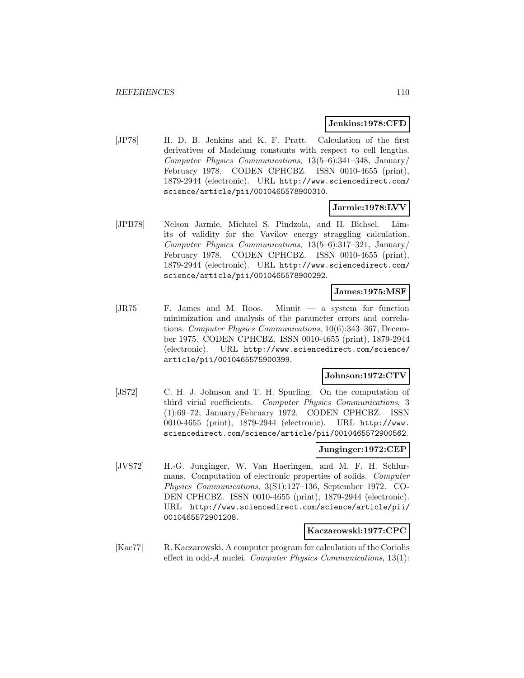#### **Jenkins:1978:CFD**

[JP78] H. D. B. Jenkins and K. F. Pratt. Calculation of the first derivatives of Madelung constants with respect to cell lengths. Computer Physics Communications, 13(5–6):341–348, January/ February 1978. CODEN CPHCBZ. ISSN 0010-4655 (print), 1879-2944 (electronic). URL http://www.sciencedirect.com/ science/article/pii/0010465578900310.

#### **Jarmie:1978:LVV**

[JPB78] Nelson Jarmie, Michael S. Pindzola, and H. Bichsel. Limits of validity for the Vavilov energy straggling calculation. Computer Physics Communications, 13(5–6):317–321, January/ February 1978. CODEN CPHCBZ. ISSN 0010-4655 (print), 1879-2944 (electronic). URL http://www.sciencedirect.com/ science/article/pii/0010465578900292.

#### **James:1975:MSF**

[JR75] F. James and M. Roos. Minuit — a system for function minimization and analysis of the parameter errors and correlations. Computer Physics Communications, 10(6):343–367, December 1975. CODEN CPHCBZ. ISSN 0010-4655 (print), 1879-2944 (electronic). URL http://www.sciencedirect.com/science/ article/pii/0010465575900399.

# **Johnson:1972:CTV**

[JS72] C. H. J. Johnson and T. H. Spurling. On the computation of third virial coefficients. Computer Physics Communications, 3 (1):69–72, January/February 1972. CODEN CPHCBZ. ISSN 0010-4655 (print), 1879-2944 (electronic). URL http://www. sciencedirect.com/science/article/pii/0010465572900562.

#### **Junginger:1972:CEP**

[JVS72] H.-G. Junginger, W. Van Haeringen, and M. F. H. Schlurmans. Computation of electronic properties of solids. Computer Physics Communications, 3(S1):127–136, September 1972. CO-DEN CPHCBZ. ISSN 0010-4655 (print), 1879-2944 (electronic). URL http://www.sciencedirect.com/science/article/pii/ 0010465572901208.

#### **Kaczarowski:1977:CPC**

[Kac77] R. Kaczarowski. A computer program for calculation of the Coriolis effect in odd-A nuclei. Computer Physics Communications,  $13(1)$ :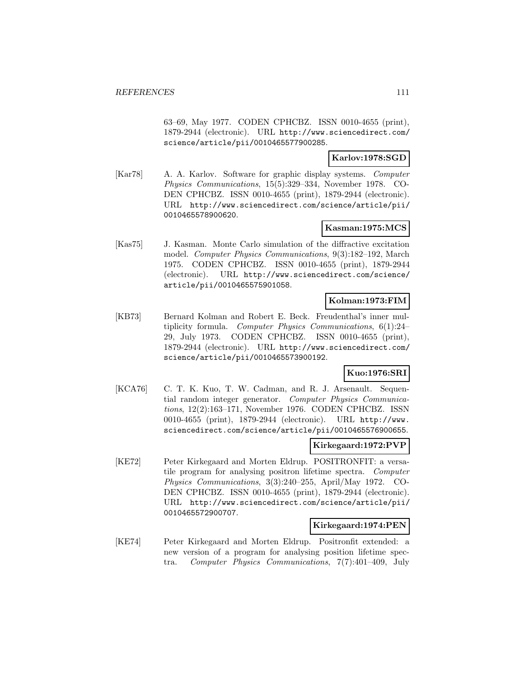63–69, May 1977. CODEN CPHCBZ. ISSN 0010-4655 (print), 1879-2944 (electronic). URL http://www.sciencedirect.com/ science/article/pii/0010465577900285.

# **Karlov:1978:SGD**

[Kar78] A. A. Karlov. Software for graphic display systems. Computer Physics Communications, 15(5):329–334, November 1978. CO-DEN CPHCBZ. ISSN 0010-4655 (print), 1879-2944 (electronic). URL http://www.sciencedirect.com/science/article/pii/ 0010465578900620.

# **Kasman:1975:MCS**

[Kas75] J. Kasman. Monte Carlo simulation of the diffractive excitation model. Computer Physics Communications, 9(3):182–192, March 1975. CODEN CPHCBZ. ISSN 0010-4655 (print), 1879-2944 (electronic). URL http://www.sciencedirect.com/science/ article/pii/0010465575901058.

# **Kolman:1973:FIM**

[KB73] Bernard Kolman and Robert E. Beck. Freudenthal's inner multiplicity formula. Computer Physics Communications, 6(1):24– 29, July 1973. CODEN CPHCBZ. ISSN 0010-4655 (print), 1879-2944 (electronic). URL http://www.sciencedirect.com/ science/article/pii/0010465573900192.

# **Kuo:1976:SRI**

[KCA76] C. T. K. Kuo, T. W. Cadman, and R. J. Arsenault. Sequential random integer generator. Computer Physics Communications, 12(2):163–171, November 1976. CODEN CPHCBZ. ISSN 0010-4655 (print), 1879-2944 (electronic). URL http://www. sciencedirect.com/science/article/pii/0010465576900655.

# **Kirkegaard:1972:PVP**

[KE72] Peter Kirkegaard and Morten Eldrup. POSITRONFIT: a versatile program for analysing positron lifetime spectra. Computer Physics Communications, 3(3):240–255, April/May 1972. CO-DEN CPHCBZ. ISSN 0010-4655 (print), 1879-2944 (electronic). URL http://www.sciencedirect.com/science/article/pii/ 0010465572900707.

#### **Kirkegaard:1974:PEN**

[KE74] Peter Kirkegaard and Morten Eldrup. Positronfit extended: a new version of a program for analysing position lifetime spectra. Computer Physics Communications, 7(7):401–409, July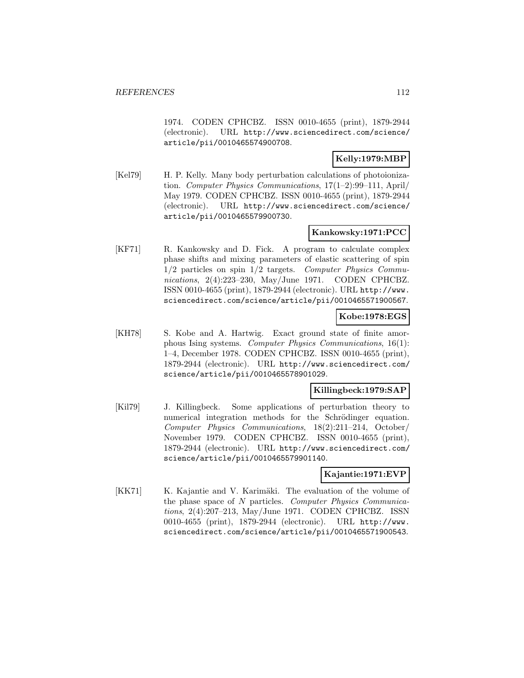1974. CODEN CPHCBZ. ISSN 0010-4655 (print), 1879-2944 (electronic). URL http://www.sciencedirect.com/science/ article/pii/0010465574900708.

# **Kelly:1979:MBP**

[Kel79] H. P. Kelly. Many body perturbation calculations of photoionization. Computer Physics Communications, 17(1–2):99–111, April/ May 1979. CODEN CPHCBZ. ISSN 0010-4655 (print), 1879-2944 (electronic). URL http://www.sciencedirect.com/science/ article/pii/0010465579900730.

# **Kankowsky:1971:PCC**

[KF71] R. Kankowsky and D. Fick. A program to calculate complex phase shifts and mixing parameters of elastic scattering of spin 1/2 particles on spin 1/2 targets. Computer Physics Communications, 2(4):223–230, May/June 1971. CODEN CPHCBZ. ISSN 0010-4655 (print), 1879-2944 (electronic). URL http://www. sciencedirect.com/science/article/pii/0010465571900567.

### **Kobe:1978:EGS**

[KH78] S. Kobe and A. Hartwig. Exact ground state of finite amorphous Ising systems. Computer Physics Communications, 16(1): 1–4, December 1978. CODEN CPHCBZ. ISSN 0010-4655 (print), 1879-2944 (electronic). URL http://www.sciencedirect.com/ science/article/pii/0010465578901029.

### **Killingbeck:1979:SAP**

[Kil79] J. Killingbeck. Some applications of perturbation theory to numerical integration methods for the Schrödinger equation. Computer Physics Communications, 18(2):211–214, October/ November 1979. CODEN CPHCBZ. ISSN 0010-4655 (print), 1879-2944 (electronic). URL http://www.sciencedirect.com/ science/article/pii/0010465579901140.

# **Kajantie:1971:EVP**

[KK71] K. Kajantie and V. Karimäki. The evaluation of the volume of the phase space of N particles. Computer Physics Communications, 2(4):207–213, May/June 1971. CODEN CPHCBZ. ISSN 0010-4655 (print), 1879-2944 (electronic). URL http://www. sciencedirect.com/science/article/pii/0010465571900543.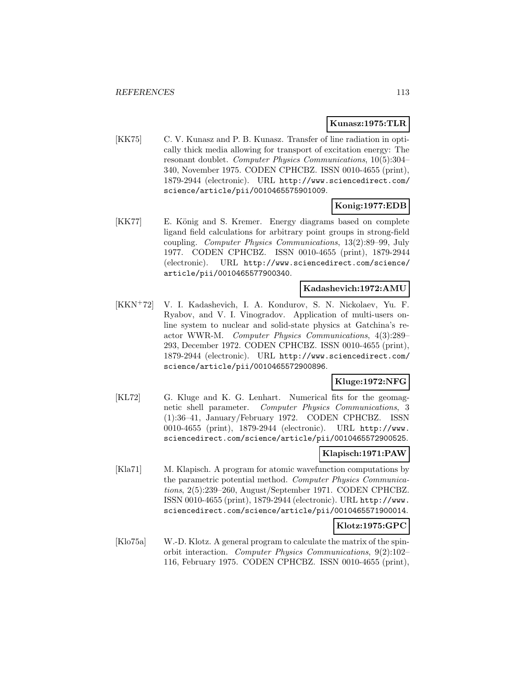### **Kunasz:1975:TLR**

[KK75] C. V. Kunasz and P. B. Kunasz. Transfer of line radiation in optically thick media allowing for transport of excitation energy: The resonant doublet. Computer Physics Communications, 10(5):304– 340, November 1975. CODEN CPHCBZ. ISSN 0010-4655 (print), 1879-2944 (electronic). URL http://www.sciencedirect.com/ science/article/pii/0010465575901009.

# **Konig:1977:EDB**

[KK77] E. König and S. Kremer. Energy diagrams based on complete ligand field calculations for arbitrary point groups in strong-field coupling. Computer Physics Communications, 13(2):89–99, July 1977. CODEN CPHCBZ. ISSN 0010-4655 (print), 1879-2944 (electronic). URL http://www.sciencedirect.com/science/ article/pii/0010465577900340.

#### **Kadashevich:1972:AMU**

[KKN<sup>+</sup>72] V. I. Kadashevich, I. A. Kondurov, S. N. Nickolaev, Yu. F. Ryabov, and V. I. Vinogradov. Application of multi-users online system to nuclear and solid-state physics at Gatchina's reactor WWR-M. Computer Physics Communications, 4(3):289– 293, December 1972. CODEN CPHCBZ. ISSN 0010-4655 (print), 1879-2944 (electronic). URL http://www.sciencedirect.com/ science/article/pii/0010465572900896.

# **Kluge:1972:NFG**

[KL72] G. Kluge and K. G. Lenhart. Numerical fits for the geomagnetic shell parameter. Computer Physics Communications, 3 (1):36–41, January/February 1972. CODEN CPHCBZ. ISSN 0010-4655 (print), 1879-2944 (electronic). URL http://www. sciencedirect.com/science/article/pii/0010465572900525.

# **Klapisch:1971:PAW**

[Kla71] M. Klapisch. A program for atomic wavefunction computations by the parametric potential method. Computer Physics Communications, 2(5):239–260, August/September 1971. CODEN CPHCBZ. ISSN 0010-4655 (print), 1879-2944 (electronic). URL http://www. sciencedirect.com/science/article/pii/0010465571900014.

# **Klotz:1975:GPC**

[Klo75a] W.-D. Klotz. A general program to calculate the matrix of the spinorbit interaction. Computer Physics Communications, 9(2):102– 116, February 1975. CODEN CPHCBZ. ISSN 0010-4655 (print),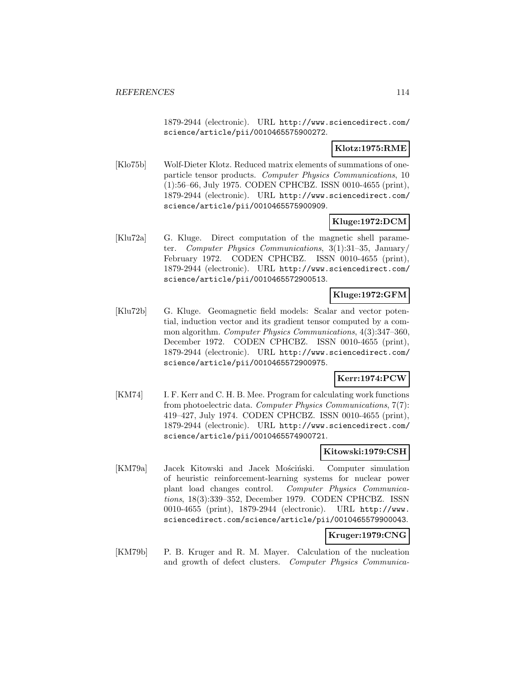1879-2944 (electronic). URL http://www.sciencedirect.com/ science/article/pii/0010465575900272.

### **Klotz:1975:RME**

[Klo75b] Wolf-Dieter Klotz. Reduced matrix elements of summations of oneparticle tensor products. Computer Physics Communications, 10 (1):56–66, July 1975. CODEN CPHCBZ. ISSN 0010-4655 (print), 1879-2944 (electronic). URL http://www.sciencedirect.com/ science/article/pii/0010465575900909.

# **Kluge:1972:DCM**

[Klu72a] G. Kluge. Direct computation of the magnetic shell parameter. Computer Physics Communications, 3(1):31–35, January/ February 1972. CODEN CPHCBZ. ISSN 0010-4655 (print), 1879-2944 (electronic). URL http://www.sciencedirect.com/ science/article/pii/0010465572900513.

# **Kluge:1972:GFM**

[Klu72b] G. Kluge. Geomagnetic field models: Scalar and vector potential, induction vector and its gradient tensor computed by a common algorithm. Computer Physics Communications, 4(3):347–360, December 1972. CODEN CPHCBZ. ISSN 0010-4655 (print), 1879-2944 (electronic). URL http://www.sciencedirect.com/ science/article/pii/0010465572900975.

# **Kerr:1974:PCW**

[KM74] I. F. Kerr and C. H. B. Mee. Program for calculating work functions from photoelectric data. Computer Physics Communications, 7(7): 419–427, July 1974. CODEN CPHCBZ. ISSN 0010-4655 (print), 1879-2944 (electronic). URL http://www.sciencedirect.com/ science/article/pii/0010465574900721.

# **Kitowski:1979:CSH**

[KM79a] Jacek Kitowski and Jacek Mościński. Computer simulation of heuristic reinforcement-learning systems for nuclear power plant load changes control. Computer Physics Communications, 18(3):339–352, December 1979. CODEN CPHCBZ. ISSN 0010-4655 (print), 1879-2944 (electronic). URL http://www. sciencedirect.com/science/article/pii/0010465579900043.

#### **Kruger:1979:CNG**

[KM79b] P. B. Kruger and R. M. Mayer. Calculation of the nucleation and growth of defect clusters. Computer Physics Communica-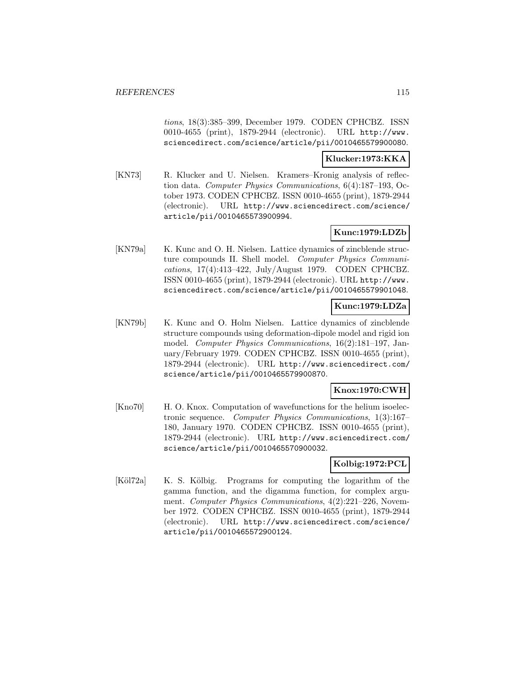tions, 18(3):385–399, December 1979. CODEN CPHCBZ. ISSN 0010-4655 (print), 1879-2944 (electronic). URL http://www. sciencedirect.com/science/article/pii/0010465579900080.

# **Klucker:1973:KKA**

[KN73] R. Klucker and U. Nielsen. Kramers–Kronig analysis of reflection data. Computer Physics Communications, 6(4):187–193, October 1973. CODEN CPHCBZ. ISSN 0010-4655 (print), 1879-2944 (electronic). URL http://www.sciencedirect.com/science/ article/pii/0010465573900994.

# **Kunc:1979:LDZb**

[KN79a] K. Kunc and O. H. Nielsen. Lattice dynamics of zincblende structure compounds II. Shell model. Computer Physics Communications, 17(4):413–422, July/August 1979. CODEN CPHCBZ. ISSN 0010-4655 (print), 1879-2944 (electronic). URL http://www. sciencedirect.com/science/article/pii/0010465579901048.

# **Kunc:1979:LDZa**

[KN79b] K. Kunc and O. Holm Nielsen. Lattice dynamics of zincblende structure compounds using deformation-dipole model and rigid ion model. Computer Physics Communications, 16(2):181–197, January/February 1979. CODEN CPHCBZ. ISSN 0010-4655 (print), 1879-2944 (electronic). URL http://www.sciencedirect.com/ science/article/pii/0010465579900870.

# **Knox:1970:CWH**

[Kno70] H. O. Knox. Computation of wavefunctions for the helium isoelectronic sequence. Computer Physics Communications, 1(3):167– 180, January 1970. CODEN CPHCBZ. ISSN 0010-4655 (print), 1879-2944 (electronic). URL http://www.sciencedirect.com/ science/article/pii/0010465570900032.

# **Kolbig:1972:PCL**

[Köl72a] K. S. Kölbig. Programs for computing the logarithm of the gamma function, and the digamma function, for complex argument. Computer Physics Communications, 4(2):221–226, November 1972. CODEN CPHCBZ. ISSN 0010-4655 (print), 1879-2944 (electronic). URL http://www.sciencedirect.com/science/ article/pii/0010465572900124.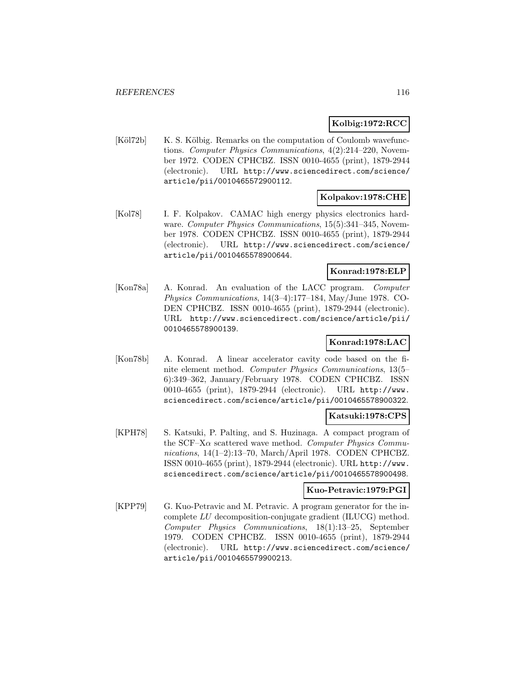### **Kolbig:1972:RCC**

[Köl72b] K. S. Kölbig. Remarks on the computation of Coulomb wavefunctions. Computer Physics Communications, 4(2):214–220, November 1972. CODEN CPHCBZ. ISSN 0010-4655 (print), 1879-2944 (electronic). URL http://www.sciencedirect.com/science/ article/pii/0010465572900112.

### **Kolpakov:1978:CHE**

[Kol78] I. F. Kolpakov. CAMAC high energy physics electronics hardware. Computer Physics Communications, 15(5):341-345, November 1978. CODEN CPHCBZ. ISSN 0010-4655 (print), 1879-2944 (electronic). URL http://www.sciencedirect.com/science/ article/pii/0010465578900644.

# **Konrad:1978:ELP**

[Kon78a] A. Konrad. An evaluation of the LACC program. Computer Physics Communications, 14(3–4):177–184, May/June 1978. CO-DEN CPHCBZ. ISSN 0010-4655 (print), 1879-2944 (electronic). URL http://www.sciencedirect.com/science/article/pii/ 0010465578900139.

# **Konrad:1978:LAC**

[Kon78b] A. Konrad. A linear accelerator cavity code based on the finite element method. Computer Physics Communications, 13(5– 6):349–362, January/February 1978. CODEN CPHCBZ. ISSN 0010-4655 (print), 1879-2944 (electronic). URL http://www. sciencedirect.com/science/article/pii/0010465578900322.

#### **Katsuki:1978:CPS**

[KPH78] S. Katsuki, P. Palting, and S. Huzinaga. A compact program of the SCF–X $\alpha$  scattered wave method. Computer Physics Communications, 14(1–2):13–70, March/April 1978. CODEN CPHCBZ. ISSN 0010-4655 (print), 1879-2944 (electronic). URL http://www. sciencedirect.com/science/article/pii/0010465578900498.

#### **Kuo-Petravic:1979:PGI**

[KPP79] G. Kuo-Petravic and M. Petravic. A program generator for the incomplete LU decomposition-conjugate gradient (ILUCG) method. Computer Physics Communications, 18(1):13–25, September 1979. CODEN CPHCBZ. ISSN 0010-4655 (print), 1879-2944 (electronic). URL http://www.sciencedirect.com/science/ article/pii/0010465579900213.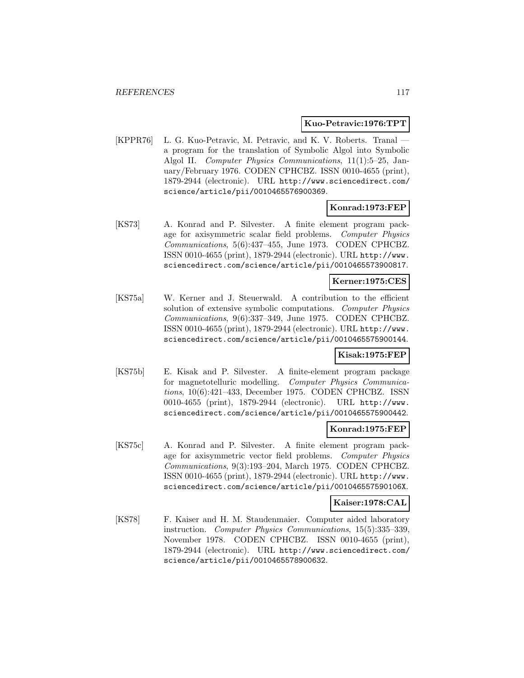#### **Kuo-Petravic:1976:TPT**

[KPPR76] L. G. Kuo-Petravic, M. Petravic, and K. V. Roberts. Tranal a program for the translation of Symbolic Algol into Symbolic Algol II. Computer Physics Communications, 11(1):5–25, January/February 1976. CODEN CPHCBZ. ISSN 0010-4655 (print), 1879-2944 (electronic). URL http://www.sciencedirect.com/ science/article/pii/0010465576900369.

#### **Konrad:1973:FEP**

[KS73] A. Konrad and P. Silvester. A finite element program package for axisymmetric scalar field problems. Computer Physics Communications, 5(6):437–455, June 1973. CODEN CPHCBZ. ISSN 0010-4655 (print), 1879-2944 (electronic). URL http://www. sciencedirect.com/science/article/pii/0010465573900817.

#### **Kerner:1975:CES**

[KS75a] W. Kerner and J. Steuerwald. A contribution to the efficient solution of extensive symbolic computations. Computer Physics Communications, 9(6):337–349, June 1975. CODEN CPHCBZ. ISSN 0010-4655 (print), 1879-2944 (electronic). URL http://www. sciencedirect.com/science/article/pii/0010465575900144.

#### **Kisak:1975:FEP**

[KS75b] E. Kisak and P. Silvester. A finite-element program package for magnetotelluric modelling. Computer Physics Communications, 10(6):421–433, December 1975. CODEN CPHCBZ. ISSN 0010-4655 (print), 1879-2944 (electronic). URL http://www. sciencedirect.com/science/article/pii/0010465575900442.

#### **Konrad:1975:FEP**

[KS75c] A. Konrad and P. Silvester. A finite element program package for axisymmetric vector field problems. Computer Physics Communications, 9(3):193–204, March 1975. CODEN CPHCBZ. ISSN 0010-4655 (print), 1879-2944 (electronic). URL http://www. sciencedirect.com/science/article/pii/001046557590106X.

#### **Kaiser:1978:CAL**

[KS78] F. Kaiser and H. M. Staudenmaier. Computer aided laboratory instruction. Computer Physics Communications, 15(5):335–339, November 1978. CODEN CPHCBZ. ISSN 0010-4655 (print), 1879-2944 (electronic). URL http://www.sciencedirect.com/ science/article/pii/0010465578900632.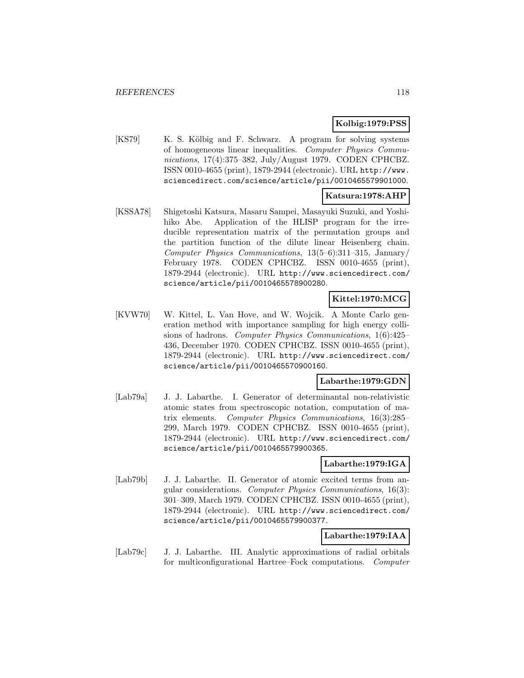# **Kolbig:1979:PSS**

[KS79] K. S. K¨olbig and F. Schwarz. A program for solving systems of homogeneous linear inequalities. Computer Physics Communications, 17(4):375–382, July/August 1979. CODEN CPHCBZ. ISSN 0010-4655 (print), 1879-2944 (electronic). URL http://www. sciencedirect.com/science/article/pii/0010465579901000.

# **Katsura:1978:AHP**

[KSSA78] Shigetoshi Katsura, Masaru Sampei, Masayuki Suzuki, and Yoshihiko Abe. Application of the HLISP program for the irreducible representation matrix of the permutation groups and the partition function of the dilute linear Heisenberg chain. Computer Physics Communications, 13(5–6):311–315, January/ February 1978. CODEN CPHCBZ. ISSN 0010-4655 (print), 1879-2944 (electronic). URL http://www.sciencedirect.com/ science/article/pii/0010465578900280.

# **Kittel:1970:MCG**

[KVW70] W. Kittel, L. Van Hove, and W. Wojcik. A Monte Carlo generation method with importance sampling for high energy collisions of hadrons. Computer Physics Communications, 1(6):425– 436, December 1970. CODEN CPHCBZ. ISSN 0010-4655 (print), 1879-2944 (electronic). URL http://www.sciencedirect.com/ science/article/pii/0010465570900160.

#### **Labarthe:1979:GDN**

[Lab79a] J. J. Labarthe. I. Generator of determinantal non-relativistic atomic states from spectroscopic notation, computation of matrix elements. Computer Physics Communications, 16(3):285– 299, March 1979. CODEN CPHCBZ. ISSN 0010-4655 (print), 1879-2944 (electronic). URL http://www.sciencedirect.com/ science/article/pii/0010465579900365.

#### **Labarthe:1979:IGA**

[Lab79b] J. J. Labarthe. II. Generator of atomic excited terms from angular considerations. Computer Physics Communications, 16(3): 301–309, March 1979. CODEN CPHCBZ. ISSN 0010-4655 (print), 1879-2944 (electronic). URL http://www.sciencedirect.com/ science/article/pii/0010465579900377.

# **Labarthe:1979:IAA**

[Lab79c] J. J. Labarthe. III. Analytic approximations of radial orbitals for multiconfigurational Hartree–Fock computations. Computer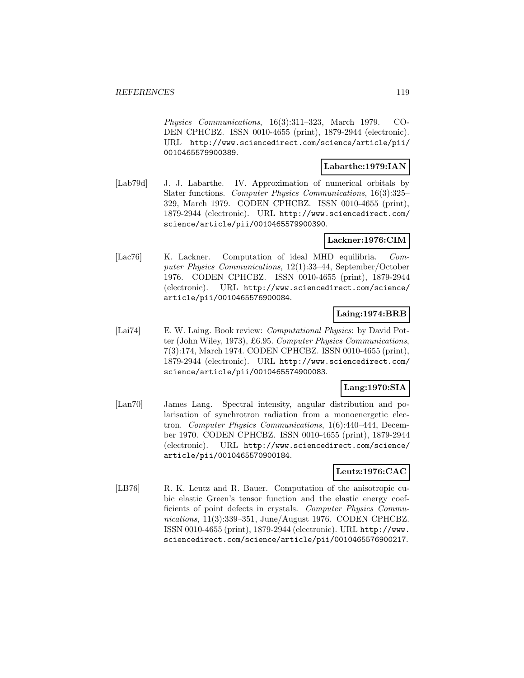Physics Communications, 16(3):311–323, March 1979. CO-DEN CPHCBZ. ISSN 0010-4655 (print), 1879-2944 (electronic). URL http://www.sciencedirect.com/science/article/pii/ 0010465579900389.

#### **Labarthe:1979:IAN**

[Lab79d] J. J. Labarthe. IV. Approximation of numerical orbitals by Slater functions. Computer Physics Communications, 16(3):325– 329, March 1979. CODEN CPHCBZ. ISSN 0010-4655 (print), 1879-2944 (electronic). URL http://www.sciencedirect.com/ science/article/pii/0010465579900390.

# **Lackner:1976:CIM**

[Lac76] K. Lackner. Computation of ideal MHD equilibria. Computer Physics Communications, 12(1):33–44, September/October 1976. CODEN CPHCBZ. ISSN 0010-4655 (print), 1879-2944 (electronic). URL http://www.sciencedirect.com/science/ article/pii/0010465576900084.

# **Laing:1974:BRB**

[Lai74] E. W. Laing. Book review: Computational Physics: by David Potter (John Wiley, 1973), £6.95. Computer Physics Communications, 7(3):174, March 1974. CODEN CPHCBZ. ISSN 0010-4655 (print), 1879-2944 (electronic). URL http://www.sciencedirect.com/ science/article/pii/0010465574900083.

# **Lang:1970:SIA**

[Lan70] James Lang. Spectral intensity, angular distribution and polarisation of synchrotron radiation from a monoenergetic electron. Computer Physics Communications, 1(6):440–444, December 1970. CODEN CPHCBZ. ISSN 0010-4655 (print), 1879-2944 (electronic). URL http://www.sciencedirect.com/science/ article/pii/0010465570900184.

# **Leutz:1976:CAC**

[LB76] R. K. Leutz and R. Bauer. Computation of the anisotropic cubic elastic Green's tensor function and the elastic energy coefficients of point defects in crystals. Computer Physics Communications, 11(3):339–351, June/August 1976. CODEN CPHCBZ. ISSN 0010-4655 (print), 1879-2944 (electronic). URL http://www. sciencedirect.com/science/article/pii/0010465576900217.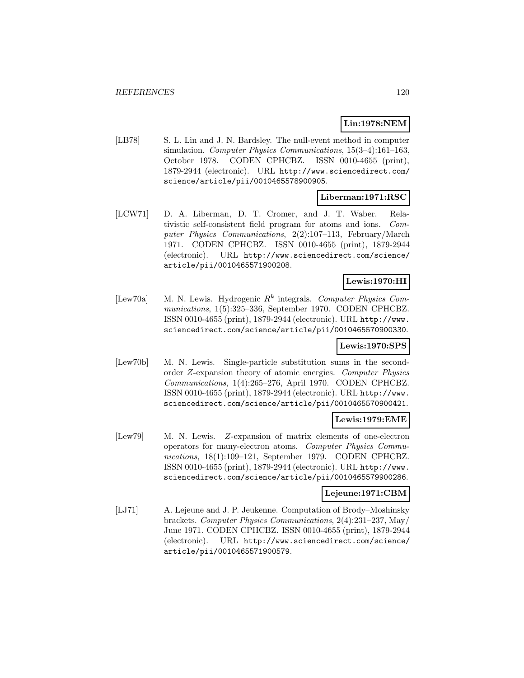# **Lin:1978:NEM**

[LB78] S. L. Lin and J. N. Bardsley. The null-event method in computer simulation. Computer Physics Communications, 15(3–4):161–163, October 1978. CODEN CPHCBZ. ISSN 0010-4655 (print), 1879-2944 (electronic). URL http://www.sciencedirect.com/ science/article/pii/0010465578900905.

# **Liberman:1971:RSC**

[LCW71] D. A. Liberman, D. T. Cromer, and J. T. Waber. Relativistic self-consistent field program for atoms and ions. Computer Physics Communications, 2(2):107–113, February/March 1971. CODEN CPHCBZ. ISSN 0010-4655 (print), 1879-2944 (electronic). URL http://www.sciencedirect.com/science/ article/pii/0010465571900208.

# **Lewis:1970:HI**

[Lew70a] M. N. Lewis. Hydrogenic  $R^k$  integrals. Computer Physics Communications, 1(5):325–336, September 1970. CODEN CPHCBZ. ISSN 0010-4655 (print), 1879-2944 (electronic). URL http://www. sciencedirect.com/science/article/pii/0010465570900330.

# **Lewis:1970:SPS**

[Lew70b] M. N. Lewis. Single-particle substitution sums in the secondorder Z-expansion theory of atomic energies. Computer Physics Communications, 1(4):265–276, April 1970. CODEN CPHCBZ. ISSN 0010-4655 (print), 1879-2944 (electronic). URL http://www. sciencedirect.com/science/article/pii/0010465570900421.

# **Lewis:1979:EME**

[Lew79] M. N. Lewis. Z-expansion of matrix elements of one-electron operators for many-electron atoms. Computer Physics Communications, 18(1):109–121, September 1979. CODEN CPHCBZ. ISSN 0010-4655 (print), 1879-2944 (electronic). URL http://www. sciencedirect.com/science/article/pii/0010465579900286.

# **Lejeune:1971:CBM**

[LJ71] A. Lejeune and J. P. Jeukenne. Computation of Brody–Moshinsky brackets. Computer Physics Communications, 2(4):231–237, May/ June 1971. CODEN CPHCBZ. ISSN 0010-4655 (print), 1879-2944 (electronic). URL http://www.sciencedirect.com/science/ article/pii/0010465571900579.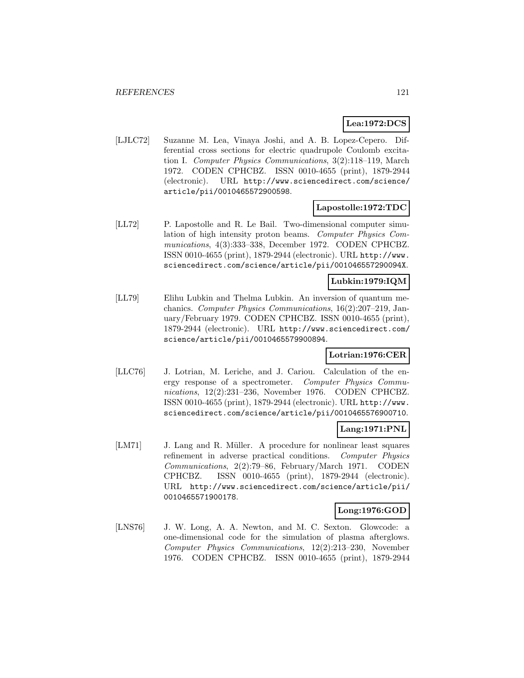# **Lea:1972:DCS**

[LJLC72] Suzanne M. Lea, Vinaya Joshi, and A. B. Lopez-Cepero. Differential cross sections for electric quadrupole Coulomb excitation I. Computer Physics Communications, 3(2):118–119, March 1972. CODEN CPHCBZ. ISSN 0010-4655 (print), 1879-2944 (electronic). URL http://www.sciencedirect.com/science/ article/pii/0010465572900598.

### **Lapostolle:1972:TDC**

[LL72] P. Lapostolle and R. Le Bail. Two-dimensional computer simulation of high intensity proton beams. Computer Physics Communications, 4(3):333–338, December 1972. CODEN CPHCBZ. ISSN 0010-4655 (print), 1879-2944 (electronic). URL http://www. sciencedirect.com/science/article/pii/001046557290094X.

### **Lubkin:1979:IQM**

[LL79] Elihu Lubkin and Thelma Lubkin. An inversion of quantum mechanics. Computer Physics Communications, 16(2):207–219, January/February 1979. CODEN CPHCBZ. ISSN 0010-4655 (print), 1879-2944 (electronic). URL http://www.sciencedirect.com/ science/article/pii/0010465579900894.

# **Lotrian:1976:CER**

[LLC76] J. Lotrian, M. Leriche, and J. Cariou. Calculation of the energy response of a spectrometer. Computer Physics Communications, 12(2):231–236, November 1976. CODEN CPHCBZ. ISSN 0010-4655 (print), 1879-2944 (electronic). URL http://www. sciencedirect.com/science/article/pii/0010465576900710.

# **Lang:1971:PNL**

[LM71] J. Lang and R. Müller. A procedure for nonlinear least squares refinement in adverse practical conditions. Computer Physics Communications, 2(2):79–86, February/March 1971. CODEN CPHCBZ. ISSN 0010-4655 (print), 1879-2944 (electronic). URL http://www.sciencedirect.com/science/article/pii/ 0010465571900178.

# **Long:1976:GOD**

[LNS76] J. W. Long, A. A. Newton, and M. C. Sexton. Glowcode: a one-dimensional code for the simulation of plasma afterglows. Computer Physics Communications, 12(2):213–230, November 1976. CODEN CPHCBZ. ISSN 0010-4655 (print), 1879-2944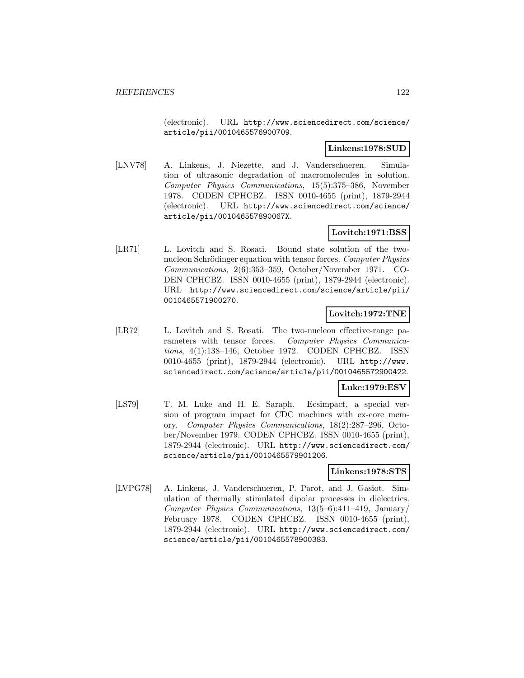(electronic). URL http://www.sciencedirect.com/science/ article/pii/0010465576900709.

### **Linkens:1978:SUD**

[LNV78] A. Linkens, J. Niezette, and J. Vanderschueren. Simulation of ultrasonic degradation of macromolecules in solution. Computer Physics Communications, 15(5):375–386, November 1978. CODEN CPHCBZ. ISSN 0010-4655 (print), 1879-2944 (electronic). URL http://www.sciencedirect.com/science/ article/pii/001046557890067X.

# **Lovitch:1971:BSS**

[LR71] L. Lovitch and S. Rosati. Bound state solution of the twonucleon Schrödinger equation with tensor forces. Computer Physics Communications, 2(6):353–359, October/November 1971. CO-DEN CPHCBZ. ISSN 0010-4655 (print), 1879-2944 (electronic). URL http://www.sciencedirect.com/science/article/pii/ 0010465571900270.

# **Lovitch:1972:TNE**

[LR72] L. Lovitch and S. Rosati. The two-nucleon effective-range parameters with tensor forces. Computer Physics Communications, 4(1):138–146, October 1972. CODEN CPHCBZ. ISSN 0010-4655 (print), 1879-2944 (electronic). URL http://www. sciencedirect.com/science/article/pii/0010465572900422.

#### **Luke:1979:ESV**

[LS79] T. M. Luke and H. E. Saraph. Ecsimpact, a special version of program impact for CDC machines with ex-core memory. Computer Physics Communications, 18(2):287–296, October/November 1979. CODEN CPHCBZ. ISSN 0010-4655 (print), 1879-2944 (electronic). URL http://www.sciencedirect.com/ science/article/pii/0010465579901206.

#### **Linkens:1978:STS**

[LVPG78] A. Linkens, J. Vanderschueren, P. Parot, and J. Gasiot. Simulation of thermally stimulated dipolar processes in dielectrics. Computer Physics Communications, 13(5–6):411–419, January/ February 1978. CODEN CPHCBZ. ISSN 0010-4655 (print), 1879-2944 (electronic). URL http://www.sciencedirect.com/ science/article/pii/0010465578900383.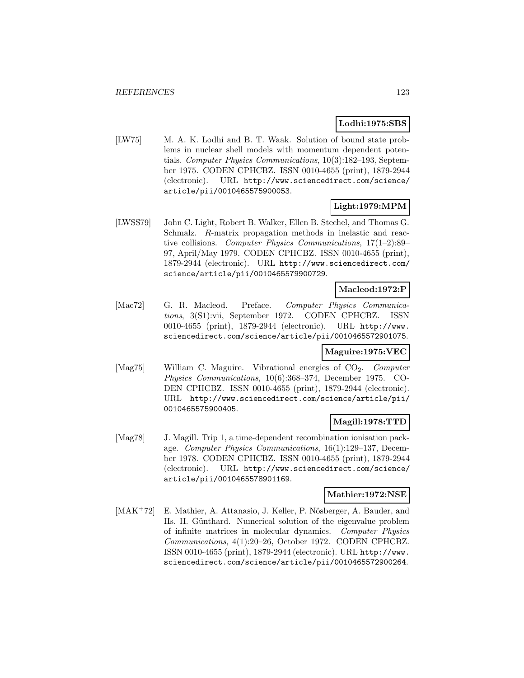### **Lodhi:1975:SBS**

[LW75] M. A. K. Lodhi and B. T. Waak. Solution of bound state problems in nuclear shell models with momentum dependent potentials. Computer Physics Communications, 10(3):182–193, September 1975. CODEN CPHCBZ. ISSN 0010-4655 (print), 1879-2944 (electronic). URL http://www.sciencedirect.com/science/ article/pii/0010465575900053.

# **Light:1979:MPM**

[LWSS79] John C. Light, Robert B. Walker, Ellen B. Stechel, and Thomas G. Schmalz. R-matrix propagation methods in inelastic and reactive collisions. Computer Physics Communications, 17(1–2):89– 97, April/May 1979. CODEN CPHCBZ. ISSN 0010-4655 (print), 1879-2944 (electronic). URL http://www.sciencedirect.com/ science/article/pii/0010465579900729.

### **Macleod:1972:P**

[Mac72] G. R. Macleod. Preface. Computer Physics Communications, 3(S1):vii, September 1972. CODEN CPHCBZ. ISSN 0010-4655 (print), 1879-2944 (electronic). URL http://www. sciencedirect.com/science/article/pii/0010465572901075.

# **Maguire:1975:VEC**

[Mag75] William C. Maguire. Vibrational energies of CO<sub>2</sub>. Computer Physics Communications, 10(6):368–374, December 1975. CO-DEN CPHCBZ. ISSN 0010-4655 (print), 1879-2944 (electronic). URL http://www.sciencedirect.com/science/article/pii/ 0010465575900405.

# **Magill:1978:TTD**

[Mag78] J. Magill. Trip 1, a time-dependent recombination ionisation package. Computer Physics Communications, 16(1):129–137, December 1978. CODEN CPHCBZ. ISSN 0010-4655 (print), 1879-2944 (electronic). URL http://www.sciencedirect.com/science/ article/pii/0010465578901169.

#### **Mathier:1972:NSE**

[MAK<sup>+</sup>72] E. Mathier, A. Attanasio, J. Keller, P. Nösberger, A. Bauder, and Hs. H. Günthard. Numerical solution of the eigenvalue problem of infinite matrices in molecular dynamics. Computer Physics Communications, 4(1):20–26, October 1972. CODEN CPHCBZ. ISSN 0010-4655 (print), 1879-2944 (electronic). URL http://www. sciencedirect.com/science/article/pii/0010465572900264.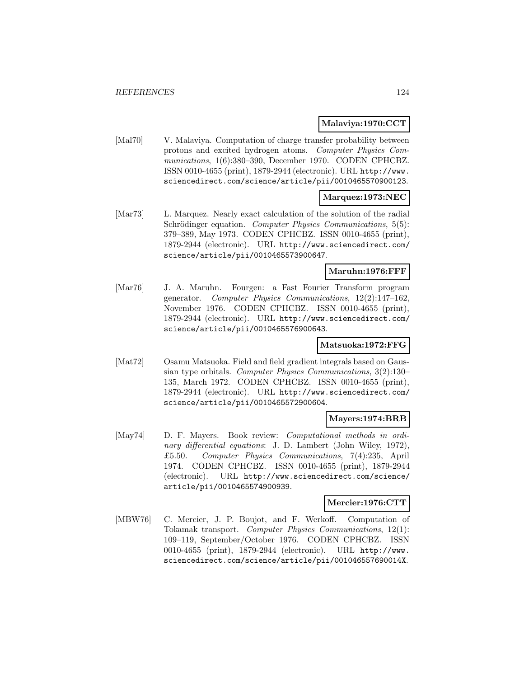### **Malaviya:1970:CCT**

[Mal70] V. Malaviya. Computation of charge transfer probability between protons and excited hydrogen atoms. Computer Physics Communications, 1(6):380–390, December 1970. CODEN CPHCBZ. ISSN 0010-4655 (print), 1879-2944 (electronic). URL http://www. sciencedirect.com/science/article/pii/0010465570900123.

### **Marquez:1973:NEC**

[Mar73] L. Marquez. Nearly exact calculation of the solution of the radial Schrödinger equation. Computer Physics Communications, 5(5): 379–389, May 1973. CODEN CPHCBZ. ISSN 0010-4655 (print), 1879-2944 (electronic). URL http://www.sciencedirect.com/ science/article/pii/0010465573900647.

#### **Maruhn:1976:FFF**

[Mar76] J. A. Maruhn. Fourgen: a Fast Fourier Transform program generator. Computer Physics Communications, 12(2):147–162, November 1976. CODEN CPHCBZ. ISSN 0010-4655 (print), 1879-2944 (electronic). URL http://www.sciencedirect.com/ science/article/pii/0010465576900643.

# **Matsuoka:1972:FFG**

[Mat72] Osamu Matsuoka. Field and field gradient integrals based on Gaussian type orbitals. Computer Physics Communications, 3(2):130– 135, March 1972. CODEN CPHCBZ. ISSN 0010-4655 (print), 1879-2944 (electronic). URL http://www.sciencedirect.com/ science/article/pii/0010465572900604.

#### **Mayers:1974:BRB**

[May74] D. F. Mayers. Book review: Computational methods in ordinary differential equations: J. D. Lambert (John Wiley, 1972), £5.50. Computer Physics Communications, 7(4):235, April 1974. CODEN CPHCBZ. ISSN 0010-4655 (print), 1879-2944 (electronic). URL http://www.sciencedirect.com/science/ article/pii/0010465574900939.

#### **Mercier:1976:CTT**

[MBW76] C. Mercier, J. P. Boujot, and F. Werkoff. Computation of Tokamak transport. Computer Physics Communications, 12(1): 109–119, September/October 1976. CODEN CPHCBZ. ISSN 0010-4655 (print), 1879-2944 (electronic). URL http://www. sciencedirect.com/science/article/pii/001046557690014X.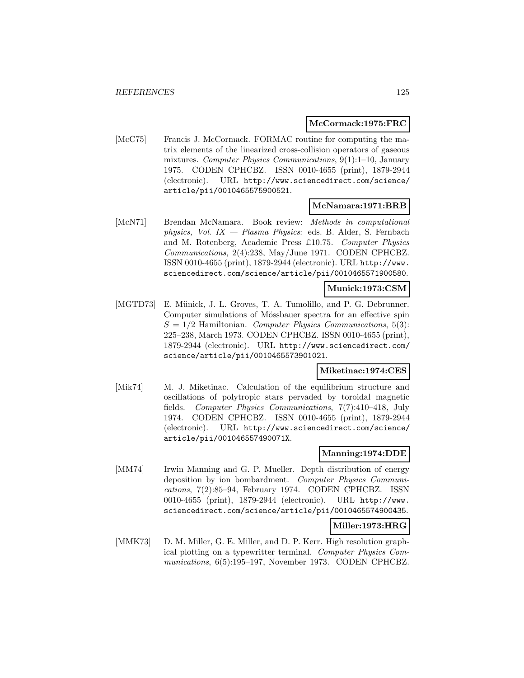#### **McCormack:1975:FRC**

[McC75] Francis J. McCormack. FORMAC routine for computing the matrix elements of the linearized cross-collision operators of gaseous mixtures. Computer Physics Communications, 9(1):1–10, January 1975. CODEN CPHCBZ. ISSN 0010-4655 (print), 1879-2944 (electronic). URL http://www.sciencedirect.com/science/ article/pii/0010465575900521.

### **McNamara:1971:BRB**

[McN71] Brendan McNamara. Book review: Methods in computational physics, Vol.  $IX - Plasma\ Physics$ : eds. B. Alder, S. Fernbach and M. Rotenberg, Academic Press £10.75. Computer Physics Communications, 2(4):238, May/June 1971. CODEN CPHCBZ. ISSN 0010-4655 (print), 1879-2944 (electronic). URL http://www. sciencedirect.com/science/article/pii/0010465571900580.

#### **Munick:1973:CSM**

[MGTD73] E. Münick, J. L. Groves, T. A. Tumolillo, and P. G. Debrunner. Computer simulations of Mössbauer spectra for an effective spin  $S = 1/2$  Hamiltonian. Computer Physics Communications, 5(3): 225–238, March 1973. CODEN CPHCBZ. ISSN 0010-4655 (print), 1879-2944 (electronic). URL http://www.sciencedirect.com/ science/article/pii/0010465573901021.

#### **Miketinac:1974:CES**

[Mik74] M. J. Miketinac. Calculation of the equilibrium structure and oscillations of polytropic stars pervaded by toroidal magnetic fields. Computer Physics Communications, 7(7):410–418, July 1974. CODEN CPHCBZ. ISSN 0010-4655 (print), 1879-2944 (electronic). URL http://www.sciencedirect.com/science/ article/pii/001046557490071X.

#### **Manning:1974:DDE**

[MM74] Irwin Manning and G. P. Mueller. Depth distribution of energy deposition by ion bombardment. Computer Physics Communications, 7(2):85–94, February 1974. CODEN CPHCBZ. ISSN 0010-4655 (print), 1879-2944 (electronic). URL http://www. sciencedirect.com/science/article/pii/0010465574900435.

# **Miller:1973:HRG**

[MMK73] D. M. Miller, G. E. Miller, and D. P. Kerr. High resolution graphical plotting on a typewritter terminal. Computer Physics Communications, 6(5):195–197, November 1973. CODEN CPHCBZ.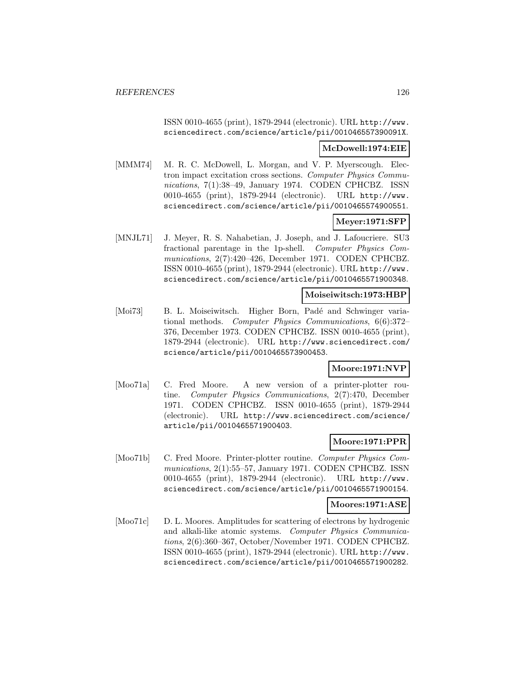ISSN 0010-4655 (print), 1879-2944 (electronic). URL http://www. sciencedirect.com/science/article/pii/001046557390091X.

#### **McDowell:1974:EIE**

[MMM74] M. R. C. McDowell, L. Morgan, and V. P. Myerscough. Electron impact excitation cross sections. Computer Physics Communications, 7(1):38-49, January 1974. CODEN CPHCBZ. ISSN 0010-4655 (print), 1879-2944 (electronic). URL http://www. sciencedirect.com/science/article/pii/0010465574900551.

# **Meyer:1971:SFP**

[MNJL71] J. Meyer, R. S. Nahabetian, J. Joseph, and J. Lafoucriere. SU3 fractional parentage in the 1p-shell. Computer Physics Communications, 2(7):420–426, December 1971. CODEN CPHCBZ. ISSN 0010-4655 (print), 1879-2944 (electronic). URL http://www. sciencedirect.com/science/article/pii/0010465571900348.

### **Moiseiwitsch:1973:HBP**

[Moi73] B. L. Moiseiwitsch. Higher Born, Padé and Schwinger variational methods. Computer Physics Communications, 6(6):372– 376, December 1973. CODEN CPHCBZ. ISSN 0010-4655 (print), 1879-2944 (electronic). URL http://www.sciencedirect.com/ science/article/pii/0010465573900453.

#### **Moore:1971:NVP**

[Moo71a] C. Fred Moore. A new version of a printer-plotter routine. Computer Physics Communications, 2(7):470, December 1971. CODEN CPHCBZ. ISSN 0010-4655 (print), 1879-2944 (electronic). URL http://www.sciencedirect.com/science/ article/pii/0010465571900403.

### **Moore:1971:PPR**

[Moo71b] C. Fred Moore. Printer-plotter routine. Computer Physics Communications, 2(1):55–57, January 1971. CODEN CPHCBZ. ISSN 0010-4655 (print), 1879-2944 (electronic). URL http://www. sciencedirect.com/science/article/pii/0010465571900154.

#### **Moores:1971:ASE**

[Moo71c] D. L. Moores. Amplitudes for scattering of electrons by hydrogenic and alkali-like atomic systems. Computer Physics Communications, 2(6):360–367, October/November 1971. CODEN CPHCBZ. ISSN 0010-4655 (print), 1879-2944 (electronic). URL http://www. sciencedirect.com/science/article/pii/0010465571900282.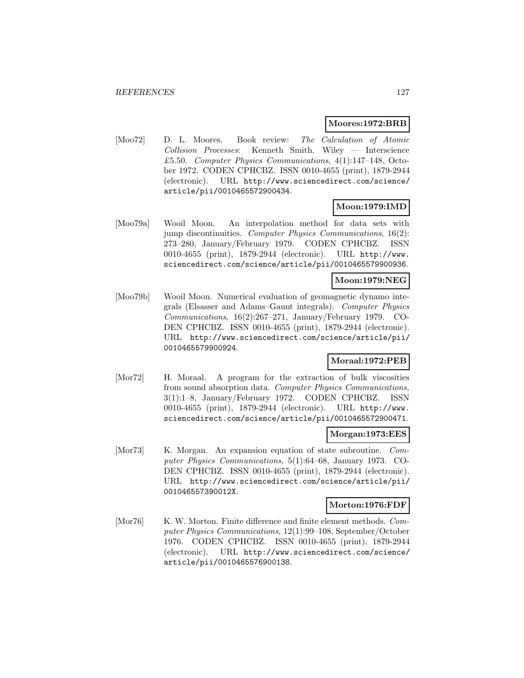#### **Moores:1972:BRB**

[Moo72] D. L. Moores. Book review: The Calculation of Atomic Collision Processes: Kenneth Smith, Wiley — Interscience £5.50. Computer Physics Communications, 4(1):147–148, October 1972. CODEN CPHCBZ. ISSN 0010-4655 (print), 1879-2944 (electronic). URL http://www.sciencedirect.com/science/ article/pii/0010465572900434.

# **Moon:1979:IMD**

[Moo79a] Wooil Moon. An interpolation method for data sets with jump discontinuities. Computer Physics Communications, 16(2): 273–280, January/February 1979. CODEN CPHCBZ. ISSN 0010-4655 (print), 1879-2944 (electronic). URL http://www. sciencedirect.com/science/article/pii/0010465579900936.

# **Moon:1979:NEG**

[Moo79b] Wooil Moon. Numerical evaluation of geomagnetic dynamo integrals (Elsasser and Adams–Gaunt integrals). Computer Physics Communications, 16(2):267–271, January/February 1979. CO-DEN CPHCBZ. ISSN 0010-4655 (print), 1879-2944 (electronic). URL http://www.sciencedirect.com/science/article/pii/ 0010465579900924.

#### **Moraal:1972:PEB**

[Mor72] H. Moraal. A program for the extraction of bulk viscosities from sound absorption data. Computer Physics Communications, 3(1):1–8, January/February 1972. CODEN CPHCBZ. ISSN 0010-4655 (print), 1879-2944 (electronic). URL http://www. sciencedirect.com/science/article/pii/0010465572900471.

#### **Morgan:1973:EES**

[Mor73] K. Morgan. An expansion equation of state subroutine. Computer Physics Communications, 5(1):64–68, January 1973. CO-DEN CPHCBZ. ISSN 0010-4655 (print), 1879-2944 (electronic). URL http://www.sciencedirect.com/science/article/pii/ 001046557390012X.

#### **Morton:1976:FDF**

[Mor76] K. W. Morton. Finite difference and finite element methods. Computer Physics Communications, 12(1):99–108, September/October 1976. CODEN CPHCBZ. ISSN 0010-4655 (print), 1879-2944 (electronic). URL http://www.sciencedirect.com/science/ article/pii/0010465576900138.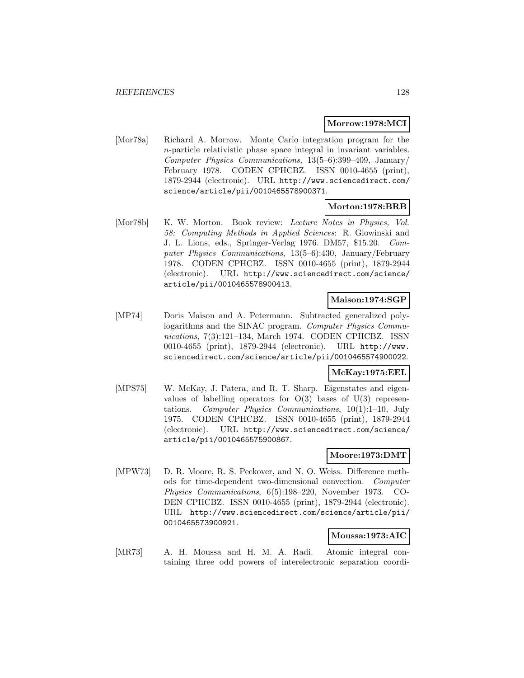#### **Morrow:1978:MCI**

[Mor78a] Richard A. Morrow. Monte Carlo integration program for the n-particle relativistic phase space integral in invariant variables. Computer Physics Communications, 13(5–6):399–409, January/ February 1978. CODEN CPHCBZ. ISSN 0010-4655 (print). 1879-2944 (electronic). URL http://www.sciencedirect.com/ science/article/pii/0010465578900371.

### **Morton:1978:BRB**

[Mor78b] K. W. Morton. Book review: Lecture Notes in Physics, Vol. 58: Computing Methods in Applied Sciences: R. Glowinski and J. L. Lions, eds., Springer-Verlag 1976. DM57, \$15.20. Computer Physics Communications, 13(5–6):430, January/February 1978. CODEN CPHCBZ. ISSN 0010-4655 (print), 1879-2944 (electronic). URL http://www.sciencedirect.com/science/ article/pii/0010465578900413.

# **Maison:1974:SGP**

[MP74] Doris Maison and A. Petermann. Subtracted generalized polylogarithms and the SINAC program. Computer Physics Communications, 7(3):121–134, March 1974. CODEN CPHCBZ. ISSN 0010-4655 (print), 1879-2944 (electronic). URL http://www. sciencedirect.com/science/article/pii/0010465574900022.

### **McKay:1975:EEL**

[MPS75] W. McKay, J. Patera, and R. T. Sharp. Eigenstates and eigenvalues of labelling operators for  $O(3)$  bases of  $U(3)$  representations. Computer Physics Communications, 10(1):1–10, July 1975. CODEN CPHCBZ. ISSN 0010-4655 (print), 1879-2944 (electronic). URL http://www.sciencedirect.com/science/ article/pii/0010465575900867.

# **Moore:1973:DMT**

[MPW73] D. R. Moore, R. S. Peckover, and N. O. Weiss. Difference methods for time-dependent two-dimensional convection. Computer Physics Communications, 6(5):198–220, November 1973. CO-DEN CPHCBZ. ISSN 0010-4655 (print), 1879-2944 (electronic). URL http://www.sciencedirect.com/science/article/pii/ 0010465573900921.

# **Moussa:1973:AIC**

[MR73] A. H. Moussa and H. M. A. Radi. Atomic integral containing three odd powers of interelectronic separation coordi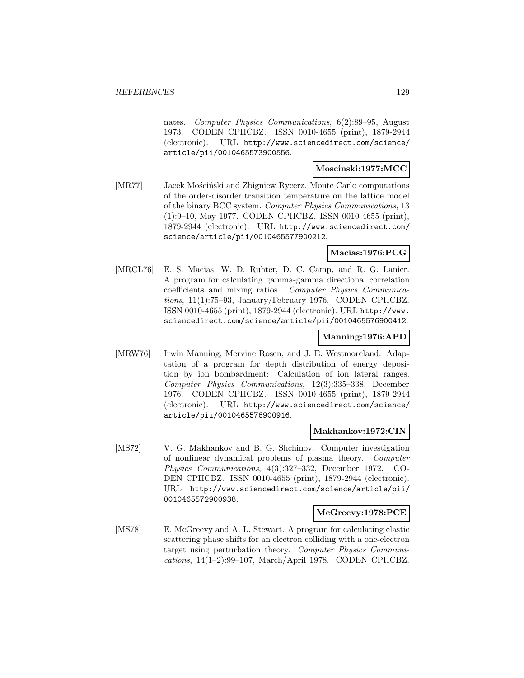nates. Computer Physics Communications, 6(2):89–95, August 1973. CODEN CPHCBZ. ISSN 0010-4655 (print), 1879-2944 (electronic). URL http://www.sciencedirect.com/science/ article/pii/0010465573900556.

### **Moscinski:1977:MCC**

[MR77] Jacek Mościński and Zbigniew Rycerz. Monte Carlo computations of the order-disorder transition temperature on the lattice model of the binary BCC system. Computer Physics Communications, 13 (1):9–10, May 1977. CODEN CPHCBZ. ISSN 0010-4655 (print), 1879-2944 (electronic). URL http://www.sciencedirect.com/ science/article/pii/0010465577900212.

# **Macias:1976:PCG**

[MRCL76] E. S. Macias, W. D. Ruhter, D. C. Camp, and R. G. Lanier. A program for calculating gamma-gamma directional correlation coefficients and mixing ratios. Computer Physics Communications, 11(1):75–93, January/February 1976. CODEN CPHCBZ. ISSN 0010-4655 (print), 1879-2944 (electronic). URL http://www. sciencedirect.com/science/article/pii/0010465576900412.

# **Manning:1976:APD**

[MRW76] Irwin Manning, Mervine Rosen, and J. E. Westmoreland. Adaptation of a program for depth distribution of energy deposition by ion bombardment: Calculation of ion lateral ranges. Computer Physics Communications, 12(3):335–338, December 1976. CODEN CPHCBZ. ISSN 0010-4655 (print), 1879-2944 (electronic). URL http://www.sciencedirect.com/science/ article/pii/0010465576900916.

#### **Makhankov:1972:CIN**

[MS72] V. G. Makhankov and B. G. Shchinov. Computer investigation of nonlinear dynamical problems of plasma theory. Computer Physics Communications, 4(3):327–332, December 1972. CO-DEN CPHCBZ. ISSN 0010-4655 (print), 1879-2944 (electronic). URL http://www.sciencedirect.com/science/article/pii/ 0010465572900938.

### **McGreevy:1978:PCE**

[MS78] E. McGreevy and A. L. Stewart. A program for calculating elastic scattering phase shifts for an electron colliding with a one-electron target using perturbation theory. Computer Physics Communications, 14(1–2):99–107, March/April 1978. CODEN CPHCBZ.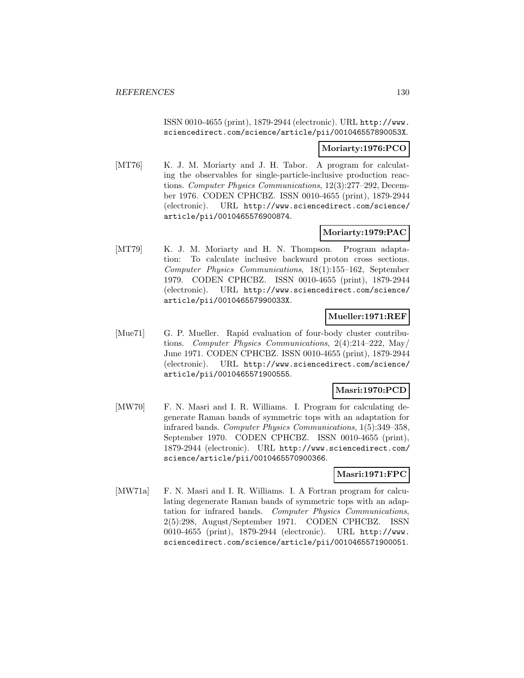ISSN 0010-4655 (print), 1879-2944 (electronic). URL http://www. sciencedirect.com/science/article/pii/001046557890053X.

#### **Moriarty:1976:PCO**

[MT76] K. J. M. Moriarty and J. H. Tabor. A program for calculating the observables for single-particle-inclusive production reactions. Computer Physics Communications, 12(3):277–292, December 1976. CODEN CPHCBZ. ISSN 0010-4655 (print), 1879-2944 (electronic). URL http://www.sciencedirect.com/science/ article/pii/0010465576900874.

# **Moriarty:1979:PAC**

[MT79] K. J. M. Moriarty and H. N. Thompson. Program adaptation: To calculate inclusive backward proton cross sections. Computer Physics Communications, 18(1):155–162, September 1979. CODEN CPHCBZ. ISSN 0010-4655 (print), 1879-2944 (electronic). URL http://www.sciencedirect.com/science/ article/pii/001046557990033X.

### **Mueller:1971:REF**

[Mue71] G. P. Mueller. Rapid evaluation of four-body cluster contributions. Computer Physics Communications, 2(4):214–222, May/ June 1971. CODEN CPHCBZ. ISSN 0010-4655 (print), 1879-2944 (electronic). URL http://www.sciencedirect.com/science/ article/pii/0010465571900555.

### **Masri:1970:PCD**

[MW70] F. N. Masri and I. R. Williams. I. Program for calculating degenerate Raman bands of symmetric tops with an adaptation for infrared bands. Computer Physics Communications, 1(5):349–358, September 1970. CODEN CPHCBZ. ISSN 0010-4655 (print), 1879-2944 (electronic). URL http://www.sciencedirect.com/ science/article/pii/0010465570900366.

# **Masri:1971:FPC**

[MW71a] F. N. Masri and I. R. Williams. I. A Fortran program for calculating degenerate Raman bands of symmetric tops with an adaptation for infrared bands. Computer Physics Communications, 2(5):298, August/September 1971. CODEN CPHCBZ. ISSN 0010-4655 (print), 1879-2944 (electronic). URL http://www. sciencedirect.com/science/article/pii/0010465571900051.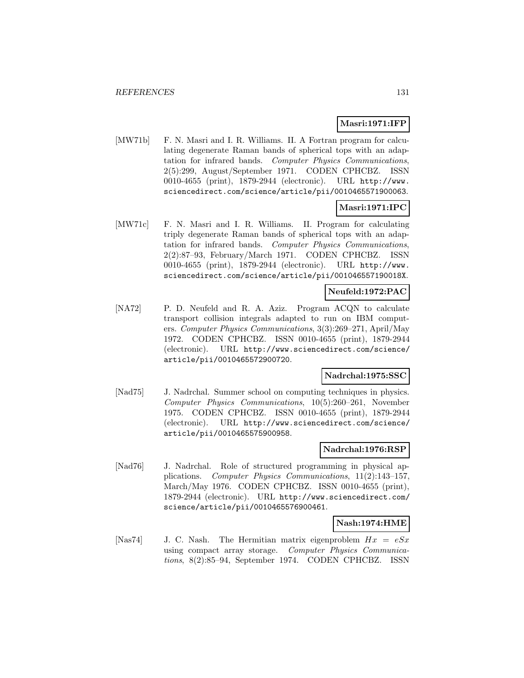### **Masri:1971:IFP**

[MW71b] F. N. Masri and I. R. Williams. II. A Fortran program for calculating degenerate Raman bands of spherical tops with an adaptation for infrared bands. Computer Physics Communications, 2(5):299, August/September 1971. CODEN CPHCBZ. ISSN 0010-4655 (print), 1879-2944 (electronic). URL http://www. sciencedirect.com/science/article/pii/0010465571900063.

# **Masri:1971:IPC**

[MW71c] F. N. Masri and I. R. Williams. II. Program for calculating triply degenerate Raman bands of spherical tops with an adaptation for infrared bands. Computer Physics Communications, 2(2):87–93, February/March 1971. CODEN CPHCBZ. ISSN 0010-4655 (print), 1879-2944 (electronic). URL http://www. sciencedirect.com/science/article/pii/001046557190018X.

### **Neufeld:1972:PAC**

[NA72] P. D. Neufeld and R. A. Aziz. Program ACQN to calculate transport collision integrals adapted to run on IBM computers. Computer Physics Communications, 3(3):269–271, April/May 1972. CODEN CPHCBZ. ISSN 0010-4655 (print), 1879-2944 (electronic). URL http://www.sciencedirect.com/science/ article/pii/0010465572900720.

#### **Nadrchal:1975:SSC**

[Nad75] J. Nadrchal. Summer school on computing techniques in physics. Computer Physics Communications, 10(5):260–261, November 1975. CODEN CPHCBZ. ISSN 0010-4655 (print), 1879-2944 (electronic). URL http://www.sciencedirect.com/science/ article/pii/0010465575900958.

#### **Nadrchal:1976:RSP**

[Nad76] J. Nadrchal. Role of structured programming in physical applications. Computer Physics Communications, 11(2):143–157, March/May 1976. CODEN CPHCBZ. ISSN 0010-4655 (print), 1879-2944 (electronic). URL http://www.sciencedirect.com/ science/article/pii/0010465576900461.

# **Nash:1974:HME**

[Nas74] J. C. Nash. The Hermitian matrix eigenproblem  $Hx = eSx$ using compact array storage. Computer Physics Communications, 8(2):85–94, September 1974. CODEN CPHCBZ. ISSN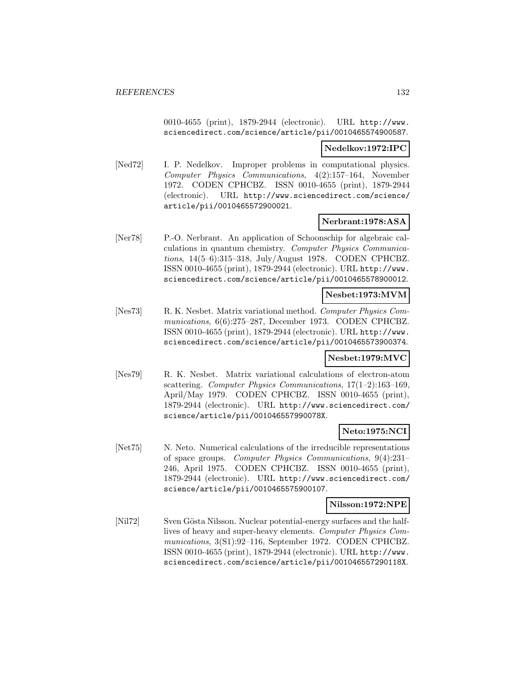0010-4655 (print), 1879-2944 (electronic). URL http://www. sciencedirect.com/science/article/pii/0010465574900587.

#### **Nedelkov:1972:IPC**

[Ned72] I. P. Nedelkov. Improper problems in computational physics. Computer Physics Communications, 4(2):157–164, November 1972. CODEN CPHCBZ. ISSN 0010-4655 (print), 1879-2944 (electronic). URL http://www.sciencedirect.com/science/ article/pii/0010465572900021.

# **Nerbrant:1978:ASA**

[Ner78] P.-O. Nerbrant. An application of Schoonschip for algebraic calculations in quantum chemistry. Computer Physics Communications, 14(5–6):315–318, July/August 1978. CODEN CPHCBZ. ISSN 0010-4655 (print), 1879-2944 (electronic). URL http://www. sciencedirect.com/science/article/pii/0010465578900012.

# **Nesbet:1973:MVM**

[Nes73] R. K. Nesbet. Matrix variational method. Computer Physics Communications, 6(6):275–287, December 1973. CODEN CPHCBZ. ISSN 0010-4655 (print), 1879-2944 (electronic). URL http://www. sciencedirect.com/science/article/pii/0010465573900374.

#### **Nesbet:1979:MVC**

[Nes79] R. K. Nesbet. Matrix variational calculations of electron-atom scattering. Computer Physics Communications, 17(1–2):163–169, April/May 1979. CODEN CPHCBZ. ISSN 0010-4655 (print), 1879-2944 (electronic). URL http://www.sciencedirect.com/ science/article/pii/001046557990078X.

# **Neto:1975:NCI**

[Net75] N. Neto. Numerical calculations of the irreducible representations of space groups. Computer Physics Communications, 9(4):231– 246, April 1975. CODEN CPHCBZ. ISSN 0010-4655 (print), 1879-2944 (electronic). URL http://www.sciencedirect.com/ science/article/pii/0010465575900107.

#### **Nilsson:1972:NPE**

[Nil72] Sven Gösta Nilsson. Nuclear potential-energy surfaces and the halflives of heavy and super-heavy elements. Computer Physics Communications, 3(S1):92–116, September 1972. CODEN CPHCBZ. ISSN 0010-4655 (print), 1879-2944 (electronic). URL http://www. sciencedirect.com/science/article/pii/001046557290118X.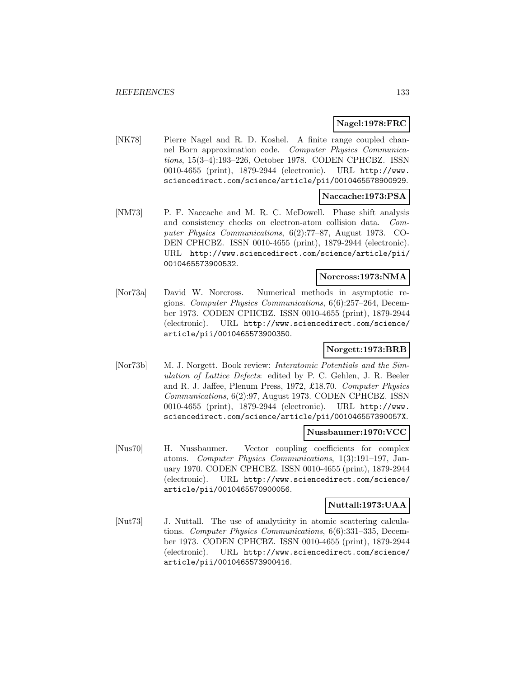# **Nagel:1978:FRC**

[NK78] Pierre Nagel and R. D. Koshel. A finite range coupled channel Born approximation code. Computer Physics Communications, 15(3–4):193–226, October 1978. CODEN CPHCBZ. ISSN 0010-4655 (print), 1879-2944 (electronic). URL http://www. sciencedirect.com/science/article/pii/0010465578900929.

# **Naccache:1973:PSA**

[NM73] P. F. Naccache and M. R. C. McDowell. Phase shift analysis and consistency checks on electron-atom collision data. Computer Physics Communications, 6(2):77–87, August 1973. CO-DEN CPHCBZ. ISSN 0010-4655 (print), 1879-2944 (electronic). URL http://www.sciencedirect.com/science/article/pii/ 0010465573900532.

#### **Norcross:1973:NMA**

[Nor73a] David W. Norcross. Numerical methods in asymptotic regions. Computer Physics Communications, 6(6):257–264, December 1973. CODEN CPHCBZ. ISSN 0010-4655 (print), 1879-2944 (electronic). URL http://www.sciencedirect.com/science/ article/pii/0010465573900350.

# **Norgett:1973:BRB**

[Nor73b] M. J. Norgett. Book review: *Interatomic Potentials and the Sim*ulation of Lattice Defects: edited by P. C. Gehlen, J. R. Beeler and R. J. Jaffee, Plenum Press, 1972, £18.70. Computer Physics Communications, 6(2):97, August 1973. CODEN CPHCBZ. ISSN 0010-4655 (print), 1879-2944 (electronic). URL http://www. sciencedirect.com/science/article/pii/001046557390057X.

### **Nussbaumer:1970:VCC**

[Nus70] H. Nussbaumer. Vector coupling coefficients for complex atoms. Computer Physics Communications, 1(3):191–197, January 1970. CODEN CPHCBZ. ISSN 0010-4655 (print), 1879-2944 (electronic). URL http://www.sciencedirect.com/science/ article/pii/0010465570900056.

# **Nuttall:1973:UAA**

[Nut73] J. Nuttall. The use of analyticity in atomic scattering calculations. Computer Physics Communications, 6(6):331–335, December 1973. CODEN CPHCBZ. ISSN 0010-4655 (print), 1879-2944 (electronic). URL http://www.sciencedirect.com/science/ article/pii/0010465573900416.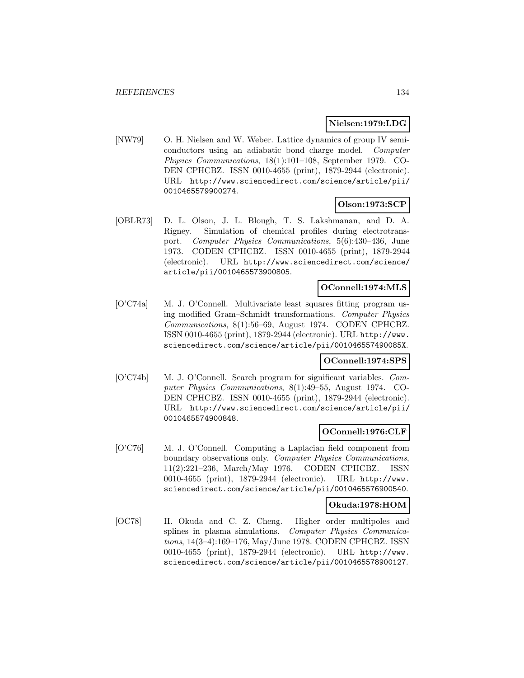### **Nielsen:1979:LDG**

[NW79] O. H. Nielsen and W. Weber. Lattice dynamics of group IV semiconductors using an adiabatic bond charge model. Computer Physics Communications, 18(1):101–108, September 1979. CO-DEN CPHCBZ. ISSN 0010-4655 (print), 1879-2944 (electronic). URL http://www.sciencedirect.com/science/article/pii/ 0010465579900274.

# **Olson:1973:SCP**

[OBLR73] D. L. Olson, J. L. Blough, T. S. Lakshmanan, and D. A. Rigney. Simulation of chemical profiles during electrotransport. Computer Physics Communications, 5(6):430–436, June 1973. CODEN CPHCBZ. ISSN 0010-4655 (print), 1879-2944 (electronic). URL http://www.sciencedirect.com/science/ article/pii/0010465573900805.

### **OConnell:1974:MLS**

[O'C74a] M. J. O'Connell. Multivariate least squares fitting program using modified Gram–Schmidt transformations. Computer Physics Communications, 8(1):56–69, August 1974. CODEN CPHCBZ. ISSN 0010-4655 (print), 1879-2944 (electronic). URL http://www. sciencedirect.com/science/article/pii/001046557490085X.

#### **OConnell:1974:SPS**

[O'C74b] M. J. O'Connell. Search program for significant variables. Computer Physics Communications, 8(1):49–55, August 1974. CO-DEN CPHCBZ. ISSN 0010-4655 (print), 1879-2944 (electronic). URL http://www.sciencedirect.com/science/article/pii/ 0010465574900848.

# **OConnell:1976:CLF**

[O'C76] M. J. O'Connell. Computing a Laplacian field component from boundary observations only. Computer Physics Communications, 11(2):221–236, March/May 1976. CODEN CPHCBZ. ISSN 0010-4655 (print), 1879-2944 (electronic). URL http://www. sciencedirect.com/science/article/pii/0010465576900540.

#### **Okuda:1978:HOM**

[OC78] H. Okuda and C. Z. Cheng. Higher order multipoles and splines in plasma simulations. Computer Physics Communications, 14(3–4):169–176, May/June 1978. CODEN CPHCBZ. ISSN 0010-4655 (print), 1879-2944 (electronic). URL http://www. sciencedirect.com/science/article/pii/0010465578900127.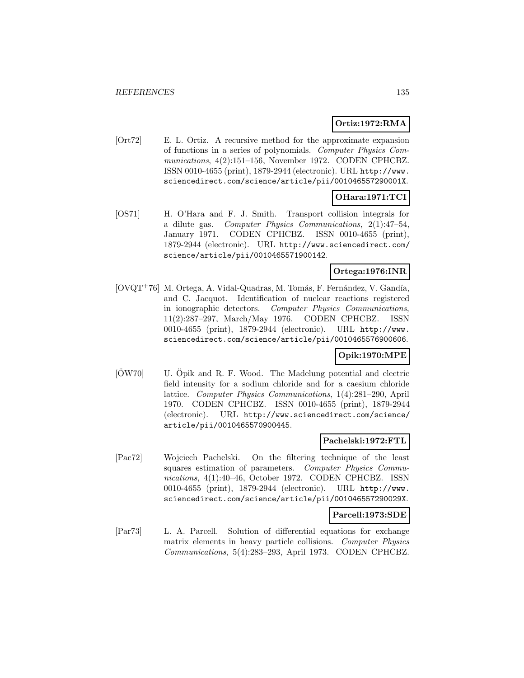# **Ortiz:1972:RMA**

[Ort72] E. L. Ortiz. A recursive method for the approximate expansion of functions in a series of polynomials. Computer Physics Communications, 4(2):151–156, November 1972. CODEN CPHCBZ. ISSN 0010-4655 (print), 1879-2944 (electronic). URL http://www. sciencedirect.com/science/article/pii/001046557290001X.

# **OHara:1971:TCI**

[OS71] H. O'Hara and F. J. Smith. Transport collision integrals for a dilute gas. Computer Physics Communications, 2(1):47–54, January 1971. CODEN CPHCBZ. ISSN 0010-4655 (print), 1879-2944 (electronic). URL http://www.sciencedirect.com/ science/article/pii/0010465571900142.

# **Ortega:1976:INR**

 $[OVQT+76]$  M. Ortega, A. Vidal-Quadras, M. Tomás, F. Fernández, V. Gandía, and C. Jacquot. Identification of nuclear reactions registered in ionographic detectors. Computer Physics Communications, 11(2):287–297, March/May 1976. CODEN CPHCBZ. ISSN 0010-4655 (print), 1879-2944 (electronic). URL http://www. sciencedirect.com/science/article/pii/0010465576900606.

# **Opik:1970:MPE**

 $|\text{OW70}|$  U. Öpik and R. F. Wood. The Madelung potential and electric field intensity for a sodium chloride and for a caesium chloride lattice. Computer Physics Communications, 1(4):281–290, April 1970. CODEN CPHCBZ. ISSN 0010-4655 (print), 1879-2944 (electronic). URL http://www.sciencedirect.com/science/ article/pii/0010465570900445.

#### **Pachelski:1972:FTL**

[Pac72] Wojciech Pachelski. On the filtering technique of the least squares estimation of parameters. Computer Physics Communications, 4(1):40–46, October 1972. CODEN CPHCBZ. ISSN 0010-4655 (print), 1879-2944 (electronic). URL http://www. sciencedirect.com/science/article/pii/001046557290029X.

#### **Parcell:1973:SDE**

[Par73] L. A. Parcell. Solution of differential equations for exchange matrix elements in heavy particle collisions. Computer Physics Communications, 5(4):283–293, April 1973. CODEN CPHCBZ.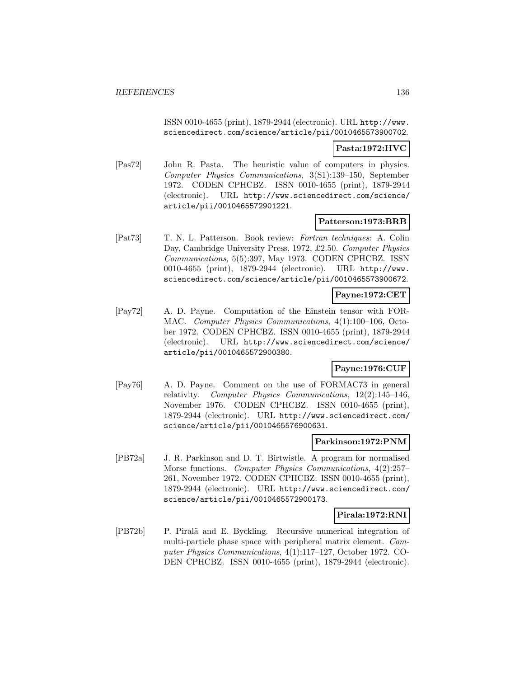ISSN 0010-4655 (print), 1879-2944 (electronic). URL http://www. sciencedirect.com/science/article/pii/0010465573900702.

### **Pasta:1972:HVC**

[Pas72] John R. Pasta. The heuristic value of computers in physics. Computer Physics Communications, 3(S1):139–150, September 1972. CODEN CPHCBZ. ISSN 0010-4655 (print), 1879-2944 (electronic). URL http://www.sciencedirect.com/science/ article/pii/0010465572901221.

#### **Patterson:1973:BRB**

[Pat73] T. N. L. Patterson. Book review: Fortran techniques: A. Colin Day, Cambridge University Press, 1972, £2.50. Computer Physics Communications, 5(5):397, May 1973. CODEN CPHCBZ. ISSN 0010-4655 (print), 1879-2944 (electronic). URL http://www. sciencedirect.com/science/article/pii/0010465573900672.

# **Payne:1972:CET**

[Pay72] A. D. Payne. Computation of the Einstein tensor with FOR-MAC. Computer Physics Communications, 4(1):100–106, October 1972. CODEN CPHCBZ. ISSN 0010-4655 (print), 1879-2944 (electronic). URL http://www.sciencedirect.com/science/ article/pii/0010465572900380.

# **Payne:1976:CUF**

[Pay76] A. D. Payne. Comment on the use of FORMAC73 in general relativity. Computer Physics Communications, 12(2):145–146, November 1976. CODEN CPHCBZ. ISSN 0010-4655 (print), 1879-2944 (electronic). URL http://www.sciencedirect.com/ science/article/pii/0010465576900631.

#### **Parkinson:1972:PNM**

[PB72a] J. R. Parkinson and D. T. Birtwistle. A program for normalised Morse functions. Computer Physics Communications, 4(2):257– 261, November 1972. CODEN CPHCBZ. ISSN 0010-4655 (print), 1879-2944 (electronic). URL http://www.sciencedirect.com/ science/article/pii/0010465572900173.

# **Pirala:1972:RNI**

[PB72b] P. Piralä and E. Byckling. Recursive numerical integration of multi-particle phase space with peripheral matrix element. Computer Physics Communications, 4(1):117–127, October 1972. CO-DEN CPHCBZ. ISSN 0010-4655 (print), 1879-2944 (electronic).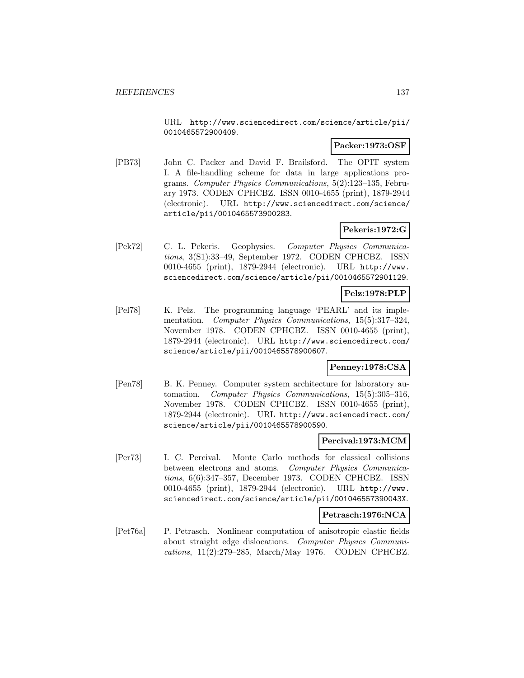URL http://www.sciencedirect.com/science/article/pii/ 0010465572900409.

#### **Packer:1973:OSF**

[PB73] John C. Packer and David F. Brailsford. The OPIT system I. A file-handling scheme for data in large applications programs. Computer Physics Communications, 5(2):123–135, February 1973. CODEN CPHCBZ. ISSN 0010-4655 (print), 1879-2944 (electronic). URL http://www.sciencedirect.com/science/ article/pii/0010465573900283.

# **Pekeris:1972:G**

[Pek72] C. L. Pekeris. Geophysics. Computer Physics Communications, 3(S1):33–49, September 1972. CODEN CPHCBZ. ISSN 0010-4655 (print), 1879-2944 (electronic). URL http://www. sciencedirect.com/science/article/pii/0010465572901129.

### **Pelz:1978:PLP**

[Pel78] K. Pelz. The programming language 'PEARL' and its implementation. Computer Physics Communications, 15(5):317-324, November 1978. CODEN CPHCBZ. ISSN 0010-4655 (print), 1879-2944 (electronic). URL http://www.sciencedirect.com/ science/article/pii/0010465578900607.

# **Penney:1978:CSA**

[Pen78] B. K. Penney. Computer system architecture for laboratory automation. Computer Physics Communications, 15(5):305–316, November 1978. CODEN CPHCBZ. ISSN 0010-4655 (print), 1879-2944 (electronic). URL http://www.sciencedirect.com/ science/article/pii/0010465578900590.

### **Percival:1973:MCM**

[Per73] I. C. Percival. Monte Carlo methods for classical collisions between electrons and atoms. Computer Physics Communications, 6(6):347–357, December 1973. CODEN CPHCBZ. ISSN 0010-4655 (print), 1879-2944 (electronic). URL http://www. sciencedirect.com/science/article/pii/001046557390043X.

# **Petrasch:1976:NCA**

[Pet76a] P. Petrasch. Nonlinear computation of anisotropic elastic fields about straight edge dislocations. Computer Physics Communications, 11(2):279–285, March/May 1976. CODEN CPHCBZ.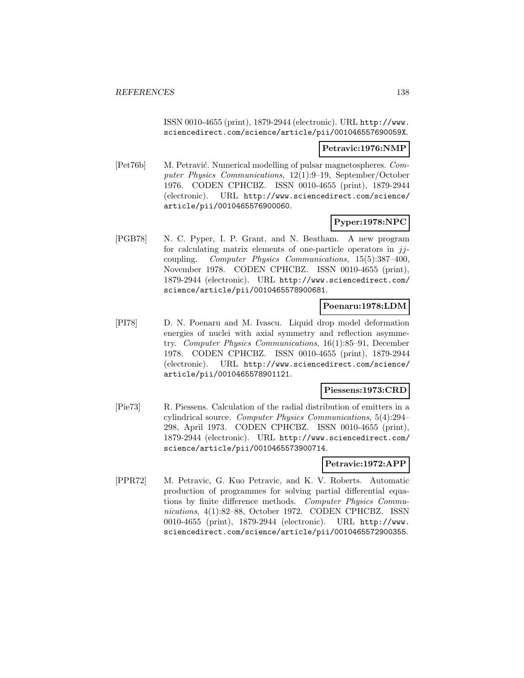ISSN 0010-4655 (print), 1879-2944 (electronic). URL http://www. sciencedirect.com/science/article/pii/001046557690059X.

#### **Petravic:1976:NMP**

[Pet76b] M. Petravić. Numerical modelling of pulsar magnetospheres. Computer Physics Communications, 12(1):9–19, September/October 1976. CODEN CPHCBZ. ISSN 0010-4655 (print), 1879-2944 (electronic). URL http://www.sciencedirect.com/science/ article/pii/0010465576900060.

# **Pyper:1978:NPC**

[PGB78] N. C. Pyper, I. P. Grant, and N. Beatham. A new program for calculating matrix elements of one-particle operators in  $jj$ coupling. Computer Physics Communications, 15(5):387–400, November 1978. CODEN CPHCBZ. ISSN 0010-4655 (print), 1879-2944 (electronic). URL http://www.sciencedirect.com/ science/article/pii/0010465578900681.

### **Poenaru:1978:LDM**

[PI78] D. N. Poenaru and M. Ivascu. Liquid drop model deformation energies of nuclei with axial symmetry and reflection asymmetry. Computer Physics Communications, 16(1):85–91, December 1978. CODEN CPHCBZ. ISSN 0010-4655 (print), 1879-2944 (electronic). URL http://www.sciencedirect.com/science/ article/pii/0010465578901121.

#### **Piessens:1973:CRD**

[Pie73] R. Piessens. Calculation of the radial distribution of emitters in a cylindrical source. Computer Physics Communications, 5(4):294– 298, April 1973. CODEN CPHCBZ. ISSN 0010-4655 (print), 1879-2944 (electronic). URL http://www.sciencedirect.com/ science/article/pii/0010465573900714.

#### **Petravic:1972:APP**

[PPR72] M. Petravic, G. Kuo Petravic, and K. V. Roberts. Automatic production of programmes for solving partial differential equations by finite difference methods. Computer Physics Communications, 4(1):82–88, October 1972. CODEN CPHCBZ. ISSN 0010-4655 (print), 1879-2944 (electronic). URL http://www. sciencedirect.com/science/article/pii/0010465572900355.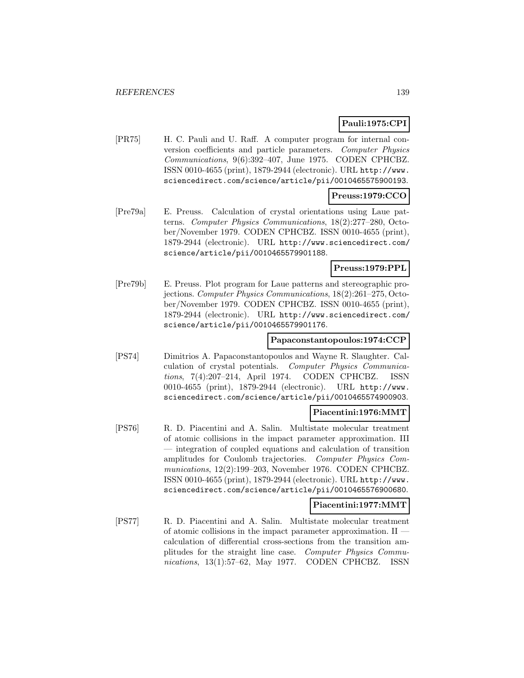# **Pauli:1975:CPI**

[PR75] H. C. Pauli and U. Raff. A computer program for internal conversion coefficients and particle parameters. Computer Physics Communications, 9(6):392–407, June 1975. CODEN CPHCBZ. ISSN 0010-4655 (print), 1879-2944 (electronic). URL http://www. sciencedirect.com/science/article/pii/0010465575900193.

# **Preuss:1979:CCO**

[Pre79a] E. Preuss. Calculation of crystal orientations using Laue patterns. Computer Physics Communications, 18(2):277–280, October/November 1979. CODEN CPHCBZ. ISSN 0010-4655 (print), 1879-2944 (electronic). URL http://www.sciencedirect.com/ science/article/pii/0010465579901188.

### **Preuss:1979:PPL**

[Pre79b] E. Preuss. Plot program for Laue patterns and stereographic projections. Computer Physics Communications, 18(2):261–275, October/November 1979. CODEN CPHCBZ. ISSN 0010-4655 (print), 1879-2944 (electronic). URL http://www.sciencedirect.com/ science/article/pii/0010465579901176.

#### **Papaconstantopoulos:1974:CCP**

[PS74] Dimitrios A. Papaconstantopoulos and Wayne R. Slaughter. Calculation of crystal potentials. Computer Physics Communications, 7(4):207–214, April 1974. CODEN CPHCBZ. ISSN 0010-4655 (print), 1879-2944 (electronic). URL http://www. sciencedirect.com/science/article/pii/0010465574900903.

#### **Piacentini:1976:MMT**

[PS76] R. D. Piacentini and A. Salin. Multistate molecular treatment of atomic collisions in the impact parameter approximation. III — integration of coupled equations and calculation of transition amplitudes for Coulomb trajectories. Computer Physics Communications, 12(2):199–203, November 1976. CODEN CPHCBZ. ISSN 0010-4655 (print), 1879-2944 (electronic). URL http://www. sciencedirect.com/science/article/pii/0010465576900680.

#### **Piacentini:1977:MMT**

[PS77] R. D. Piacentini and A. Salin. Multistate molecular treatment of atomic collisions in the impact parameter approximation. II calculation of differential cross-sections from the transition amplitudes for the straight line case. Computer Physics Communications, 13(1):57–62, May 1977. CODEN CPHCBZ. ISSN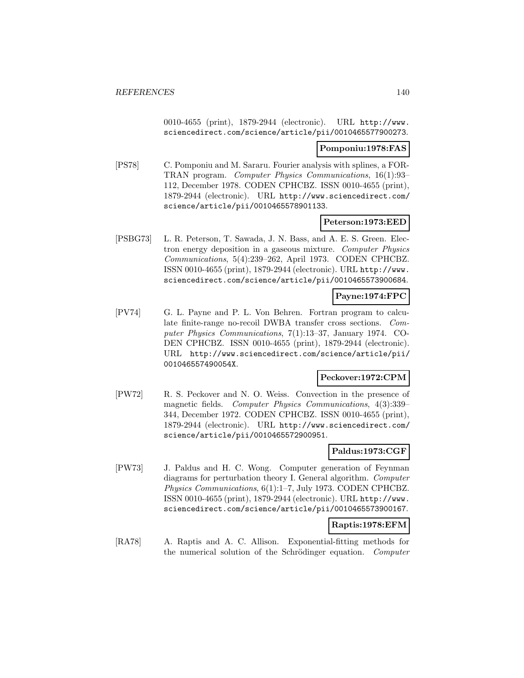0010-4655 (print), 1879-2944 (electronic). URL http://www. sciencedirect.com/science/article/pii/0010465577900273.

#### **Pomponiu:1978:FAS**

[PS78] C. Pomponiu and M. Sararu. Fourier analysis with splines, a FOR-TRAN program. Computer Physics Communications, 16(1):93– 112, December 1978. CODEN CPHCBZ. ISSN 0010-4655 (print), 1879-2944 (electronic). URL http://www.sciencedirect.com/ science/article/pii/0010465578901133.

### **Peterson:1973:EED**

[PSBG73] L. R. Peterson, T. Sawada, J. N. Bass, and A. E. S. Green. Electron energy deposition in a gaseous mixture. Computer Physics Communications, 5(4):239–262, April 1973. CODEN CPHCBZ. ISSN 0010-4655 (print), 1879-2944 (electronic). URL http://www. sciencedirect.com/science/article/pii/0010465573900684.

# **Payne:1974:FPC**

[PV74] G. L. Payne and P. L. Von Behren. Fortran program to calculate finite-range no-recoil DWBA transfer cross sections. Computer Physics Communications, 7(1):13–37, January 1974. CO-DEN CPHCBZ. ISSN 0010-4655 (print), 1879-2944 (electronic). URL http://www.sciencedirect.com/science/article/pii/ 001046557490054X.

#### **Peckover:1972:CPM**

[PW72] R. S. Peckover and N. O. Weiss. Convection in the presence of magnetic fields. Computer Physics Communications, 4(3):339– 344, December 1972. CODEN CPHCBZ. ISSN 0010-4655 (print), 1879-2944 (electronic). URL http://www.sciencedirect.com/ science/article/pii/0010465572900951.

# **Paldus:1973:CGF**

[PW73] J. Paldus and H. C. Wong. Computer generation of Feynman diagrams for perturbation theory I. General algorithm. Computer Physics Communications, 6(1):1–7, July 1973. CODEN CPHCBZ. ISSN 0010-4655 (print), 1879-2944 (electronic). URL http://www. sciencedirect.com/science/article/pii/0010465573900167.

#### **Raptis:1978:EFM**

[RA78] A. Raptis and A. C. Allison. Exponential-fitting methods for the numerical solution of the Schrödinger equation. Computer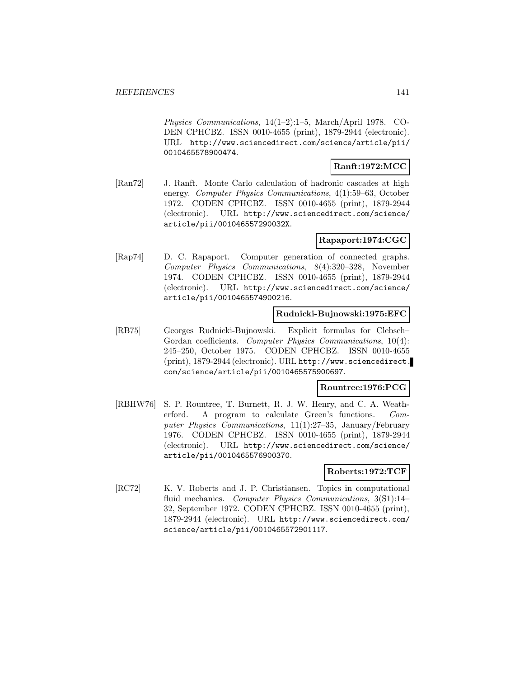Physics Communications, 14(1–2):1–5, March/April 1978. CO-DEN CPHCBZ. ISSN 0010-4655 (print), 1879-2944 (electronic). URL http://www.sciencedirect.com/science/article/pii/ 0010465578900474.

# **Ranft:1972:MCC**

[Ran72] J. Ranft. Monte Carlo calculation of hadronic cascades at high energy. Computer Physics Communications, 4(1):59–63, October 1972. CODEN CPHCBZ. ISSN 0010-4655 (print), 1879-2944 (electronic). URL http://www.sciencedirect.com/science/ article/pii/001046557290032X.

# **Rapaport:1974:CGC**

[Rap74] D. C. Rapaport. Computer generation of connected graphs. Computer Physics Communications, 8(4):320–328, November 1974. CODEN CPHCBZ. ISSN 0010-4655 (print), 1879-2944 (electronic). URL http://www.sciencedirect.com/science/ article/pii/0010465574900216.

# **Rudnicki-Bujnowski:1975:EFC**

[RB75] Georges Rudnicki-Bujnowski. Explicit formulas for Clebsch– Gordan coefficients. Computer Physics Communications, 10(4): 245–250, October 1975. CODEN CPHCBZ. ISSN 0010-4655 (print), 1879-2944 (electronic). URL http://www.sciencedirect. com/science/article/pii/0010465575900697.

#### **Rountree:1976:PCG**

[RBHW76] S. P. Rountree, T. Burnett, R. J. W. Henry, and C. A. Weatherford. A program to calculate Green's functions. Computer Physics Communications, 11(1):27–35, January/February 1976. CODEN CPHCBZ. ISSN 0010-4655 (print), 1879-2944 (electronic). URL http://www.sciencedirect.com/science/ article/pii/0010465576900370.

#### **Roberts:1972:TCF**

[RC72] K. V. Roberts and J. P. Christiansen. Topics in computational fluid mechanics. Computer Physics Communications, 3(S1):14– 32, September 1972. CODEN CPHCBZ. ISSN 0010-4655 (print), 1879-2944 (electronic). URL http://www.sciencedirect.com/ science/article/pii/0010465572901117.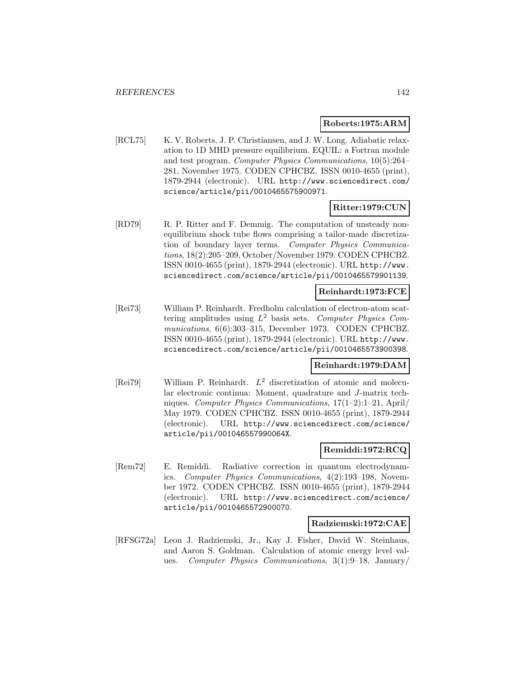#### **Roberts:1975:ARM**

[RCL75] K. V. Roberts, J. P. Christiansen, and J. W. Long. Adiabatic relaxation to 1D MHD pressure equilibrium. EQUIL: a Fortran module and test program. Computer Physics Communications, 10(5):264– 281, November 1975. CODEN CPHCBZ. ISSN 0010-4655 (print), 1879-2944 (electronic). URL http://www.sciencedirect.com/ science/article/pii/0010465575900971.

#### **Ritter:1979:CUN**

[RD79] R. P. Ritter and F. Demmig. The computation of unsteady nonequilibrium shock tube flows comprising a tailor-made discretization of boundary layer terms. Computer Physics Communications, 18(2):205–209, October/November 1979. CODEN CPHCBZ. ISSN 0010-4655 (print), 1879-2944 (electronic). URL http://www. sciencedirect.com/science/article/pii/0010465579901139.

#### **Reinhardt:1973:FCE**

[Rei73] William P. Reinhardt. Fredholm calculation of electron-atom scattering amplitudes using  $L^2$  basis sets. Computer Physics Communications, 6(6):303–315, December 1973. CODEN CPHCBZ. ISSN 0010-4655 (print), 1879-2944 (electronic). URL http://www. sciencedirect.com/science/article/pii/0010465573900398.

#### **Reinhardt:1979:DAM**

[Rei79] William P. Reinhardt. L<sup>2</sup> discretization of atomic and molecular electronic continua: Moment, quadrature and J-matrix techniques. Computer Physics Communications, 17(1–2):1–21, April/ May 1979. CODEN CPHCBZ. ISSN 0010-4655 (print), 1879-2944 (electronic). URL http://www.sciencedirect.com/science/ article/pii/001046557990064X.

#### **Remiddi:1972:RCQ**

[Rem72] E. Remiddi. Radiative correction in quantum electrodynamics. Computer Physics Communications, 4(2):193–198, November 1972. CODEN CPHCBZ. ISSN 0010-4655 (print), 1879-2944 (electronic). URL http://www.sciencedirect.com/science/ article/pii/0010465572900070.

#### **Radziemski:1972:CAE**

[RFSG72a] Leon J. Radziemski, Jr., Kay J. Fisher, David W. Steinhaus, and Aaron S. Goldman. Calculation of atomic energy level values. Computer Physics Communications, 3(1):9–18, January/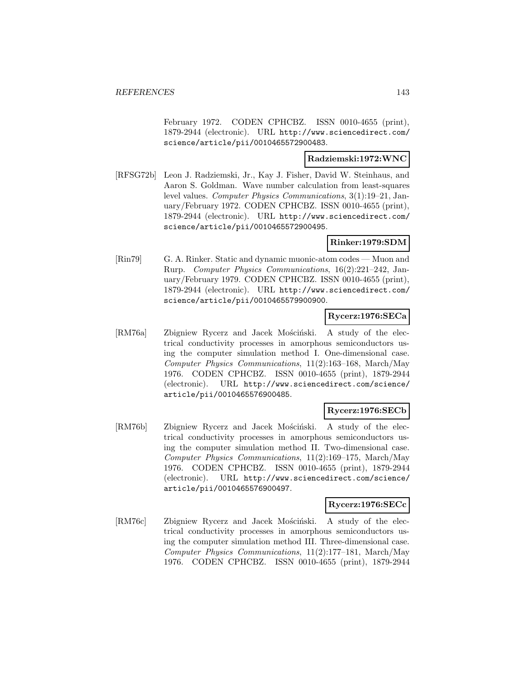February 1972. CODEN CPHCBZ. ISSN 0010-4655 (print), 1879-2944 (electronic). URL http://www.sciencedirect.com/ science/article/pii/0010465572900483.

# **Radziemski:1972:WNC**

[RFSG72b] Leon J. Radziemski, Jr., Kay J. Fisher, David W. Steinhaus, and Aaron S. Goldman. Wave number calculation from least-squares level values. Computer Physics Communications, 3(1):19–21, January/February 1972. CODEN CPHCBZ. ISSN 0010-4655 (print), 1879-2944 (electronic). URL http://www.sciencedirect.com/ science/article/pii/0010465572900495.

### **Rinker:1979:SDM**

[Rin79] G. A. Rinker. Static and dynamic muonic-atom codes — Muon and Rurp. Computer Physics Communications, 16(2):221–242, January/February 1979. CODEN CPHCBZ. ISSN 0010-4655 (print), 1879-2944 (electronic). URL http://www.sciencedirect.com/ science/article/pii/0010465579900900.

### **Rycerz:1976:SECa**

[RM76a] Zbigniew Rycerz and Jacek Mościński. A study of the electrical conductivity processes in amorphous semiconductors using the computer simulation method I. One-dimensional case. Computer Physics Communications, 11(2):163–168, March/May 1976. CODEN CPHCBZ. ISSN 0010-4655 (print), 1879-2944 (electronic). URL http://www.sciencedirect.com/science/ article/pii/0010465576900485.

#### **Rycerz:1976:SECb**

[RM76b] Zbigniew Rycerz and Jacek Mościński. A study of the electrical conductivity processes in amorphous semiconductors using the computer simulation method II. Two-dimensional case. Computer Physics Communications, 11(2):169–175, March/May 1976. CODEN CPHCBZ. ISSN 0010-4655 (print), 1879-2944 (electronic). URL http://www.sciencedirect.com/science/ article/pii/0010465576900497.

#### **Rycerz:1976:SECc**

[RM76c] Zbigniew Rycerz and Jacek Mościński. A study of the electrical conductivity processes in amorphous semiconductors using the computer simulation method III. Three-dimensional case. Computer Physics Communications, 11(2):177–181, March/May 1976. CODEN CPHCBZ. ISSN 0010-4655 (print), 1879-2944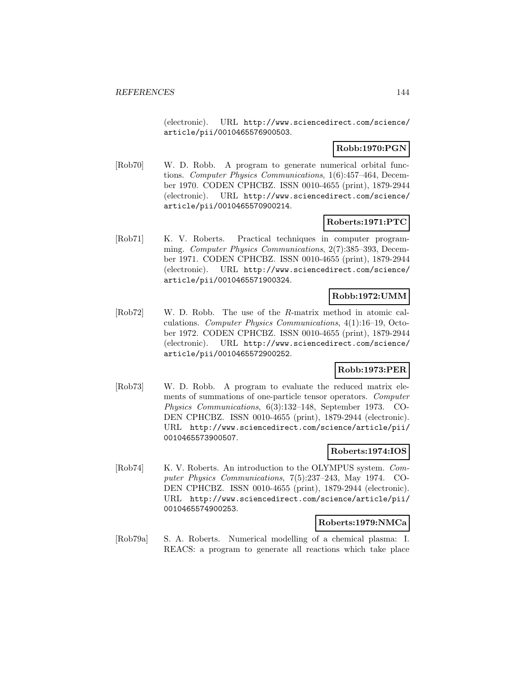(electronic). URL http://www.sciencedirect.com/science/ article/pii/0010465576900503.

# **Robb:1970:PGN**

[Rob70] W. D. Robb. A program to generate numerical orbital functions. Computer Physics Communications, 1(6):457–464, December 1970. CODEN CPHCBZ. ISSN 0010-4655 (print), 1879-2944 (electronic). URL http://www.sciencedirect.com/science/ article/pii/0010465570900214.

# **Roberts:1971:PTC**

[Rob71] K. V. Roberts. Practical techniques in computer programming. Computer Physics Communications, 2(7):385–393, December 1971. CODEN CPHCBZ. ISSN 0010-4655 (print), 1879-2944 (electronic). URL http://www.sciencedirect.com/science/ article/pii/0010465571900324.

# **Robb:1972:UMM**

[Rob72] W. D. Robb. The use of the R-matrix method in atomic calculations. Computer Physics Communications, 4(1):16–19, October 1972. CODEN CPHCBZ. ISSN 0010-4655 (print), 1879-2944 (electronic). URL http://www.sciencedirect.com/science/ article/pii/0010465572900252.

# **Robb:1973:PER**

[Rob73] W. D. Robb. A program to evaluate the reduced matrix elements of summations of one-particle tensor operators. Computer Physics Communications, 6(3):132–148, September 1973. CO-DEN CPHCBZ. ISSN 0010-4655 (print), 1879-2944 (electronic). URL http://www.sciencedirect.com/science/article/pii/ 0010465573900507.

# **Roberts:1974:IOS**

[Rob74] K. V. Roberts. An introduction to the OLYMPUS system. Computer Physics Communications, 7(5):237–243, May 1974. CO-DEN CPHCBZ. ISSN 0010-4655 (print), 1879-2944 (electronic). URL http://www.sciencedirect.com/science/article/pii/ 0010465574900253.

# **Roberts:1979:NMCa**

[Rob79a] S. A. Roberts. Numerical modelling of a chemical plasma: I. REACS: a program to generate all reactions which take place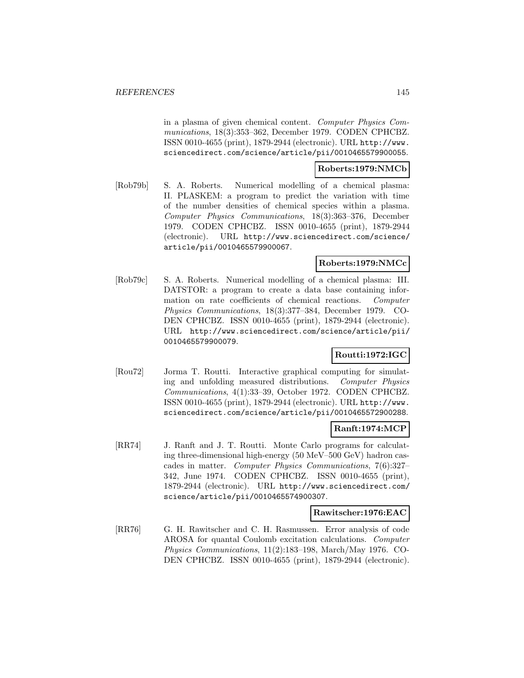in a plasma of given chemical content. Computer Physics Communications, 18(3):353–362, December 1979. CODEN CPHCBZ. ISSN 0010-4655 (print), 1879-2944 (electronic). URL http://www. sciencedirect.com/science/article/pii/0010465579900055.

### **Roberts:1979:NMCb**

[Rob79b] S. A. Roberts. Numerical modelling of a chemical plasma: II. PLASKEM: a program to predict the variation with time of the number densities of chemical species within a plasma. Computer Physics Communications, 18(3):363–376, December 1979. CODEN CPHCBZ. ISSN 0010-4655 (print), 1879-2944 (electronic). URL http://www.sciencedirect.com/science/ article/pii/0010465579900067.

# **Roberts:1979:NMCc**

[Rob79c] S. A. Roberts. Numerical modelling of a chemical plasma: III. DATSTOR: a program to create a data base containing information on rate coefficients of chemical reactions. Computer Physics Communications, 18(3):377–384, December 1979. CO-DEN CPHCBZ. ISSN 0010-4655 (print), 1879-2944 (electronic). URL http://www.sciencedirect.com/science/article/pii/ 0010465579900079.

### **Routti:1972:IGC**

[Rou72] Jorma T. Routti. Interactive graphical computing for simulating and unfolding measured distributions. Computer Physics Communications, 4(1):33–39, October 1972. CODEN CPHCBZ. ISSN 0010-4655 (print), 1879-2944 (electronic). URL http://www. sciencedirect.com/science/article/pii/0010465572900288.

# **Ranft:1974:MCP**

[RR74] J. Ranft and J. T. Routti. Monte Carlo programs for calculating three-dimensional high-energy (50 MeV–500 GeV) hadron cascades in matter. Computer Physics Communications, 7(6):327– 342, June 1974. CODEN CPHCBZ. ISSN 0010-4655 (print), 1879-2944 (electronic). URL http://www.sciencedirect.com/ science/article/pii/0010465574900307.

#### **Rawitscher:1976:EAC**

[RR76] G. H. Rawitscher and C. H. Rasmussen. Error analysis of code AROSA for quantal Coulomb excitation calculations. Computer Physics Communications, 11(2):183–198, March/May 1976. CO-DEN CPHCBZ. ISSN 0010-4655 (print), 1879-2944 (electronic).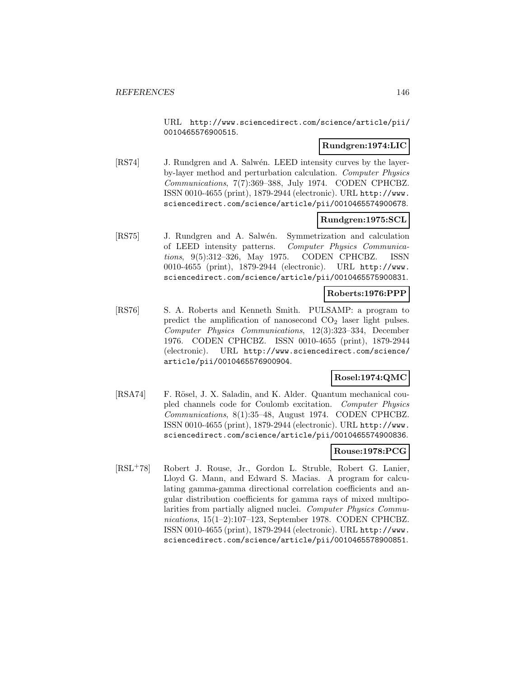URL http://www.sciencedirect.com/science/article/pii/ 0010465576900515.

# **Rundgren:1974:LIC**

[RS74] J. Rundgren and A. Salwén. LEED intensity curves by the layerby-layer method and perturbation calculation. Computer Physics Communications, 7(7):369–388, July 1974. CODEN CPHCBZ. ISSN 0010-4655 (print), 1879-2944 (electronic). URL http://www. sciencedirect.com/science/article/pii/0010465574900678.

# **Rundgren:1975:SCL**

[RS75] J. Rundgren and A. Salw´en. Symmetrization and calculation of LEED intensity patterns. Computer Physics Communications, 9(5):312–326, May 1975. CODEN CPHCBZ. ISSN 0010-4655 (print), 1879-2944 (electronic). URL http://www. sciencedirect.com/science/article/pii/0010465575900831.

#### **Roberts:1976:PPP**

[RS76] S. A. Roberts and Kenneth Smith. PULSAMP: a program to predict the amplification of nanosecond  $CO<sub>2</sub>$  laser light pulses. Computer Physics Communications, 12(3):323–334, December 1976. CODEN CPHCBZ. ISSN 0010-4655 (print), 1879-2944 (electronic). URL http://www.sciencedirect.com/science/ article/pii/0010465576900904.

# **Rosel:1974:QMC**

[RSA74] F. Rösel, J. X. Saladin, and K. Alder. Quantum mechanical coupled channels code for Coulomb excitation. Computer Physics Communications, 8(1):35–48, August 1974. CODEN CPHCBZ. ISSN 0010-4655 (print), 1879-2944 (electronic). URL http://www. sciencedirect.com/science/article/pii/0010465574900836.

# **Rouse:1978:PCG**

[RSL<sup>+</sup>78] Robert J. Rouse, Jr., Gordon L. Struble, Robert G. Lanier, Lloyd G. Mann, and Edward S. Macias. A program for calculating gamma-gamma directional correlation coefficients and angular distribution coefficients for gamma rays of mixed multipolarities from partially aligned nuclei. Computer Physics Communications, 15(1–2):107–123, September 1978. CODEN CPHCBZ. ISSN 0010-4655 (print), 1879-2944 (electronic). URL http://www. sciencedirect.com/science/article/pii/0010465578900851.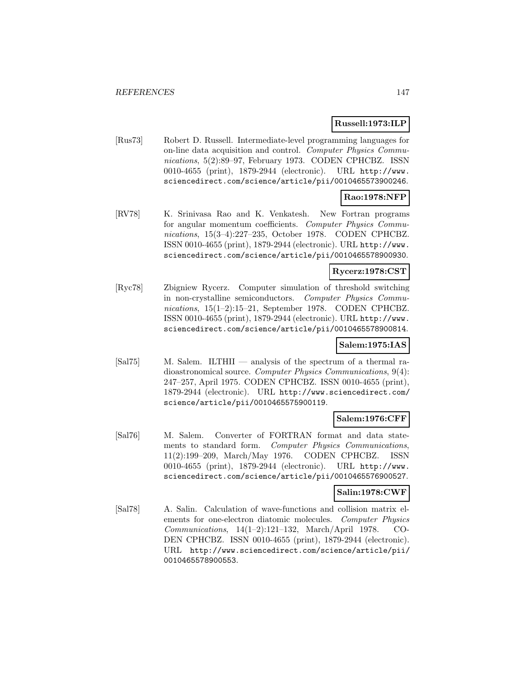### **Russell:1973:ILP**

[Rus73] Robert D. Russell. Intermediate-level programming languages for on-line data acquisition and control. Computer Physics Communications, 5(2):89–97, February 1973. CODEN CPHCBZ. ISSN 0010-4655 (print), 1879-2944 (electronic). URL http://www. sciencedirect.com/science/article/pii/0010465573900246.

# **Rao:1978:NFP**

[RV78] K. Srinivasa Rao and K. Venkatesh. New Fortran programs for angular momentum coefficients. Computer Physics Communications, 15(3–4):227–235, October 1978. CODEN CPHCBZ. ISSN 0010-4655 (print), 1879-2944 (electronic). URL http://www. sciencedirect.com/science/article/pii/0010465578900930.

# **Rycerz:1978:CST**

[Ryc78] Zbigniew Rycerz. Computer simulation of threshold switching in non-crystalline semiconductors. Computer Physics Communications, 15(1–2):15–21, September 1978. CODEN CPHCBZ. ISSN 0010-4655 (print), 1879-2944 (electronic). URL http://www. sciencedirect.com/science/article/pii/0010465578900814.

# **Salem:1975:IAS**

[Sal75] M. Salem. ILTHII — analysis of the spectrum of a thermal radioastronomical source. Computer Physics Communications, 9(4): 247–257, April 1975. CODEN CPHCBZ. ISSN 0010-4655 (print), 1879-2944 (electronic). URL http://www.sciencedirect.com/ science/article/pii/0010465575900119.

# **Salem:1976:CFF**

[Sal76] M. Salem. Converter of FORTRAN format and data statements to standard form. Computer Physics Communications, 11(2):199–209, March/May 1976. CODEN CPHCBZ. ISSN 0010-4655 (print), 1879-2944 (electronic). URL http://www. sciencedirect.com/science/article/pii/0010465576900527.

# **Salin:1978:CWF**

[Sal78] A. Salin. Calculation of wave-functions and collision matrix elements for one-electron diatomic molecules. Computer Physics Communications, 14(1–2):121–132, March/April 1978. CO-DEN CPHCBZ. ISSN 0010-4655 (print), 1879-2944 (electronic). URL http://www.sciencedirect.com/science/article/pii/ 0010465578900553.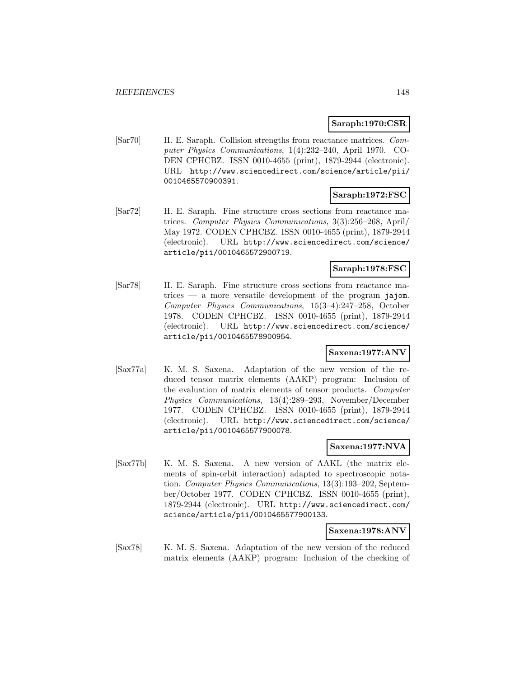### **Saraph:1970:CSR**

[Sar70] H. E. Saraph. Collision strengths from reactance matrices. Computer Physics Communications, 1(4):232–240, April 1970. CO-DEN CPHCBZ. ISSN 0010-4655 (print), 1879-2944 (electronic). URL http://www.sciencedirect.com/science/article/pii/ 0010465570900391.

### **Saraph:1972:FSC**

[Sar72] H. E. Saraph. Fine structure cross sections from reactance matrices. Computer Physics Communications, 3(3):256–268, April/ May 1972. CODEN CPHCBZ. ISSN 0010-4655 (print), 1879-2944 (electronic). URL http://www.sciencedirect.com/science/ article/pii/0010465572900719.

### **Saraph:1978:FSC**

[Sar78] H. E. Saraph. Fine structure cross sections from reactance matrices  $-$  a more versatile development of the program jajom. Computer Physics Communications, 15(3–4):247–258, October 1978. CODEN CPHCBZ. ISSN 0010-4655 (print), 1879-2944 (electronic). URL http://www.sciencedirect.com/science/ article/pii/0010465578900954.

# **Saxena:1977:ANV**

[Sax77a] K. M. S. Saxena. Adaptation of the new version of the reduced tensor matrix elements (AAKP) program: Inclusion of the evaluation of matrix elements of tensor products. Computer Physics Communications, 13(4):289–293, November/December 1977. CODEN CPHCBZ. ISSN 0010-4655 (print), 1879-2944 (electronic). URL http://www.sciencedirect.com/science/ article/pii/0010465577900078.

#### **Saxena:1977:NVA**

[Sax77b] K. M. S. Saxena. A new version of AAKL (the matrix elements of spin-orbit interaction) adapted to spectroscopic notation. Computer Physics Communications, 13(3):193–202, September/October 1977. CODEN CPHCBZ. ISSN 0010-4655 (print), 1879-2944 (electronic). URL http://www.sciencedirect.com/ science/article/pii/0010465577900133.

### **Saxena:1978:ANV**

[Sax78] K. M. S. Saxena. Adaptation of the new version of the reduced matrix elements (AAKP) program: Inclusion of the checking of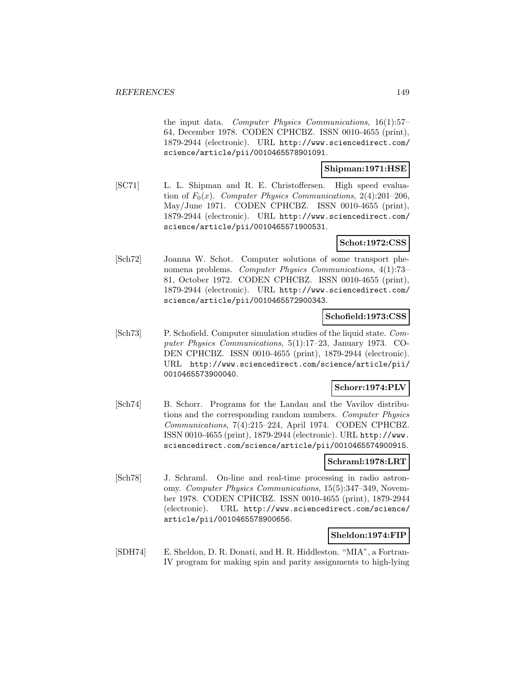the input data. Computer Physics Communications, 16(1):57– 64, December 1978. CODEN CPHCBZ. ISSN 0010-4655 (print), 1879-2944 (electronic). URL http://www.sciencedirect.com/ science/article/pii/0010465578901091.

### **Shipman:1971:HSE**

[SC71] L. L. Shipman and R. E. Christoffersen. High speed evaluation of  $F_0(x)$ . Computer Physics Communications, 2(4):201–206, May/June 1971. CODEN CPHCBZ. ISSN 0010-4655 (print), 1879-2944 (electronic). URL http://www.sciencedirect.com/ science/article/pii/0010465571900531.

### **Schot:1972:CSS**

[Sch72] Joanna W. Schot. Computer solutions of some transport phenomena problems. Computer Physics Communications, 4(1):73– 81, October 1972. CODEN CPHCBZ. ISSN 0010-4655 (print), 1879-2944 (electronic). URL http://www.sciencedirect.com/ science/article/pii/0010465572900343.

### **Schofield:1973:CSS**

[Sch73] P. Schofield. Computer simulation studies of the liquid state. Computer Physics Communications, 5(1):17–23, January 1973. CO-DEN CPHCBZ. ISSN 0010-4655 (print), 1879-2944 (electronic). URL http://www.sciencedirect.com/science/article/pii/ 0010465573900040.

#### **Schorr:1974:PLV**

[Sch74] B. Schorr. Programs for the Landau and the Vavilov distributions and the corresponding random numbers. Computer Physics Communications, 7(4):215–224, April 1974. CODEN CPHCBZ. ISSN 0010-4655 (print), 1879-2944 (electronic). URL http://www. sciencedirect.com/science/article/pii/0010465574900915.

#### **Schraml:1978:LRT**

[Sch78] J. Schraml. On-line and real-time processing in radio astronomy. Computer Physics Communications, 15(5):347–349, November 1978. CODEN CPHCBZ. ISSN 0010-4655 (print), 1879-2944 (electronic). URL http://www.sciencedirect.com/science/ article/pii/0010465578900656.

#### **Sheldon:1974:FIP**

[SDH74] E. Sheldon, D. R. Donati, and H. R. Hiddleston. "MIA", a Fortran-IV program for making spin and parity assignments to high-lying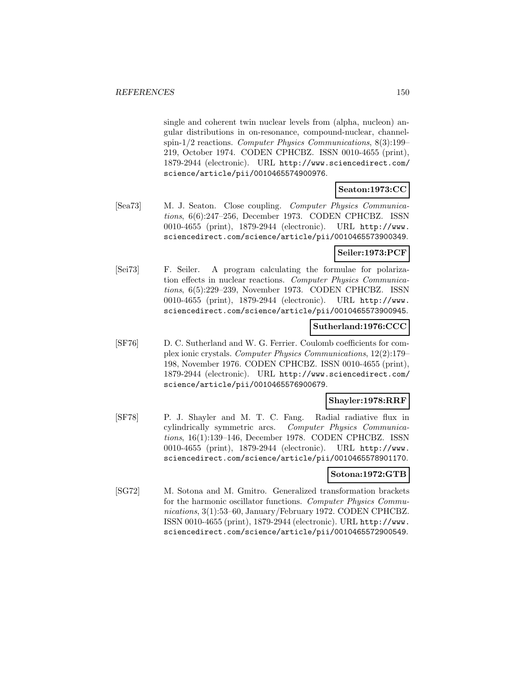single and coherent twin nuclear levels from (alpha, nucleon) angular distributions in on-resonance, compound-nuclear, channelspin-1/2 reactions. Computer Physics Communications, 8(3):199– 219, October 1974. CODEN CPHCBZ. ISSN 0010-4655 (print), 1879-2944 (electronic). URL http://www.sciencedirect.com/ science/article/pii/0010465574900976.

### **Seaton:1973:CC**

[Sea73] M. J. Seaton. Close coupling. Computer Physics Communications, 6(6):247–256, December 1973. CODEN CPHCBZ. ISSN 0010-4655 (print), 1879-2944 (electronic). URL http://www. sciencedirect.com/science/article/pii/0010465573900349.

# **Seiler:1973:PCF**

[Sei73] F. Seiler. A program calculating the formulae for polarization effects in nuclear reactions. Computer Physics Communications, 6(5):229–239, November 1973. CODEN CPHCBZ. ISSN 0010-4655 (print), 1879-2944 (electronic). URL http://www. sciencedirect.com/science/article/pii/0010465573900945.

#### **Sutherland:1976:CCC**

[SF76] D. C. Sutherland and W. G. Ferrier. Coulomb coefficients for complex ionic crystals. Computer Physics Communications, 12(2):179– 198, November 1976. CODEN CPHCBZ. ISSN 0010-4655 (print), 1879-2944 (electronic). URL http://www.sciencedirect.com/ science/article/pii/0010465576900679.

#### **Shayler:1978:RRF**

[SF78] P. J. Shayler and M. T. C. Fang. Radial radiative flux in cylindrically symmetric arcs. Computer Physics Communications, 16(1):139–146, December 1978. CODEN CPHCBZ. ISSN 0010-4655 (print), 1879-2944 (electronic). URL http://www. sciencedirect.com/science/article/pii/0010465578901170.

#### **Sotona:1972:GTB**

[SG72] M. Sotona and M. Gmitro. Generalized transformation brackets for the harmonic oscillator functions. Computer Physics Communications, 3(1):53–60, January/February 1972. CODEN CPHCBZ. ISSN 0010-4655 (print), 1879-2944 (electronic). URL http://www. sciencedirect.com/science/article/pii/0010465572900549.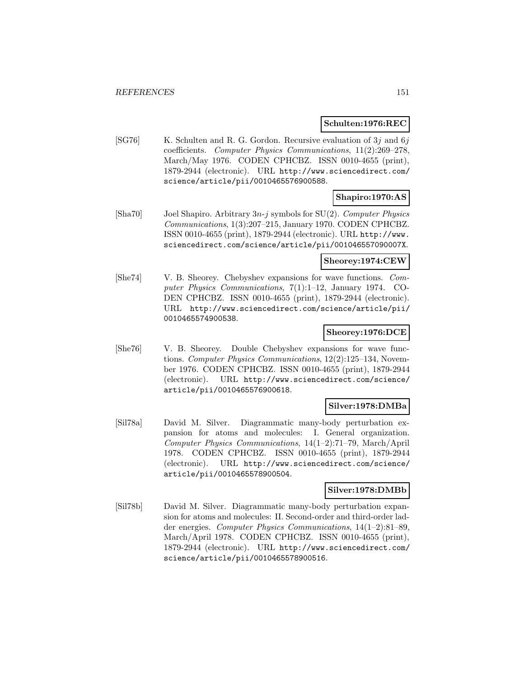#### **Schulten:1976:REC**

[SG76] K. Schulten and R. G. Gordon. Recursive evaluation of  $3j$  and  $6j$ coefficients. Computer Physics Communications, 11(2):269–278, March/May 1976. CODEN CPHCBZ. ISSN 0010-4655 (print), 1879-2944 (electronic). URL http://www.sciencedirect.com/ science/article/pii/0010465576900588.

# **Shapiro:1970:AS**

 $[\text{Sha}70]$  Joel Shapiro. Arbitrary  $3n-j$  symbols for SU(2). Computer Physics Communications, 1(3):207–215, January 1970. CODEN CPHCBZ. ISSN 0010-4655 (print), 1879-2944 (electronic). URL http://www. sciencedirect.com/science/article/pii/001046557090007X.

#### **Sheorey:1974:CEW**

[She74] V. B. Sheorey. Chebyshev expansions for wave functions. Computer Physics Communications, 7(1):1–12, January 1974. CO-DEN CPHCBZ. ISSN 0010-4655 (print), 1879-2944 (electronic). URL http://www.sciencedirect.com/science/article/pii/ 0010465574900538.

### **Sheorey:1976:DCE**

[She76] V. B. Sheorey. Double Chebyshev expansions for wave functions. Computer Physics Communications, 12(2):125–134, November 1976. CODEN CPHCBZ. ISSN 0010-4655 (print), 1879-2944 (electronic). URL http://www.sciencedirect.com/science/ article/pii/0010465576900618.

#### **Silver:1978:DMBa**

[Sil78a] David M. Silver. Diagrammatic many-body perturbation expansion for atoms and molecules: I. General organization. Computer Physics Communications, 14(1–2):71–79, March/April 1978. CODEN CPHCBZ. ISSN 0010-4655 (print), 1879-2944 (electronic). URL http://www.sciencedirect.com/science/ article/pii/0010465578900504.

#### **Silver:1978:DMBb**

[Sil78b] David M. Silver. Diagrammatic many-body perturbation expansion for atoms and molecules: II. Second-order and third-order ladder energies. Computer Physics Communications, 14(1–2):81–89, March/April 1978. CODEN CPHCBZ. ISSN 0010-4655 (print), 1879-2944 (electronic). URL http://www.sciencedirect.com/ science/article/pii/0010465578900516.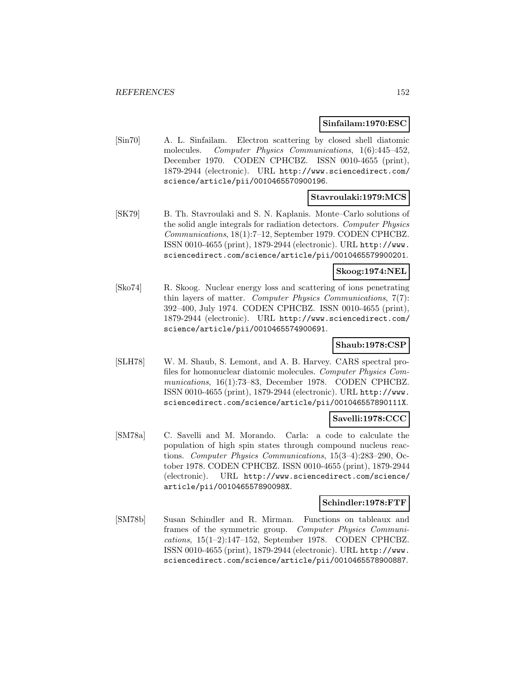#### **Sinfailam:1970:ESC**

[Sin70] A. L. Sinfailam. Electron scattering by closed shell diatomic molecules. Computer Physics Communications, 1(6):445-452, December 1970. CODEN CPHCBZ. ISSN 0010-4655 (print), 1879-2944 (electronic). URL http://www.sciencedirect.com/ science/article/pii/0010465570900196.

# **Stavroulaki:1979:MCS**

[SK79] B. Th. Stavroulaki and S. N. Kaplanis. Monte–Carlo solutions of the solid angle integrals for radiation detectors. Computer Physics Communications, 18(1):7–12, September 1979. CODEN CPHCBZ. ISSN 0010-4655 (print), 1879-2944 (electronic). URL http://www. sciencedirect.com/science/article/pii/0010465579900201.

### **Skoog:1974:NEL**

[Sko74] R. Skoog. Nuclear energy loss and scattering of ions penetrating thin layers of matter. Computer Physics Communications, 7(7): 392–400, July 1974. CODEN CPHCBZ. ISSN 0010-4655 (print), 1879-2944 (electronic). URL http://www.sciencedirect.com/ science/article/pii/0010465574900691.

# **Shaub:1978:CSP**

[SLH78] W. M. Shaub, S. Lemont, and A. B. Harvey. CARS spectral profiles for homonuclear diatomic molecules. Computer Physics Communications, 16(1):73–83, December 1978. CODEN CPHCBZ. ISSN 0010-4655 (print), 1879-2944 (electronic). URL http://www. sciencedirect.com/science/article/pii/001046557890111X.

# **Savelli:1978:CCC**

[SM78a] C. Savelli and M. Morando. Carla: a code to calculate the population of high spin states through compound nucleus reactions. Computer Physics Communications, 15(3–4):283–290, October 1978. CODEN CPHCBZ. ISSN 0010-4655 (print), 1879-2944 (electronic). URL http://www.sciencedirect.com/science/ article/pii/001046557890098X.

### **Schindler:1978:FTF**

[SM78b] Susan Schindler and R. Mirman. Functions on tableaux and frames of the symmetric group. Computer Physics Communications, 15(1–2):147–152, September 1978. CODEN CPHCBZ. ISSN 0010-4655 (print), 1879-2944 (electronic). URL http://www. sciencedirect.com/science/article/pii/0010465578900887.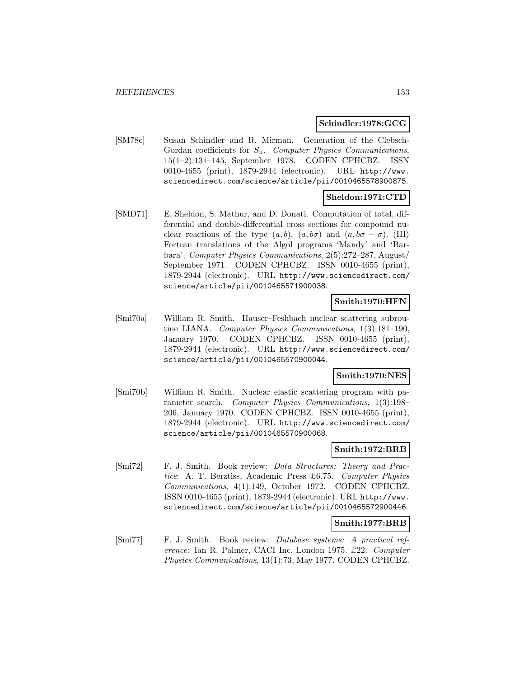### **Schindler:1978:GCG**

[SM78c] Susan Schindler and R. Mirman. Generation of the Clebsch-Gordan coefficients for  $S_n$ . Computer Physics Communications, 15(1–2):131–145, September 1978. CODEN CPHCBZ. ISSN 0010-4655 (print), 1879-2944 (electronic). URL http://www. sciencedirect.com/science/article/pii/0010465578900875.

# **Sheldon:1971:CTD**

[SMD71] E. Sheldon, S. Mathur, and D. Donati. Computation of total, differential and double-differential cross sections for compound nuclear reactions of the type  $(a, b)$ ,  $(a, b\sigma)$  and  $(a, b\sigma - \sigma)$ . (III) Fortran translations of the Algol programs 'Mandy' and 'Barbara'. Computer Physics Communications, 2(5):272–287, August/ September 1971. CODEN CPHCBZ. ISSN 0010-4655 (print), 1879-2944 (electronic). URL http://www.sciencedirect.com/ science/article/pii/0010465571900038.

# **Smith:1970:HFN**

[Smi70a] William R. Smith. Hauser–Feshbach nuclear scattering subroutine LIANA. Computer Physics Communications, 1(3):181–190, January 1970. CODEN CPHCBZ. ISSN 0010-4655 (print), 1879-2944 (electronic). URL http://www.sciencedirect.com/ science/article/pii/0010465570900044.

# **Smith:1970:NES**

[Smi70b] William R. Smith. Nuclear elastic scattering program with parameter search. Computer Physics Communications, 1(3):198– 206, January 1970. CODEN CPHCBZ. ISSN 0010-4655 (print), 1879-2944 (electronic). URL http://www.sciencedirect.com/ science/article/pii/0010465570900068.

# **Smith:1972:BRB**

[Smi72] F. J. Smith. Book review: Data Structures: Theory and Practice: A. T. Berztiss, Academic Press £6.75. Computer Physics Communications, 4(1):149, October 1972. CODEN CPHCBZ. ISSN 0010-4655 (print), 1879-2944 (electronic). URL http://www. sciencedirect.com/science/article/pii/0010465572900446.

# **Smith:1977:BRB**

[Smi77] F. J. Smith. Book review: Database systems: A practical reference: Ian R. Palmer, CACI Inc. London 1975. £22. Computer Physics Communications, 13(1):73, May 1977. CODEN CPHCBZ.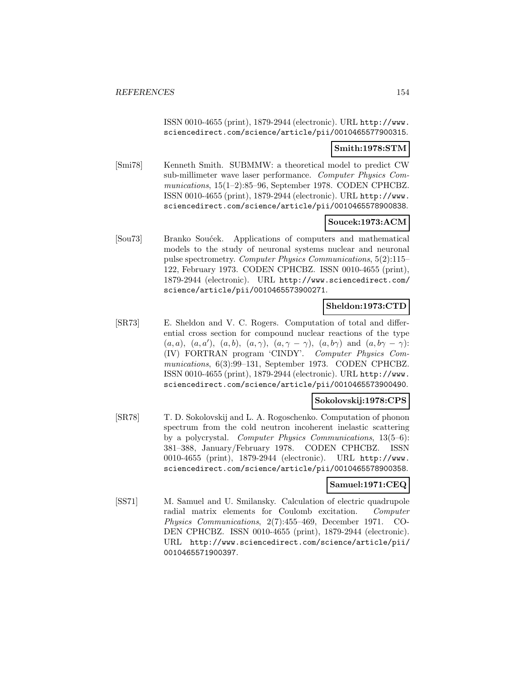ISSN 0010-4655 (print), 1879-2944 (electronic). URL http://www. sciencedirect.com/science/article/pii/0010465577900315.

### **Smith:1978:STM**

[Smi78] Kenneth Smith. SUBMMW: a theoretical model to predict CW sub-millimeter wave laser performance. Computer Physics Communications, 15(1–2):85–96, September 1978. CODEN CPHCBZ. ISSN 0010-4655 (print), 1879-2944 (electronic). URL http://www. sciencedirect.com/science/article/pii/0010465578900838.

# **Soucek:1973:ACM**

[Sou73] Branko Soućek. Applications of computers and mathematical models to the study of neuronal systems nuclear and neuronal pulse spectrometry. Computer Physics Communications, 5(2):115– 122, February 1973. CODEN CPHCBZ. ISSN 0010-4655 (print), 1879-2944 (electronic). URL http://www.sciencedirect.com/ science/article/pii/0010465573900271.

# **Sheldon:1973:CTD**

[SR73] E. Sheldon and V. C. Rogers. Computation of total and differential cross section for compound nuclear reactions of the type  $(a, a), (a, a'), (a, b), (a, \gamma), (a, \gamma - \gamma), (a, b\gamma) \text{ and } (a, b\gamma - \gamma)$ : (IV) FORTRAN program 'CINDY'. Computer Physics Communications, 6(3):99–131, September 1973. CODEN CPHCBZ. ISSN 0010-4655 (print), 1879-2944 (electronic). URL http://www. sciencedirect.com/science/article/pii/0010465573900490.

#### **Sokolovskij:1978:CPS**

[SR78] T. D. Sokolovskij and L. A. Rogoschenko. Computation of phonon spectrum from the cold neutron incoherent inelastic scattering by a polycrystal. Computer Physics Communications, 13(5–6): 381–388, January/February 1978. CODEN CPHCBZ. ISSN 0010-4655 (print), 1879-2944 (electronic). URL http://www. sciencedirect.com/science/article/pii/0010465578900358.

# **Samuel:1971:CEQ**

[SS71] M. Samuel and U. Smilansky. Calculation of electric quadrupole radial matrix elements for Coulomb excitation. Computer Physics Communications, 2(7):455–469, December 1971. CO-DEN CPHCBZ. ISSN 0010-4655 (print), 1879-2944 (electronic). URL http://www.sciencedirect.com/science/article/pii/ 0010465571900397.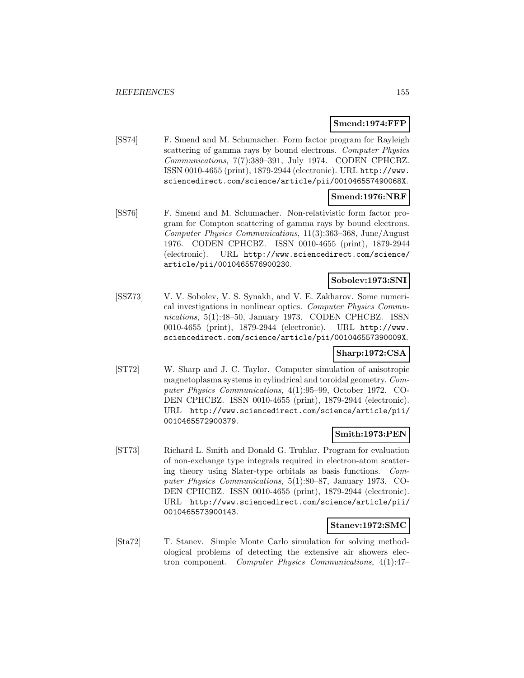### **Smend:1974:FFP**

[SS74] F. Smend and M. Schumacher. Form factor program for Rayleigh scattering of gamma rays by bound electrons. Computer Physics Communications, 7(7):389–391, July 1974. CODEN CPHCBZ. ISSN 0010-4655 (print), 1879-2944 (electronic). URL http://www. sciencedirect.com/science/article/pii/001046557490068X.

# **Smend:1976:NRF**

[SS76] F. Smend and M. Schumacher. Non-relativistic form factor program for Compton scattering of gamma rays by bound electrons. Computer Physics Communications, 11(3):363–368, June/August 1976. CODEN CPHCBZ. ISSN 0010-4655 (print), 1879-2944 (electronic). URL http://www.sciencedirect.com/science/ article/pii/0010465576900230.

### **Sobolev:1973:SNI**

[SSZ73] V. V. Sobolev, V. S. Synakh, and V. E. Zakharov. Some numerical investigations in nonlinear optics. Computer Physics Communications, 5(1):48-50, January 1973. CODEN CPHCBZ. ISSN 0010-4655 (print), 1879-2944 (electronic). URL http://www. sciencedirect.com/science/article/pii/001046557390009X.

# **Sharp:1972:CSA**

[ST72] W. Sharp and J. C. Taylor. Computer simulation of anisotropic magnetoplasma systems in cylindrical and toroidal geometry. Computer Physics Communications, 4(1):95–99, October 1972. CO-DEN CPHCBZ. ISSN 0010-4655 (print), 1879-2944 (electronic). URL http://www.sciencedirect.com/science/article/pii/ 0010465572900379.

#### **Smith:1973:PEN**

[ST73] Richard L. Smith and Donald G. Truhlar. Program for evaluation of non-exchange type integrals required in electron-atom scattering theory using Slater-type orbitals as basis functions. Computer Physics Communications, 5(1):80–87, January 1973. CO-DEN CPHCBZ. ISSN 0010-4655 (print), 1879-2944 (electronic). URL http://www.sciencedirect.com/science/article/pii/ 0010465573900143.

### **Stanev:1972:SMC**

[Sta72] T. Stanev. Simple Monte Carlo simulation for solving methodological problems of detecting the extensive air showers electron component. Computer Physics Communications, 4(1):47–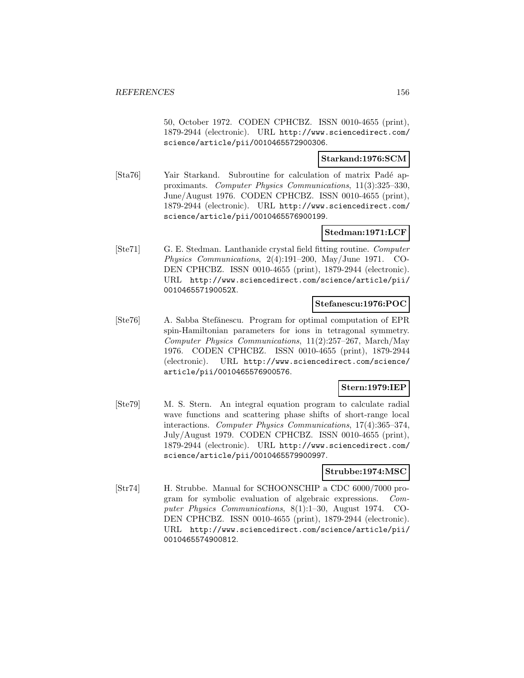50, October 1972. CODEN CPHCBZ. ISSN 0010-4655 (print), 1879-2944 (electronic). URL http://www.sciencedirect.com/ science/article/pii/0010465572900306.

### **Starkand:1976:SCM**

[Sta76] Yair Starkand. Subroutine for calculation of matrix Padé approximants. Computer Physics Communications, 11(3):325–330, June/August 1976. CODEN CPHCBZ. ISSN 0010-4655 (print), 1879-2944 (electronic). URL http://www.sciencedirect.com/ science/article/pii/0010465576900199.

# **Stedman:1971:LCF**

[Ste71] G. E. Stedman. Lanthanide crystal field fitting routine. Computer Physics Communications, 2(4):191–200, May/June 1971. CO-DEN CPHCBZ. ISSN 0010-4655 (print), 1879-2944 (electronic). URL http://www.sciencedirect.com/science/article/pii/ 001046557190052X.

### **Stefanescu:1976:POC**

[Ste76] A. Sabba Stefănescu. Program for optimal computation of EPR spin-Hamiltonian parameters for ions in tetragonal symmetry. Computer Physics Communications, 11(2):257–267, March/May 1976. CODEN CPHCBZ. ISSN 0010-4655 (print), 1879-2944 (electronic). URL http://www.sciencedirect.com/science/ article/pii/0010465576900576.

#### **Stern:1979:IEP**

[Ste79] M. S. Stern. An integral equation program to calculate radial wave functions and scattering phase shifts of short-range local interactions. Computer Physics Communications, 17(4):365–374, July/August 1979. CODEN CPHCBZ. ISSN 0010-4655 (print), 1879-2944 (electronic). URL http://www.sciencedirect.com/ science/article/pii/0010465579900997.

### **Strubbe:1974:MSC**

[Str74] H. Strubbe. Manual for SCHOONSCHIP a CDC 6000/7000 program for symbolic evaluation of algebraic expressions. Computer Physics Communications, 8(1):1–30, August 1974. CO-DEN CPHCBZ. ISSN 0010-4655 (print), 1879-2944 (electronic). URL http://www.sciencedirect.com/science/article/pii/ 0010465574900812.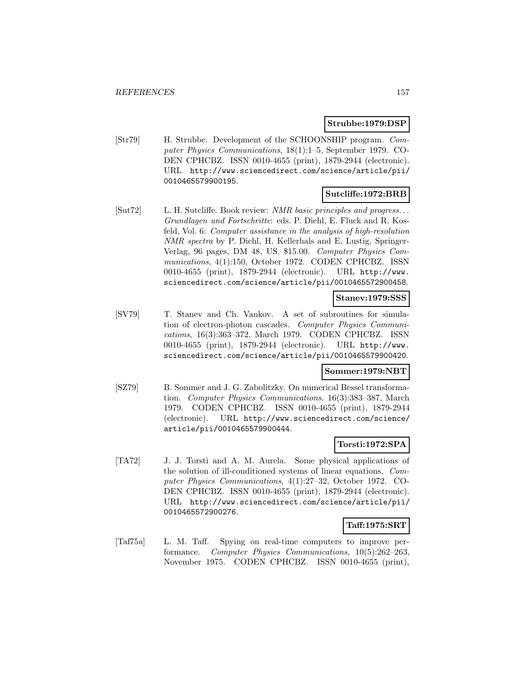### **Strubbe:1979:DSP**

[Str79] H. Strubbe. Development of the SCHOONSHIP program. Computer Physics Communications, 18(1):1–5, September 1979. CO-DEN CPHCBZ. ISSN 0010-4655 (print), 1879-2944 (electronic). URL http://www.sciencedirect.com/science/article/pii/ 0010465579900195.

### **Sutcliffe:1972:BRB**

[Sut72] L. H. Sutcliffe. Book review: *NMR basic principles and progress...* Grundlagen und Fortschritte: eds. P. Diehl, E. Fluck and R. Kosfeld, Vol. 6: Computer assistance in the analysis of high-resolution NMR spectra by P. Diehl, H. Kellerhals and E. Lustig, Springer-Verlag, 96 pages, DM 48, US. \$15.00. Computer Physics Communications, 4(1):150, October 1972. CODEN CPHCBZ. ISSN 0010-4655 (print), 1879-2944 (electronic). URL http://www. sciencedirect.com/science/article/pii/0010465572900458.

### **Stanev:1979:SSS**

[SV79] T. Stanev and Ch. Vankov. A set of subroutines for simulation of electron-photon cascades. Computer Physics Communications, 16(3):363–372, March 1979. CODEN CPHCBZ. ISSN 0010-4655 (print), 1879-2944 (electronic). URL http://www. sciencedirect.com/science/article/pii/0010465579900420.

#### **Sommer:1979:NBT**

[SZ79] B. Sommer and J. G. Zabolitzky. On numerical Bessel transformation. Computer Physics Communications, 16(3):383–387, March 1979. CODEN CPHCBZ. ISSN 0010-4655 (print), 1879-2944 (electronic). URL http://www.sciencedirect.com/science/ article/pii/0010465579900444.

# **Torsti:1972:SPA**

[TA72] J. J. Torsti and A. M. Aurela. Some physical applications of the solution of ill-conditioned systems of linear equations. Computer Physics Communications, 4(1):27–32, October 1972. CO-DEN CPHCBZ. ISSN 0010-4655 (print), 1879-2944 (electronic). URL http://www.sciencedirect.com/science/article/pii/ 0010465572900276.

# **Taff:1975:SRT**

[Taf75a] L. M. Taff. Spying on real-time computers to improve performance. Computer Physics Communications, 10(5):262–263, November 1975. CODEN CPHCBZ. ISSN 0010-4655 (print),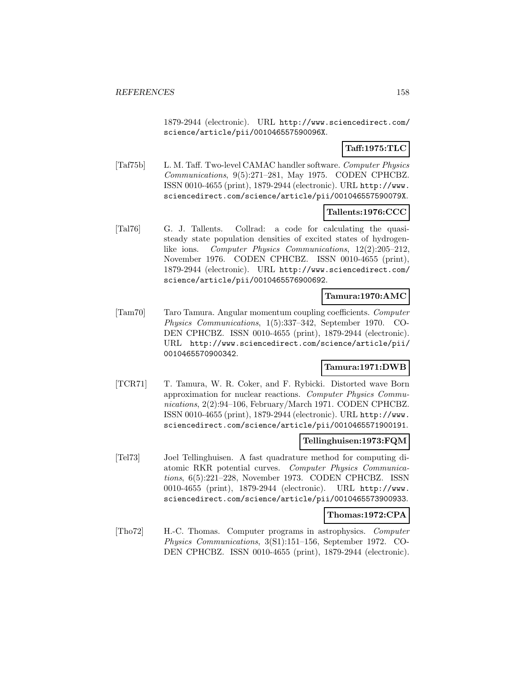1879-2944 (electronic). URL http://www.sciencedirect.com/ science/article/pii/001046557590096X.

# **Taff:1975:TLC**

[Taf75b] L. M. Taff. Two-level CAMAC handler software. Computer Physics Communications, 9(5):271–281, May 1975. CODEN CPHCBZ. ISSN 0010-4655 (print), 1879-2944 (electronic). URL http://www. sciencedirect.com/science/article/pii/001046557590079X.

# **Tallents:1976:CCC**

[Tal76] G. J. Tallents. Collrad: a code for calculating the quasisteady state population densities of excited states of hydrogenlike ions. Computer Physics Communications, 12(2):205–212, November 1976. CODEN CPHCBZ. ISSN 0010-4655 (print), 1879-2944 (electronic). URL http://www.sciencedirect.com/ science/article/pii/0010465576900692.

### **Tamura:1970:AMC**

[Tam70] Taro Tamura. Angular momentum coupling coefficients. Computer Physics Communications, 1(5):337–342, September 1970. CO-DEN CPHCBZ. ISSN 0010-4655 (print), 1879-2944 (electronic). URL http://www.sciencedirect.com/science/article/pii/ 0010465570900342.

# **Tamura:1971:DWB**

[TCR71] T. Tamura, W. R. Coker, and F. Rybicki. Distorted wave Born approximation for nuclear reactions. Computer Physics Communications, 2(2):94–106, February/March 1971. CODEN CPHCBZ. ISSN 0010-4655 (print), 1879-2944 (electronic). URL http://www. sciencedirect.com/science/article/pii/0010465571900191.

#### **Tellinghuisen:1973:FQM**

[Tel73] Joel Tellinghuisen. A fast quadrature method for computing diatomic RKR potential curves. Computer Physics Communications, 6(5):221–228, November 1973. CODEN CPHCBZ. ISSN 0010-4655 (print), 1879-2944 (electronic). URL http://www. sciencedirect.com/science/article/pii/0010465573900933.

#### **Thomas:1972:CPA**

[Tho72] H.-C. Thomas. Computer programs in astrophysics. Computer Physics Communications, 3(S1):151–156, September 1972. CO-DEN CPHCBZ. ISSN 0010-4655 (print), 1879-2944 (electronic).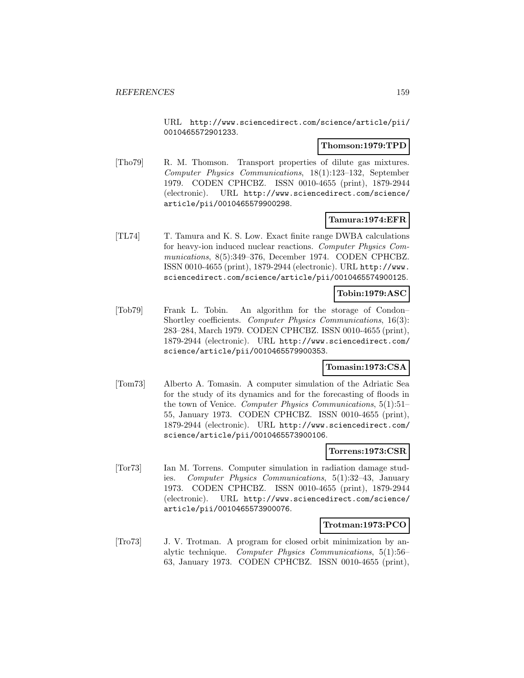URL http://www.sciencedirect.com/science/article/pii/ 0010465572901233.

### **Thomson:1979:TPD**

[Tho79] R. M. Thomson. Transport properties of dilute gas mixtures. Computer Physics Communications, 18(1):123–132, September 1979. CODEN CPHCBZ. ISSN 0010-4655 (print), 1879-2944 (electronic). URL http://www.sciencedirect.com/science/ article/pii/0010465579900298.

# **Tamura:1974:EFR**

[TL74] T. Tamura and K. S. Low. Exact finite range DWBA calculations for heavy-ion induced nuclear reactions. Computer Physics Communications, 8(5):349–376, December 1974. CODEN CPHCBZ. ISSN 0010-4655 (print), 1879-2944 (electronic). URL http://www. sciencedirect.com/science/article/pii/0010465574900125.

#### **Tobin:1979:ASC**

[Tob79] Frank L. Tobin. An algorithm for the storage of Condon– Shortley coefficients. Computer Physics Communications, 16(3): 283–284, March 1979. CODEN CPHCBZ. ISSN 0010-4655 (print), 1879-2944 (electronic). URL http://www.sciencedirect.com/ science/article/pii/0010465579900353.

# **Tomasin:1973:CSA**

[Tom73] Alberto A. Tomasin. A computer simulation of the Adriatic Sea for the study of its dynamics and for the forecasting of floods in the town of Venice. Computer Physics Communications, 5(1):51– 55, January 1973. CODEN CPHCBZ. ISSN 0010-4655 (print), 1879-2944 (electronic). URL http://www.sciencedirect.com/ science/article/pii/0010465573900106.

# **Torrens:1973:CSR**

[Tor73] Ian M. Torrens. Computer simulation in radiation damage studies. Computer Physics Communications, 5(1):32–43, January 1973. CODEN CPHCBZ. ISSN 0010-4655 (print), 1879-2944 (electronic). URL http://www.sciencedirect.com/science/ article/pii/0010465573900076.

# **Trotman:1973:PCO**

[Tro73] J. V. Trotman. A program for closed orbit minimization by analytic technique. Computer Physics Communications, 5(1):56– 63, January 1973. CODEN CPHCBZ. ISSN 0010-4655 (print),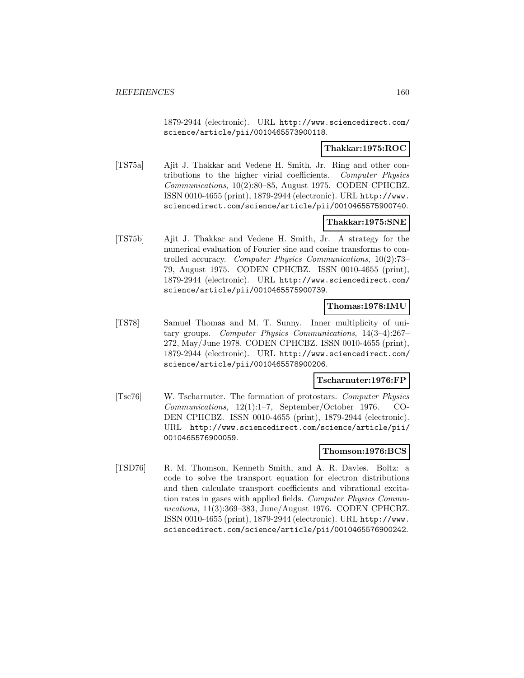1879-2944 (electronic). URL http://www.sciencedirect.com/ science/article/pii/0010465573900118.

### **Thakkar:1975:ROC**

[TS75a] Ajit J. Thakkar and Vedene H. Smith, Jr. Ring and other contributions to the higher virial coefficients. Computer Physics Communications, 10(2):80–85, August 1975. CODEN CPHCBZ. ISSN 0010-4655 (print), 1879-2944 (electronic). URL http://www. sciencedirect.com/science/article/pii/0010465575900740.

# **Thakkar:1975:SNE**

[TS75b] Ajit J. Thakkar and Vedene H. Smith, Jr. A strategy for the numerical evaluation of Fourier sine and cosine transforms to controlled accuracy. Computer Physics Communications, 10(2):73– 79, August 1975. CODEN CPHCBZ. ISSN 0010-4655 (print), 1879-2944 (electronic). URL http://www.sciencedirect.com/ science/article/pii/0010465575900739.

### **Thomas:1978:IMU**

[TS78] Samuel Thomas and M. T. Sunny. Inner multiplicity of unitary groups. Computer Physics Communications, 14(3–4):267– 272, May/June 1978. CODEN CPHCBZ. ISSN 0010-4655 (print), 1879-2944 (electronic). URL http://www.sciencedirect.com/ science/article/pii/0010465578900206.

# **Tscharnuter:1976:FP**

[Tsc76] W. Tscharnuter. The formation of protostars. Computer Physics Communications, 12(1):1–7, September/October 1976. CO-DEN CPHCBZ. ISSN 0010-4655 (print), 1879-2944 (electronic). URL http://www.sciencedirect.com/science/article/pii/ 0010465576900059.

### **Thomson:1976:BCS**

[TSD76] R. M. Thomson, Kenneth Smith, and A. R. Davies. Boltz: a code to solve the transport equation for electron distributions and then calculate transport coefficients and vibrational excitation rates in gases with applied fields. Computer Physics Communications, 11(3):369–383, June/August 1976. CODEN CPHCBZ. ISSN 0010-4655 (print), 1879-2944 (electronic). URL http://www. sciencedirect.com/science/article/pii/0010465576900242.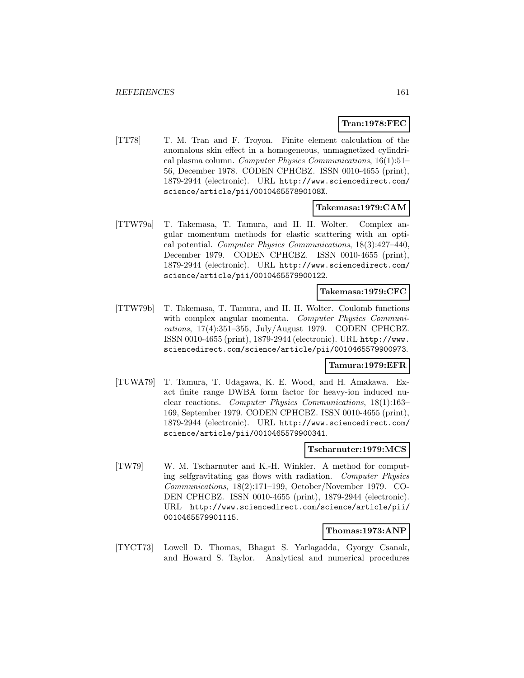# **Tran:1978:FEC**

[TT78] T. M. Tran and F. Troyon. Finite element calculation of the anomalous skin effect in a homogeneous, unmagnetized cylindrical plasma column. Computer Physics Communications, 16(1):51– 56, December 1978. CODEN CPHCBZ. ISSN 0010-4655 (print), 1879-2944 (electronic). URL http://www.sciencedirect.com/ science/article/pii/001046557890108X.

#### **Takemasa:1979:CAM**

[TTW79a] T. Takemasa, T. Tamura, and H. H. Wolter. Complex angular momentum methods for elastic scattering with an optical potential. Computer Physics Communications, 18(3):427–440, December 1979. CODEN CPHCBZ. ISSN 0010-4655 (print), 1879-2944 (electronic). URL http://www.sciencedirect.com/ science/article/pii/0010465579900122.

### **Takemasa:1979:CFC**

[TTW79b] T. Takemasa, T. Tamura, and H. H. Wolter. Coulomb functions with complex angular momenta. Computer Physics Communications, 17(4):351–355, July/August 1979. CODEN CPHCBZ. ISSN 0010-4655 (print), 1879-2944 (electronic). URL http://www. sciencedirect.com/science/article/pii/0010465579900973.

# **Tamura:1979:EFR**

[TUWA79] T. Tamura, T. Udagawa, K. E. Wood, and H. Amakawa. Exact finite range DWBA form factor for heavy-ion induced nuclear reactions. Computer Physics Communications, 18(1):163– 169, September 1979. CODEN CPHCBZ. ISSN 0010-4655 (print), 1879-2944 (electronic). URL http://www.sciencedirect.com/ science/article/pii/0010465579900341.

#### **Tscharnuter:1979:MCS**

[TW79] W. M. Tscharnuter and K.-H. Winkler. A method for computing selfgravitating gas flows with radiation. Computer Physics Communications, 18(2):171–199, October/November 1979. CO-DEN CPHCBZ. ISSN 0010-4655 (print), 1879-2944 (electronic). URL http://www.sciencedirect.com/science/article/pii/ 0010465579901115.

#### **Thomas:1973:ANP**

[TYCT73] Lowell D. Thomas, Bhagat S. Yarlagadda, Gyorgy Csanak, and Howard S. Taylor. Analytical and numerical procedures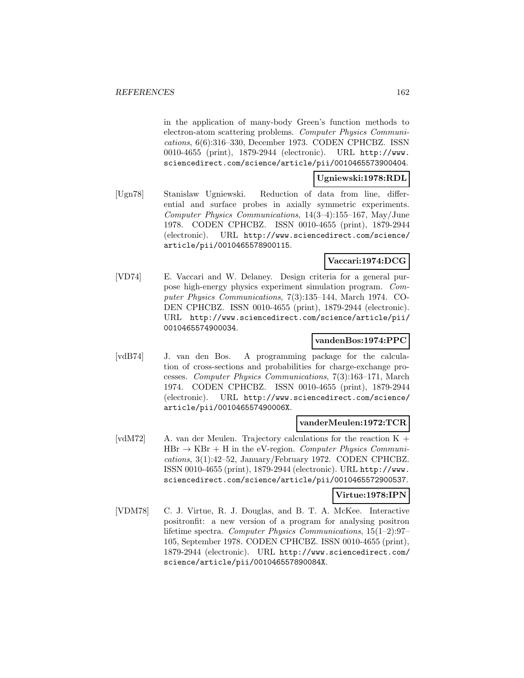in the application of many-body Green's function methods to electron-atom scattering problems. Computer Physics Communications, 6(6):316–330, December 1973. CODEN CPHCBZ. ISSN 0010-4655 (print), 1879-2944 (electronic). URL http://www. sciencedirect.com/science/article/pii/0010465573900404.

### **Ugniewski:1978:RDL**

[Ugn78] Stanislaw Ugniewski. Reduction of data from line, differential and surface probes in axially symmetric experiments. Computer Physics Communications, 14(3–4):155–167, May/June 1978. CODEN CPHCBZ. ISSN 0010-4655 (print), 1879-2944 (electronic). URL http://www.sciencedirect.com/science/ article/pii/0010465578900115.

# **Vaccari:1974:DCG**

[VD74] E. Vaccari and W. Delaney. Design criteria for a general purpose high-energy physics experiment simulation program. Computer Physics Communications, 7(3):135–144, March 1974. CO-DEN CPHCBZ. ISSN 0010-4655 (print), 1879-2944 (electronic). URL http://www.sciencedirect.com/science/article/pii/ 0010465574900034.

# **vandenBos:1974:PPC**

[vdB74] J. van den Bos. A programming package for the calculation of cross-sections and probabilities for charge-exchange processes. Computer Physics Communications, 7(3):163–171, March 1974. CODEN CPHCBZ. ISSN 0010-4655 (print), 1879-2944 (electronic). URL http://www.sciencedirect.com/science/ article/pii/001046557490006X.

#### **vanderMeulen:1972:TCR**

[vdM72] A. van der Meulen. Trajectory calculations for the reaction  $K +$  $HBr \rightarrow KBr + H$  in the eV-region. Computer Physics Communications, 3(1):42–52, January/February 1972. CODEN CPHCBZ. ISSN 0010-4655 (print), 1879-2944 (electronic). URL http://www. sciencedirect.com/science/article/pii/0010465572900537.

### **Virtue:1978:IPN**

[VDM78] C. J. Virtue, R. J. Douglas, and B. T. A. McKee. Interactive positronfit: a new version of a program for analysing positron lifetime spectra. Computer Physics Communications, 15(1–2):97– 105, September 1978. CODEN CPHCBZ. ISSN 0010-4655 (print), 1879-2944 (electronic). URL http://www.sciencedirect.com/ science/article/pii/001046557890084X.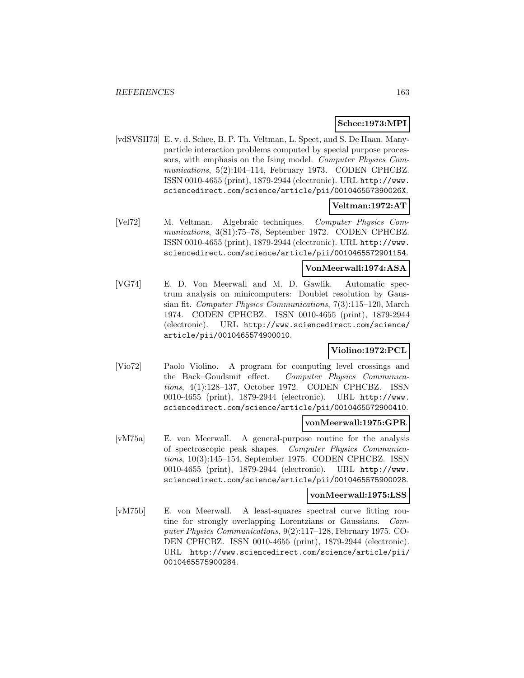### **Schee:1973:MPI**

[vdSVSH73] E. v. d. Schee, B. P. Th. Veltman, L. Speet, and S. De Haan. Manyparticle interaction problems computed by special purpose processors, with emphasis on the Ising model. Computer Physics Communications, 5(2):104–114, February 1973. CODEN CPHCBZ. ISSN 0010-4655 (print), 1879-2944 (electronic). URL http://www. sciencedirect.com/science/article/pii/001046557390026X.

# **Veltman:1972:AT**

[Vel72] M. Veltman. Algebraic techniques. Computer Physics Communications, 3(S1):75–78, September 1972. CODEN CPHCBZ. ISSN 0010-4655 (print), 1879-2944 (electronic). URL http://www. sciencedirect.com/science/article/pii/0010465572901154.

### **VonMeerwall:1974:ASA**

[VG74] E. D. Von Meerwall and M. D. Gawlik. Automatic spectrum analysis on minicomputers: Doublet resolution by Gaussian fit. Computer Physics Communications, 7(3):115–120, March 1974. CODEN CPHCBZ. ISSN 0010-4655 (print), 1879-2944 (electronic). URL http://www.sciencedirect.com/science/ article/pii/0010465574900010.

#### **Violino:1972:PCL**

[Vio72] Paolo Violino. A program for computing level crossings and the Back–Goudsmit effect. Computer Physics Communications, 4(1):128–137, October 1972. CODEN CPHCBZ. ISSN 0010-4655 (print), 1879-2944 (electronic). URL http://www. sciencedirect.com/science/article/pii/0010465572900410.

### **vonMeerwall:1975:GPR**

[vM75a] E. von Meerwall. A general-purpose routine for the analysis of spectroscopic peak shapes. Computer Physics Communications, 10(3):145–154, September 1975. CODEN CPHCBZ. ISSN 0010-4655 (print), 1879-2944 (electronic). URL http://www. sciencedirect.com/science/article/pii/0010465575900028.

#### **vonMeerwall:1975:LSS**

[vM75b] E. von Meerwall. A least-squares spectral curve fitting routine for strongly overlapping Lorentzians or Gaussians. Computer Physics Communications, 9(2):117–128, February 1975. CO-DEN CPHCBZ. ISSN 0010-4655 (print), 1879-2944 (electronic). URL http://www.sciencedirect.com/science/article/pii/ 0010465575900284.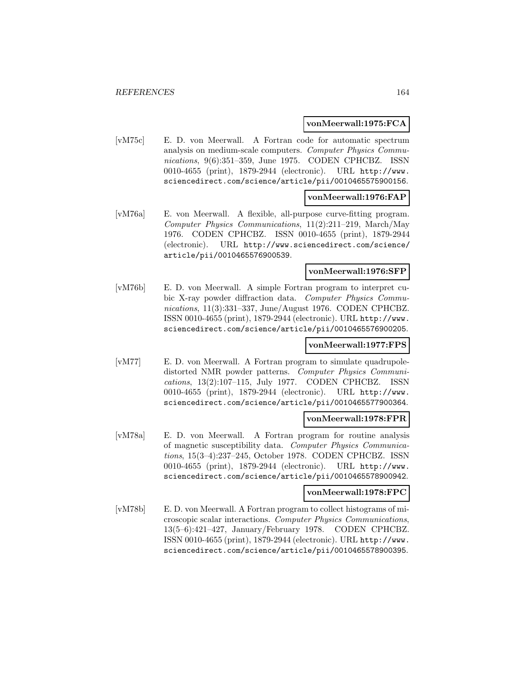#### **vonMeerwall:1975:FCA**

[vM75c] E. D. von Meerwall. A Fortran code for automatic spectrum analysis on medium-scale computers. Computer Physics Communications, 9(6):351–359, June 1975. CODEN CPHCBZ. ISSN 0010-4655 (print), 1879-2944 (electronic). URL http://www. sciencedirect.com/science/article/pii/0010465575900156.

#### **vonMeerwall:1976:FAP**

[vM76a] E. von Meerwall. A flexible, all-purpose curve-fitting program. Computer Physics Communications, 11(2):211–219, March/May 1976. CODEN CPHCBZ. ISSN 0010-4655 (print), 1879-2944 (electronic). URL http://www.sciencedirect.com/science/ article/pii/0010465576900539.

#### **vonMeerwall:1976:SFP**

[vM76b] E. D. von Meerwall. A simple Fortran program to interpret cubic X-ray powder diffraction data. Computer Physics Communications, 11(3):331–337, June/August 1976. CODEN CPHCBZ. ISSN 0010-4655 (print), 1879-2944 (electronic). URL http://www. sciencedirect.com/science/article/pii/0010465576900205.

#### **vonMeerwall:1977:FPS**

[vM77] E. D. von Meerwall. A Fortran program to simulate quadrupoledistorted NMR powder patterns. Computer Physics Communications, 13(2):107–115, July 1977. CODEN CPHCBZ. ISSN 0010-4655 (print), 1879-2944 (electronic). URL http://www. sciencedirect.com/science/article/pii/0010465577900364.

#### **vonMeerwall:1978:FPR**

[vM78a] E. D. von Meerwall. A Fortran program for routine analysis of magnetic susceptibility data. Computer Physics Communications, 15(3–4):237–245, October 1978. CODEN CPHCBZ. ISSN 0010-4655 (print), 1879-2944 (electronic). URL http://www. sciencedirect.com/science/article/pii/0010465578900942.

#### **vonMeerwall:1978:FPC**

[vM78b] E. D. von Meerwall. A Fortran program to collect histograms of microscopic scalar interactions. Computer Physics Communications, 13(5–6):421–427, January/February 1978. CODEN CPHCBZ. ISSN 0010-4655 (print), 1879-2944 (electronic). URL http://www. sciencedirect.com/science/article/pii/0010465578900395.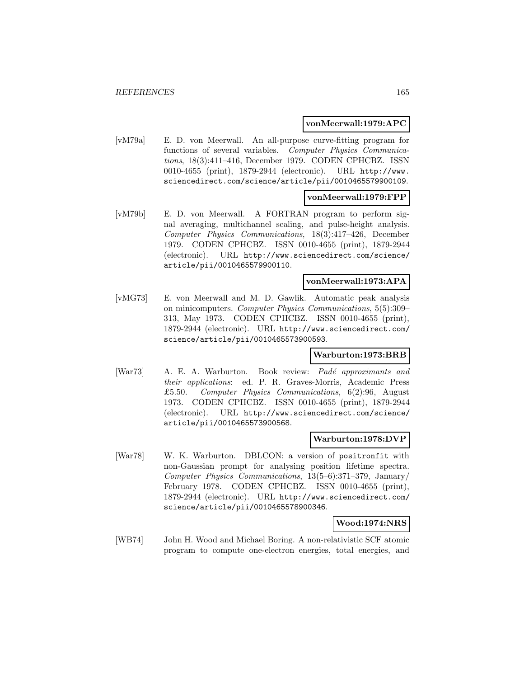#### **vonMeerwall:1979:APC**

[vM79a] E. D. von Meerwall. An all-purpose curve-fitting program for functions of several variables. Computer Physics Communications, 18(3):411–416, December 1979. CODEN CPHCBZ. ISSN 0010-4655 (print), 1879-2944 (electronic). URL http://www. sciencedirect.com/science/article/pii/0010465579900109.

#### **vonMeerwall:1979:FPP**

[vM79b] E. D. von Meerwall. A FORTRAN program to perform signal averaging, multichannel scaling, and pulse-height analysis. Computer Physics Communications, 18(3):417–426, December 1979. CODEN CPHCBZ. ISSN 0010-4655 (print), 1879-2944 (electronic). URL http://www.sciencedirect.com/science/ article/pii/0010465579900110.

### **vonMeerwall:1973:APA**

[vMG73] E. von Meerwall and M. D. Gawlik. Automatic peak analysis on minicomputers. Computer Physics Communications, 5(5):309– 313, May 1973. CODEN CPHCBZ. ISSN 0010-4655 (print), 1879-2944 (electronic). URL http://www.sciencedirect.com/ science/article/pii/0010465573900593.

# **Warburton:1973:BRB**

[War73] A. E. A. Warburton. Book review: Padé approximants and their applications: ed. P. R. Graves-Morris, Academic Press £5.50. Computer Physics Communications, 6(2):96, August 1973. CODEN CPHCBZ. ISSN 0010-4655 (print), 1879-2944 (electronic). URL http://www.sciencedirect.com/science/ article/pii/0010465573900568.

#### **Warburton:1978:DVP**

[War78] W. K. Warburton. DBLCON: a version of positronfit with non-Gaussian prompt for analysing position lifetime spectra. Computer Physics Communications, 13(5–6):371–379, January/ February 1978. CODEN CPHCBZ. ISSN 0010-4655 (print), 1879-2944 (electronic). URL http://www.sciencedirect.com/ science/article/pii/0010465578900346.

#### **Wood:1974:NRS**

[WB74] John H. Wood and Michael Boring. A non-relativistic SCF atomic program to compute one-electron energies, total energies, and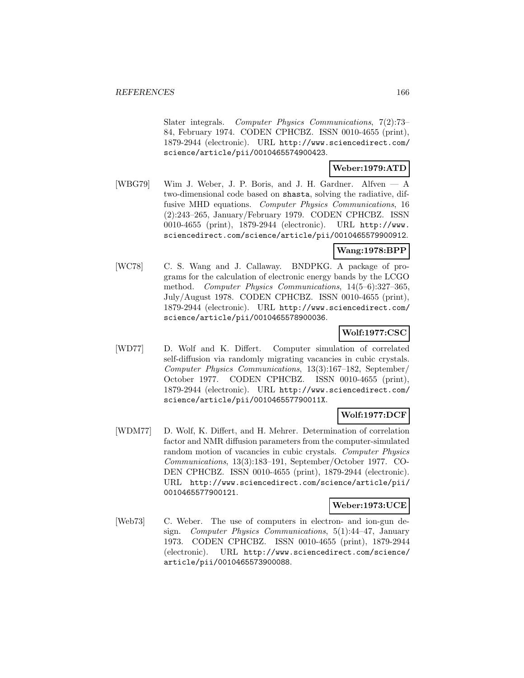Slater integrals. Computer Physics Communications, 7(2):73– 84, February 1974. CODEN CPHCBZ. ISSN 0010-4655 (print), 1879-2944 (electronic). URL http://www.sciencedirect.com/ science/article/pii/0010465574900423.

### **Weber:1979:ATD**

[WBG79] Wim J. Weber, J. P. Boris, and J. H. Gardner. Alfven — A two-dimensional code based on shasta, solving the radiative, diffusive MHD equations. *Computer Physics Communications*, 16 (2):243–265, January/February 1979. CODEN CPHCBZ. ISSN 0010-4655 (print), 1879-2944 (electronic). URL http://www. sciencedirect.com/science/article/pii/0010465579900912.

# **Wang:1978:BPP**

[WC78] C. S. Wang and J. Callaway. BNDPKG. A package of programs for the calculation of electronic energy bands by the LCGO method. Computer Physics Communications, 14(5–6):327–365, July/August 1978. CODEN CPHCBZ. ISSN 0010-4655 (print), 1879-2944 (electronic). URL http://www.sciencedirect.com/ science/article/pii/0010465578900036.

# **Wolf:1977:CSC**

[WD77] D. Wolf and K. Differt. Computer simulation of correlated self-diffusion via randomly migrating vacancies in cubic crystals. Computer Physics Communications, 13(3):167–182, September/ October 1977. CODEN CPHCBZ. ISSN 0010-4655 (print), 1879-2944 (electronic). URL http://www.sciencedirect.com/ science/article/pii/001046557790011X.

# **Wolf:1977:DCF**

[WDM77] D. Wolf, K. Differt, and H. Mehrer. Determination of correlation factor and NMR diffusion parameters from the computer-simulated random motion of vacancies in cubic crystals. Computer Physics Communications, 13(3):183–191, September/October 1977. CO-DEN CPHCBZ. ISSN 0010-4655 (print), 1879-2944 (electronic). URL http://www.sciencedirect.com/science/article/pii/ 0010465577900121.

#### **Weber:1973:UCE**

[Web73] C. Weber. The use of computers in electron- and ion-gun design. Computer Physics Communications, 5(1):44–47, January 1973. CODEN CPHCBZ. ISSN 0010-4655 (print), 1879-2944 (electronic). URL http://www.sciencedirect.com/science/ article/pii/0010465573900088.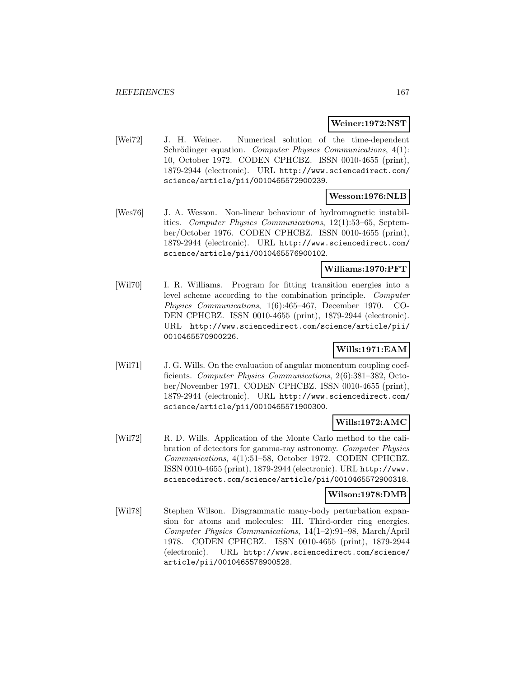#### **Weiner:1972:NST**

[Wei72] J. H. Weiner. Numerical solution of the time-dependent Schrödinger equation. Computer Physics Communications, 4(1): 10, October 1972. CODEN CPHCBZ. ISSN 0010-4655 (print), 1879-2944 (electronic). URL http://www.sciencedirect.com/ science/article/pii/0010465572900239.

### **Wesson:1976:NLB**

[Wes76] J. A. Wesson. Non-linear behaviour of hydromagnetic instabilities. Computer Physics Communications, 12(1):53–65, September/October 1976. CODEN CPHCBZ. ISSN 0010-4655 (print), 1879-2944 (electronic). URL http://www.sciencedirect.com/ science/article/pii/0010465576900102.

### **Williams:1970:PFT**

[Wil70] I. R. Williams. Program for fitting transition energies into a level scheme according to the combination principle. Computer Physics Communications, 1(6):465–467, December 1970. CO-DEN CPHCBZ. ISSN 0010-4655 (print), 1879-2944 (electronic). URL http://www.sciencedirect.com/science/article/pii/ 0010465570900226.

### **Wills:1971:EAM**

[Wil71] J. G. Wills. On the evaluation of angular momentum coupling coefficients. Computer Physics Communications, 2(6):381–382, October/November 1971. CODEN CPHCBZ. ISSN 0010-4655 (print), 1879-2944 (electronic). URL http://www.sciencedirect.com/ science/article/pii/0010465571900300.

# **Wills:1972:AMC**

[Wil72] R. D. Wills. Application of the Monte Carlo method to the calibration of detectors for gamma-ray astronomy. Computer Physics Communications, 4(1):51–58, October 1972. CODEN CPHCBZ. ISSN 0010-4655 (print), 1879-2944 (electronic). URL http://www. sciencedirect.com/science/article/pii/0010465572900318.

### **Wilson:1978:DMB**

[Wil78] Stephen Wilson. Diagrammatic many-body perturbation expansion for atoms and molecules: III. Third-order ring energies. Computer Physics Communications, 14(1–2):91–98, March/April 1978. CODEN CPHCBZ. ISSN 0010-4655 (print), 1879-2944 (electronic). URL http://www.sciencedirect.com/science/ article/pii/0010465578900528.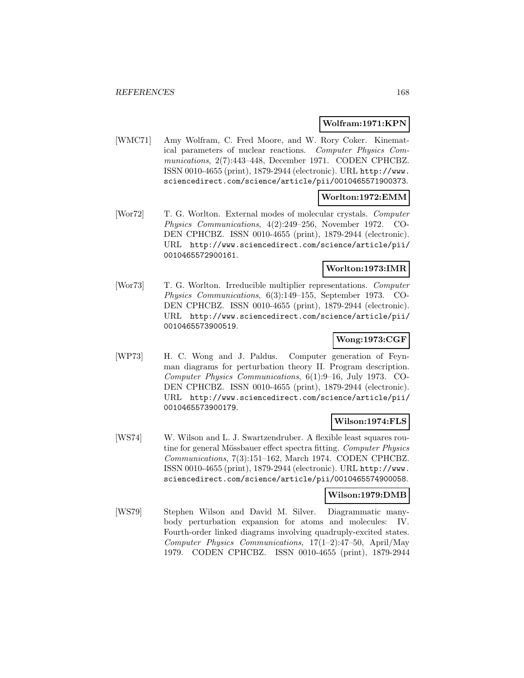#### **Wolfram:1971:KPN**

[WMC71] Amy Wolfram, C. Fred Moore, and W. Rory Coker. Kinematical parameters of nuclear reactions. Computer Physics Communications, 2(7):443–448, December 1971. CODEN CPHCBZ. ISSN 0010-4655 (print), 1879-2944 (electronic). URL http://www. sciencedirect.com/science/article/pii/0010465571900373.

### **Worlton:1972:EMM**

[Wor72] T. G. Worlton. External modes of molecular crystals. Computer Physics Communications, 4(2):249–256, November 1972. CO-DEN CPHCBZ. ISSN 0010-4655 (print), 1879-2944 (electronic). URL http://www.sciencedirect.com/science/article/pii/ 0010465572900161.

### **Worlton:1973:IMR**

[Wor73] T. G. Worlton. Irreducible multiplier representations. Computer Physics Communications, 6(3):149–155, September 1973. CO-DEN CPHCBZ. ISSN 0010-4655 (print), 1879-2944 (electronic). URL http://www.sciencedirect.com/science/article/pii/ 0010465573900519.

# **Wong:1973:CGF**

[WP73] H. C. Wong and J. Paldus. Computer generation of Feynman diagrams for perturbation theory II. Program description. Computer Physics Communications, 6(1):9–16, July 1973. CO-DEN CPHCBZ. ISSN 0010-4655 (print), 1879-2944 (electronic). URL http://www.sciencedirect.com/science/article/pii/ 0010465573900179.

#### **Wilson:1974:FLS**

[WS74] W. Wilson and L. J. Swartzendruber. A flexible least squares routine for general Mössbauer effect spectra fitting. Computer Physics Communications, 7(3):151–162, March 1974. CODEN CPHCBZ. ISSN 0010-4655 (print), 1879-2944 (electronic). URL http://www. sciencedirect.com/science/article/pii/0010465574900058.

### **Wilson:1979:DMB**

[WS79] Stephen Wilson and David M. Silver. Diagrammatic manybody perturbation expansion for atoms and molecules: IV. Fourth-order linked diagrams involving quadruply-excited states. Computer Physics Communications, 17(1–2):47–50, April/May 1979. CODEN CPHCBZ. ISSN 0010-4655 (print), 1879-2944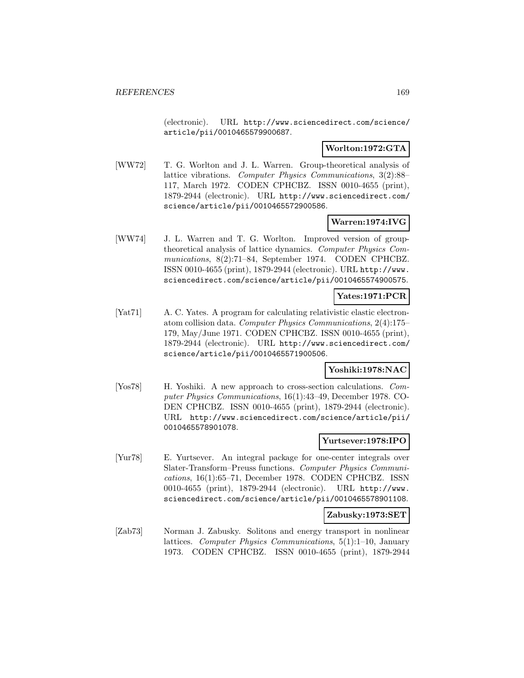(electronic). URL http://www.sciencedirect.com/science/ article/pii/0010465579900687.

# **Worlton:1972:GTA**

[WW72] T. G. Worlton and J. L. Warren. Group-theoretical analysis of lattice vibrations. Computer Physics Communications, 3(2):88– 117, March 1972. CODEN CPHCBZ. ISSN 0010-4655 (print), 1879-2944 (electronic). URL http://www.sciencedirect.com/ science/article/pii/0010465572900586.

# **Warren:1974:IVG**

[WW74] J. L. Warren and T. G. Worlton. Improved version of grouptheoretical analysis of lattice dynamics. Computer Physics Communications, 8(2):71–84, September 1974. CODEN CPHCBZ. ISSN 0010-4655 (print), 1879-2944 (electronic). URL http://www. sciencedirect.com/science/article/pii/0010465574900575.

# **Yates:1971:PCR**

[Yat71] A. C. Yates. A program for calculating relativistic elastic electronatom collision data. Computer Physics Communications, 2(4):175– 179, May/June 1971. CODEN CPHCBZ. ISSN 0010-4655 (print), 1879-2944 (electronic). URL http://www.sciencedirect.com/ science/article/pii/0010465571900506.

# **Yoshiki:1978:NAC**

[Yos78] H. Yoshiki. A new approach to cross-section calculations. Computer Physics Communications, 16(1):43–49, December 1978. CO-DEN CPHCBZ. ISSN 0010-4655 (print), 1879-2944 (electronic). URL http://www.sciencedirect.com/science/article/pii/ 0010465578901078.

#### **Yurtsever:1978:IPO**

[Yur78] E. Yurtsever. An integral package for one-center integrals over Slater-Transform–Preuss functions. Computer Physics Communications, 16(1):65–71, December 1978. CODEN CPHCBZ. ISSN 0010-4655 (print), 1879-2944 (electronic). URL http://www. sciencedirect.com/science/article/pii/0010465578901108.

#### **Zabusky:1973:SET**

[Zab73] Norman J. Zabusky. Solitons and energy transport in nonlinear lattices. Computer Physics Communications, 5(1):1–10, January 1973. CODEN CPHCBZ. ISSN 0010-4655 (print), 1879-2944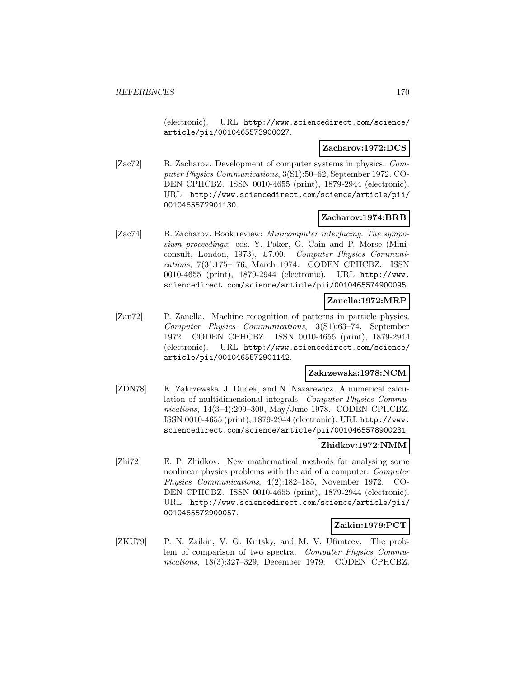(electronic). URL http://www.sciencedirect.com/science/ article/pii/0010465573900027.

### **Zacharov:1972:DCS**

[Zac72] B. Zacharov. Development of computer systems in physics. Computer Physics Communications, 3(S1):50–62, September 1972. CO-DEN CPHCBZ. ISSN 0010-4655 (print), 1879-2944 (electronic). URL http://www.sciencedirect.com/science/article/pii/ 0010465572901130.

# **Zacharov:1974:BRB**

[Zac74] B. Zacharov. Book review: *Minicomputer interfacing. The sympo*sium proceedings: eds. Y. Paker, G. Cain and P. Morse (Miniconsult, London, 1973), £7.00. Computer Physics Communications, 7(3):175–176, March 1974. CODEN CPHCBZ. ISSN 0010-4655 (print), 1879-2944 (electronic). URL http://www. sciencedirect.com/science/article/pii/0010465574900095.

### **Zanella:1972:MRP**

[Zan72] P. Zanella. Machine recognition of patterns in particle physics. Computer Physics Communications, 3(S1):63–74, September 1972. CODEN CPHCBZ. ISSN 0010-4655 (print), 1879-2944 (electronic). URL http://www.sciencedirect.com/science/ article/pii/0010465572901142.

#### **Zakrzewska:1978:NCM**

[ZDN78] K. Zakrzewska, J. Dudek, and N. Nazarewicz. A numerical calculation of multidimensional integrals. Computer Physics Communications, 14(3–4):299–309, May/June 1978. CODEN CPHCBZ. ISSN 0010-4655 (print), 1879-2944 (electronic). URL http://www. sciencedirect.com/science/article/pii/0010465578900231.

#### **Zhidkov:1972:NMM**

[Zhi72] E. P. Zhidkov. New mathematical methods for analysing some nonlinear physics problems with the aid of a computer. Computer Physics Communications, 4(2):182–185, November 1972. CO-DEN CPHCBZ. ISSN 0010-4655 (print), 1879-2944 (electronic). URL http://www.sciencedirect.com/science/article/pii/ 0010465572900057.

# **Zaikin:1979:PCT**

[ZKU79] P. N. Zaikin, V. G. Kritsky, and M. V. Ufimtcev. The problem of comparison of two spectra. Computer Physics Communications, 18(3):327–329, December 1979. CODEN CPHCBZ.